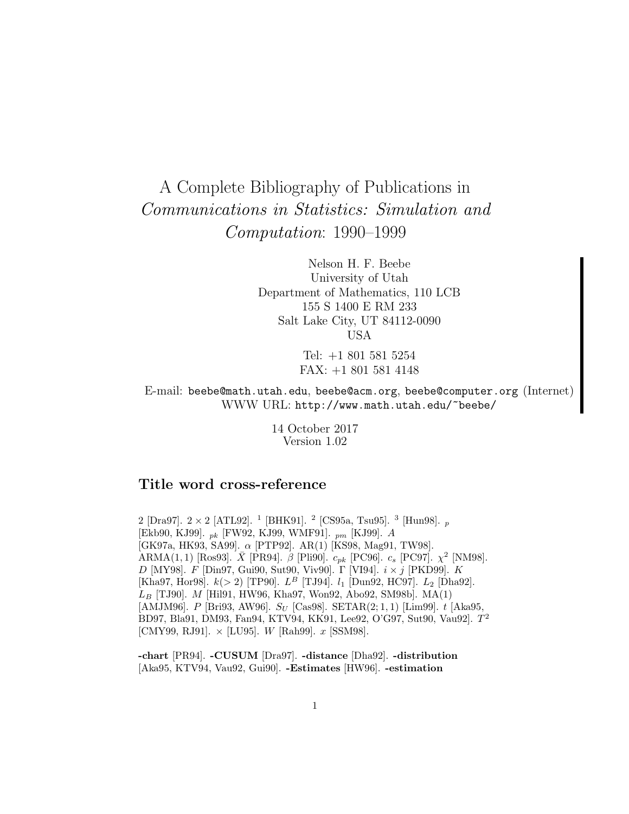# A Complete Bibliography of Publications in Communications in Statistics: Simulation and Computation: 1990–1999

Nelson H. F. Beebe University of Utah Department of Mathematics, 110 LCB 155 S 1400 E RM 233 Salt Lake City, UT 84112-0090 USA

> Tel: +1 801 581 5254 FAX: +1 801 581 4148

E-mail: beebe@math.utah.edu, beebe@acm.org, beebe@computer.org (Internet) WWW URL: http://www.math.utah.edu/~beebe/

> 14 October 2017 Version 1.02

# **Title word cross-reference**

2 [Dra97].  $2 \times 2$  [ATL92]. <sup>1</sup> [BHK91]. <sup>2</sup> [CS95a, Tsu95]. <sup>3</sup> [Hun98]. <sub>p</sub> [Ekb90, KJ99]. pk [FW92, KJ99, WMF91]. pm [KJ99]. A [GK97a, HK93, SA99]. α [PTP92]. AR(1) [KS98, Mag91, TW98]. ARMA(1, 1) [Ros93].  $\bar{X}$  [PR94].  $\beta$  [Pli90].  $c_{pk}$  [PC96].  $c_s$  [PC97].  $\chi^2$  [NM98].  $D$  [MY98].  $F$  [Din97, Gui90, Sut90, Viv90].  $\Gamma$  [VI94].  $i \times j$  [PKD99].  $K$ [Kha97, Hor98].  $k(> 2)$  [TP90].  $L^B$  [TJ94].  $l_1$  [Dun92, HC97].  $L_2$  [Dha92].  $L_B$  [TJ90]. M [Hil91, HW96, Kha97, Won92, Abo92, SM98b]. MA(1) [AMJM96]. P [Bri93, AW96].  $S_U$  [Cas98]. SETAR(2;1,1) [Lim99]. t [Aka95, BD97, Bla91, DM93, Fan94, KTV94, KK91, Lee92, O'G97, Sut90, Vau92].  $T^2$ [CMY99, RJ91].  $\times$  [LU95]. *W* [Rah99]. *x* [SSM98].

**-chart** [PR94]. **-CUSUM** [Dra97]. **-distance** [Dha92]. **-distribution** [Aka95, KTV94, Vau92, Gui90]. **-Estimates** [HW96]. **-estimation**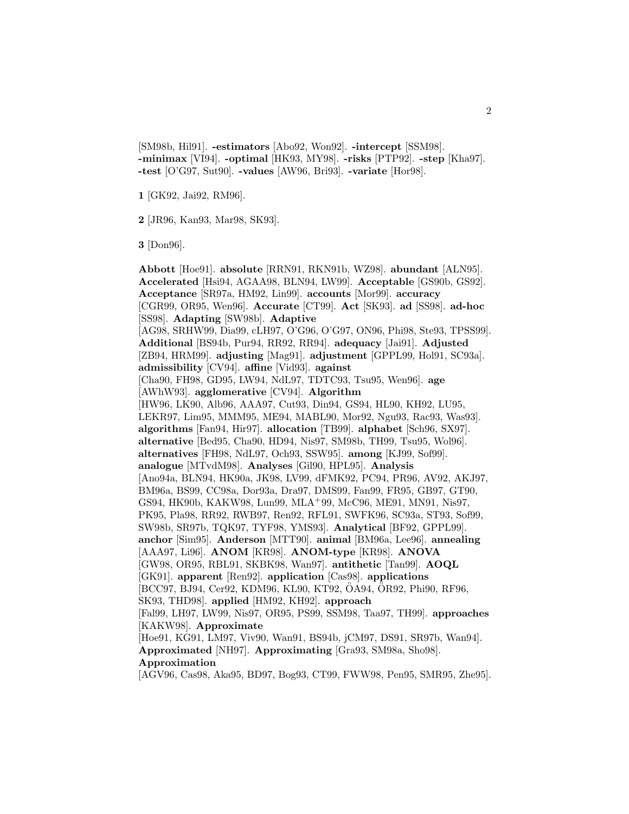[SM98b, Hil91]. **-estimators** [Abo92, Won92]. **-intercept** [SSM98]. **-minimax** [VI94]. **-optimal** [HK93, MY98]. **-risks** [PTP92]. **-step** [Kha97]. **-test** [O'G97, Sut90]. **-values** [AW96, Bri93]. **-variate** [Hor98].

**1** [GK92, Jai92, RM96].

**2** [JR96, Kan93, Mar98, SK93].

**3** [Don96].

**Abbott** [Hoe91]. **absolute** [RRN91, RKN91b, WZ98]. **abundant** [ALN95]. **Accelerated** [Hsi94, AGAA98, BLN94, LW99]. **Acceptable** [GS90b, GS92]. **Acceptance** [SR97a, HM92, Lin99]. **accounts** [Mor99]. **accuracy** [CGR99, OR95, Wen96]. **Accurate** [CT99]. **Act** [SK93]. **ad** [SS98]. **ad-hoc** [SS98]. **Adapting** [SW98b]. **Adaptive** [AG98, SRHW99, Dia99, cLH97, O'G96, O'G97, ON96, Phi98, Ste93, TPSS99]. **Additional** [BS94b, Pur94, RR92, RR94]. **adequacy** [Jai91]. **Adjusted** [ZB94, HRM99]. **adjusting** [Mag91]. **adjustment** [GPPL99, Hol91, SC93a]. **admissibility** [CV94]. **affine** [Vid93]. **against** [Cha90, FH98, GD95, LW94, NdL97, TDTC93, Tsu95, Wen96]. **age** [AWhW93]. **agglomerative** [CV94]. **Algorithm** [HW96, LK90, Alb96, AAA97, Cut93, Din94, GS94, HL90, KH92, LU95, LEKR97, Lim95, MMM95, ME94, MABL90, Mor92, Ngu93, Rac93, Was93]. **algorithms** [Fan94, Hir97]. **allocation** [TB99]. **alphabet** [Sch96, SX97]. **alternative** [Bed95, Cha90, HD94, Nis97, SM98b, TH99, Tsu95, Wol96]. **alternatives** [FH98, NdL97, Och93, SSW95]. **among** [KJ99, Sof99]. **analogue** [MTvdM98]. **Analyses** [Gil90, HPL95]. **Analysis** [Ano94a, BLN94, HK90a, JK98, LV99, dFMK92, PC94, PR96, AV92, AKJ97, BM96a, BS99, CC98a, Dor93a, Dra97, DMS99, Fan99, FR95, GB97, GT90, GS94, HK90b, KAKW98, Lun99, MLA<sup>+</sup>99, McC96, ME91, MN91, Nis97, PK95, Pla98, RR92, RWB97, Ren92, RFL91, SWFK96, SC93a, ST93, Sof99, SW98b, SR97b, TQK97, TYF98, YMS93]. **Analytical** [BF92, GPPL99]. **anchor** [Sim95]. **Anderson** [MTT90]. **animal** [BM96a, Lee96]. **annealing** [AAA97, Li96]. **ANOM** [KR98]. **ANOM-type** [KR98]. **ANOVA** [GW98, OR95, RBL91, SKBK98, Wan97]. **antithetic** [Tan99]. **AOQL** [GK91]. **apparent** [Ren92]. **application** [Cas98]. **applications** [BCC97, BJ94, Cer92, KDM96, KL90, KT92, ÖA94, ÖR92, Phi90, RF96, SK93, THD98]. **applied** [HM92, KH92]. **approach** [Fal99, LH97, LW99, Nis97, OR95, PS99, SSM98, Taa97, TH99]. **approaches** [KAKW98]. **Approximate** [Hoe91, KG91, LM97, Viv90, Wan91, BS94b, jCM97, DS91, SR97b, Wan94]. **Approximated** [NH97]. **Approximating** [Gra93, SM98a, Sho98]. **Approximation**

[AGV96, Cas98, Aka95, BD97, Bog93, CT99, FWW98, Pen95, SMR95, Zhe95].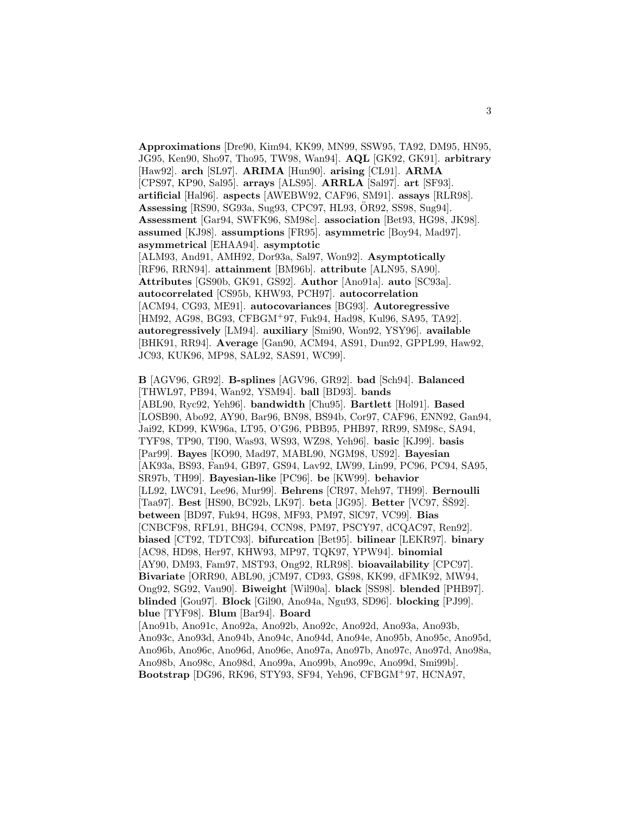**Approximations** [Dre90, Kim94, KK99, MN99, SSW95, TA92, DM95, HN95, JG95, Ken90, Sho97, Tho95, TW98, Wan94]. **AQL** [GK92, GK91]. **arbitrary** [Haw92]. **arch** [SL97]. **ARIMA** [Hun90]. **arising** [CL91]. **ARMA** [CPS97, KP90, Sal95]. **arrays** [ALS95]. **ARRLA** [Sal97]. **art** [SF93]. **artificial** [Hal96]. **aspects** [AWEBW92, CAF96, SM91]. **assays** [RLR98]. **Assessing** [RS90, SG93a, Sug93, CPC97, HL93, OR92, SS98, Sug94]. ¨ **Assessment** [Gar94, SWFK96, SM98c]. **association** [Bet93, HG98, JK98]. **assumed** [KJ98]. **assumptions** [FR95]. **asymmetric** [Boy94, Mad97]. **asymmetrical** [EHAA94]. **asymptotic** [ALM93, And91, AMH92, Dor93a, Sal97, Won92]. **Asymptotically** [RF96, RRN94]. **attainment** [BM96b]. **attribute** [ALN95, SA90]. **Attributes** [GS90b, GK91, GS92]. **Author** [Ano91a]. **auto** [SC93a]. **autocorrelated** [CS95b, KHW93, PCH97]. **autocorrelation** [ACM94, CG93, ME91]. **autocovariances** [BG93]. **Autoregressive** [HM92, AG98, BG93, CFBGM<sup>+</sup>97, Fuk94, Had98, Kul96, SA95, TA92]. **autoregressively** [LM94]. **auxiliary** [Smi90, Won92, YSY96]. **available** [BHK91, RR94]. **Average** [Gan90, ACM94, AS91, Dun92, GPPL99, Haw92, JC93, KUK96, MP98, SAL92, SAS91, WC99].

**B** [AGV96, GR92]. **B-splines** [AGV96, GR92]. **bad** [Sch94]. **Balanced** [THWL97, PB94, Wan92, YSM94]. **ball** [BD93]. **bands** [ABL90, Ryc92, Yeh96]. **bandwidth** [Chu95]. **Bartlett** [Hol91]. **Based** [LOSB90, Abo92, AY90, Bar96, BN98, BS94b, Cor97, CAF96, ENN92, Gan94, Jai92, KD99, KW96a, LT95, O'G96, PBB95, PHB97, RR99, SM98c, SA94, TYF98, TP90, TI90, Was93, WS93, WZ98, Yeh96]. **basic** [KJ99]. **basis** [Par99]. **Bayes** [KO90, Mad97, MABL90, NGM98, US92]. **Bayesian** [AK93a, BS93, Fan94, GB97, GS94, Lav92, LW99, Lin99, PC96, PC94, SA95, SR97b, TH99]. **Bayesian-like** [PC96]. **be** [KW99]. **behavior** [LL92, LWC91, Lee96, Mur99]. **Behrens** [CR97, Meh97, TH99]. **Bernoulli** [Taa97]. **Best** [HS90, BC92b, LK97]. **beta** [JG95]. **Better** [VC97, ŠŠ92]. **between** [BD97, Fuk94, HG98, MF93, PM97, SlC97, VC99]. **Bias** [CNBCF98, RFL91, BHG94, CCN98, PM97, PSCY97, dCQAC97, Ren92]. **biased** [CT92, TDTC93]. **bifurcation** [Bet95]. **bilinear** [LEKR97]. **binary** [AC98, HD98, Her97, KHW93, MP97, TQK97, YPW94]. **binomial** [AY90, DM93, Fam97, MST93, Ong92, RLR98]. **bioavailability** [CPC97]. **Bivariate** [ORR90, ABL90, jCM97, CD93, GS98, KK99, dFMK92, MW94, Ong92, SG92, Vau90]. **Biweight** [Wil90a]. **black** [SS98]. **blended** [PHB97]. **blinded** [Gou97]. **Block** [Gil90, Ano94a, Ngu93, SD96]. **blocking** [PJ99]. **blue** [TYF98]. **Blum** [Bar94]. **Board** [Ano91b, Ano91c, Ano92a, Ano92b, Ano92c, Ano92d, Ano93a, Ano93b,

Ano93c, Ano93d, Ano94b, Ano94c, Ano94d, Ano94e, Ano95b, Ano95c, Ano95d, Ano96b, Ano96c, Ano96d, Ano96e, Ano97a, Ano97b, Ano97c, Ano97d, Ano98a, Ano98b, Ano98c, Ano98d, Ano99a, Ano99b, Ano99c, Ano99d, Smi99b]. **Bootstrap** [DG96, RK96, STY93, SF94, Yeh96, CFBGM<sup>+</sup>97, HCNA97,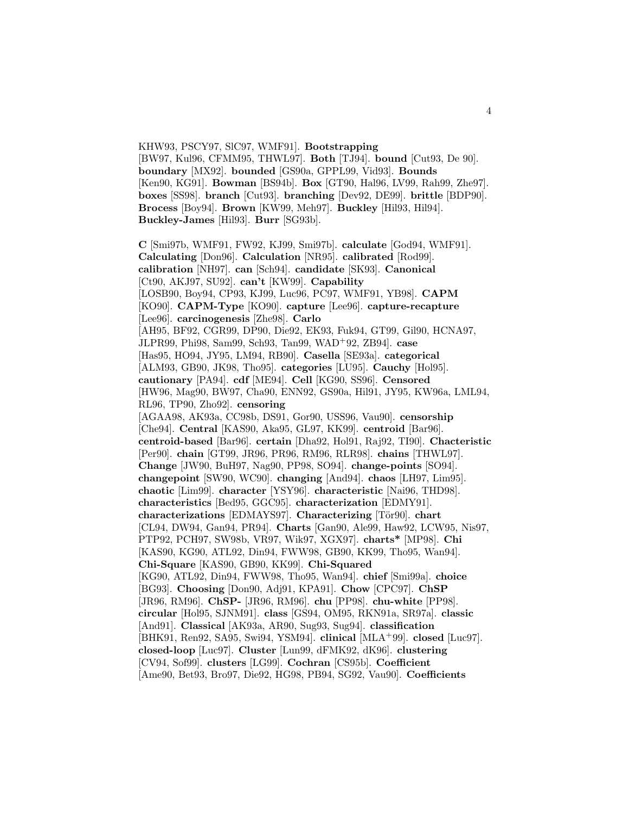KHW93, PSCY97, SlC97, WMF91]. **Bootstrapping** [BW97, Kul96, CFMM95, THWL97]. **Both** [TJ94]. **bound** [Cut93, De 90]. **boundary** [MX92]. **bounded** [GS90a, GPPL99, Vid93]. **Bounds** [Ken90, KG91]. **Bowman** [BS94b]. **Box** [GT90, Hal96, LV99, Rah99, Zhe97]. **boxes** [SS98]. **branch** [Cut93]. **branching** [Dev92, DE99]. **brittle** [BDP90]. **Brocess** [Boy94]. **Brown** [KW99, Meh97]. **Buckley** [Hil93, Hil94]. **Buckley-James** [Hil93]. **Burr** [SG93b].

**C** [Smi97b, WMF91, FW92, KJ99, Smi97b]. **calculate** [God94, WMF91]. **Calculating** [Don96]. **Calculation** [NR95]. **calibrated** [Rod99]. **calibration** [NH97]. **can** [Sch94]. **candidate** [SK93]. **Canonical** [Ct90, AKJ97, SU92]. **can't** [KW99]. **Capability** [LOSB90, Boy94, CP93, KJ99, Luc96, PC97, WMF91, YB98]. **CAPM** [KO90]. **CAPM-Type** [KO90]. **capture** [Lee96]. **capture-recapture** [Lee96]. **carcinogenesis** [Zhe98]. **Carlo** [AH95, BF92, CGR99, DP90, Die92, EK93, Fuk94, GT99, Gil90, HCNA97, JLPR99, Phi98, Sam99, Sch93, Tan99, WAD<sup>+</sup>92, ZB94]. **case** [Has95, HO94, JY95, LM94, RB90]. **Casella** [SE93a]. **categorical** [ALM93, GB90, JK98, Tho95]. **categories** [LU95]. **Cauchy** [Hol95]. **cautionary** [PA94]. **cdf** [ME94]. **Cell** [KG90, SS96]. **Censored** [HW96, Mag90, BW97, Cha90, ENN92, GS90a, Hil91, JY95, KW96a, LML94, RL96, TP90, Zho92]. **censoring** [AGAA98, AK93a, CC98b, DS91, Gor90, USS96, Vau90]. **censorship** [Che94]. **Central** [KAS90, Aka95, GL97, KK99]. **centroid** [Bar96]. **centroid-based** [Bar96]. **certain** [Dha92, Hol91, Raj92, TI90]. **Chacteristic** [Per90]. **chain** [GT99, JR96, PR96, RM96, RLR98]. **chains** [THWL97]. **Change** [JW90, BuH97, Nag90, PP98, SO94]. **change-points** [SO94]. **changepoint** [SW90, WC90]. **changing** [And94]. **chaos** [LH97, Lim95]. **chaotic** [Lim99]. **character** [YSY96]. **characteristic** [Nai96, THD98]. **characteristics** [Bed95, GGC95]. **characterization** [EDMY91]. **characterizations** [EDMAYS97]. **Characterizing** [Tör90]. **chart** [CL94, DW94, Gan94, PR94]. **Charts** [Gan90, Ale99, Haw92, LCW95, Nis97, PTP92, PCH97, SW98b, VR97, Wik97, XGX97]. **charts\*** [MP98]. **Chi** [KAS90, KG90, ATL92, Din94, FWW98, GB90, KK99, Tho95, Wan94]. **Chi-Square** [KAS90, GB90, KK99]. **Chi-Squared** [KG90, ATL92, Din94, FWW98, Tho95, Wan94]. **chief** [Smi99a]. **choice** [BG93]. **Choosing** [Don90, Adj91, KPA91]. **Chow** [CPC97]. **ChSP** [JR96, RM96]. **ChSP-** [JR96, RM96]. **chu** [PP98]. **chu-white** [PP98]. **circular** [Hol95, SJNM91]. **class** [GS94, OM95, RKN91a, SR97a]. **classic** [And91]. **Classical** [AK93a, AR90, Sug93, Sug94]. **classification** [BHK91, Ren92, SA95, Swi94, YSM94]. **clinical** [MLA<sup>+</sup>99]. **closed** [Luc97]. **closed-loop** [Luc97]. **Cluster** [Lun99, dFMK92, dK96]. **clustering** [CV94, Sof99]. **clusters** [LG99]. **Cochran** [CS95b]. **Coefficient** [Ame90, Bet93, Bro97, Die92, HG98, PB94, SG92, Vau90]. **Coefficients**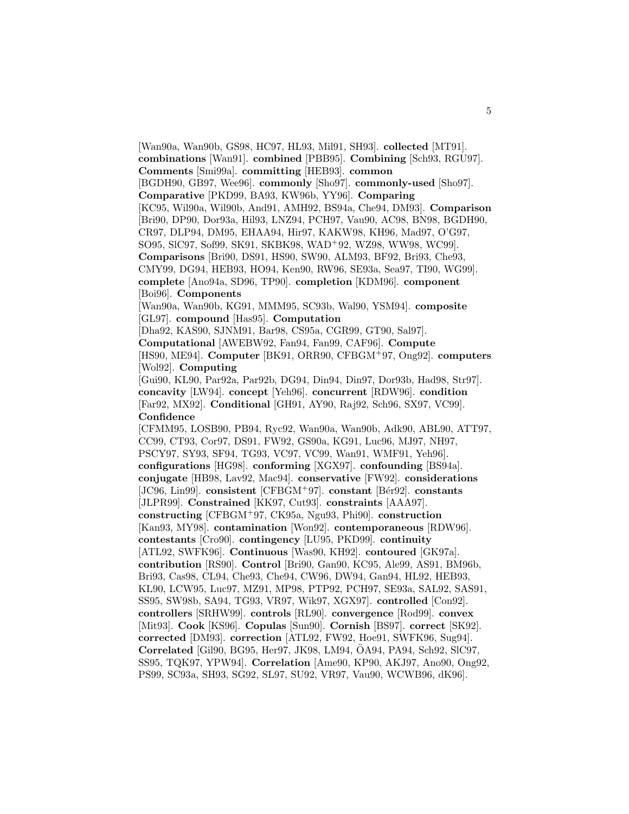[Wan90a, Wan90b, GS98, HC97, HL93, Mil91, SH93]. **collected** [MT91]. **combinations** [Wan91]. **combined** [PBB95]. **Combining** [Sch93, RGU97]. **Comments** [Smi99a]. **committing** [HEB93]. **common** [BGDH90, GB97, Wee96]. **commonly** [Sho97]. **commonly-used** [Sho97]. **Comparative** [PKD99, BA93, KW96b, YY96]. **Comparing** [KC95, Wil90a, Wil90b, And91, AMH92, BS94a, Che94, DM93]. **Comparison** [Bri90, DP90, Dor93a, Hil93, LNZ94, PCH97, Vau90, AC98, BN98, BGDH90, CR97, DLP94, DM95, EHAA94, Hir97, KAKW98, KH96, Mad97, O'G97, SO95, SlC97, Sof99, SK91, SKBK98, WAD<sup>+</sup>92, WZ98, WW98, WC99]. **Comparisons** [Bri90, DS91, HS90, SW90, ALM93, BF92, Bri93, Che93, CMY99, DG94, HEB93, HO94, Ken90, RW96, SE93a, Sea97, TI90, WG99]. **complete** [Ano94a, SD96, TP90]. **completion** [KDM96]. **component** [Boi96]. **Components** [Wan90a, Wan90b, KG91, MMM95, SC93b, Wal90, YSM94]. **composite** [GL97]. **compound** [Has95]. **Computation** [Dha92, KAS90, SJNM91, Bar98, CS95a, CGR99, GT90, Sal97]. **Computational** [AWEBW92, Fan94, Fan99, CAF96]. **Compute** [HS90, ME94]. **Computer** [BK91, ORR90, CFBGM<sup>+</sup>97, Ong92]. **computers** [Wol92]. **Computing** [Gui90, KL90, Par92a, Par92b, DG94, Din94, Din97, Dor93b, Had98, Str97]. **concavity** [LW94]. **concept** [Yeh96]. **concurrent** [RDW96]. **condition** [Far92, MX92]. **Conditional** [GH91, AY90, Raj92, Sch96, SX97, VC99]. **Confidence** [CFMM95, LOSB90, PB94, Ryc92, Wan90a, Wan90b, Adk90, ABL90, ATT97, CC99, CT93, Cor97, DS91, FW92, GS90a, KG91, Luc96, MJ97, NH97, PSCY97, SY93, SF94, TG93, VC97, VC99, Wan91, WMF91, Yeh96]. **configurations** [HG98]. **conforming** [XGX97]. **confounding** [BS94a]. **conjugate** [HB98, Lav92, Mac94]. **conservative** [FW92]. **considerations** [JC96, Lin99]. **consistent** [CFBGM+97]. **constant** [Bér92]. **constants** [JLPR99]. **Constrained** [KK97, Cut93]. **constraints** [AAA97]. **constructing** [CFBGM<sup>+</sup>97, CK95a, Ngu93, Phi90]. **construction** [Kan93, MY98]. **contamination** [Won92]. **contemporaneous** [RDW96]. **contestants** [Cro90]. **contingency** [LU95, PKD99]. **continuity** [ATL92, SWFK96]. **Continuous** [Was90, KH92]. **contoured** [GK97a]. **contribution** [RS90]. **Control** [Bri90, Gan90, KC95, Ale99, AS91, BM96b, Bri93, Cas98, CL94, Che93, Che94, CW96, DW94, Gan94, HL92, HEB93, KL90, LCW95, Luc97, MZ91, MP98, PTP92, PCH97, SE93a, SAL92, SAS91, SS95, SW98b, SA94, TG93, VR97, Wik97, XGX97]. **controlled** [Con92]. **controllers** [SRHW99]. **controls** [RL90]. **convergence** [Rod99]. **convex** [Mit93]. **Cook** [KS96]. **Copulas** [Sun90]. **Cornish** [BS97]. **correct** [SK92]. **corrected** [DM93]. **correction** [ATL92, FW92, Hoe91, SWFK96, Sug94]. Correlated<sup>[Gil90</sup>, BG95, Her97, JK98, LM94, ÖA94, PA94, Sch92, SlC97, SS95, TQK97, YPW94]. **Correlation** [Ame90, KP90, AKJ97, Ano90, Ong92, PS99, SC93a, SH93, SG92, SL97, SU92, VR97, Vau90, WCWB96, dK96].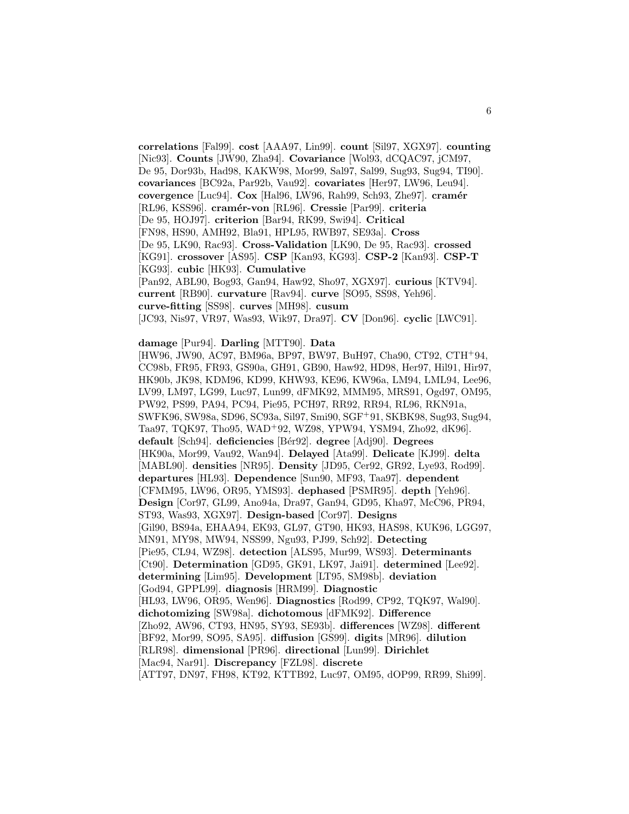**correlations** [Fal99]. **cost** [AAA97, Lin99]. **count** [Sil97, XGX97]. **counting** [Nic93]. **Counts** [JW90, Zha94]. **Covariance** [Wol93, dCQAC97, jCM97, De 95, Dor93b, Had98, KAKW98, Mor99, Sal97, Sal99, Sug93, Sug94, TI90]. **covariances** [BC92a, Par92b, Vau92]. **covariates** [Her97, LW96, Leu94]. **covergence** [Luc94]. **Cox** [Hal96, LW96, Rah99, Sch93, Zhe97]. **cramér** [RL96, KSS96]. **cram´er-von** [RL96]. **Cressie** [Par99]. **criteria** [De 95, HOJ97]. **criterion** [Bar94, RK99, Swi94]. **Critical** [FN98, HS90, AMH92, Bla91, HPL95, RWB97, SE93a]. **Cross** [De 95, LK90, Rac93]. **Cross-Validation** [LK90, De 95, Rac93]. **crossed** [KG91]. **crossover** [AS95]. **CSP** [Kan93, KG93]. **CSP-2** [Kan93]. **CSP-T** [KG93]. **cubic** [HK93]. **Cumulative** [Pan92, ABL90, Bog93, Gan94, Haw92, Sho97, XGX97]. **curious** [KTV94]. **current** [RB90]. **curvature** [Rav94]. **curve** [SO95, SS98, Yeh96]. **curve-fitting** [SS98]. **curves** [MH98]. **cusum** [JC93, Nis97, VR97, Was93, Wik97, Dra97]. **CV** [Don96]. **cyclic** [LWC91].

**damage** [Pur94]. **Darling** [MTT90]. **Data**

[HW96, JW90, AC97, BM96a, BP97, BW97, BuH97, Cha90, CT92, CTH<sup>+</sup>94, CC98b, FR95, FR93, GS90a, GH91, GB90, Haw92, HD98, Her97, Hil91, Hir97, HK90b, JK98, KDM96, KD99, KHW93, KE96, KW96a, LM94, LML94, Lee96, LV99, LM97, LG99, Luc97, Lun99, dFMK92, MMM95, MRS91, Ogd97, OM95, PW92, PS99, PA94, PC94, Pie95, PCH97, RR92, RR94, RL96, RKN91a, SWFK96, SW98a, SD96, SC93a, Sil97, Smi90, SGF<sup>+</sup>91, SKBK98, Sug93, Sug94, Taa97, TQK97, Tho95, WAD<sup>+</sup>92, WZ98, YPW94, YSM94, Zho92, dK96]. **default** [Sch94]. **deficiencies** [B´er92]. **degree** [Adj90]. **Degrees** [HK90a, Mor99, Vau92, Wan94]. **Delayed** [Ata99]. **Delicate** [KJ99]. **delta** [MABL90]. **densities** [NR95]. **Density** [JD95, Cer92, GR92, Lye93, Rod99]. **departures** [HL93]. **Dependence** [Sun90, MF93, Taa97]. **dependent** [CFMM95, LW96, OR95, YMS93]. **dephased** [PSMR95]. **depth** [Yeh96]. **Design** [Cor97, GL99, Ano94a, Dra97, Gan94, GD95, Kha97, McC96, PR94, ST93, Was93, XGX97]. **Design-based** [Cor97]. **Designs** [Gil90, BS94a, EHAA94, EK93, GL97, GT90, HK93, HAS98, KUK96, LGG97, MN91, MY98, MW94, NSS99, Ngu93, PJ99, Sch92]. **Detecting** [Pie95, CL94, WZ98]. **detection** [ALS95, Mur99, WS93]. **Determinants** [Ct90]. **Determination** [GD95, GK91, LK97, Jai91]. **determined** [Lee92]. **determining** [Lim95]. **Development** [LT95, SM98b]. **deviation** [God94, GPPL99]. **diagnosis** [HRM99]. **Diagnostic** [HL93, LW96, OR95, Wen96]. **Diagnostics** [Rod99, CP92, TQK97, Wal90]. **dichotomizing** [SW98a]. **dichotomous** [dFMK92]. **Difference** [Zho92, AW96, CT93, HN95, SY93, SE93b]. **differences** [WZ98]. **different** [BF92, Mor99, SO95, SA95]. **diffusion** [GS99]. **digits** [MR96]. **dilution** [RLR98]. **dimensional** [PR96]. **directional** [Lun99]. **Dirichlet** [Mac94, Nar91]. **Discrepancy** [FZL98]. **discrete** [ATT97, DN97, FH98, KT92, KTTB92, Luc97, OM95, dOP99, RR99, Shi99].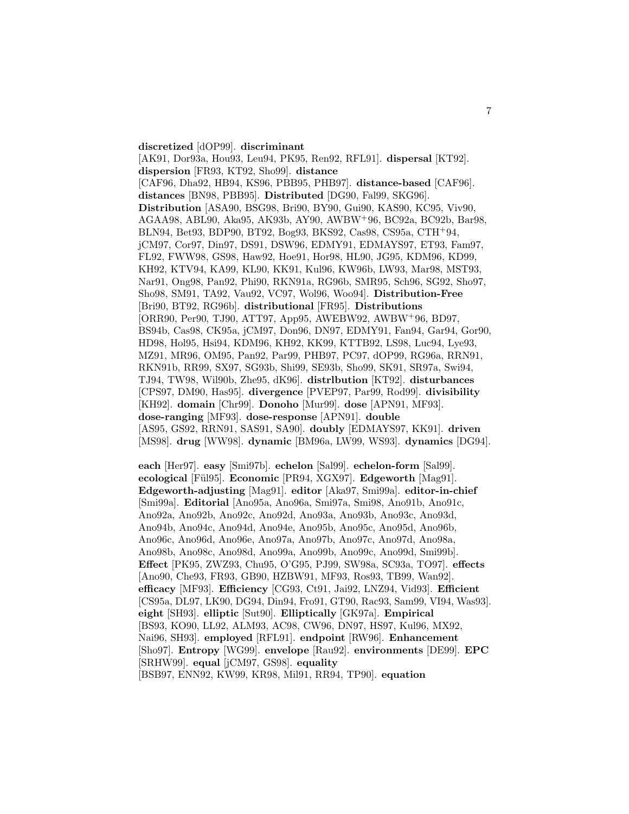#### **discretized** [dOP99]. **discriminant**

[AK91, Dor93a, Hou93, Leu94, PK95, Ren92, RFL91]. **dispersal** [KT92]. **dispersion** [FR93, KT92, Sho99]. **distance** [CAF96, Dha92, HB94, KS96, PBB95, PHB97]. **distance-based** [CAF96]. **distances** [BN98, PBB95]. **Distributed** [DG90, Fal99, SKG96]. **Distribution** [ASA90, BSG98, Bri90, BY90, Gui90, KAS90, KC95, Viv90, AGAA98, ABL90, Aka95, AK93b, AY90, AWBW<sup>+</sup>96, BC92a, BC92b, Bar98, BLN94, Bet93, BDP90, BT92, Bog93, BKS92, Cas98, CS95a, CTH<sup>+</sup>94, jCM97, Cor97, Din97, DS91, DSW96, EDMY91, EDMAYS97, ET93, Fam97, FL92, FWW98, GS98, Haw92, Hoe91, Hor98, HL90, JG95, KDM96, KD99, KH92, KTV94, KA99, KL90, KK91, Kul96, KW96b, LW93, Mar98, MST93, Nar91, Ong98, Pan92, Phi90, RKN91a, RG96b, SMR95, Sch96, SG92, Sho97, Sho98, SM91, TA92, Vau92, VC97, Wol96, Woo94]. **Distribution-Free** [Bri90, BT92, RG96b]. **distributional** [FR95]. **Distributions** [ORR90, Per90, TJ90, ATT97, App95, AWEBW92, AWBW<sup>+</sup>96, BD97, BS94b, Cas98, CK95a, jCM97, Don96, DN97, EDMY91, Fan94, Gar94, Gor90, HD98, Hol95, Hsi94, KDM96, KH92, KK99, KTTB92, LS98, Luc94, Lye93, MZ91, MR96, OM95, Pan92, Par99, PHB97, PC97, dOP99, RG96a, RRN91, RKN91b, RR99, SX97, SG93b, Shi99, SE93b, Sho99, SK91, SR97a, Swi94, TJ94, TW98, Wil90b, Zhe95, dK96]. **distrlbution** [KT92]. **disturbances** [CPS97, DM90, Has95]. **divergence** [PVEP97, Par99, Rod99]. **divisibility** [KH92]. **domain** [Chr99]. **Donoho** [Mur99]. **dose** [APN91, MF93]. **dose-ranging** [MF93]. **dose-response** [APN91]. **double** [AS95, GS92, RRN91, SAS91, SA90]. **doubly** [EDMAYS97, KK91]. **driven** [MS98]. **drug** [WW98]. **dynamic** [BM96a, LW99, WS93]. **dynamics** [DG94].

**each** [Her97]. **easy** [Smi97b]. **echelon** [Sal99]. **echelon-form** [Sal99]. **ecological** [Fül95]. **Economic** [PR94, XGX97]. **Edgeworth** [Mag91]. **Edgeworth-adjusting** [Mag91]. **editor** [Aka97, Smi99a]. **editor-in-chief** [Smi99a]. **Editorial** [Ano95a, Ano96a, Smi97a, Smi98, Ano91b, Ano91c, Ano92a, Ano92b, Ano92c, Ano92d, Ano93a, Ano93b, Ano93c, Ano93d, Ano94b, Ano94c, Ano94d, Ano94e, Ano95b, Ano95c, Ano95d, Ano96b, Ano96c, Ano96d, Ano96e, Ano97a, Ano97b, Ano97c, Ano97d, Ano98a, Ano98b, Ano98c, Ano98d, Ano99a, Ano99b, Ano99c, Ano99d, Smi99b]. **Effect** [PK95, ZWZ93, Chu95, O'G95, PJ99, SW98a, SC93a, TO97]. **effects** [Ano90, Che93, FR93, GB90, HZBW91, MF93, Ros93, TB99, Wan92]. **efficacy** [MF93]. **Efficiency** [CG93, Ct91, Jai92, LNZ94, Vid93]. **Efficient** [CS95a, DL97, LK90, DG94, Din94, Fro91, GT90, Rac93, Sam99, VI94, Was93]. **eight** [SH93]. **elliptic** [Sut90]. **Elliptically** [GK97a]. **Empirical** [BS93, KO90, LL92, ALM93, AC98, CW96, DN97, HS97, Kul96, MX92, Nai96, SH93]. **employed** [RFL91]. **endpoint** [RW96]. **Enhancement** [Sho97]. **Entropy** [WG99]. **envelope** [Rau92]. **environments** [DE99]. **EPC** [SRHW99]. **equal** [jCM97, GS98]. **equality** [BSB97, ENN92, KW99, KR98, Mil91, RR94, TP90]. **equation**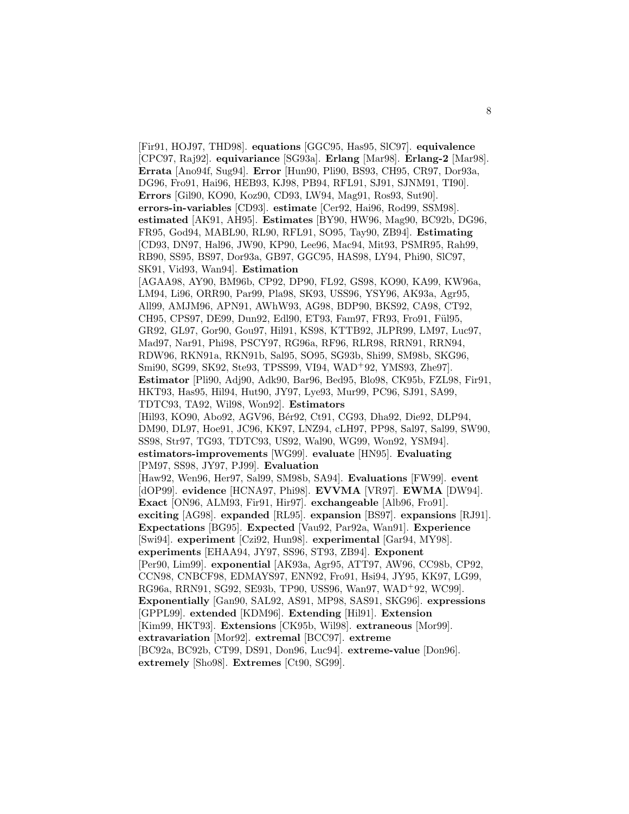[Fir91, HOJ97, THD98]. **equations** [GGC95, Has95, SlC97]. **equivalence** [CPC97, Raj92]. **equivariance** [SG93a]. **Erlang** [Mar98]. **Erlang-2** [Mar98]. **Errata** [Ano94f, Sug94]. **Error** [Hun90, Pli90, BS93, CH95, CR97, Dor93a, DG96, Fro91, Hai96, HEB93, KJ98, PB94, RFL91, SJ91, SJNM91, TI90]. **Errors** [Gil90, KO90, Koz90, CD93, LW94, Mag91, Ros93, Sut90]. **errors-in-variables** [CD93]. **estimate** [Cer92, Hai96, Rod99, SSM98]. **estimated** [AK91, AH95]. **Estimates** [BY90, HW96, Mag90, BC92b, DG96, FR95, God94, MABL90, RL90, RFL91, SO95, Tay90, ZB94]. **Estimating** [CD93, DN97, Hal96, JW90, KP90, Lee96, Mac94, Mit93, PSMR95, Rah99, RB90, SS95, BS97, Dor93a, GB97, GGC95, HAS98, LY94, Phi90, SlC97, SK91, Vid93, Wan94]. **Estimation** [AGAA98, AY90, BM96b, CP92, DP90, FL92, GS98, KO90, KA99, KW96a, LM94, Li96, ORR90, Par99, Pla98, SK93, USS96, YSY96, AK93a, Agr95, All99, AMJM96, APN91, AWhW93, AG98, BDP90, BKS92, CA98, CT92, CH95, CPS97, DE99, Dun92, Edl90, ET93, Fam97, FR93, Fro91, Fül95, GR92, GL97, Gor90, Gou97, Hil91, KS98, KTTB92, JLPR99, LM97, Luc97, Mad97, Nar91, Phi98, PSCY97, RG96a, RF96, RLR98, RRN91, RRN94, RDW96, RKN91a, RKN91b, Sal95, SO95, SG93b, Shi99, SM98b, SKG96, Smi90, SG99, SK92, Ste93, TPSS99, VI94, WAD<sup>+</sup>92, YMS93, Zhe97]. **Estimator** [Pli90, Adj90, Adk90, Bar96, Bed95, Blo98, CK95b, FZL98, Fir91, HKT93, Has95, Hil94, Hut90, JY97, Lye93, Mur99, PC96, SJ91, SA99, TDTC93, TA92, Wil98, Won92]. **Estimators** [Hil93, KO90, Abo92, AGV96, Bér92, Ct91, CG93, Dha92, Die92, DLP94, DM90, DL97, Hoe91, JC96, KK97, LNZ94, cLH97, PP98, Sal97, Sal99, SW90, SS98, Str97, TG93, TDTC93, US92, Wal90, WG99, Won92, YSM94]. **estimators-improvements** [WG99]. **evaluate** [HN95]. **Evaluating** [PM97, SS98, JY97, PJ99]. **Evaluation** [Haw92, Wen96, Her97, Sal99, SM98b, SA94]. **Evaluations** [FW99]. **event** [dOP99]. **evidence** [HCNA97, Phi98]. **EVVMA** [VR97]. **EWMA** [DW94]. **Exact** [ON96, ALM93, Fir91, Hir97]. **exchangeable** [Alb96, Fro91]. **exciting** [AG98]. **expanded** [RL95]. **expansion** [BS97]. **expansions** [RJ91]. **Expectations** [BG95]. **Expected** [Vau92, Par92a, Wan91]. **Experience** [Swi94]. **experiment** [Czi92, Hun98]. **experimental** [Gar94, MY98]. **experiments** [EHAA94, JY97, SS96, ST93, ZB94]. **Exponent** [Per90, Lim99]. **exponential** [AK93a, Agr95, ATT97, AW96, CC98b, CP92, CCN98, CNBCF98, EDMAYS97, ENN92, Fro91, Hsi94, JY95, KK97, LG99, RG96a, RRN91, SG92, SE93b, TP90, USS96, Wan97, WAD<sup>+</sup>92, WC99]. **Exponentially** [Gan90, SAL92, AS91, MP98, SAS91, SKG96]. **expressions** [GPPL99]. **extended** [KDM96]. **Extending** [Hil91]. **Extension** [Kim99, HKT93]. **Extensions** [CK95b, Wil98]. **extraneous** [Mor99]. **extravariation** [Mor92]. **extremal** [BCC97]. **extreme** [BC92a, BC92b, CT99, DS91, Don96, Luc94]. **extreme-value** [Don96]. **extremely** [Sho98]. **Extremes** [Ct90, SG99].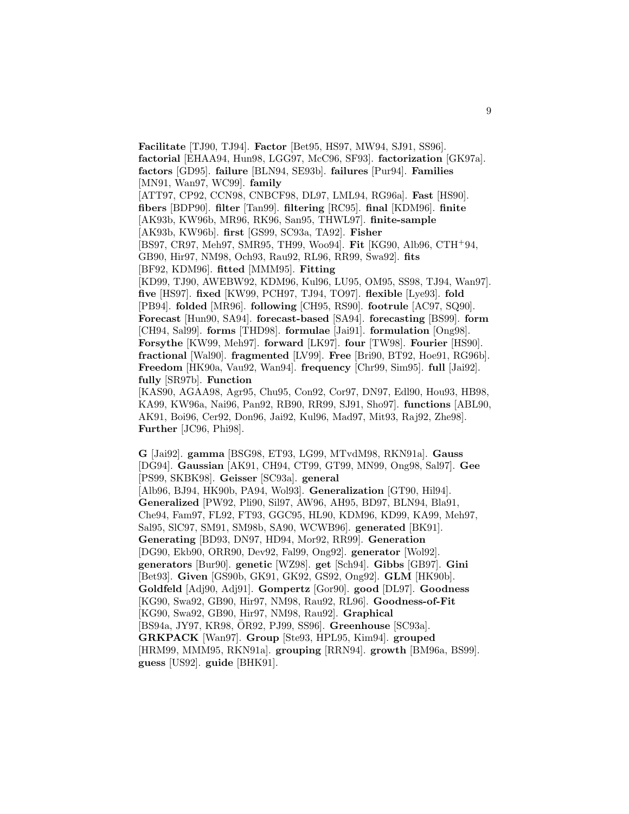**Facilitate** [TJ90, TJ94]. **Factor** [Bet95, HS97, MW94, SJ91, SS96]. **factorial** [EHAA94, Hun98, LGG97, McC96, SF93]. **factorization** [GK97a]. **factors** [GD95]. **failure** [BLN94, SE93b]. **failures** [Pur94]. **Families** [MN91, Wan97, WC99]. **family** [ATT97, CP92, CCN98, CNBCF98, DL97, LML94, RG96a]. **Fast** [HS90]. **fibers** [BDP90]. **filter** [Tan99]. **filtering** [RC95]. **final** [KDM96]. **finite** [AK93b, KW96b, MR96, RK96, San95, THWL97]. **finite-sample** [AK93b, KW96b]. **first** [GS99, SC93a, TA92]. **Fisher** [BS97, CR97, Meh97, SMR95, TH99, Woo94]. **Fit** [KG90, Alb96, CTH<sup>+</sup>94, GB90, Hir97, NM98, Och93, Rau92, RL96, RR99, Swa92]. **fits** [BF92, KDM96]. **fitted** [MMM95]. **Fitting** [KD99, TJ90, AWEBW92, KDM96, Kul96, LU95, OM95, SS98, TJ94, Wan97]. **five** [HS97]. **fixed** [KW99, PCH97, TJ94, TO97]. **flexible** [Lye93]. **fold** [PB94]. **folded** [MR96]. **following** [CH95, RS90]. **footrule** [AC97, SQ90]. **Forecast** [Hun90, SA94]. **forecast-based** [SA94]. **forecasting** [BS99]. **form** [CH94, Sal99]. **forms** [THD98]. **formulae** [Jai91]. **formulation** [Ong98]. **Forsythe** [KW99, Meh97]. **forward** [LK97]. **four** [TW98]. **Fourier** [HS90]. **fractional** [Wal90]. **fragmented** [LV99]. **Free** [Bri90, BT92, Hoe91, RG96b]. **Freedom** [HK90a, Vau92, Wan94]. **frequency** [Chr99, Sim95]. **full** [Jai92]. **fully** [SR97b]. **Function** [KAS90, AGAA98, Agr95, Chu95, Con92, Cor97, DN97, Edl90, Hou93, HB98, KA99, KW96a, Nai96, Pan92, RB90, RR99, SJ91, Sho97]. **functions** [ABL90, AK91, Boi96, Cer92, Don96, Jai92, Kul96, Mad97, Mit93, Raj92, Zhe98]. **Further** [JC96, Phi98].

**G** [Jai92]. **gamma** [BSG98, ET93, LG99, MTvdM98, RKN91a]. **Gauss** [DG94]. **Gaussian** [AK91, CH94, CT99, GT99, MN99, Ong98, Sal97]. **Gee** [PS99, SKBK98]. **Geisser** [SC93a]. **general** [Alb96, BJ94, HK90b, PA94, Wol93]. **Generalization** [GT90, Hil94]. **Generalized** [PW92, Pli90, Sil97, AW96, AH95, BD97, BLN94, Bla91, Che94, Fam97, FL92, FT93, GGC95, HL90, KDM96, KD99, KA99, Meh97, Sal95, SlC97, SM91, SM98b, SA90, WCWB96]. **generated** [BK91]. **Generating** [BD93, DN97, HD94, Mor92, RR99]. **Generation** [DG90, Ekb90, ORR90, Dev92, Fal99, Ong92]. **generator** [Wol92]. **generators** [Bur90]. **genetic** [WZ98]. **get** [Sch94]. **Gibbs** [GB97]. **Gini** [Bet93]. **Given** [GS90b, GK91, GK92, GS92, Ong92]. **GLM** [HK90b]. **Goldfeld** [Adj90, Adj91]. **Gompertz** [Gor90]. **good** [DL97]. **Goodness** [KG90, Swa92, GB90, Hir97, NM98, Rau92, RL96]. **Goodness-of-Fit** [KG90, Swa92, GB90, Hir97, NM98, Rau92]. **Graphical** [BS94a, JY97, KR98, ÖR92, PJ99, SS96]. **Greenhouse** [SC93a]. **GRKPACK** [Wan97]. **Group** [Ste93, HPL95, Kim94]. **grouped** [HRM99, MMM95, RKN91a]. **grouping** [RRN94]. **growth** [BM96a, BS99]. **guess** [US92]. **guide** [BHK91].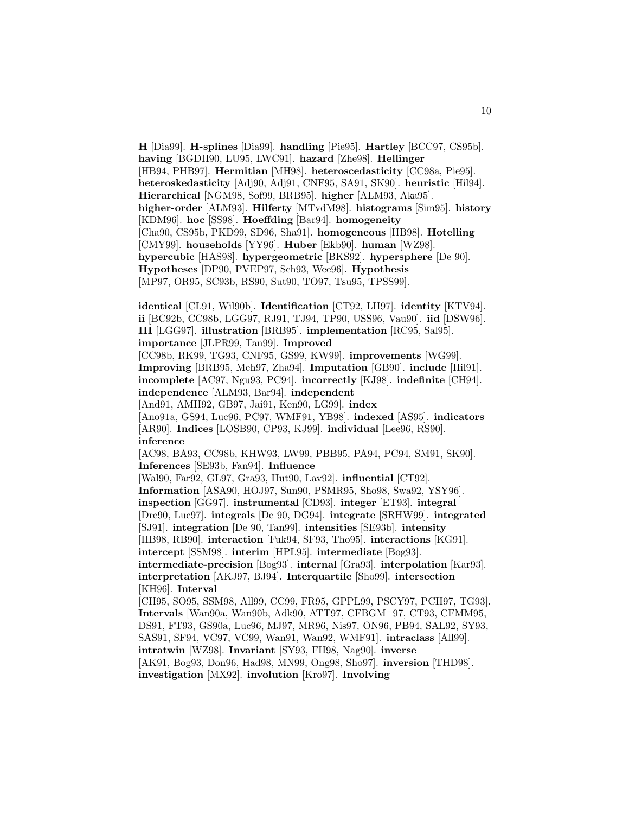**H** [Dia99]. **H-splines** [Dia99]. **handling** [Pie95]. **Hartley** [BCC97, CS95b]. **having** [BGDH90, LU95, LWC91]. **hazard** [Zhe98]. **Hellinger** [HB94, PHB97]. **Hermitian** [MH98]. **heteroscedasticity** [CC98a, Pie95]. **heteroskedasticity** [Adj90, Adj91, CNF95, SA91, SK90]. **heuristic** [Hil94]. **Hierarchical** [NGM98, Sof99, BRB95]. **higher** [ALM93, Aka95]. **higher-order** [ALM93]. **Hilferty** [MTvdM98]. **histograms** [Sim95]. **history** [KDM96]. **hoc** [SS98]. **Hoeffding** [Bar94]. **homogeneity** [Cha90, CS95b, PKD99, SD96, Sha91]. **homogeneous** [HB98]. **Hotelling** [CMY99]. **households** [YY96]. **Huber** [Ekb90]. **human** [WZ98]. **hypercubic** [HAS98]. **hypergeometric** [BKS92]. **hypersphere** [De 90]. **Hypotheses** [DP90, PVEP97, Sch93, Wee96]. **Hypothesis** [MP97, OR95, SC93b, RS90, Sut90, TO97, Tsu95, TPSS99].

10

**identical** [CL91, Wil90b]. **Identification** [CT92, LH97]. **identity** [KTV94]. **ii** [BC92b, CC98b, LGG97, RJ91, TJ94, TP90, USS96, Vau90]. **iid** [DSW96]. **III** [LGG97]. **illustration** [BRB95]. **implementation** [RC95, Sal95]. **importance** [JLPR99, Tan99]. **Improved** [CC98b, RK99, TG93, CNF95, GS99, KW99]. **improvements** [WG99]. **Improving** [BRB95, Meh97, Zha94]. **Imputation** [GB90]. **include** [Hil91]. **incomplete** [AC97, Ngu93, PC94]. **incorrectly** [KJ98]. **indefinite** [CH94]. **independence** [ALM93, Bar94]. **independent** [And91, AMH92, GB97, Jai91, Ken90, LG99]. **index** [Ano91a, GS94, Luc96, PC97, WMF91, YB98]. **indexed** [AS95]. **indicators** [AR90]. **Indices** [LOSB90, CP93, KJ99]. **individual** [Lee96, RS90]. **inference** [AC98, BA93, CC98b, KHW93, LW99, PBB95, PA94, PC94, SM91, SK90]. **Inferences** [SE93b, Fan94]. **Influence** [Wal90, Far92, GL97, Gra93, Hut90, Lav92]. **influential** [CT92]. **Information** [ASA90, HOJ97, Sun90, PSMR95, Sho98, Swa92, YSY96]. **inspection** [GG97]. **instrumental** [CD93]. **integer** [ET93]. **integral** [Dre90, Luc97]. **integrals** [De 90, DG94]. **integrate** [SRHW99]. **integrated** [SJ91]. **integration** [De 90, Tan99]. **intensities** [SE93b]. **intensity** [HB98, RB90]. **interaction** [Fuk94, SF93, Tho95]. **interactions** [KG91]. **intercept** [SSM98]. **interim** [HPL95]. **intermediate** [Bog93]. **intermediate-precision** [Bog93]. **internal** [Gra93]. **interpolation** [Kar93]. **interpretation** [AKJ97, BJ94]. **Interquartile** [Sho99]. **intersection** [KH96]. **Interval** [CH95, SO95, SSM98, All99, CC99, FR95, GPPL99, PSCY97, PCH97, TG93]. **Intervals** [Wan90a, Wan90b, Adk90, ATT97, CFBGM<sup>+</sup>97, CT93, CFMM95, DS91, FT93, GS90a, Luc96, MJ97, MR96, Nis97, ON96, PB94, SAL92, SY93, SAS91, SF94, VC97, VC99, Wan91, Wan92, WMF91]. **intraclass** [All99]. **intratwin** [WZ98]. **Invariant** [SY93, FH98, Nag90]. **inverse** [AK91, Bog93, Don96, Had98, MN99, Ong98, Sho97]. **inversion** [THD98]. **investigation** [MX92]. **involution** [Kro97]. **Involving**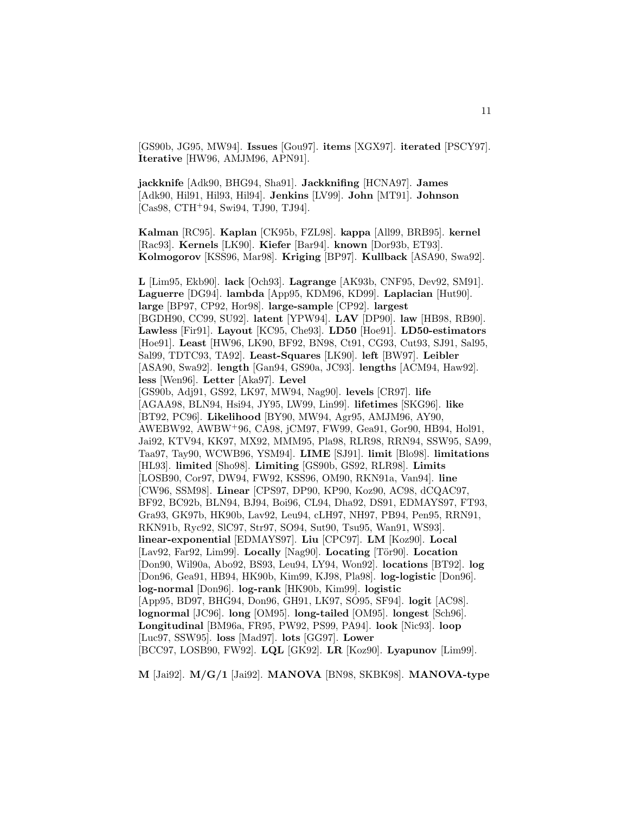[GS90b, JG95, MW94]. **Issues** [Gou97]. **items** [XGX97]. **iterated** [PSCY97]. **Iterative** [HW96, AMJM96, APN91].

**jackknife** [Adk90, BHG94, Sha91]. **Jackknifing** [HCNA97]. **James** [Adk90, Hil91, Hil93, Hil94]. **Jenkins** [LV99]. **John** [MT91]. **Johnson** [Cas98, CTH<sup>+</sup>94, Swi94, TJ90, TJ94].

**Kalman** [RC95]. **Kaplan** [CK95b, FZL98]. **kappa** [All99, BRB95]. **kernel** [Rac93]. **Kernels** [LK90]. **Kiefer** [Bar94]. **known** [Dor93b, ET93]. **Kolmogorov** [KSS96, Mar98]. **Kriging** [BP97]. **Kullback** [ASA90, Swa92].

**L** [Lim95, Ekb90]. **lack** [Och93]. **Lagrange** [AK93b, CNF95, Dev92, SM91]. **Laguerre** [DG94]. **lambda** [App95, KDM96, KD99]. **Laplacian** [Hut90]. **large** [BP97, CP92, Hor98]. **large-sample** [CP92]. **largest** [BGDH90, CC99, SU92]. **latent** [YPW94]. **LAV** [DP90]. **law** [HB98, RB90]. **Lawless** [Fir91]. **Layout** [KC95, Che93]. **LD50** [Hoe91]. **LD50-estimators** [Hoe91]. **Least** [HW96, LK90, BF92, BN98, Ct91, CG93, Cut93, SJ91, Sal95, Sal99, TDTC93, TA92]. **Least-Squares** [LK90]. **left** [BW97]. **Leibler** [ASA90, Swa92]. **length** [Gan94, GS90a, JC93]. **lengths** [ACM94, Haw92]. **less** [Wen96]. **Letter** [Aka97]. **Level** [GS90b, Adj91, GS92, LK97, MW94, Nag90]. **levels** [CR97]. **life** [AGAA98, BLN94, Hsi94, JY95, LW99, Lin99]. **lifetimes** [SKG96]. **like** [BT92, PC96]. **Likelihood** [BY90, MW94, Agr95, AMJM96, AY90, AWEBW92, AWBW<sup>+</sup>96, CA98, jCM97, FW99, Gea91, Gor90, HB94, Hol91, Jai92, KTV94, KK97, MX92, MMM95, Pla98, RLR98, RRN94, SSW95, SA99, Taa97, Tay90, WCWB96, YSM94]. **LIME** [SJ91]. **limit** [Blo98]. **limitations** [HL93]. **limited** [Sho98]. **Limiting** [GS90b, GS92, RLR98]. **Limits** [LOSB90, Cor97, DW94, FW92, KSS96, OM90, RKN91a, Van94]. **line** [CW96, SSM98]. **Linear** [CPS97, DP90, KP90, Koz90, AC98, dCQAC97, BF92, BC92b, BLN94, BJ94, Boi96, CL94, Dha92, DS91, EDMAYS97, FT93, Gra93, GK97b, HK90b, Lav92, Leu94, cLH97, NH97, PB94, Pen95, RRN91, RKN91b, Ryc92, SlC97, Str97, SO94, Sut90, Tsu95, Wan91, WS93]. **linear-exponential** [EDMAYS97]. **Liu** [CPC97]. **LM** [Koz90]. **Local** [Lav92, Far92, Lim99]. Locally [Nag90]. Locating [Tör90]. Location [Don90, Wil90a, Abo92, BS93, Leu94, LY94, Won92]. **locations** [BT92]. **log** [Don96, Gea91, HB94, HK90b, Kim99, KJ98, Pla98]. **log-logistic** [Don96]. **log-normal** [Don96]. **log-rank** [HK90b, Kim99]. **logistic** [App95, BD97, BHG94, Don96, GH91, LK97, SO95, SF94]. **logit** [AC98]. **lognormal** [JC96]. **long** [OM95]. **long-tailed** [OM95]. **longest** [Sch96]. **Longitudinal** [BM96a, FR95, PW92, PS99, PA94]. **look** [Nic93]. **loop** [Luc97, SSW95]. **loss** [Mad97]. **lots** [GG97]. **Lower** [BCC97, LOSB90, FW92]. **LQL** [GK92]. **LR** [Koz90]. **Lyapunov** [Lim99].

**M** [Jai92]. **M/G/1** [Jai92]. **MANOVA** [BN98, SKBK98]. **MANOVA-type**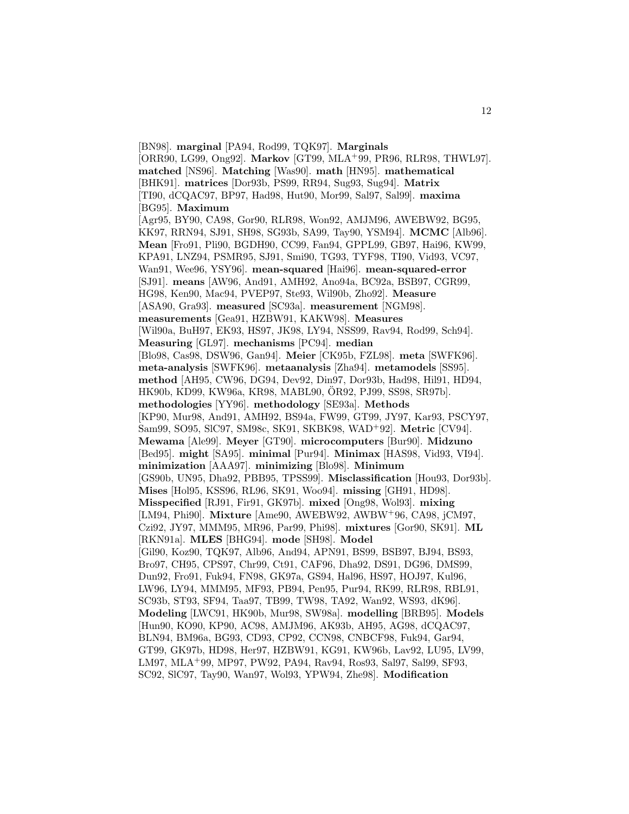[BN98]. **marginal** [PA94, Rod99, TQK97]. **Marginals** [ORR90, LG99, Ong92]. **Markov** [GT99, MLA<sup>+</sup>99, PR96, RLR98, THWL97]. **matched** [NS96]. **Matching** [Was90]. **math** [HN95]. **mathematical** [BHK91]. **matrices** [Dor93b, PS99, RR94, Sug93, Sug94]. **Matrix** [TI90, dCQAC97, BP97, Had98, Hut90, Mor99, Sal97, Sal99]. **maxima** [BG95]. **Maximum** [Agr95, BY90, CA98, Gor90, RLR98, Won92, AMJM96, AWEBW92, BG95, KK97, RRN94, SJ91, SH98, SG93b, SA99, Tay90, YSM94]. **MCMC** [Alb96]. **Mean** [Fro91, Pli90, BGDH90, CC99, Fan94, GPPL99, GB97, Hai96, KW99, KPA91, LNZ94, PSMR95, SJ91, Smi90, TG93, TYF98, TI90, Vid93, VC97, Wan91, Wee96, YSY96]. **mean-squared** [Hai96]. **mean-squared-error** [SJ91]. **means** [AW96, And91, AMH92, Ano94a, BC92a, BSB97, CGR99, HG98, Ken90, Mac94, PVEP97, Ste93, Wil90b, Zho92]. **Measure** [ASA90, Gra93]. **measured** [SC93a]. **measurement** [NGM98]. **measurements** [Gea91, HZBW91, KAKW98]. **Measures** [Wil90a, BuH97, EK93, HS97, JK98, LY94, NSS99, Rav94, Rod99, Sch94]. **Measuring** [GL97]. **mechanisms** [PC94]. **median** [Blo98, Cas98, DSW96, Gan94]. **Meier** [CK95b, FZL98]. **meta** [SWFK96]. **meta-analysis** [SWFK96]. **metaanalysis** [Zha94]. **metamodels** [SS95]. **method** [AH95, CW96, DG94, Dev92, Din97, Dor93b, Had98, Hil91, HD94, HK90b, KD99, KW96a, KR98, MABL90, OR92, PJ99, SS98, SR97b]. ¨ **methodologies** [YY96]. **methodology** [SE93a]. **Methods** [KP90, Mur98, And91, AMH92, BS94a, FW99, GT99, JY97, Kar93, PSCY97, Sam99, SO95, SlC97, SM98c, SK91, SKBK98, WAD<sup>+</sup>92]. **Metric** [CV94]. **Mewama** [Ale99]. **Meyer** [GT90]. **microcomputers** [Bur90]. **Midzuno** [Bed95]. **might** [SA95]. **minimal** [Pur94]. **Minimax** [HAS98, Vid93, VI94]. **minimization** [AAA97]. **minimizing** [Blo98]. **Minimum** [GS90b, UN95, Dha92, PBB95, TPSS99]. **Misclassification** [Hou93, Dor93b]. **Mises** [Hol95, KSS96, RL96, SK91, Woo94]. **missing** [GH91, HD98]. **Misspecified** [RJ91, Fir91, GK97b]. **mixed** [Ong98, Wol93]. **mixing** [LM94, Phi90]. **Mixture** [Ame90, AWEBW92, AWBW<sup>+</sup>96, CA98, jCM97, Czi92, JY97, MMM95, MR96, Par99, Phi98]. **mixtures** [Gor90, SK91]. **ML** [RKN91a]. **MLES** [BHG94]. **mode** [SH98]. **Model** [Gil90, Koz90, TQK97, Alb96, And94, APN91, BS99, BSB97, BJ94, BS93, Bro97, CH95, CPS97, Chr99, Ct91, CAF96, Dha92, DS91, DG96, DMS99, Dun92, Fro91, Fuk94, FN98, GK97a, GS94, Hal96, HS97, HOJ97, Kul96, LW96, LY94, MMM95, MF93, PB94, Pen95, Pur94, RK99, RLR98, RBL91, SC93b, ST93, SF94, Taa97, TB99, TW98, TA92, Wan92, WS93, dK96]. **Modeling** [LWC91, HK90b, Mur98, SW98a]. **modelling** [BRB95]. **Models** [Hun90, KO90, KP90, AC98, AMJM96, AK93b, AH95, AG98, dCQAC97, BLN94, BM96a, BG93, CD93, CP92, CCN98, CNBCF98, Fuk94, Gar94, GT99, GK97b, HD98, Her97, HZBW91, KG91, KW96b, Lav92, LU95, LV99, LM97, MLA<sup>+</sup>99, MP97, PW92, PA94, Rav94, Ros93, Sal97, Sal99, SF93, SC92, SlC97, Tay90, Wan97, Wol93, YPW94, Zhe98]. **Modification**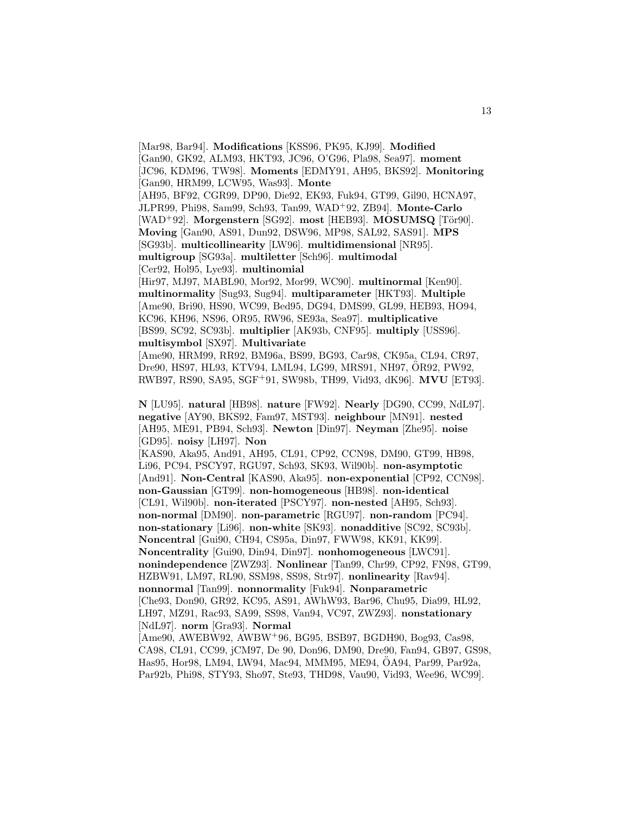[Mar98, Bar94]. **Modifications** [KSS96, PK95, KJ99]. **Modified** [Gan90, GK92, ALM93, HKT93, JC96, O'G96, Pla98, Sea97]. **moment** [JC96, KDM96, TW98]. **Moments** [EDMY91, AH95, BKS92]. **Monitoring** [Gan90, HRM99, LCW95, Was93]. **Monte** [AH95, BF92, CGR99, DP90, Die92, EK93, Fuk94, GT99, Gil90, HCNA97, JLPR99, Phi98, Sam99, Sch93, Tan99, WAD<sup>+</sup>92, ZB94]. **Monte-Carlo** [WAD<sup>+</sup>92]. Morgenstern [SG92]. most [HEB93]. MOSUMSQ [Tör90]. **Moving** [Gan90, AS91, Dun92, DSW96, MP98, SAL92, SAS91]. **MPS** [SG93b]. **multicollinearity** [LW96]. **multidimensional** [NR95]. **multigroup** [SG93a]. **multiletter** [Sch96]. **multimodal** [Cer92, Hol95, Lye93]. **multinomial** [Hir97, MJ97, MABL90, Mor92, Mor99, WC90]. **multinormal** [Ken90]. **multinormality** [Sug93, Sug94]. **multiparameter** [HKT93]. **Multiple** [Ame90, Bri90, HS90, WC99, Bed95, DG94, DMS99, GL99, HEB93, HO94, KC96, KH96, NS96, OR95, RW96, SE93a, Sea97]. **multiplicative** [BS99, SC92, SC93b]. **multiplier** [AK93b, CNF95]. **multiply** [USS96]. **multisymbol** [SX97]. **Multivariate** [Ame90, HRM99, RR92, BM96a, BS99, BG93, Car98, CK95a, CL94, CR97, Dre90, HS97, HL93, KTV94, LML94, LG99, MRS91, NH97, ÖR92, PW92, RWB97, RS90, SA95, SGF<sup>+</sup>91, SW98b, TH99, Vid93, dK96]. **MVU** [ET93]. **N** [LU95]. **natural** [HB98]. **nature** [FW92]. **Nearly** [DG90, CC99, NdL97]. **negative** [AY90, BKS92, Fam97, MST93]. **neighbour** [MN91]. **nested** [AH95, ME91, PB94, Sch93]. **Newton** [Din97]. **Neyman** [Zhe95]. **noise** [GD95]. **noisy** [LH97]. **Non** [KAS90, Aka95, And91, AH95, CL91, CP92, CCN98, DM90, GT99, HB98, Li96, PC94, PSCY97, RGU97, Sch93, SK93, Wil90b]. **non-asymptotic** [And91]. **Non-Central** [KAS90, Aka95]. **non-exponential** [CP92, CCN98]. **non-Gaussian** [GT99]. **non-homogeneous** [HB98]. **non-identical** [CL91, Wil90b]. **non-iterated** [PSCY97]. **non-nested** [AH95, Sch93]. **non-normal** [DM90]. **non-parametric** [RGU97]. **non-random** [PC94]. **non-stationary** [Li96]. **non-white** [SK93]. **nonadditive** [SC92, SC93b]. **Noncentral** [Gui90, CH94, CS95a, Din97, FWW98, KK91, KK99]. **Noncentrality** [Gui90, Din94, Din97]. **nonhomogeneous** [LWC91]. **nonindependence** [ZWZ93]. **Nonlinear** [Tan99, Chr99, CP92, FN98, GT99, HZBW91, LM97, RL90, SSM98, SS98, Str97]. **nonlinearity** [Rav94]. **nonnormal** [Tan99]. **nonnormality** [Fuk94]. **Nonparametric** [Che93, Don90, GR92, KC95, AS91, AWhW93, Bar96, Chu95, Dia99, HL92, LH97, MZ91, Rac93, SA99, SS98, Van94, VC97, ZWZ93]. **nonstationary** [NdL97]. **norm** [Gra93]. **Normal** [Ame90, AWEBW92, AWBW<sup>+</sup>96, BG95, BSB97, BGDH90, Bog93, Cas98, CA98, CL91, CC99, jCM97, De 90, Don96, DM90, Dre90, Fan94, GB97, GS98, Has95, Hor98, LM94, LW94, Mac94, MMM95, ME94, ÖA94, Par99, Par92a, Par92b, Phi98, STY93, Sho97, Ste93, THD98, Vau90, Vid93, Wee96, WC99].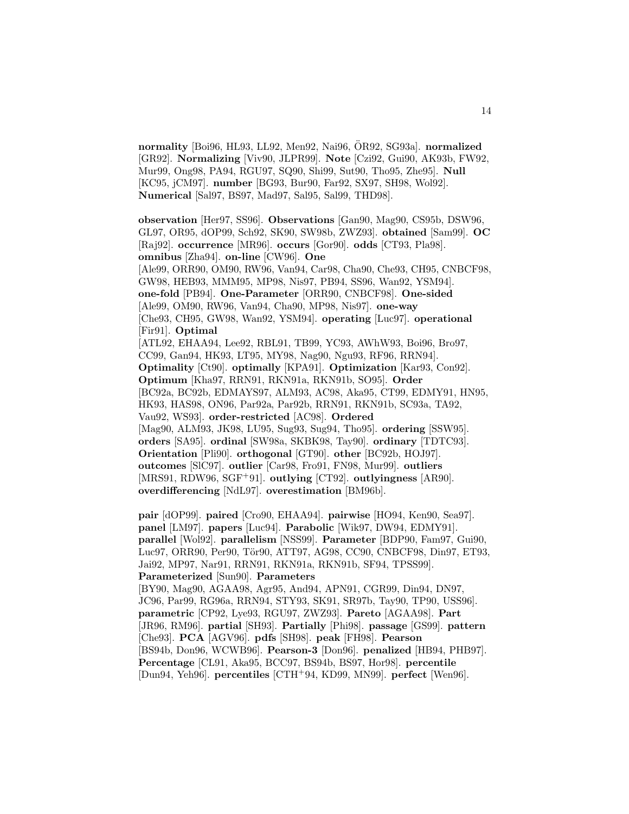**normality** [Boi96, HL93, LL92, Men92, Nai96, ÖR92, SG93a]. **normalized** [GR92]. **Normalizing** [Viv90, JLPR99]. **Note** [Czi92, Gui90, AK93b, FW92, Mur99, Ong98, PA94, RGU97, SQ90, Shi99, Sut90, Tho95, Zhe95]. **Null** [KC95, jCM97]. **number** [BG93, Bur90, Far92, SX97, SH98, Wol92]. **Numerical** [Sal97, BS97, Mad97, Sal95, Sal99, THD98].

**observation** [Her97, SS96]. **Observations** [Gan90, Mag90, CS95b, DSW96, GL97, OR95, dOP99, Sch92, SK90, SW98b, ZWZ93]. **obtained** [Sam99]. **OC** [Raj92]. **occurrence** [MR96]. **occurs** [Gor90]. **odds** [CT93, Pla98]. **omnibus** [Zha94]. **on-line** [CW96]. **One** [Ale99, ORR90, OM90, RW96, Van94, Car98, Cha90, Che93, CH95, CNBCF98, GW98, HEB93, MMM95, MP98, Nis97, PB94, SS96, Wan92, YSM94]. **one-fold** [PB94]. **One-Parameter** [ORR90, CNBCF98]. **One-sided** [Ale99, OM90, RW96, Van94, Cha90, MP98, Nis97]. **one-way** [Che93, CH95, GW98, Wan92, YSM94]. **operating** [Luc97]. **operational** [Fir91]. **Optimal** [ATL92, EHAA94, Lee92, RBL91, TB99, YC93, AWhW93, Boi96, Bro97, CC99, Gan94, HK93, LT95, MY98, Nag90, Ngu93, RF96, RRN94]. **Optimality** [Ct90]. **optimally** [KPA91]. **Optimization** [Kar93, Con92]. **Optimum** [Kha97, RRN91, RKN91a, RKN91b, SO95]. **Order** [BC92a, BC92b, EDMAYS97, ALM93, AC98, Aka95, CT99, EDMY91, HN95, HK93, HAS98, ON96, Par92a, Par92b, RRN91, RKN91b, SC93a, TA92, Vau92, WS93]. **order-restricted** [AC98]. **Ordered** [Mag90, ALM93, JK98, LU95, Sug93, Sug94, Tho95]. **ordering** [SSW95]. **orders** [SA95]. **ordinal** [SW98a, SKBK98, Tay90]. **ordinary** [TDTC93]. **Orientation** [Pli90]. **orthogonal** [GT90]. **other** [BC92b, HOJ97]. **outcomes** [SlC97]. **outlier** [Car98, Fro91, FN98, Mur99]. **outliers** [MRS91, RDW96, SGF<sup>+</sup>91]. **outlying** [CT92]. **outlyingness** [AR90]. **overdifferencing** [NdL97]. **overestimation** [BM96b].

**pair** [dOP99]. **paired** [Cro90, EHAA94]. **pairwise** [HO94, Ken90, Sea97]. **panel** [LM97]. **papers** [Luc94]. **Parabolic** [Wik97, DW94, EDMY91]. **parallel** [Wol92]. **parallelism** [NSS99]. **Parameter** [BDP90, Fam97, Gui90, Luc97, ORR90, Per90, Tör90, ATT97, AG98, CC90, CNBCF98, Din97, ET93, Jai92, MP97, Nar91, RRN91, RKN91a, RKN91b, SF94, TPSS99]. **Parameterized** [Sun90]. **Parameters**

[BY90, Mag90, AGAA98, Agr95, And94, APN91, CGR99, Din94, DN97, JC96, Par99, RG96a, RRN94, STY93, SK91, SR97b, Tay90, TP90, USS96]. **parametric** [CP92, Lye93, RGU97, ZWZ93]. **Pareto** [AGAA98]. **Part** [JR96, RM96]. **partial** [SH93]. **Partially** [Phi98]. **passage** [GS99]. **pattern** [Che93]. **PCA** [AGV96]. **pdfs** [SH98]. **peak** [FH98]. **Pearson** [BS94b, Don96, WCWB96]. **Pearson-3** [Don96]. **penalized** [HB94, PHB97]. **Percentage** [CL91, Aka95, BCC97, BS94b, BS97, Hor98]. **percentile** [Dun94, Yeh96]. **percentiles** [CTH<sup>+</sup>94, KD99, MN99]. **perfect** [Wen96].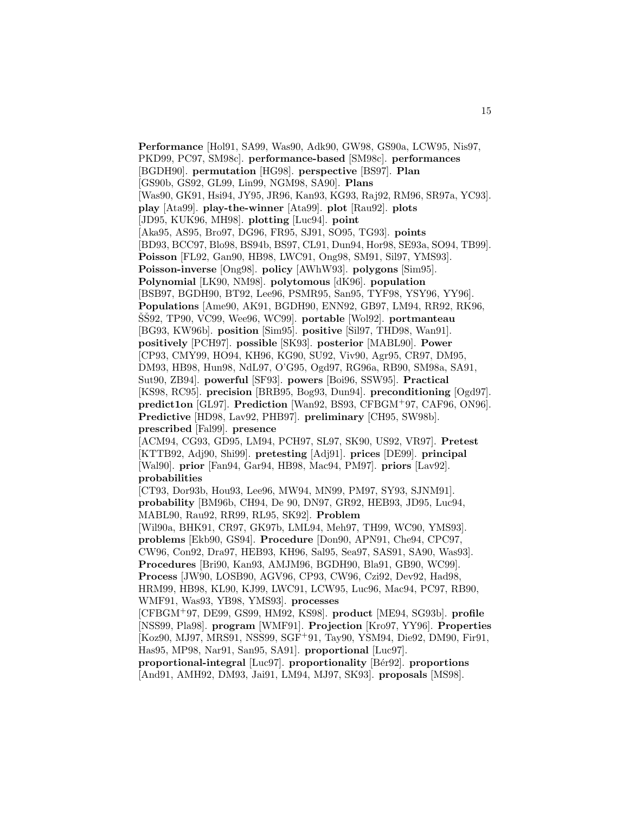**Performance** [Hol91, SA99, Was90, Adk90, GW98, GS90a, LCW95, Nis97, PKD99, PC97, SM98c]. **performance-based** [SM98c]. **performances** [BGDH90]. **permutation** [HG98]. **perspective** [BS97]. **Plan** [GS90b, GS92, GL99, Lin99, NGM98, SA90]. **Plans** [Was90, GK91, Hsi94, JY95, JR96, Kan93, KG93, Raj92, RM96, SR97a, YC93]. **play** [Ata99]. **play-the-winner** [Ata99]. **plot** [Rau92]. **plots** [JD95, KUK96, MH98]. **plotting** [Luc94]. **point** [Aka95, AS95, Bro97, DG96, FR95, SJ91, SO95, TG93]. **points** [BD93, BCC97, Blo98, BS94b, BS97, CL91, Dun94, Hor98, SE93a, SO94, TB99]. **Poisson** [FL92, Gan90, HB98, LWC91, Ong98, SM91, Sil97, YMS93]. **Poisson-inverse** [Ong98]. **policy** [AWhW93]. **polygons** [Sim95]. **Polynomial** [LK90, NM98]. **polytomous** [dK96]. **population** [BSB97, BGDH90, BT92, Lee96, PSMR95, San95, TYF98, YSY96, YY96]. **Populations** [Ame90, AK91, BGDH90, ENN92, GB97, LM94, RR92, RK96, SS<sup>92</sup>, TP90, VC99, Wee96, WC99. portable [Wol92]. portmanteau [BG93, KW96b]. **position** [Sim95]. **positive** [Sil97, THD98, Wan91]. **positively** [PCH97]. **possible** [SK93]. **posterior** [MABL90]. **Power** [CP93, CMY99, HO94, KH96, KG90, SU92, Viv90, Agr95, CR97, DM95, DM93, HB98, Hun98, NdL97, O'G95, Ogd97, RG96a, RB90, SM98a, SA91, Sut90, ZB94]. **powerful** [SF93]. **powers** [Boi96, SSW95]. **Practical** [KS98, RC95]. **precision** [BRB95, Bog93, Dun94]. **preconditioning** [Ogd97]. **predict1on** [GL97]. **Prediction** [Wan92, BS93, CFBGM<sup>+</sup>97, CAF96, ON96]. **Predictive** [HD98, Lav92, PHB97]. **preliminary** [CH95, SW98b]. **prescribed** [Fal99]. **presence** [ACM94, CG93, GD95, LM94, PCH97, SL97, SK90, US92, VR97]. **Pretest** [KTTB92, Adj90, Shi99]. **pretesting** [Adj91]. **prices** [DE99]. **principal** [Wal90]. **prior** [Fan94, Gar94, HB98, Mac94, PM97]. **priors** [Lav92]. **probabilities** [CT93, Dor93b, Hou93, Lee96, MW94, MN99, PM97, SY93, SJNM91]. **probability** [BM96b, CH94, De 90, DN97, GR92, HEB93, JD95, Luc94, MABL90, Rau92, RR99, RL95, SK92]. **Problem** [Wil90a, BHK91, CR97, GK97b, LML94, Meh97, TH99, WC90, YMS93]. **problems** [Ekb90, GS94]. **Procedure** [Don90, APN91, Che94, CPC97, CW96, Con92, Dra97, HEB93, KH96, Sal95, Sea97, SAS91, SA90, Was93]. **Procedures** [Bri90, Kan93, AMJM96, BGDH90, Bla91, GB90, WC99]. **Process** [JW90, LOSB90, AGV96, CP93, CW96, Czi92, Dev92, Had98, HRM99, HB98, KL90, KJ99, LWC91, LCW95, Luc96, Mac94, PC97, RB90, WMF91, Was93, YB98, YMS93]. **processes** [CFBGM<sup>+</sup>97, DE99, GS99, HM92, KS98]. **product** [ME94, SG93b]. **profile** [NSS99, Pla98]. **program** [WMF91]. **Projection** [Kro97, YY96]. **Properties** [Koz90, MJ97, MRS91, NSS99, SGF<sup>+</sup>91, Tay90, YSM94, Die92, DM90, Fir91, Has95, MP98, Nar91, San95, SA91]. **proportional** [Luc97]. **proportional-integral** [Luc97]. **proportionality** [B´er92]. **proportions** [And91, AMH92, DM93, Jai91, LM94, MJ97, SK93]. **proposals** [MS98].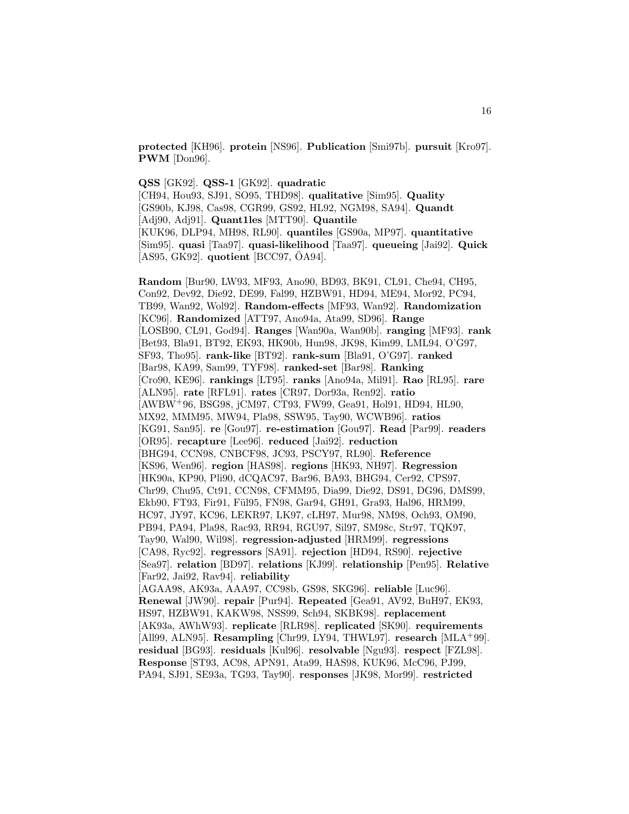**protected** [KH96]. **protein** [NS96]. **Publication** [Smi97b]. **pursuit** [Kro97]. **PWM** [Don96].

**QSS** [GK92]. **QSS-1** [GK92]. **quadratic** [CH94, Hou93, SJ91, SO95, THD98]. **qualitative** [Sim95]. **Quality** [GS90b, KJ98, Cas98, CGR99, GS92, HL92, NGM98, SA94]. **Quandt** [Adj90, Adj91]. **Quant1les** [MTT90]. **Quantile** [KUK96, DLP94, MH98, RL90]. **quantiles** [GS90a, MP97]. **quantitative** [Sim95]. **quasi** [Taa97]. **quasi-likelihood** [Taa97]. **queueing** [Jai92]. **Quick** [AS95, GK92]. **quotient** [BCC97, OA94].

**Random** [Bur90, LW93, MF93, Ano90, BD93, BK91, CL91, Che94, CH95, Con92, Dev92, Die92, DE99, Fal99, HZBW91, HD94, ME94, Mor92, PC94, TB99, Wan92, Wol92]. **Random-effects** [MF93, Wan92]. **Randomization** [KC96]. **Randomized** [ATT97, Ano94a, Ata99, SD96]. **Range** [LOSB90, CL91, God94]. **Ranges** [Wan90a, Wan90b]. **ranging** [MF93]. **rank** [Bet93, Bla91, BT92, EK93, HK90b, Hun98, JK98, Kim99, LML94, O'G97, SF93, Tho95]. **rank-like** [BT92]. **rank-sum** [Bla91, O'G97]. **ranked** [Bar98, KA99, Sam99, TYF98]. **ranked-set** [Bar98]. **Ranking** [Cro90, KE96]. **rankings** [LT95]. **ranks** [Ano94a, Mil91]. **Rao** [RL95]. **rare** [ALN95]. **rate** [RFL91]. **rates** [CR97, Dor93a, Ren92]. **ratio** [AWBW<sup>+</sup>96, BSG98, jCM97, CT93, FW99, Gea91, Hol91, HD94, HL90, MX92, MMM95, MW94, Pla98, SSW95, Tay90, WCWB96]. **ratios** [KG91, San95]. **re** [Gou97]. **re-estimation** [Gou97]. **Read** [Par99]. **readers** [OR95]. **recapture** [Lee96]. **reduced** [Jai92]. **reduction** [BHG94, CCN98, CNBCF98, JC93, PSCY97, RL90]. **Reference** [KS96, Wen96]. **region** [HAS98]. **regions** [HK93, NH97]. **Regression** [HK90a, KP90, Pli90, dCQAC97, Bar96, BA93, BHG94, Cer92, CPS97, Chr99, Chu95, Ct91, CCN98, CFMM95, Dia99, Die92, DS91, DG96, DMS99, Ekb90, FT93, Fir91, Fül95, FN98, Gar94, GH91, Gra93, Hal96, HRM99, HC97, JY97, KC96, LEKR97, LK97, cLH97, Mur98, NM98, Och93, OM90, PB94, PA94, Pla98, Rac93, RR94, RGU97, Sil97, SM98c, Str97, TQK97, Tay90, Wal90, Wil98]. **regression-adjusted** [HRM99]. **regressions** [CA98, Ryc92]. **regressors** [SA91]. **rejection** [HD94, RS90]. **rejective** [Sea97]. **relation** [BD97]. **relations** [KJ99]. **relationship** [Pen95]. **Relative** [Far92, Jai92, Rav94]. **reliability** [AGAA98, AK93a, AAA97, CC98b, GS98, SKG96]. **reliable** [Luc96]. **Renewal** [JW90]. **repair** [Pur94]. **Repeated** [Gea91, AV92, BuH97, EK93, HS97, HZBW91, KAKW98, NSS99, Sch94, SKBK98]. **replacement** [AK93a, AWhW93]. **replicate** [RLR98]. **replicated** [SK90]. **requirements** [All99, ALN95]. **Resampling** [Chr99, LY94, THWL97]. **research** [MLA<sup>+</sup>99]. **residual** [BG93]. **residuals** [Kul96]. **resolvable** [Ngu93]. **respect** [FZL98]. **Response** [ST93, AC98, APN91, Ata99, HAS98, KUK96, McC96, PJ99, PA94, SJ91, SE93a, TG93, Tay90]. **responses** [JK98, Mor99]. **restricted**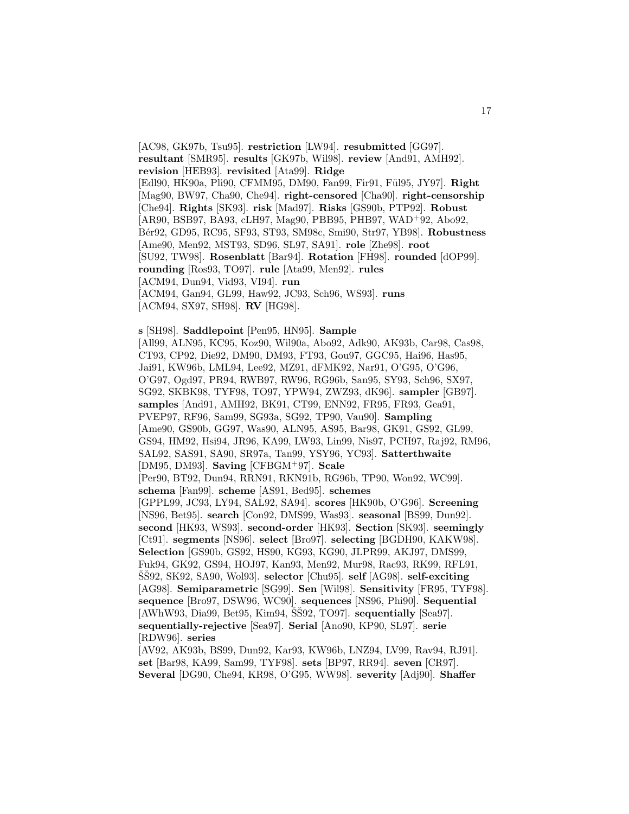[AC98, GK97b, Tsu95]. **restriction** [LW94]. **resubmitted** [GG97]. **resultant** [SMR95]. **results** [GK97b, Wil98]. **review** [And91, AMH92]. **revision** [HEB93]. **revisited** [Ata99]. **Ridge** [Edl90, HK90a, Pli90, CFMM95, DM90, Fan99, Fir91, F¨ul95, JY97]. **Right** [Mag90, BW97, Cha90, Che94]. **right-censored** [Cha90]. **right-censorship** [Che94]. **Rights** [SK93]. **risk** [Mad97]. **Risks** [GS90b, PTP92]. **Robust** [AR90, BSB97, BA93, cLH97, Mag90, PBB95, PHB97, WAD<sup>+</sup>92, Abo92, B´er92, GD95, RC95, SF93, ST93, SM98c, Smi90, Str97, YB98]. **Robustness** [Ame90, Men92, MST93, SD96, SL97, SA91]. **role** [Zhe98]. **root** [SU92, TW98]. **Rosenblatt** [Bar94]. **Rotation** [FH98]. **rounded** [dOP99]. **rounding** [Ros93, TO97]. **rule** [Ata99, Men92]. **rules** [ACM94, Dun94, Vid93, VI94]. **run** [ACM94, Gan94, GL99, Haw92, JC93, Sch96, WS93]. **runs**

[ACM94, SX97, SH98]. **RV** [HG98].

**s** [SH98]. **Saddlepoint** [Pen95, HN95]. **Sample** [All99, ALN95, KC95, Koz90, Wil90a, Abo92, Adk90, AK93b, Car98, Cas98, CT93, CP92, Die92, DM90, DM93, FT93, Gou97, GGC95, Hai96, Has95, Jai91, KW96b, LML94, Lee92, MZ91, dFMK92, Nar91, O'G95, O'G96, O'G97, Ogd97, PR94, RWB97, RW96, RG96b, San95, SY93, Sch96, SX97, SG92, SKBK98, TYF98, TO97, YPW94, ZWZ93, dK96]. **sampler** [GB97]. **samples** [And91, AMH92, BK91, CT99, ENN92, FR95, FR93, Gea91, PVEP97, RF96, Sam99, SG93a, SG92, TP90, Vau90]. **Sampling** [Ame90, GS90b, GG97, Was90, ALN95, AS95, Bar98, GK91, GS92, GL99, GS94, HM92, Hsi94, JR96, KA99, LW93, Lin99, Nis97, PCH97, Raj92, RM96, SAL92, SAS91, SA90, SR97a, Tan99, YSY96, YC93]. **Satterthwaite** [DM95, DM93]. **Saving** [CFBGM<sup>+</sup>97]. **Scale** [Per90, BT92, Dun94, RRN91, RKN91b, RG96b, TP90, Won92, WC99]. **schema** [Fan99]. **scheme** [AS91, Bed95]. **schemes** [GPPL99, JC93, LY94, SAL92, SA94]. **scores** [HK90b, O'G96]. **Screening** [NS96, Bet95]. **search** [Con92, DMS99, Was93]. **seasonal** [BS99, Dun92]. **second** [HK93, WS93]. **second-order** [HK93]. **Section** [SK93]. **seemingly** [Ct91]. **segments** [NS96]. **select** [Bro97]. **selecting** [BGDH90, KAKW98]. **Selection** [GS90b, GS92, HS90, KG93, KG90, JLPR99, AKJ97, DMS99, Fuk94, GK92, GS94, HOJ97, Kan93, Men92, Mur98, Rac93, RK99, RFL91, SŠ92, SK92, SA90, Wol93]. **selector** [Chu95]. **self** [AG98]. **self-exciting** [AG98]. **Semiparametric** [SG99]. **Sen** [Wil98]. **Sensitivity** [FR95, TYF98]. **sequence** [Bro97, DSW96, WC90]. **sequences** [NS96, Phi90]. **Sequential**  $[AWhW93, Dia99, Bet95, Kim94, ŠŠ92, TO97]$ . **sequentially**  $[Sea97]$ . **sequentially-rejective** [Sea97]. **Serial** [Ano90, KP90, SL97]. **serie** [RDW96]. **series**

[AV92, AK93b, BS99, Dun92, Kar93, KW96b, LNZ94, LV99, Rav94, RJ91]. **set** [Bar98, KA99, Sam99, TYF98]. **sets** [BP97, RR94]. **seven** [CR97]. **Several** [DG90, Che94, KR98, O'G95, WW98]. **severity** [Adj90]. **Shaffer**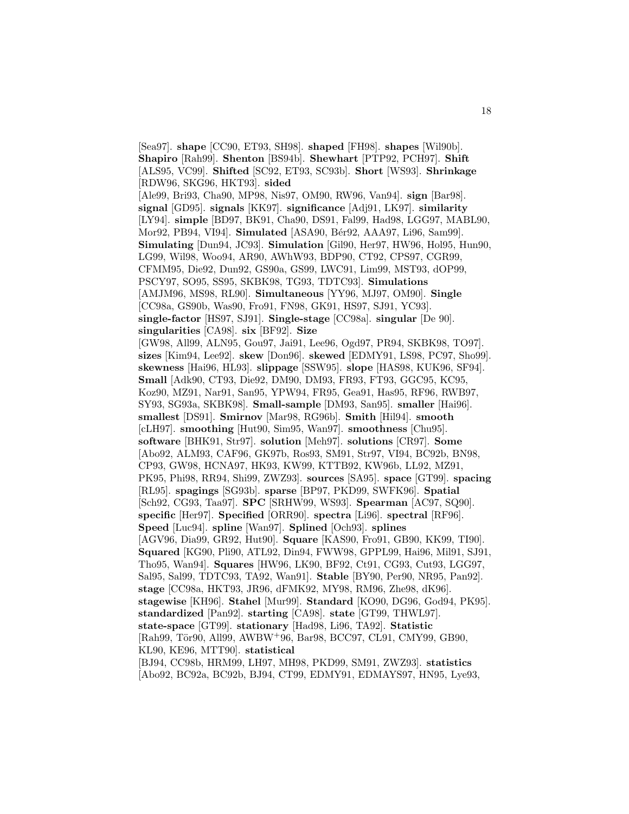[Sea97]. **shape** [CC90, ET93, SH98]. **shaped** [FH98]. **shapes** [Wil90b]. **Shapiro** [Rah99]. **Shenton** [BS94b]. **Shewhart** [PTP92, PCH97]. **Shift** [ALS95, VC99]. **Shifted** [SC92, ET93, SC93b]. **Short** [WS93]. **Shrinkage** [RDW96, SKG96, HKT93]. **sided** [Ale99, Bri93, Cha90, MP98, Nis97, OM90, RW96, Van94]. **sign** [Bar98]. **signal** [GD95]. **signals** [KK97]. **significance** [Adj91, LK97]. **similarity** [LY94]. **simple** [BD97, BK91, Cha90, DS91, Fal99, Had98, LGG97, MABL90, Mor92, PB94, VI94]. **Simulated** [ASA90, Bér92, AAA97, Li96, Sam99]. **Simulating** [Dun94, JC93]. **Simulation** [Gil90, Her97, HW96, Hol95, Hun90, LG99, Wil98, Woo94, AR90, AWhW93, BDP90, CT92, CPS97, CGR99, CFMM95, Die92, Dun92, GS90a, GS99, LWC91, Lim99, MST93, dOP99, PSCY97, SO95, SS95, SKBK98, TG93, TDTC93]. **Simulations** [AMJM96, MS98, RL90]. **Simultaneous** [YY96, MJ97, OM90]. **Single** [CC98a, GS90b, Was90, Fro91, FN98, GK91, HS97, SJ91, YC93]. **single-factor** [HS97, SJ91]. **Single-stage** [CC98a]. **singular** [De 90]. **singularities** [CA98]. **six** [BF92]. **Size** [GW98, All99, ALN95, Gou97, Jai91, Lee96, Ogd97, PR94, SKBK98, TO97]. **sizes** [Kim94, Lee92]. **skew** [Don96]. **skewed** [EDMY91, LS98, PC97, Sho99]. **skewness** [Hai96, HL93]. **slippage** [SSW95]. **slope** [HAS98, KUK96, SF94]. **Small** [Adk90, CT93, Die92, DM90, DM93, FR93, FT93, GGC95, KC95, Koz90, MZ91, Nar91, San95, YPW94, FR95, Gea91, Has95, RF96, RWB97, SY93, SG93a, SKBK98]. **Small-sample** [DM93, San95]. **smaller** [Hai96]. **smallest** [DS91]. **Smirnov** [Mar98, RG96b]. **Smith** [Hil94]. **smooth** [cLH97]. **smoothing** [Hut90, Sim95, Wan97]. **smoothness** [Chu95]. **software** [BHK91, Str97]. **solution** [Meh97]. **solutions** [CR97]. **Some** [Abo92, ALM93, CAF96, GK97b, Ros93, SM91, Str97, VI94, BC92b, BN98, CP93, GW98, HCNA97, HK93, KW99, KTTB92, KW96b, LL92, MZ91, PK95, Phi98, RR94, Shi99, ZWZ93]. **sources** [SA95]. **space** [GT99]. **spacing** [RL95]. **spagings** [SG93b]. **sparse** [BP97, PKD99, SWFK96]. **Spatial** [Sch92, CG93, Taa97]. **SPC** [SRHW99, WS93]. **Spearman** [AC97, SQ90]. **specific** [Her97]. **Specified** [ORR90]. **spectra** [Li96]. **spectral** [RF96]. **Speed** [Luc94]. **spline** [Wan97]. **Splined** [Och93]. **splines** [AGV96, Dia99, GR92, Hut90]. **Square** [KAS90, Fro91, GB90, KK99, TI90]. **Squared** [KG90, Pli90, ATL92, Din94, FWW98, GPPL99, Hai96, Mil91, SJ91, Tho95, Wan94]. **Squares** [HW96, LK90, BF92, Ct91, CG93, Cut93, LGG97, Sal95, Sal99, TDTC93, TA92, Wan91]. **Stable** [BY90, Per90, NR95, Pan92]. **stage** [CC98a, HKT93, JR96, dFMK92, MY98, RM96, Zhe98, dK96]. **stagewise** [KH96]. **Stahel** [Mur99]. **Standard** [KO90, DG96, God94, PK95]. **standardized** [Pan92]. **starting** [CA98]. **state** [GT99, THWL97]. **state-space** [GT99]. **stationary** [Had98, Li96, TA92]. **Statistic** [Rah99, Tör90, All99, AWBW+96, Bar98, BCC97, CL91, CMY99, GB90, KL90, KE96, MTT90]. **statistical** [BJ94, CC98b, HRM99, LH97, MH98, PKD99, SM91, ZWZ93]. **statistics** [Abo92, BC92a, BC92b, BJ94, CT99, EDMY91, EDMAYS97, HN95, Lye93,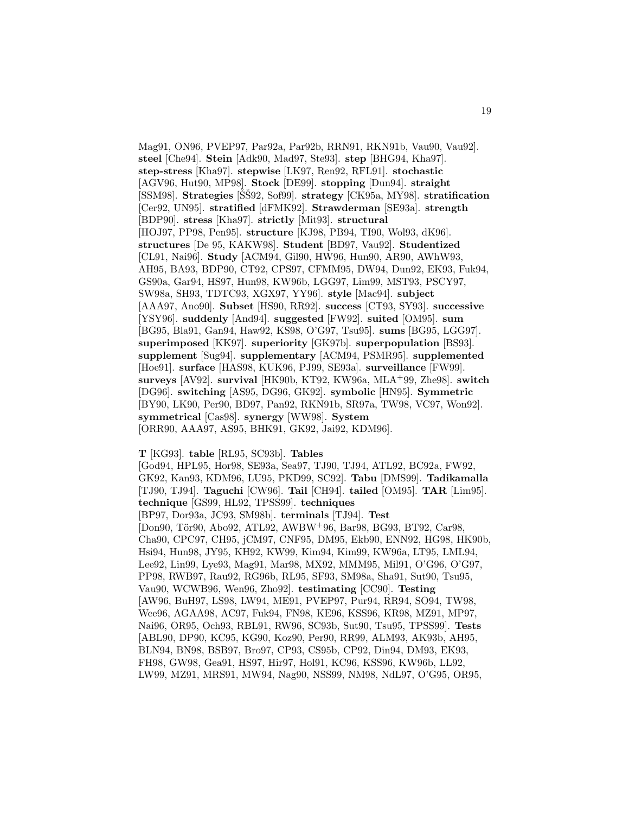Mag91, ON96, PVEP97, Par92a, Par92b, RRN91, RKN91b, Vau90, Vau92]. **steel** [Che94]. **Stein** [Adk90, Mad97, Ste93]. **step** [BHG94, Kha97]. **step-stress** [Kha97]. **stepwise** [LK97, Ren92, RFL91]. **stochastic** [AGV96, Hut90, MP98]. **Stock** [DE99]. **stopping** [Dun94]. **straight** [SSM98]. **Strategies** [SˇS92, Sof99]. ˇ **strategy** [CK95a, MY98]. **stratification** [Cer92, UN95]. **stratified** [dFMK92]. **Strawderman** [SE93a]. **strength** [BDP90]. **stress** [Kha97]. **strictly** [Mit93]. **structural** [HOJ97, PP98, Pen95]. **structure** [KJ98, PB94, TI90, Wol93, dK96]. **structures** [De 95, KAKW98]. **Student** [BD97, Vau92]. **Studentized** [CL91, Nai96]. **Study** [ACM94, Gil90, HW96, Hun90, AR90, AWhW93, AH95, BA93, BDP90, CT92, CPS97, CFMM95, DW94, Dun92, EK93, Fuk94, GS90a, Gar94, HS97, Hun98, KW96b, LGG97, Lim99, MST93, PSCY97, SW98a, SH93, TDTC93, XGX97, YY96]. **style** [Mac94]. **subject** [AAA97, Ano90]. **Subset** [HS90, RR92]. **success** [CT93, SY93]. **successive** [YSY96]. **suddenly** [And94]. **suggested** [FW92]. **suited** [OM95]. **sum** [BG95, Bla91, Gan94, Haw92, KS98, O'G97, Tsu95]. **sums** [BG95, LGG97]. **superimposed** [KK97]. **superiority** [GK97b]. **superpopulation** [BS93]. **supplement** [Sug94]. **supplementary** [ACM94, PSMR95]. **supplemented** [Hoe91]. **surface** [HAS98, KUK96, PJ99, SE93a]. **surveillance** [FW99]. **surveys** [AV92]. **survival** [HK90b, KT92, KW96a, MLA<sup>+</sup>99, Zhe98]. **switch** [DG96]. **switching** [AS95, DG96, GK92]. **symbolic** [HN95]. **Symmetric** [BY90, LK90, Per90, BD97, Pan92, RKN91b, SR97a, TW98, VC97, Won92]. **symmetrical** [Cas98]. **synergy** [WW98]. **System** [ORR90, AAA97, AS95, BHK91, GK92, Jai92, KDM96].

#### **T** [KG93]. **table** [RL95, SC93b]. **Tables**

[God94, HPL95, Hor98, SE93a, Sea97, TJ90, TJ94, ATL92, BC92a, FW92, GK92, Kan93, KDM96, LU95, PKD99, SC92]. **Tabu** [DMS99]. **Tadikamalla** [TJ90, TJ94]. **Taguchi** [CW96]. **Tail** [CH94]. **tailed** [OM95]. **TAR** [Lim95]. **technique** [GS99, HL92, TPSS99]. **techniques** [BP97, Dor93a, JC93, SM98b]. **terminals** [TJ94]. **Test** [Don90, Tör90, Abo92, ATL92, AWBW+96, Bar98, BG93, BT92, Car98, Cha90, CPC97, CH95, jCM97, CNF95, DM95, Ekb90, ENN92, HG98, HK90b, Hsi94, Hun98, JY95, KH92, KW99, Kim94, Kim99, KW96a, LT95, LML94, Lee92, Lin99, Lye93, Mag91, Mar98, MX92, MMM95, Mil91, O'G96, O'G97, PP98, RWB97, Rau92, RG96b, RL95, SF93, SM98a, Sha91, Sut90, Tsu95, Vau90, WCWB96, Wen96, Zho92]. **testimating** [CC90]. **Testing** [AW96, BuH97, LS98, LW94, ME91, PVEP97, Pur94, RR94, SO94, TW98, Wee96, AGAA98, AC97, Fuk94, FN98, KE96, KSS96, KR98, MZ91, MP97, Nai96, OR95, Och93, RBL91, RW96, SC93b, Sut90, Tsu95, TPSS99]. **Tests** [ABL90, DP90, KC95, KG90, Koz90, Per90, RR99, ALM93, AK93b, AH95, BLN94, BN98, BSB97, Bro97, CP93, CS95b, CP92, Din94, DM93, EK93, FH98, GW98, Gea91, HS97, Hir97, Hol91, KC96, KSS96, KW96b, LL92, LW99, MZ91, MRS91, MW94, Nag90, NSS99, NM98, NdL97, O'G95, OR95,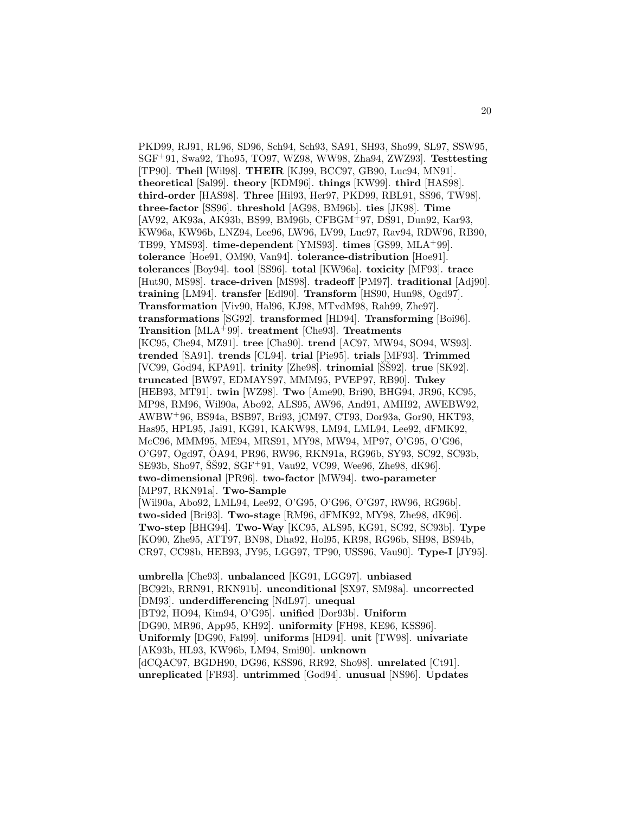PKD99, RJ91, RL96, SD96, Sch94, Sch93, SA91, SH93, Sho99, SL97, SSW95, SGF<sup>+</sup>91, Swa92, Tho95, TO97, WZ98, WW98, Zha94, ZWZ93]. **Testtesting** [TP90]. **Theil** [Wil98]. **THEIR** [KJ99, BCC97, GB90, Luc94, MN91]. **theoretical** [Sal99]. **theory** [KDM96]. **things** [KW99]. **third** [HAS98]. **third-order** [HAS98]. **Three** [Hil93, Her97, PKD99, RBL91, SS96, TW98]. **three-factor** [SS96]. **threshold** [AG98, BM96b]. **ties** [JK98]. **Time** [AV92, AK93a, AK93b, BS99, BM96b, CFBGM<sup>+</sup>97, DS91, Dun92, Kar93, KW96a, KW96b, LNZ94, Lee96, LW96, LV99, Luc97, Rav94, RDW96, RB90, TB99, YMS93]. **time-dependent** [YMS93]. **times** [GS99, MLA<sup>+</sup>99]. **tolerance** [Hoe91, OM90, Van94]. **tolerance-distribution** [Hoe91]. **tolerances** [Boy94]. **tool** [SS96]. **total** [KW96a]. **toxicity** [MF93]. **trace** [Hut90, MS98]. **trace-driven** [MS98]. **tradeoff** [PM97]. **traditional** [Adj90]. **training** [LM94]. **transfer** [Edl90]. **Transform** [HS90, Hun98, Ogd97]. **Transformation** [Viv90, Hal96, KJ98, MTvdM98, Rah99, Zhe97]. **transformations** [SG92]. **transformed** [HD94]. **Transforming** [Boi96]. **Transition** [MLA<sup>+</sup>99]. **treatment** [Che93]. **Treatments** [KC95, Che94, MZ91]. **tree** [Cha90]. **trend** [AC97, MW94, SO94, WS93]. **trended** [SA91]. **trends** [CL94]. **trial** [Pie95]. **trials** [MF93]. **Trimmed** [VC99, God94, KPA91]. **trinity** [Zhe98]. **trinomial** [SS<sup>92]</sup>. **true** [SK92]. **truncated** [BW97, EDMAYS97, MMM95, PVEP97, RB90]. **Tukey** [HEB93, MT91]. **twin** [WZ98]. **Two** [Ame90, Bri90, BHG94, JR96, KC95, MP98, RM96, Wil90a, Abo92, ALS95, AW96, And91, AMH92, AWEBW92, AWBW<sup>+</sup>96, BS94a, BSB97, Bri93, jCM97, CT93, Dor93a, Gor90, HKT93, Has95, HPL95, Jai91, KG91, KAKW98, LM94, LML94, Lee92, dFMK92, McC96, MMM95, ME94, MRS91, MY98, MW94, MP97, O'G95, O'G96, O'G97, Ogd97, OA94, PR96, RW96, RKN91a, RG96b, SY93, SC92, SC93b, ¨ SE93b, Sho97, SS $92, SGF+91, Vau92, VC99, Wee96, Zhe98, dK96$ . **two-dimensional** [PR96]. **two-factor** [MW94]. **two-parameter** [MP97, RKN91a]. **Two-Sample** [Wil90a, Abo92, LML94, Lee92, O'G95, O'G96, O'G97, RW96, RG96b]. **two-sided** [Bri93]. **Two-stage** [RM96, dFMK92, MY98, Zhe98, dK96]. **Two-step** [BHG94]. **Two-Way** [KC95, ALS95, KG91, SC92, SC93b]. **Type**

[KO90, Zhe95, ATT97, BN98, Dha92, Hol95, KR98, RG96b, SH98, BS94b, CR97, CC98b, HEB93, JY95, LGG97, TP90, USS96, Vau90]. **Type-I** [JY95].

**umbrella** [Che93]. **unbalanced** [KG91, LGG97]. **unbiased** [BC92b, RRN91, RKN91b]. **unconditional** [SX97, SM98a]. **uncorrected** [DM93]. **underdifferencing** [NdL97]. **unequal** [BT92, HO94, Kim94, O'G95]. **unified** [Dor93b]. **Uniform** [DG90, MR96, App95, KH92]. **uniformity** [FH98, KE96, KSS96]. **Uniformly** [DG90, Fal99]. **uniforms** [HD94]. **unit** [TW98]. **univariate** [AK93b, HL93, KW96b, LM94, Smi90]. **unknown** [dCQAC97, BGDH90, DG96, KSS96, RR92, Sho98]. **unrelated** [Ct91]. **unreplicated** [FR93]. **untrimmed** [God94]. **unusual** [NS96]. **Updates**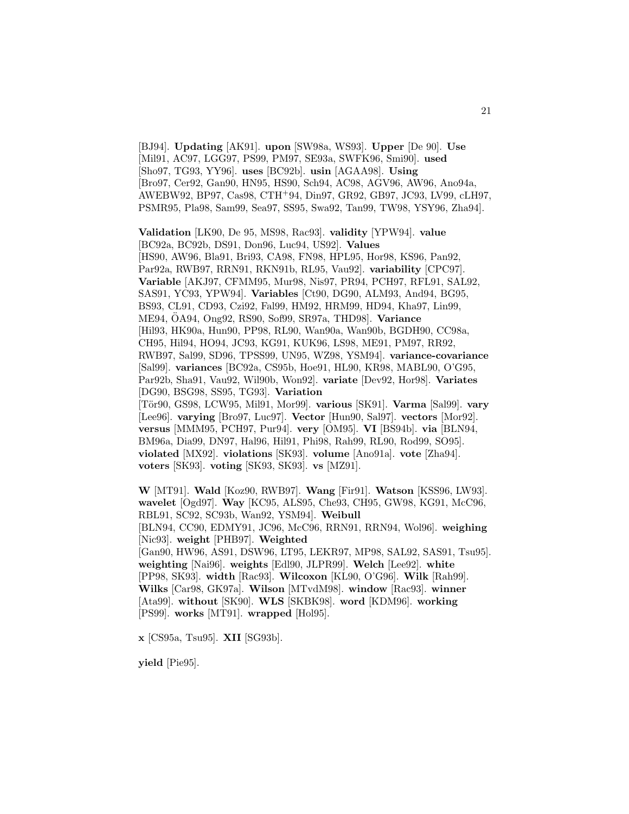[BJ94]. **Updating** [AK91]. **upon** [SW98a, WS93]. **Upper** [De 90]. **Use** [Mil91, AC97, LGG97, PS99, PM97, SE93a, SWFK96, Smi90]. **used** [Sho97, TG93, YY96]. **uses** [BC92b]. **usin** [AGAA98]. **Using** [Bro97, Cer92, Gan90, HN95, HS90, Sch94, AC98, AGV96, AW96, Ano94a, AWEBW92, BP97, Cas98, CTH<sup>+</sup>94, Din97, GR92, GB97, JC93, LV99, cLH97, PSMR95, Pla98, Sam99, Sea97, SS95, Swa92, Tan99, TW98, YSY96, Zha94].

**Validation** [LK90, De 95, MS98, Rac93]. **validity** [YPW94]. **value** [BC92a, BC92b, DS91, Don96, Luc94, US92]. **Values** [HS90, AW96, Bla91, Bri93, CA98, FN98, HPL95, Hor98, KS96, Pan92, Par92a, RWB97, RRN91, RKN91b, RL95, Vau92]. **variability** [CPC97]. **Variable** [AKJ97, CFMM95, Mur98, Nis97, PR94, PCH97, RFL91, SAL92, SAS91, YC93, YPW94]. **Variables** [Ct90, DG90, ALM93, And94, BG95, BS93, CL91, CD93, Czi92, Fal99, HM92, HRM99, HD94, Kha97, Lin99, ME94, OA94, Ong92, RS90, Sof99, SR97a, THD98]. ¨ **Variance** [Hil93, HK90a, Hun90, PP98, RL90, Wan90a, Wan90b, BGDH90, CC98a, CH95, Hil94, HO94, JC93, KG91, KUK96, LS98, ME91, PM97, RR92, RWB97, Sal99, SD96, TPSS99, UN95, WZ98, YSM94]. **variance-covariance** [Sal99]. **variances** [BC92a, CS95b, Hoe91, HL90, KR98, MABL90, O'G95, Par92b, Sha91, Vau92, Wil90b, Won92]. **variate** [Dev92, Hor98]. **Variates** [DG90, BSG98, SS95, TG93]. **Variation** [T¨or90, GS98, LCW95, Mil91, Mor99]. **various** [SK91]. **Varma** [Sal99]. **vary** [Lee96]. **varying** [Bro97, Luc97]. **Vector** [Hun90, Sal97]. **vectors** [Mor92]. **versus** [MMM95, PCH97, Pur94]. **very** [OM95]. **VI** [BS94b]. **via** [BLN94, BM96a, Dia99, DN97, Hal96, Hil91, Phi98, Rah99, RL90, Rod99, SO95]. **violated** [MX92]. **violations** [SK93]. **volume** [Ano91a]. **vote** [Zha94]. **voters** [SK93]. **voting** [SK93, SK93]. **vs** [MZ91].

**W** [MT91]. **Wald** [Koz90, RWB97]. **Wang** [Fir91]. **Watson** [KSS96, LW93]. **wavelet** [Ogd97]. **Way** [KC95, ALS95, Che93, CH95, GW98, KG91, McC96, RBL91, SC92, SC93b, Wan92, YSM94]. **Weibull** [BLN94, CC90, EDMY91, JC96, McC96, RRN91, RRN94, Wol96]. **weighing** [Nic93]. **weight** [PHB97]. **Weighted** [Gan90, HW96, AS91, DSW96, LT95, LEKR97, MP98, SAL92, SAS91, Tsu95]. **weighting** [Nai96]. **weights** [Edl90, JLPR99]. **Welch** [Lee92]. **white** [PP98, SK93]. **width** [Rac93]. **Wilcoxon** [KL90, O'G96]. **Wilk** [Rah99]. **Wilks** [Car98, GK97a]. **Wilson** [MTvdM98]. **window** [Rac93]. **winner** [Ata99]. **without** [SK90]. **WLS** [SKBK98]. **word** [KDM96]. **working** [PS99]. **works** [MT91]. **wrapped** [Hol95].

**x** [CS95a, Tsu95]. **XII** [SG93b].

**yield** [Pie95].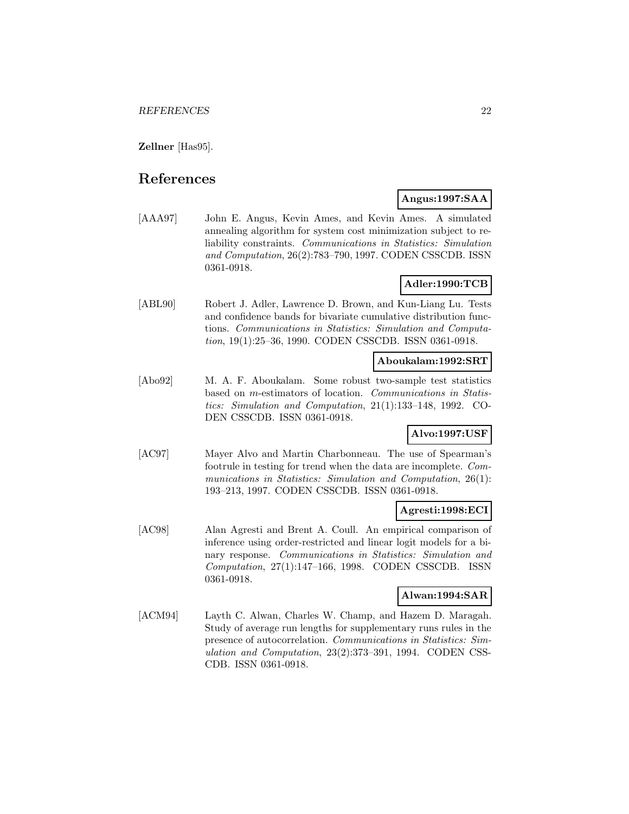**Zellner** [Has95].

# **References**

## **Angus:1997:SAA**

[AAA97] John E. Angus, Kevin Ames, and Kevin Ames. A simulated annealing algorithm for system cost minimization subject to reliability constraints. Communications in Statistics: Simulation and Computation, 26(2):783–790, 1997. CODEN CSSCDB. ISSN 0361-0918.

# **Adler:1990:TCB**

[ABL90] Robert J. Adler, Lawrence D. Brown, and Kun-Liang Lu. Tests and confidence bands for bivariate cumulative distribution functions. Communications in Statistics: Simulation and Computation, 19(1):25–36, 1990. CODEN CSSCDB. ISSN 0361-0918.

## **Aboukalam:1992:SRT**

[Abo92] M. A. F. Aboukalam. Some robust two-sample test statistics based on m-estimators of location. Communications in Statistics: Simulation and Computation, 21(1):133–148, 1992. CO-DEN CSSCDB. ISSN 0361-0918.

# **Alvo:1997:USF**

[AC97] Mayer Alvo and Martin Charbonneau. The use of Spearman's footrule in testing for trend when the data are incomplete. Communications in Statistics: Simulation and Computation, 26(1): 193–213, 1997. CODEN CSSCDB. ISSN 0361-0918.

## **Agresti:1998:ECI**

[AC98] Alan Agresti and Brent A. Coull. An empirical comparison of inference using order-restricted and linear logit models for a binary response. Communications in Statistics: Simulation and Computation, 27(1):147–166, 1998. CODEN CSSCDB. ISSN 0361-0918.

## **Alwan:1994:SAR**

[ACM94] Layth C. Alwan, Charles W. Champ, and Hazem D. Maragah. Study of average run lengths for supplementary runs rules in the presence of autocorrelation. Communications in Statistics: Simulation and Computation, 23(2):373–391, 1994. CODEN CSS-CDB. ISSN 0361-0918.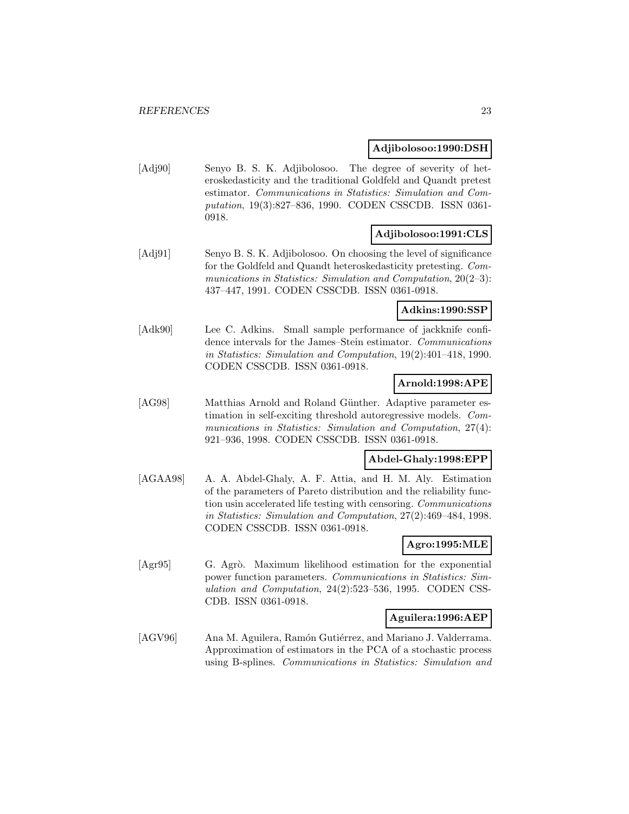#### **Adjibolosoo:1990:DSH**

[Adj90] Senyo B. S. K. Adjibolosoo. The degree of severity of heteroskedasticity and the traditional Goldfeld and Quandt pretest estimator. Communications in Statistics: Simulation and Computation, 19(3):827–836, 1990. CODEN CSSCDB. ISSN 0361- 0918.

#### **Adjibolosoo:1991:CLS**

[Adj91] Senyo B. S. K. Adjibolosoo. On choosing the level of significance for the Goldfeld and Quandt heteroskedasticity pretesting. Communications in Statistics: Simulation and Computation, 20(2–3): 437–447, 1991. CODEN CSSCDB. ISSN 0361-0918.

## **Adkins:1990:SSP**

[Adk90] Lee C. Adkins. Small sample performance of jackknife confidence intervals for the James–Stein estimator. Communications in Statistics: Simulation and Computation, 19(2):401–418, 1990. CODEN CSSCDB. ISSN 0361-0918.

## **Arnold:1998:APE**

[AG98] Matthias Arnold and Roland Günther. Adaptive parameter estimation in self-exciting threshold autoregressive models. Communications in Statistics: Simulation and Computation, 27(4): 921–936, 1998. CODEN CSSCDB. ISSN 0361-0918.

# **Abdel-Ghaly:1998:EPP**

[AGAA98] A. A. Abdel-Ghaly, A. F. Attia, and H. M. Aly. Estimation of the parameters of Pareto distribution and the reliability function usin accelerated life testing with censoring. Communications in Statistics: Simulation and Computation, 27(2):469–484, 1998. CODEN CSSCDB. ISSN 0361-0918.

#### **Agro:1995:MLE**

[Agr95] G. Agrò. Maximum likelihood estimation for the exponential power function parameters. Communications in Statistics: Simulation and Computation, 24(2):523–536, 1995. CODEN CSS-CDB. ISSN 0361-0918.

#### **Aguilera:1996:AEP**

[AGV96] Ana M. Aguilera, Ramón Gutiérrez, and Mariano J. Valderrama. Approximation of estimators in the PCA of a stochastic process using B-splines. Communications in Statistics: Simulation and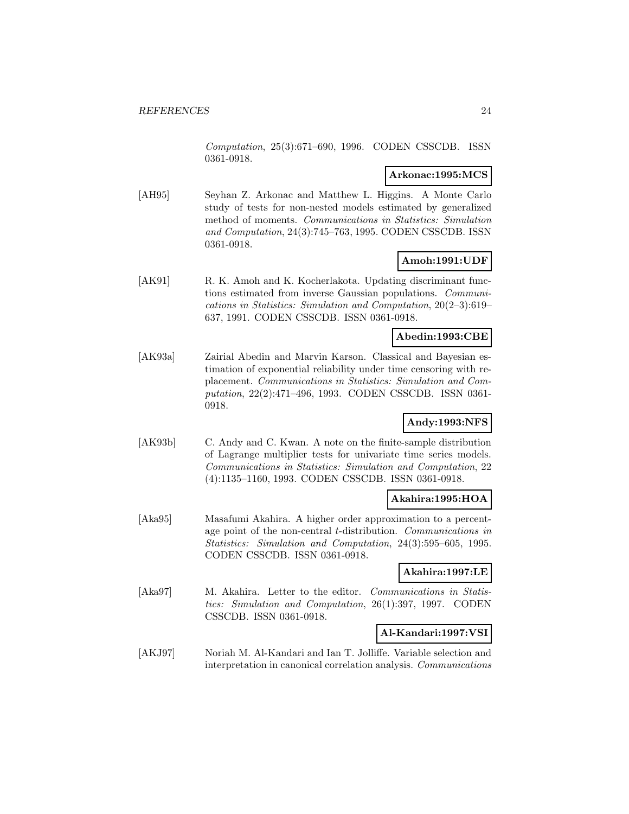Computation, 25(3):671–690, 1996. CODEN CSSCDB. ISSN 0361-0918.

## **Arkonac:1995:MCS**

[AH95] Seyhan Z. Arkonac and Matthew L. Higgins. A Monte Carlo study of tests for non-nested models estimated by generalized method of moments. Communications in Statistics: Simulation and Computation, 24(3):745–763, 1995. CODEN CSSCDB. ISSN 0361-0918.

## **Amoh:1991:UDF**

[AK91] R. K. Amoh and K. Kocherlakota. Updating discriminant functions estimated from inverse Gaussian populations. Communications in Statistics: Simulation and Computation, 20(2–3):619– 637, 1991. CODEN CSSCDB. ISSN 0361-0918.

## **Abedin:1993:CBE**

[AK93a] Zairial Abedin and Marvin Karson. Classical and Bayesian estimation of exponential reliability under time censoring with replacement. Communications in Statistics: Simulation and Computation, 22(2):471–496, 1993. CODEN CSSCDB. ISSN 0361- 0918.

## **Andy:1993:NFS**

[AK93b] C. Andy and C. Kwan. A note on the finite-sample distribution of Lagrange multiplier tests for univariate time series models. Communications in Statistics: Simulation and Computation, 22 (4):1135–1160, 1993. CODEN CSSCDB. ISSN 0361-0918.

#### **Akahira:1995:HOA**

[Aka95] Masafumi Akahira. A higher order approximation to a percentage point of the non-central t-distribution. Communications in Statistics: Simulation and Computation, 24(3):595–605, 1995. CODEN CSSCDB. ISSN 0361-0918.

#### **Akahira:1997:LE**

[Aka97] M. Akahira. Letter to the editor. Communications in Statistics: Simulation and Computation, 26(1):397, 1997. CODEN CSSCDB. ISSN 0361-0918.

## **Al-Kandari:1997:VSI**

[AKJ97] Noriah M. Al-Kandari and Ian T. Jolliffe. Variable selection and interpretation in canonical correlation analysis. Communications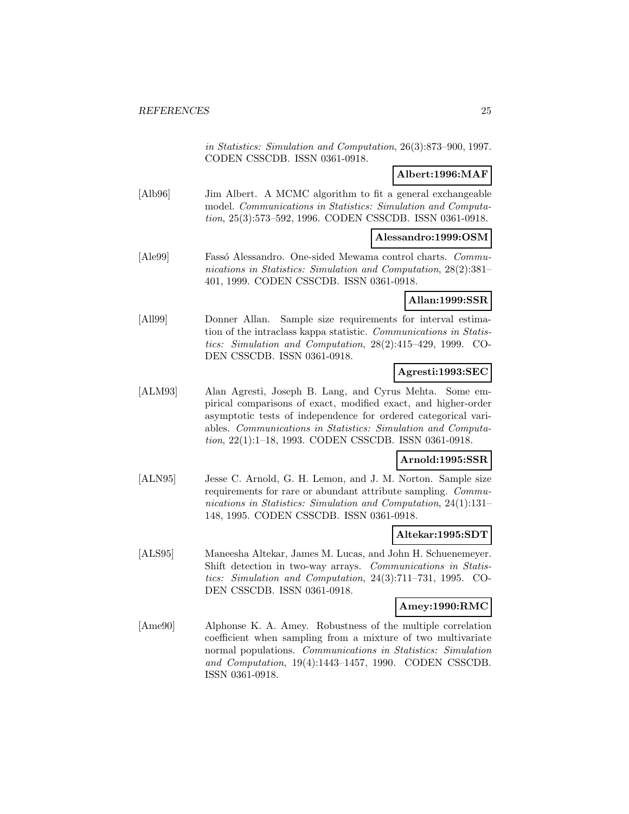in Statistics: Simulation and Computation, 26(3):873–900, 1997. CODEN CSSCDB. ISSN 0361-0918.

# **Albert:1996:MAF**

[Alb96] Jim Albert. A MCMC algorithm to fit a general exchangeable model. Communications in Statistics: Simulation and Computation, 25(3):573–592, 1996. CODEN CSSCDB. ISSN 0361-0918.

## **Alessandro:1999:OSM**

[Ale99] Fasso Alessandro. One-sided Mewama control charts. Communications in Statistics: Simulation and Computation, 28(2):381– 401, 1999. CODEN CSSCDB. ISSN 0361-0918.

## **Allan:1999:SSR**

[All99] Donner Allan. Sample size requirements for interval estimation of the intraclass kappa statistic. Communications in Statistics: Simulation and Computation, 28(2):415–429, 1999. CO-DEN CSSCDB. ISSN 0361-0918.

# **Agresti:1993:SEC**

[ALM93] Alan Agresti, Joseph B. Lang, and Cyrus Mehta. Some empirical comparisons of exact, modified exact, and higher-order asymptotic tests of independence for ordered categorical variables. Communications in Statistics: Simulation and Computation, 22(1):1–18, 1993. CODEN CSSCDB. ISSN 0361-0918.

#### **Arnold:1995:SSR**

[ALN95] Jesse C. Arnold, G. H. Lemon, and J. M. Norton. Sample size requirements for rare or abundant attribute sampling. Communications in Statistics: Simulation and Computation, 24(1):131– 148, 1995. CODEN CSSCDB. ISSN 0361-0918.

#### **Altekar:1995:SDT**

[ALS95] Maneesha Altekar, James M. Lucas, and John H. Schuenemeyer. Shift detection in two-way arrays. Communications in Statistics: Simulation and Computation, 24(3):711–731, 1995. CO-DEN CSSCDB. ISSN 0361-0918.

#### **Amey:1990:RMC**

[Ame90] Alphonse K. A. Amey. Robustness of the multiple correlation coefficient when sampling from a mixture of two multivariate normal populations. Communications in Statistics: Simulation and Computation, 19(4):1443–1457, 1990. CODEN CSSCDB. ISSN 0361-0918.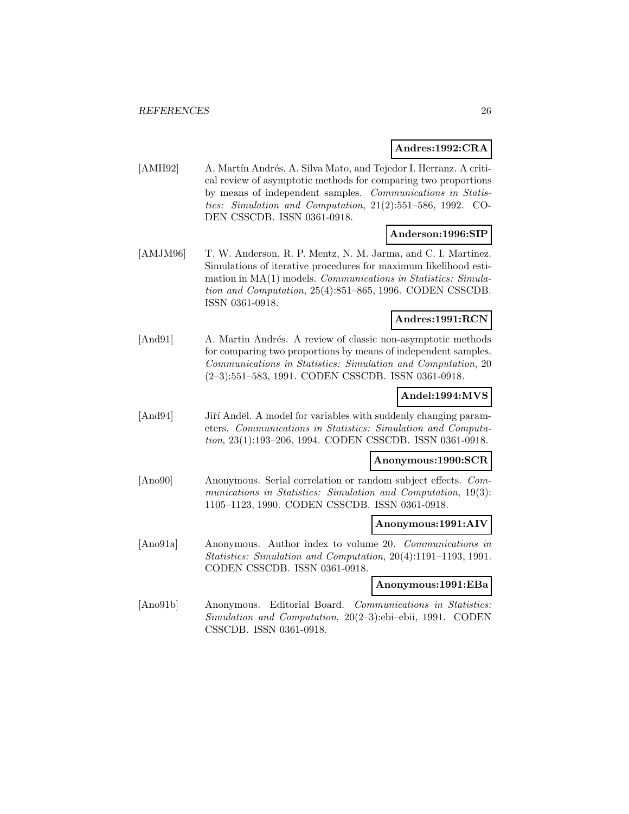#### **Andres:1992:CRA**

[AMH92] A. Martín Andrés, A. Silva Mato, and Tejedor I. Herranz. A critical review of asymptotic methods for comparing two proportions by means of independent samples. Communications in Statistics: Simulation and Computation, 21(2):551–586, 1992. CO-DEN CSSCDB. ISSN 0361-0918.

## **Anderson:1996:SIP**

[AMJM96] T. W. Anderson, R. P. Mentz, N. M. Jarma, and C. I. Martinez. Simulations of iterative procedures for maximum likelihood estimation in MA(1) models. Communications in Statistics: Simulation and Computation, 25(4):851–865, 1996. CODEN CSSCDB. ISSN 0361-0918.

#### **Andres:1991:RCN**

[And91] A. Martin Andrés. A review of classic non-asymptotic methods for comparing two proportions by means of independent samples. Communications in Statistics: Simulation and Computation, 20 (2–3):551–583, 1991. CODEN CSSCDB. ISSN 0361-0918.

# **Andel:1994:MVS**

[And94] Jiří Andēl. A model for variables with suddenly changing parameters. Communications in Statistics: Simulation and Computation, 23(1):193–206, 1994. CODEN CSSCDB. ISSN 0361-0918.

#### **Anonymous:1990:SCR**

[Ano90] Anonymous. Serial correlation or random subject effects. Communications in Statistics: Simulation and Computation, 19(3): 1105–1123, 1990. CODEN CSSCDB. ISSN 0361-0918.

#### **Anonymous:1991:AIV**

[Ano91a] Anonymous. Author index to volume 20. Communications in Statistics: Simulation and Computation, 20(4):1191–1193, 1991. CODEN CSSCDB. ISSN 0361-0918.

#### **Anonymous:1991:EBa**

[Ano91b] Anonymous. Editorial Board. Communications in Statistics: Simulation and Computation, 20(2–3):ebi–ebii, 1991. CODEN CSSCDB. ISSN 0361-0918.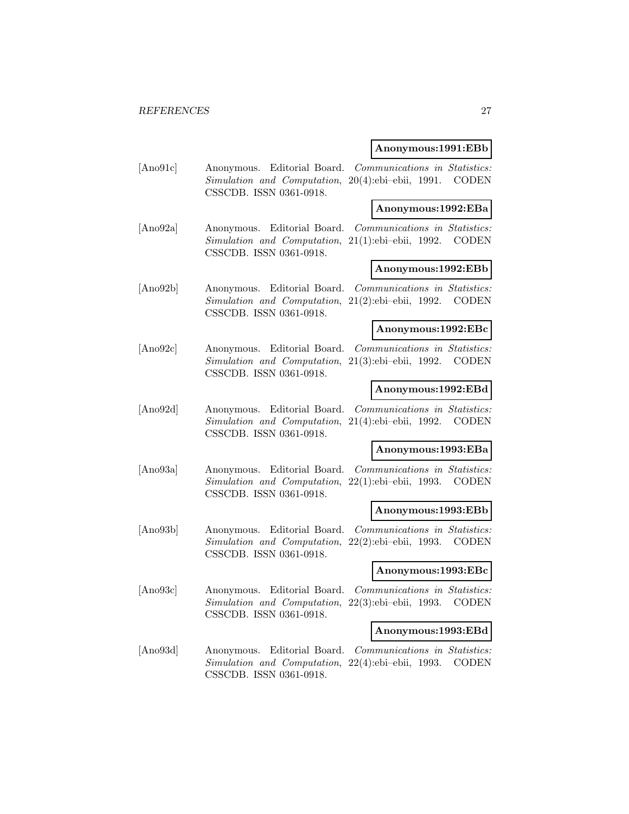#### **Anonymous:1991:EBb**

[Ano91c] Anonymous. Editorial Board. Communications in Statistics: Simulation and Computation, 20(4):ebi–ebii, 1991. CODEN CSSCDB. ISSN 0361-0918.

#### **Anonymous:1992:EBa**

[Ano92a] Anonymous. Editorial Board. Communications in Statistics: Simulation and Computation, 21(1):ebi–ebii, 1992. CODEN CSSCDB. ISSN 0361-0918.

## **Anonymous:1992:EBb**

[Ano92b] Anonymous. Editorial Board. Communications in Statistics: Simulation and Computation, 21(2):ebi–ebii, 1992. CODEN CSSCDB. ISSN 0361-0918.

## **Anonymous:1992:EBc**

[Ano92c] Anonymous. Editorial Board. Communications in Statistics: Simulation and Computation, 21(3):ebi–ebii, 1992. CODEN CSSCDB. ISSN 0361-0918.

#### **Anonymous:1992:EBd**

[Ano92d] Anonymous. Editorial Board. Communications in Statistics: Simulation and Computation, 21(4):ebi–ebii, 1992. CODEN CSSCDB. ISSN 0361-0918.

#### **Anonymous:1993:EBa**

[Ano93a] Anonymous. Editorial Board. Communications in Statistics: Simulation and Computation, 22(1):ebi–ebii, 1993. CODEN CSSCDB. ISSN 0361-0918.

## **Anonymous:1993:EBb**

[Ano93b] Anonymous. Editorial Board. Communications in Statistics: Simulation and Computation, 22(2):ebi–ebii, 1993. CODEN CSSCDB. ISSN 0361-0918.

## **Anonymous:1993:EBc**

[Ano93c] Anonymous. Editorial Board. Communications in Statistics: Simulation and Computation, 22(3):ebi–ebii, 1993. CODEN CSSCDB. ISSN 0361-0918.

## **Anonymous:1993:EBd**

[Ano93d] Anonymous. Editorial Board. Communications in Statistics: Simulation and Computation, 22(4):ebi–ebii, 1993. CODEN CSSCDB. ISSN 0361-0918.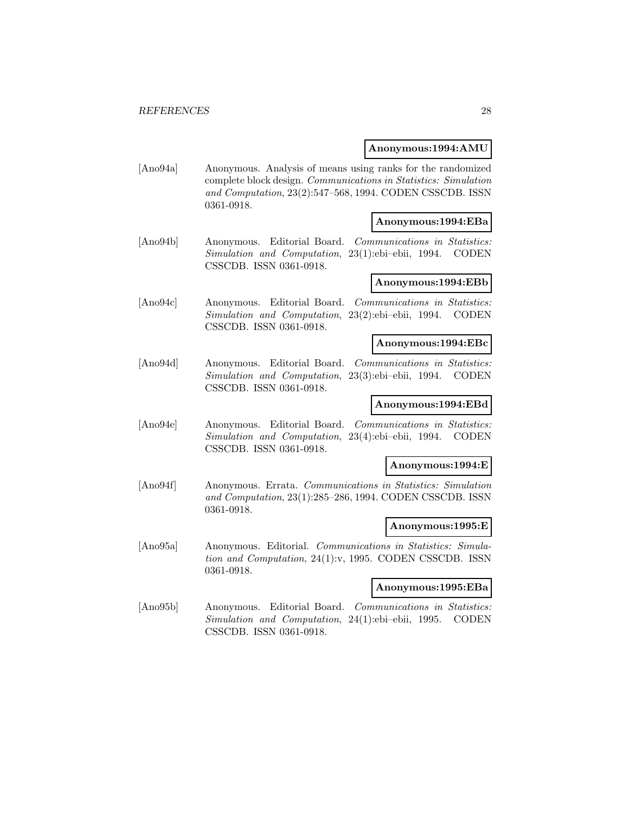#### **Anonymous:1994:AMU**

[Ano94a] Anonymous. Analysis of means using ranks for the randomized complete block design. Communications in Statistics: Simulation and Computation, 23(2):547–568, 1994. CODEN CSSCDB. ISSN 0361-0918.

#### **Anonymous:1994:EBa**

[Ano94b] Anonymous. Editorial Board. Communications in Statistics: Simulation and Computation, 23(1):ebi–ebii, 1994. CODEN CSSCDB. ISSN 0361-0918.

## **Anonymous:1994:EBb**

[Ano94c] Anonymous. Editorial Board. Communications in Statistics: Simulation and Computation, 23(2):ebi–ebii, 1994. CODEN CSSCDB. ISSN 0361-0918.

## **Anonymous:1994:EBc**

[Ano94d] Anonymous. Editorial Board. Communications in Statistics: Simulation and Computation, 23(3):ebi–ebii, 1994. CODEN CSSCDB. ISSN 0361-0918.

#### **Anonymous:1994:EBd**

[Ano94e] Anonymous. Editorial Board. Communications in Statistics: Simulation and Computation, 23(4):ebi–ebii, 1994. CODEN CSSCDB. ISSN 0361-0918.

#### **Anonymous:1994:E**

[Ano94f] Anonymous. Errata. Communications in Statistics: Simulation and Computation, 23(1):285–286, 1994. CODEN CSSCDB. ISSN 0361-0918.

#### **Anonymous:1995:E**

[Ano95a] Anonymous. Editorial. Communications in Statistics: Simulation and Computation, 24(1):v, 1995. CODEN CSSCDB. ISSN 0361-0918.

#### **Anonymous:1995:EBa**

[Ano95b] Anonymous. Editorial Board. Communications in Statistics: Simulation and Computation, 24(1):ebi–ebii, 1995. CODEN CSSCDB. ISSN 0361-0918.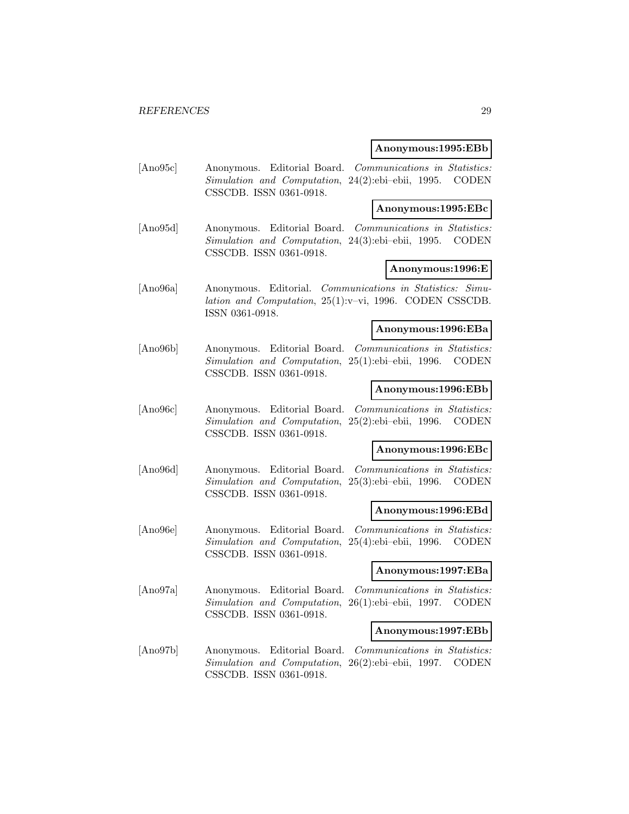#### **Anonymous:1995:EBb**

[Ano95c] Anonymous. Editorial Board. Communications in Statistics: Simulation and Computation, 24(2):ebi–ebii, 1995. CODEN CSSCDB. ISSN 0361-0918.

## **Anonymous:1995:EBc**

[Ano95d] Anonymous. Editorial Board. Communications in Statistics: Simulation and Computation, 24(3):ebi–ebii, 1995. CODEN CSSCDB. ISSN 0361-0918.

#### **Anonymous:1996:E**

[Ano96a] Anonymous. Editorial. Communications in Statistics: Simulation and Computation, 25(1):v–vi, 1996. CODEN CSSCDB. ISSN 0361-0918.

## **Anonymous:1996:EBa**

[Ano96b] Anonymous. Editorial Board. Communications in Statistics: Simulation and Computation, 25(1):ebi–ebii, 1996. CODEN CSSCDB. ISSN 0361-0918.

#### **Anonymous:1996:EBb**

[Ano96c] Anonymous. Editorial Board. Communications in Statistics: Simulation and Computation, 25(2):ebi–ebii, 1996. CODEN CSSCDB. ISSN 0361-0918.

#### **Anonymous:1996:EBc**

[Ano96d] Anonymous. Editorial Board. Communications in Statistics: Simulation and Computation, 25(3):ebi–ebii, 1996. CODEN CSSCDB. ISSN 0361-0918.

## **Anonymous:1996:EBd**

[Ano96e] Anonymous. Editorial Board. Communications in Statistics: Simulation and Computation, 25(4):ebi–ebii, 1996. CODEN CSSCDB. ISSN 0361-0918.

## **Anonymous:1997:EBa**

[Ano97a] Anonymous. Editorial Board. Communications in Statistics: Simulation and Computation, 26(1):ebi–ebii, 1997. CODEN CSSCDB. ISSN 0361-0918.

#### **Anonymous:1997:EBb**

[Ano97b] Anonymous. Editorial Board. Communications in Statistics: Simulation and Computation, 26(2):ebi–ebii, 1997. CODEN CSSCDB. ISSN 0361-0918.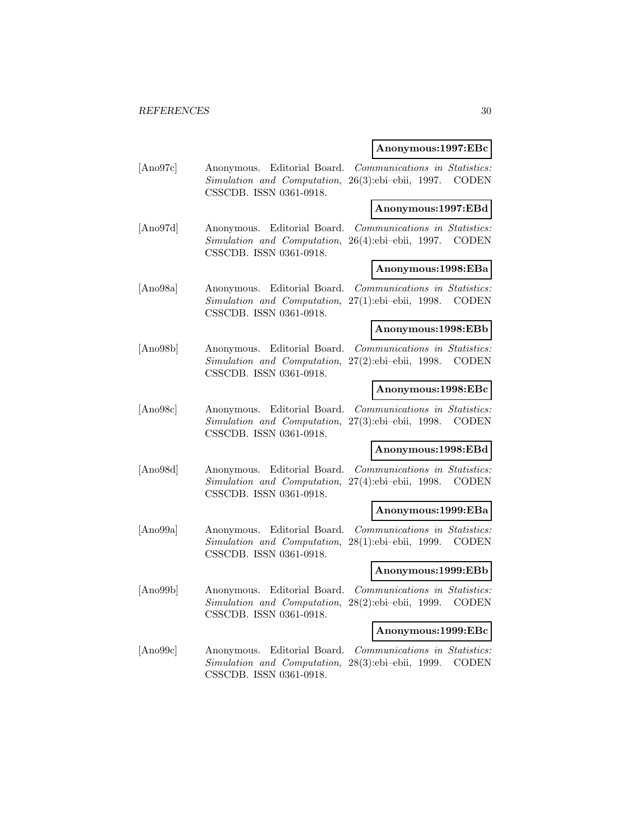#### **Anonymous:1997:EBc**

[Ano97c] Anonymous. Editorial Board. Communications in Statistics: Simulation and Computation, 26(3):ebi–ebii, 1997. CODEN CSSCDB. ISSN 0361-0918.

#### **Anonymous:1997:EBd**

[Ano97d] Anonymous. Editorial Board. Communications in Statistics: Simulation and Computation, 26(4):ebi–ebii, 1997. CODEN CSSCDB. ISSN 0361-0918.

## **Anonymous:1998:EBa**

[Ano98a] Anonymous. Editorial Board. Communications in Statistics: Simulation and Computation, 27(1):ebi–ebii, 1998. CODEN CSSCDB. ISSN 0361-0918.

## **Anonymous:1998:EBb**

[Ano98b] Anonymous. Editorial Board. Communications in Statistics: Simulation and Computation, 27(2):ebi–ebii, 1998. CODEN CSSCDB. ISSN 0361-0918.

## **Anonymous:1998:EBc**

[Ano98c] Anonymous. Editorial Board. Communications in Statistics: Simulation and Computation, 27(3):ebi–ebii, 1998. CODEN CSSCDB. ISSN 0361-0918.

#### **Anonymous:1998:EBd**

[Ano98d] Anonymous. Editorial Board. Communications in Statistics: Simulation and Computation, 27(4):ebi–ebii, 1998. CODEN CSSCDB. ISSN 0361-0918.

## **Anonymous:1999:EBa**

[Ano99a] Anonymous. Editorial Board. Communications in Statistics: Simulation and Computation, 28(1):ebi–ebii, 1999. CODEN CSSCDB. ISSN 0361-0918.

#### **Anonymous:1999:EBb**

[Ano99b] Anonymous. Editorial Board. Communications in Statistics: Simulation and Computation, 28(2):ebi–ebii, 1999. CODEN CSSCDB. ISSN 0361-0918.

## **Anonymous:1999:EBc**

[Ano99c] Anonymous. Editorial Board. Communications in Statistics: Simulation and Computation, 28(3):ebi–ebii, 1999. CODEN CSSCDB. ISSN 0361-0918.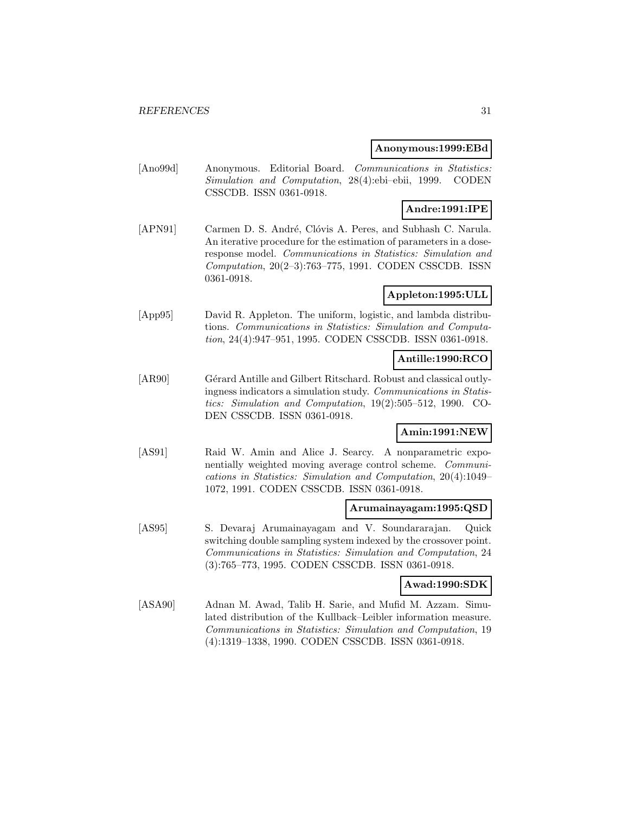#### **Anonymous:1999:EBd**

[Ano99d] Anonymous. Editorial Board. Communications in Statistics: Simulation and Computation, 28(4):ebi–ebii, 1999. CODEN CSSCDB. ISSN 0361-0918.

# **Andre:1991:IPE**

[APN91] Carmen D. S. André, Clóvis A. Peres, and Subhash C. Narula. An iterative procedure for the estimation of parameters in a doseresponse model. Communications in Statistics: Simulation and Computation, 20(2–3):763–775, 1991. CODEN CSSCDB. ISSN 0361-0918.

# **Appleton:1995:ULL**

[App95] David R. Appleton. The uniform, logistic, and lambda distributions. Communications in Statistics: Simulation and Computation, 24(4):947–951, 1995. CODEN CSSCDB. ISSN 0361-0918.

## **Antille:1990:RCO**

[AR90] Gérard Antille and Gilbert Ritschard. Robust and classical outlyingness indicators a simulation study. Communications in Statistics: Simulation and Computation, 19(2):505–512, 1990. CO-DEN CSSCDB. ISSN 0361-0918.

## **Amin:1991:NEW**

[AS91] Raid W. Amin and Alice J. Searcy. A nonparametric exponentially weighted moving average control scheme. Communications in Statistics: Simulation and Computation, 20(4):1049– 1072, 1991. CODEN CSSCDB. ISSN 0361-0918.

## **Arumainayagam:1995:QSD**

[AS95] S. Devaraj Arumainayagam and V. Soundararajan. Quick switching double sampling system indexed by the crossover point. Communications in Statistics: Simulation and Computation, 24 (3):765–773, 1995. CODEN CSSCDB. ISSN 0361-0918.

#### **Awad:1990:SDK**

[ASA90] Adnan M. Awad, Talib H. Sarie, and Mufid M. Azzam. Simulated distribution of the Kullback–Leibler information measure. Communications in Statistics: Simulation and Computation, 19 (4):1319–1338, 1990. CODEN CSSCDB. ISSN 0361-0918.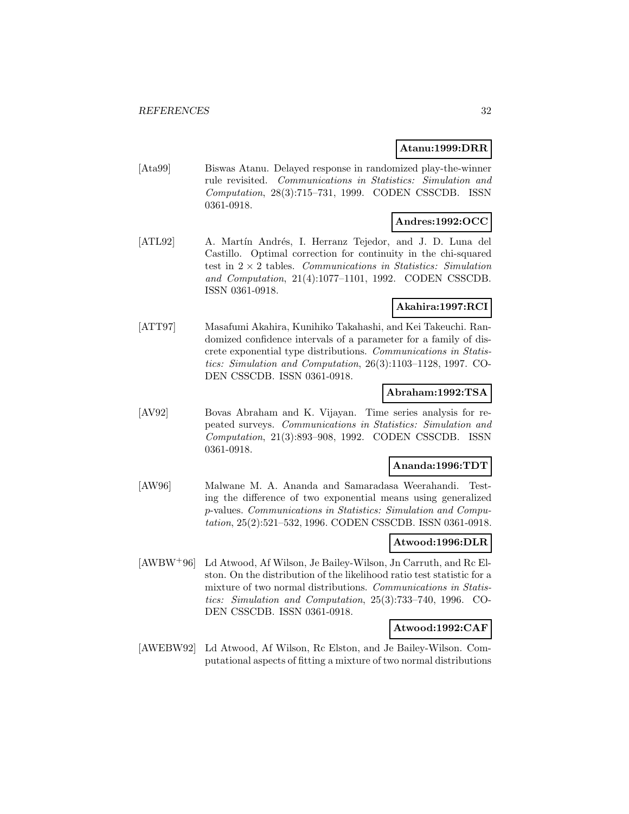## **Atanu:1999:DRR**

[Ata99] Biswas Atanu. Delayed response in randomized play-the-winner rule revisited. Communications in Statistics: Simulation and Computation, 28(3):715–731, 1999. CODEN CSSCDB. ISSN 0361-0918.

# **Andres:1992:OCC**

[ATL92] A. Martín Andrés, I. Herranz Tejedor, and J. D. Luna del Castillo. Optimal correction for continuity in the chi-squared test in  $2 \times 2$  tables. Communications in Statistics: Simulation and Computation, 21(4):1077–1101, 1992. CODEN CSSCDB. ISSN 0361-0918.

# **Akahira:1997:RCI**

[ATT97] Masafumi Akahira, Kunihiko Takahashi, and Kei Takeuchi. Randomized confidence intervals of a parameter for a family of discrete exponential type distributions. Communications in Statistics: Simulation and Computation, 26(3):1103–1128, 1997. CO-DEN CSSCDB. ISSN 0361-0918.

## **Abraham:1992:TSA**

[AV92] Bovas Abraham and K. Vijayan. Time series analysis for repeated surveys. Communications in Statistics: Simulation and Computation, 21(3):893–908, 1992. CODEN CSSCDB. ISSN 0361-0918.

#### **Ananda:1996:TDT**

[AW96] Malwane M. A. Ananda and Samaradasa Weerahandi. Testing the difference of two exponential means using generalized p-values. Communications in Statistics: Simulation and Computation, 25(2):521–532, 1996. CODEN CSSCDB. ISSN 0361-0918.

## **Atwood:1996:DLR**

[AWBW<sup>+</sup>96] Ld Atwood, Af Wilson, Je Bailey-Wilson, Jn Carruth, and Rc Elston. On the distribution of the likelihood ratio test statistic for a mixture of two normal distributions. Communications in Statistics: Simulation and Computation, 25(3):733–740, 1996. CO-DEN CSSCDB. ISSN 0361-0918.

## **Atwood:1992:CAF**

[AWEBW92] Ld Atwood, Af Wilson, Rc Elston, and Je Bailey-Wilson. Computational aspects of fitting a mixture of two normal distributions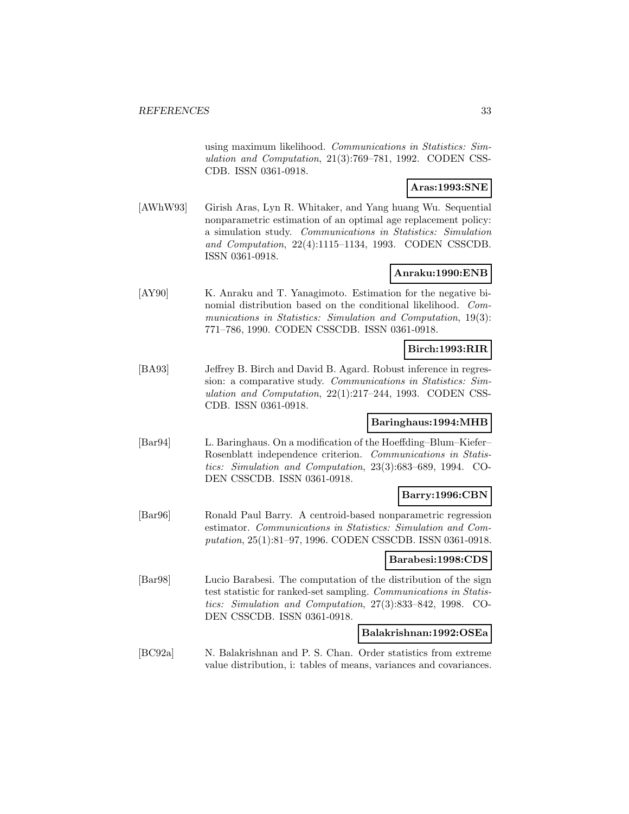using maximum likelihood. Communications in Statistics: Simulation and Computation, 21(3):769–781, 1992. CODEN CSS-CDB. ISSN 0361-0918.

## **Aras:1993:SNE**

[AWhW93] Girish Aras, Lyn R. Whitaker, and Yang huang Wu. Sequential nonparametric estimation of an optimal age replacement policy: a simulation study. Communications in Statistics: Simulation and Computation, 22(4):1115–1134, 1993. CODEN CSSCDB. ISSN 0361-0918.

# **Anraku:1990:ENB**

[AY90] K. Anraku and T. Yanagimoto. Estimation for the negative binomial distribution based on the conditional likelihood. Communications in Statistics: Simulation and Computation, 19(3): 771–786, 1990. CODEN CSSCDB. ISSN 0361-0918.

#### **Birch:1993:RIR**

[BA93] Jeffrey B. Birch and David B. Agard. Robust inference in regression: a comparative study. Communications in Statistics: Simulation and Computation, 22(1):217–244, 1993. CODEN CSS-CDB. ISSN 0361-0918.

## **Baringhaus:1994:MHB**

[Bar94] L. Baringhaus. On a modification of the Hoeffding–Blum–Kiefer– Rosenblatt independence criterion. Communications in Statistics: Simulation and Computation, 23(3):683–689, 1994. CO-DEN CSSCDB. ISSN 0361-0918.

#### **Barry:1996:CBN**

[Bar96] Ronald Paul Barry. A centroid-based nonparametric regression estimator. Communications in Statistics: Simulation and Computation, 25(1):81–97, 1996. CODEN CSSCDB. ISSN 0361-0918.

#### **Barabesi:1998:CDS**

[Bar98] Lucio Barabesi. The computation of the distribution of the sign test statistic for ranked-set sampling. Communications in Statistics: Simulation and Computation, 27(3):833–842, 1998. CO-DEN CSSCDB. ISSN 0361-0918.

#### **Balakrishnan:1992:OSEa**

[BC92a] N. Balakrishnan and P. S. Chan. Order statistics from extreme value distribution, i: tables of means, variances and covariances.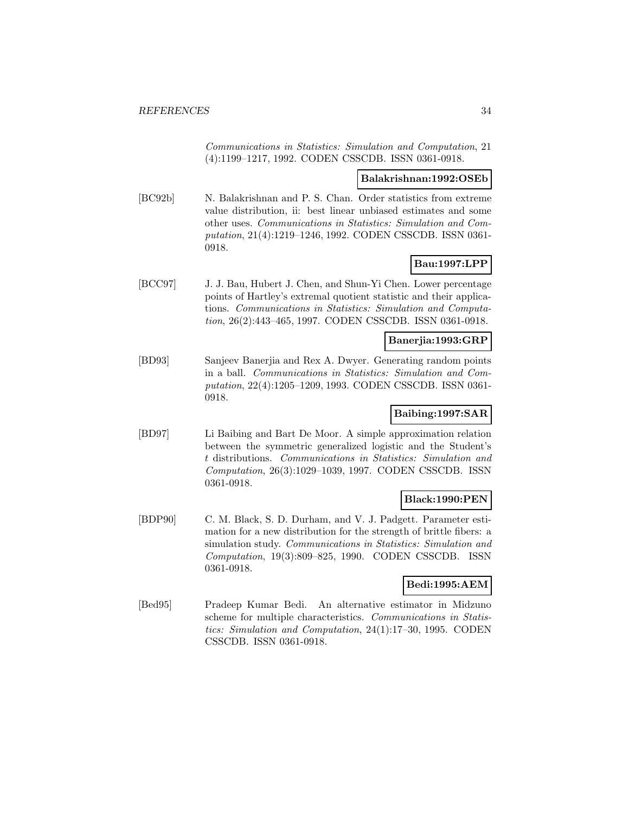Communications in Statistics: Simulation and Computation, 21 (4):1199–1217, 1992. CODEN CSSCDB. ISSN 0361-0918.

#### **Balakrishnan:1992:OSEb**

[BC92b] N. Balakrishnan and P. S. Chan. Order statistics from extreme value distribution, ii: best linear unbiased estimates and some other uses. Communications in Statistics: Simulation and Computation, 21(4):1219–1246, 1992. CODEN CSSCDB. ISSN 0361- 0918.

# **Bau:1997:LPP**

[BCC97] J. J. Bau, Hubert J. Chen, and Shun-Yi Chen. Lower percentage points of Hartley's extremal quotient statistic and their applications. Communications in Statistics: Simulation and Computation, 26(2):443–465, 1997. CODEN CSSCDB. ISSN 0361-0918.

## **Banerjia:1993:GRP**

[BD93] Sanjeev Banerjia and Rex A. Dwyer. Generating random points in a ball. Communications in Statistics: Simulation and Computation, 22(4):1205–1209, 1993. CODEN CSSCDB. ISSN 0361- 0918.

## **Baibing:1997:SAR**

[BD97] Li Baibing and Bart De Moor. A simple approximation relation between the symmetric generalized logistic and the Student's t distributions. Communications in Statistics: Simulation and Computation, 26(3):1029–1039, 1997. CODEN CSSCDB. ISSN 0361-0918.

## **Black:1990:PEN**

[BDP90] C. M. Black, S. D. Durham, and V. J. Padgett. Parameter estimation for a new distribution for the strength of brittle fibers: a simulation study. Communications in Statistics: Simulation and Computation, 19(3):809–825, 1990. CODEN CSSCDB. ISSN 0361-0918.

#### **Bedi:1995:AEM**

[Bed95] Pradeep Kumar Bedi. An alternative estimator in Midzuno scheme for multiple characteristics. Communications in Statistics: Simulation and Computation, 24(1):17–30, 1995. CODEN CSSCDB. ISSN 0361-0918.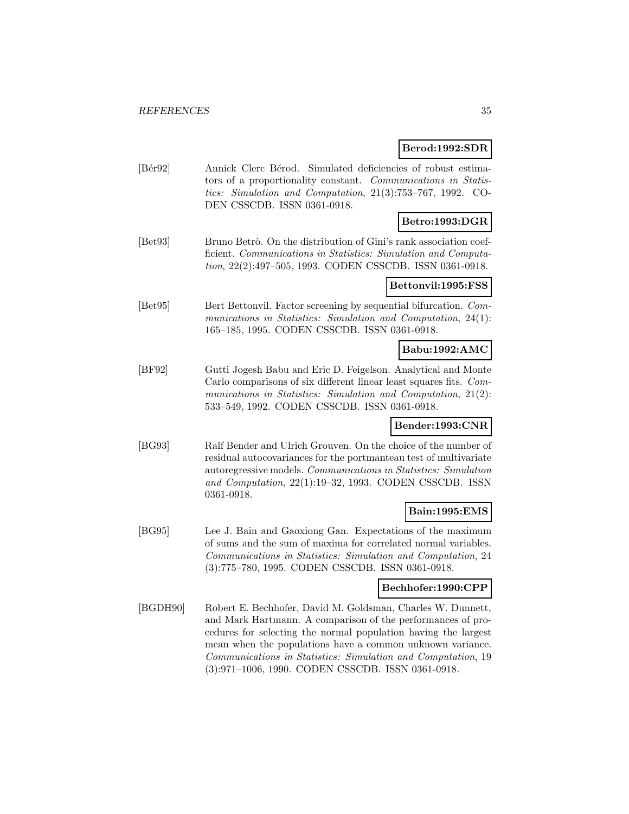## **Berod:1992:SDR**

[Bér92] Annick Clerc Bérod. Simulated deficiencies of robust estimators of a proportionality constant. Communications in Statistics: Simulation and Computation, 21(3):753–767, 1992. CO-DEN CSSCDB. ISSN 0361-0918.

# **Betro:1993:DGR**

[Bet93] Bruno Betrò. On the distribution of Gini's rank association coefficient. Communications in Statistics: Simulation and Computation, 22(2):497–505, 1993. CODEN CSSCDB. ISSN 0361-0918.

## **Bettonvil:1995:FSS**

[Bet95] Bert Bettonvil. Factor screening by sequential bifurcation. Communications in Statistics: Simulation and Computation, 24(1): 165–185, 1995. CODEN CSSCDB. ISSN 0361-0918.

## **Babu:1992:AMC**

[BF92] Gutti Jogesh Babu and Eric D. Feigelson. Analytical and Monte Carlo comparisons of six different linear least squares fits. Communications in Statistics: Simulation and Computation, 21(2): 533–549, 1992. CODEN CSSCDB. ISSN 0361-0918.

## **Bender:1993:CNR**

[BG93] Ralf Bender and Ulrich Grouven. On the choice of the number of residual autocovariances for the portmanteau test of multivariate autoregressive models. Communications in Statistics: Simulation and Computation, 22(1):19–32, 1993. CODEN CSSCDB. ISSN 0361-0918.

## **Bain:1995:EMS**

[BG95] Lee J. Bain and Gaoxiong Gan. Expectations of the maximum of sums and the sum of maxima for correlated normal variables. Communications in Statistics: Simulation and Computation, 24 (3):775–780, 1995. CODEN CSSCDB. ISSN 0361-0918.

#### **Bechhofer:1990:CPP**

[BGDH90] Robert E. Bechhofer, David M. Goldsman, Charles W. Dunnett, and Mark Hartmann. A comparison of the performances of procedures for selecting the normal population having the largest mean when the populations have a common unknown variance. Communications in Statistics: Simulation and Computation, 19 (3):971–1006, 1990. CODEN CSSCDB. ISSN 0361-0918.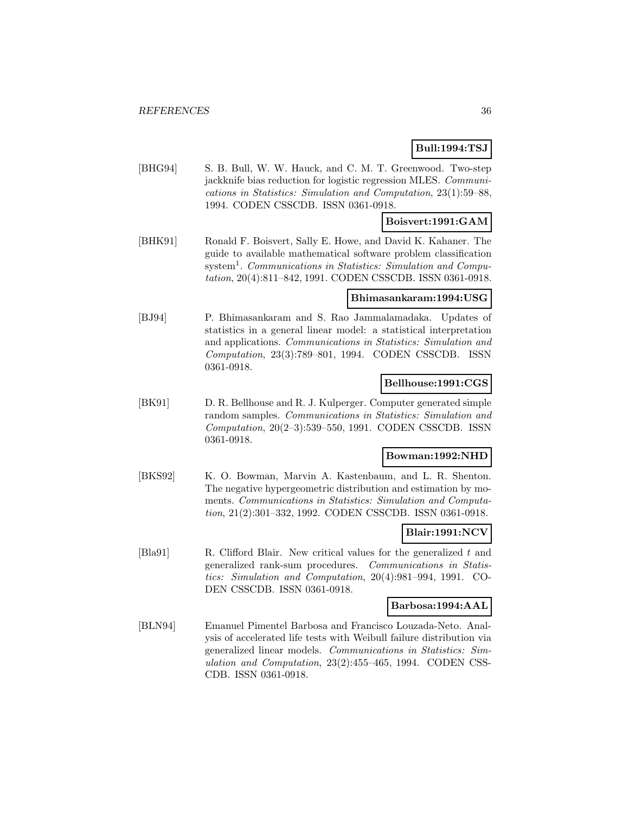# **Bull:1994:TSJ**

[BHG94] S. B. Bull, W. W. Hauck, and C. M. T. Greenwood. Two-step jackknife bias reduction for logistic regression MLES. Communications in Statistics: Simulation and Computation, 23(1):59–88, 1994. CODEN CSSCDB. ISSN 0361-0918.

## **Boisvert:1991:GAM**

[BHK91] Ronald F. Boisvert, Sally E. Howe, and David K. Kahaner. The guide to available mathematical software problem classification system<sup>1</sup>. Communications in Statistics: Simulation and Computation, 20(4):811–842, 1991. CODEN CSSCDB. ISSN 0361-0918.

## **Bhimasankaram:1994:USG**

[BJ94] P. Bhimasankaram and S. Rao Jammalamadaka. Updates of statistics in a general linear model: a statistical interpretation and applications. Communications in Statistics: Simulation and Computation, 23(3):789–801, 1994. CODEN CSSCDB. ISSN 0361-0918.

## **Bellhouse:1991:CGS**

[BK91] D. R. Bellhouse and R. J. Kulperger. Computer generated simple random samples. Communications in Statistics: Simulation and Computation, 20(2–3):539–550, 1991. CODEN CSSCDB. ISSN 0361-0918.

## **Bowman:1992:NHD**

[BKS92] K. O. Bowman, Marvin A. Kastenbaum, and L. R. Shenton. The negative hypergeometric distribution and estimation by moments. Communications in Statistics: Simulation and Computation, 21(2):301–332, 1992. CODEN CSSCDB. ISSN 0361-0918.

## **Blair:1991:NCV**

[Bla91] R. Clifford Blair. New critical values for the generalized t and generalized rank-sum procedures. Communications in Statistics: Simulation and Computation, 20(4):981–994, 1991. CO-DEN CSSCDB. ISSN 0361-0918.

#### **Barbosa:1994:AAL**

[BLN94] Emanuel Pimentel Barbosa and Francisco Louzada-Neto. Analysis of accelerated life tests with Weibull failure distribution via generalized linear models. Communications in Statistics: Simulation and Computation, 23(2):455–465, 1994. CODEN CSS-CDB. ISSN 0361-0918.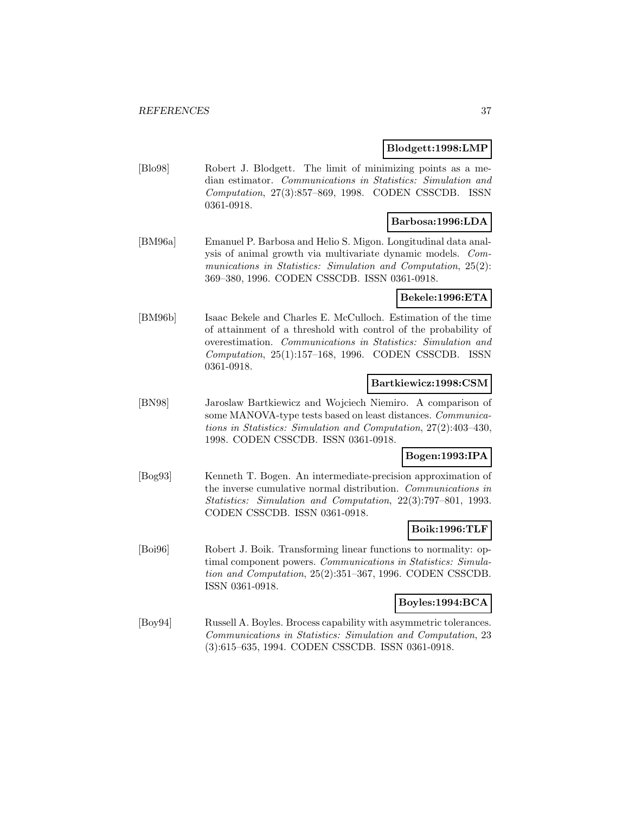### **Blodgett:1998:LMP**

[Blo98] Robert J. Blodgett. The limit of minimizing points as a median estimator. Communications in Statistics: Simulation and Computation, 27(3):857–869, 1998. CODEN CSSCDB. ISSN 0361-0918.

## **Barbosa:1996:LDA**

[BM96a] Emanuel P. Barbosa and Helio S. Migon. Longitudinal data analysis of animal growth via multivariate dynamic models. Communications in Statistics: Simulation and Computation, 25(2): 369–380, 1996. CODEN CSSCDB. ISSN 0361-0918.

### **Bekele:1996:ETA**

[BM96b] Isaac Bekele and Charles E. McCulloch. Estimation of the time of attainment of a threshold with control of the probability of overestimation. Communications in Statistics: Simulation and Computation, 25(1):157–168, 1996. CODEN CSSCDB. ISSN 0361-0918.

### **Bartkiewicz:1998:CSM**

[BN98] Jaroslaw Bartkiewicz and Wojciech Niemiro. A comparison of some MANOVA-type tests based on least distances. Communications in Statistics: Simulation and Computation, 27(2):403–430, 1998. CODEN CSSCDB. ISSN 0361-0918.

## **Bogen:1993:IPA**

[Bog93] Kenneth T. Bogen. An intermediate-precision approximation of the inverse cumulative normal distribution. Communications in Statistics: Simulation and Computation, 22(3):797–801, 1993. CODEN CSSCDB. ISSN 0361-0918.

### **Boik:1996:TLF**

[Boi96] Robert J. Boik. Transforming linear functions to normality: optimal component powers. Communications in Statistics: Simulation and Computation, 25(2):351–367, 1996. CODEN CSSCDB. ISSN 0361-0918.

#### **Boyles:1994:BCA**

[Boy94] Russell A. Boyles. Brocess capability with asymmetric tolerances. Communications in Statistics: Simulation and Computation, 23 (3):615–635, 1994. CODEN CSSCDB. ISSN 0361-0918.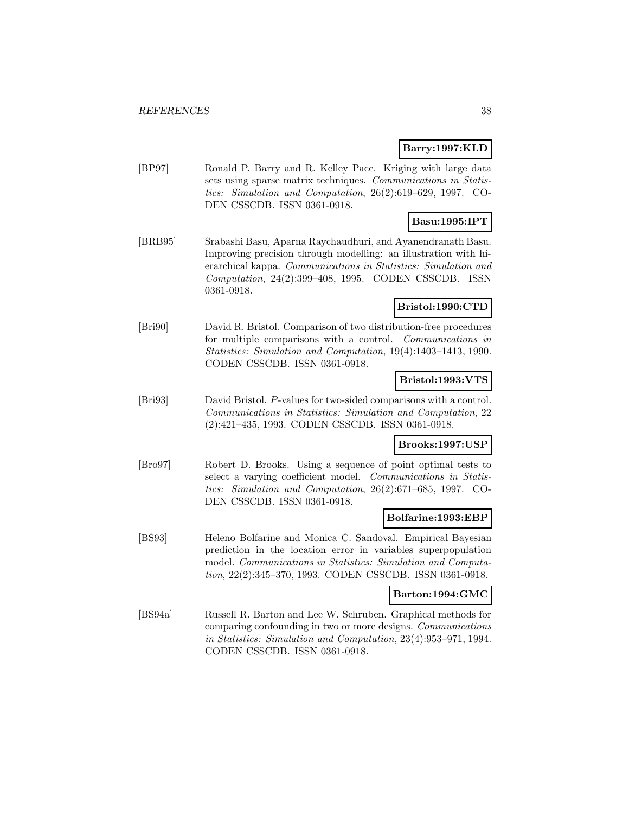## **Barry:1997:KLD**

[BP97] Ronald P. Barry and R. Kelley Pace. Kriging with large data sets using sparse matrix techniques. Communications in Statistics: Simulation and Computation, 26(2):619–629, 1997. CO-DEN CSSCDB. ISSN 0361-0918.

# **Basu:1995:IPT**

[BRB95] Srabashi Basu, Aparna Raychaudhuri, and Ayanendranath Basu. Improving precision through modelling: an illustration with hierarchical kappa. Communications in Statistics: Simulation and Computation, 24(2):399–408, 1995. CODEN CSSCDB. ISSN 0361-0918.

## **Bristol:1990:CTD**

[Bri90] David R. Bristol. Comparison of two distribution-free procedures for multiple comparisons with a control. Communications in Statistics: Simulation and Computation, 19(4):1403–1413, 1990. CODEN CSSCDB. ISSN 0361-0918.

## **Bristol:1993:VTS**

[Bri93] David Bristol. P-values for two-sided comparisons with a control. Communications in Statistics: Simulation and Computation, 22 (2):421–435, 1993. CODEN CSSCDB. ISSN 0361-0918.

## **Brooks:1997:USP**

[Bro97] Robert D. Brooks. Using a sequence of point optimal tests to select a varying coefficient model. Communications in Statistics: Simulation and Computation, 26(2):671–685, 1997. CO-DEN CSSCDB. ISSN 0361-0918.

## **Bolfarine:1993:EBP**

[BS93] Heleno Bolfarine and Monica C. Sandoval. Empirical Bayesian prediction in the location error in variables superpopulation model. Communications in Statistics: Simulation and Computation, 22(2):345–370, 1993. CODEN CSSCDB. ISSN 0361-0918.

### **Barton:1994:GMC**

[BS94a] Russell R. Barton and Lee W. Schruben. Graphical methods for comparing confounding in two or more designs. Communications in Statistics: Simulation and Computation, 23(4):953–971, 1994. CODEN CSSCDB. ISSN 0361-0918.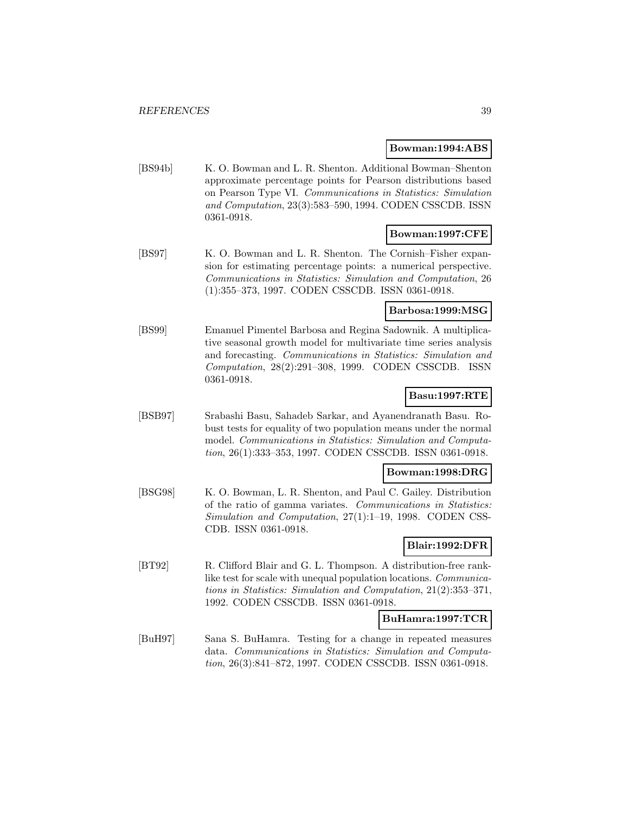#### **Bowman:1994:ABS**

[BS94b] K. O. Bowman and L. R. Shenton. Additional Bowman–Shenton approximate percentage points for Pearson distributions based on Pearson Type VI. Communications in Statistics: Simulation and Computation, 23(3):583–590, 1994. CODEN CSSCDB. ISSN 0361-0918.

### **Bowman:1997:CFE**

[BS97] K. O. Bowman and L. R. Shenton. The Cornish–Fisher expansion for estimating percentage points: a numerical perspective. Communications in Statistics: Simulation and Computation, 26 (1):355–373, 1997. CODEN CSSCDB. ISSN 0361-0918.

### **Barbosa:1999:MSG**

[BS99] Emanuel Pimentel Barbosa and Regina Sadownik. A multiplicative seasonal growth model for multivariate time series analysis and forecasting. Communications in Statistics: Simulation and Computation, 28(2):291–308, 1999. CODEN CSSCDB. ISSN 0361-0918.

### **Basu:1997:RTE**

[BSB97] Srabashi Basu, Sahadeb Sarkar, and Ayanendranath Basu. Robust tests for equality of two population means under the normal model. Communications in Statistics: Simulation and Computation, 26(1):333–353, 1997. CODEN CSSCDB. ISSN 0361-0918.

### **Bowman:1998:DRG**

[BSG98] K. O. Bowman, L. R. Shenton, and Paul C. Gailey. Distribution of the ratio of gamma variates. Communications in Statistics: Simulation and Computation, 27(1):1–19, 1998. CODEN CSS-CDB. ISSN 0361-0918.

### **Blair:1992:DFR**

[BT92] R. Clifford Blair and G. L. Thompson. A distribution-free ranklike test for scale with unequal population locations. Communications in Statistics: Simulation and Computation, 21(2):353–371, 1992. CODEN CSSCDB. ISSN 0361-0918.

### **BuHamra:1997:TCR**

[BuH97] Sana S. BuHamra. Testing for a change in repeated measures data. Communications in Statistics: Simulation and Computation, 26(3):841–872, 1997. CODEN CSSCDB. ISSN 0361-0918.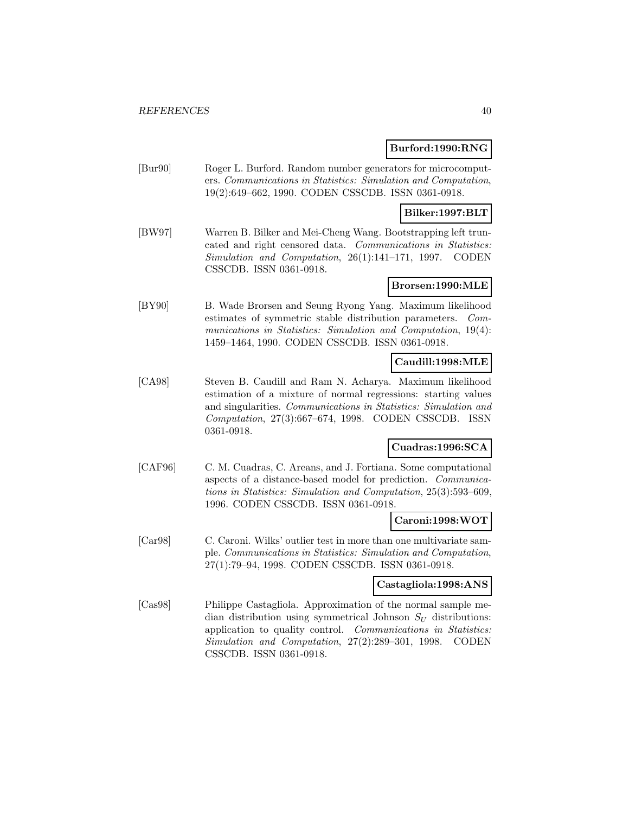### **Burford:1990:RNG**

[Bur90] Roger L. Burford. Random number generators for microcomputers. Communications in Statistics: Simulation and Computation, 19(2):649–662, 1990. CODEN CSSCDB. ISSN 0361-0918.

# **Bilker:1997:BLT**

[BW97] Warren B. Bilker and Mei-Cheng Wang. Bootstrapping left truncated and right censored data. Communications in Statistics: Simulation and Computation, 26(1):141–171, 1997. CODEN CSSCDB. ISSN 0361-0918.

## **Brorsen:1990:MLE**

[BY90] B. Wade Brorsen and Seung Ryong Yang. Maximum likelihood estimates of symmetric stable distribution parameters. Communications in Statistics: Simulation and Computation, 19(4): 1459–1464, 1990. CODEN CSSCDB. ISSN 0361-0918.

## **Caudill:1998:MLE**

[CA98] Steven B. Caudill and Ram N. Acharya. Maximum likelihood estimation of a mixture of normal regressions: starting values and singularities. Communications in Statistics: Simulation and Computation, 27(3):667–674, 1998. CODEN CSSCDB. ISSN 0361-0918.

# **Cuadras:1996:SCA**

[CAF96] C. M. Cuadras, C. Areans, and J. Fortiana. Some computational aspects of a distance-based model for prediction. Communications in Statistics: Simulation and Computation, 25(3):593–609, 1996. CODEN CSSCDB. ISSN 0361-0918.

### **Caroni:1998:WOT**

[Car98] C. Caroni. Wilks' outlier test in more than one multivariate sample. Communications in Statistics: Simulation and Computation, 27(1):79–94, 1998. CODEN CSSCDB. ISSN 0361-0918.

#### **Castagliola:1998:ANS**

[Cas98] Philippe Castagliola. Approximation of the normal sample median distribution using symmetrical Johnson  $S_U$  distributions: application to quality control. Communications in Statistics: Simulation and Computation, 27(2):289–301, 1998. CODEN CSSCDB. ISSN 0361-0918.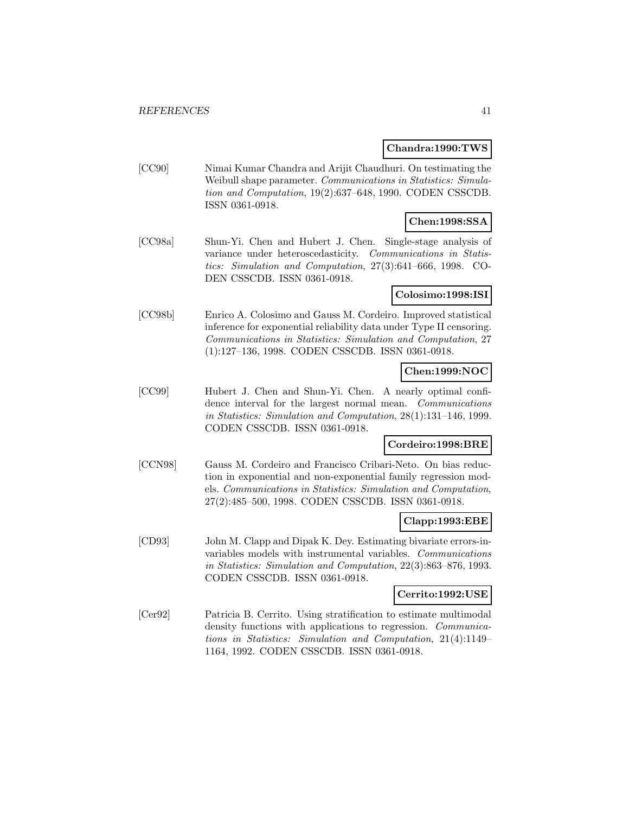#### **Chandra:1990:TWS**

[CC90] Nimai Kumar Chandra and Arijit Chaudhuri. On testimating the Weibull shape parameter. Communications in Statistics: Simulation and Computation, 19(2):637–648, 1990. CODEN CSSCDB. ISSN 0361-0918.

# **Chen:1998:SSA**

[CC98a] Shun-Yi. Chen and Hubert J. Chen. Single-stage analysis of variance under heteroscedasticity. Communications in Statistics: Simulation and Computation, 27(3):641–666, 1998. CO-DEN CSSCDB. ISSN 0361-0918.

## **Colosimo:1998:ISI**

[CC98b] Enrico A. Colosimo and Gauss M. Cordeiro. Improved statistical inference for exponential reliability data under Type II censoring. Communications in Statistics: Simulation and Computation, 27 (1):127–136, 1998. CODEN CSSCDB. ISSN 0361-0918.

# **Chen:1999:NOC**

[CC99] Hubert J. Chen and Shun-Yi. Chen. A nearly optimal confidence interval for the largest normal mean. Communications in Statistics: Simulation and Computation, 28(1):131–146, 1999. CODEN CSSCDB. ISSN 0361-0918.

## **Cordeiro:1998:BRE**

[CCN98] Gauss M. Cordeiro and Francisco Cribari-Neto. On bias reduction in exponential and non-exponential family regression models. Communications in Statistics: Simulation and Computation, 27(2):485–500, 1998. CODEN CSSCDB. ISSN 0361-0918.

### **Clapp:1993:EBE**

[CD93] John M. Clapp and Dipak K. Dey. Estimating bivariate errors-invariables models with instrumental variables. Communications in Statistics: Simulation and Computation, 22(3):863–876, 1993. CODEN CSSCDB. ISSN 0361-0918.

### **Cerrito:1992:USE**

[Cer92] Patricia B. Cerrito. Using stratification to estimate multimodal density functions with applications to regression. Communications in Statistics: Simulation and Computation, 21(4):1149– 1164, 1992. CODEN CSSCDB. ISSN 0361-0918.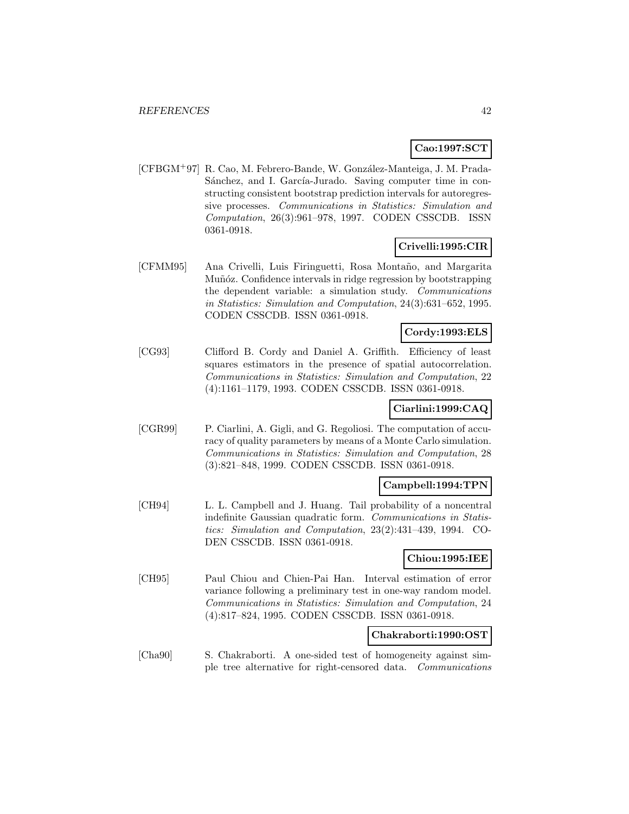## **Cao:1997:SCT**

[CFBGM<sup>+</sup>97] R. Cao, M. Febrero-Bande, W. González-Manteiga, J. M. Prada-Sánchez, and I. García-Jurado. Saving computer time in constructing consistent bootstrap prediction intervals for autoregressive processes. Communications in Statistics: Simulation and Computation, 26(3):961–978, 1997. CODEN CSSCDB. ISSN 0361-0918.

# **Crivelli:1995:CIR**

[CFMM95] Ana Crivelli, Luis Firinguetti, Rosa Montaño, and Margarita Muñóz. Confidence intervals in ridge regression by bootstrapping the dependent variable: a simulation study. Communications in Statistics: Simulation and Computation, 24(3):631–652, 1995. CODEN CSSCDB. ISSN 0361-0918.

### **Cordy:1993:ELS**

[CG93] Clifford B. Cordy and Daniel A. Griffith. Efficiency of least squares estimators in the presence of spatial autocorrelation. Communications in Statistics: Simulation and Computation, 22 (4):1161–1179, 1993. CODEN CSSCDB. ISSN 0361-0918.

## **Ciarlini:1999:CAQ**

[CGR99] P. Ciarlini, A. Gigli, and G. Regoliosi. The computation of accuracy of quality parameters by means of a Monte Carlo simulation. Communications in Statistics: Simulation and Computation, 28 (3):821–848, 1999. CODEN CSSCDB. ISSN 0361-0918.

### **Campbell:1994:TPN**

[CH94] L. L. Campbell and J. Huang. Tail probability of a noncentral indefinite Gaussian quadratic form. Communications in Statistics: Simulation and Computation, 23(2):431–439, 1994. CO-DEN CSSCDB. ISSN 0361-0918.

### **Chiou:1995:IEE**

[CH95] Paul Chiou and Chien-Pai Han. Interval estimation of error variance following a preliminary test in one-way random model. Communications in Statistics: Simulation and Computation, 24 (4):817–824, 1995. CODEN CSSCDB. ISSN 0361-0918.

### **Chakraborti:1990:OST**

[Cha90] S. Chakraborti. A one-sided test of homogeneity against simple tree alternative for right-censored data. Communications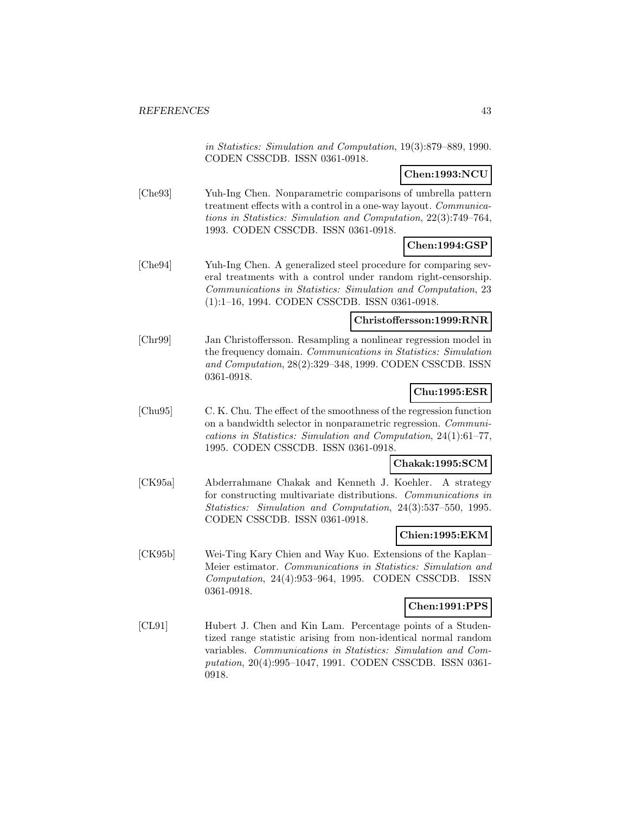in Statistics: Simulation and Computation, 19(3):879–889, 1990. CODEN CSSCDB. ISSN 0361-0918.

## **Chen:1993:NCU**

[Che93] Yuh-Ing Chen. Nonparametric comparisons of umbrella pattern treatment effects with a control in a one-way layout. Communications in Statistics: Simulation and Computation, 22(3):749–764, 1993. CODEN CSSCDB. ISSN 0361-0918.

## **Chen:1994:GSP**

[Che94] Yuh-Ing Chen. A generalized steel procedure for comparing several treatments with a control under random right-censorship. Communications in Statistics: Simulation and Computation, 23 (1):1–16, 1994. CODEN CSSCDB. ISSN 0361-0918.

## **Christoffersson:1999:RNR**

[Chr99] Jan Christoffersson. Resampling a nonlinear regression model in the frequency domain. Communications in Statistics: Simulation and Computation, 28(2):329–348, 1999. CODEN CSSCDB. ISSN 0361-0918.

## **Chu:1995:ESR**

[Chu95] C. K. Chu. The effect of the smoothness of the regression function on a bandwidth selector in nonparametric regression. Communications in Statistics: Simulation and Computation, 24(1):61–77, 1995. CODEN CSSCDB. ISSN 0361-0918.

#### **Chakak:1995:SCM**

[CK95a] Abderrahmane Chakak and Kenneth J. Koehler. A strategy for constructing multivariate distributions. Communications in Statistics: Simulation and Computation, 24(3):537–550, 1995. CODEN CSSCDB. ISSN 0361-0918.

### **Chien:1995:EKM**

[CK95b] Wei-Ting Kary Chien and Way Kuo. Extensions of the Kaplan– Meier estimator. Communications in Statistics: Simulation and Computation, 24(4):953–964, 1995. CODEN CSSCDB. ISSN 0361-0918.

#### **Chen:1991:PPS**

[CL91] Hubert J. Chen and Kin Lam. Percentage points of a Studentized range statistic arising from non-identical normal random variables. Communications in Statistics: Simulation and Computation, 20(4):995–1047, 1991. CODEN CSSCDB. ISSN 0361- 0918.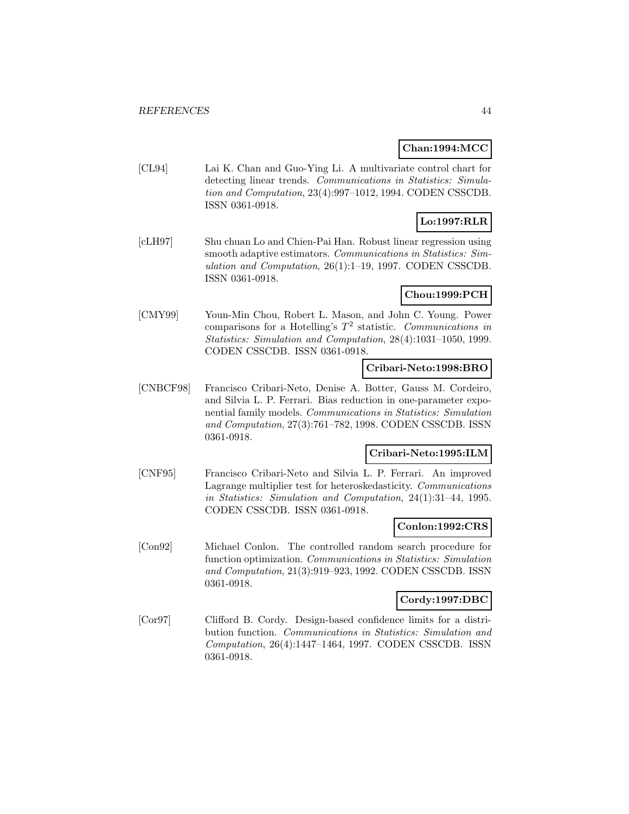### **Chan:1994:MCC**

[CL94] Lai K. Chan and Guo-Ying Li. A multivariate control chart for detecting linear trends. Communications in Statistics: Simulation and Computation, 23(4):997–1012, 1994. CODEN CSSCDB. ISSN 0361-0918.

# **Lo:1997:RLR**

[cLH97] Shu chuan Lo and Chien-Pai Han. Robust linear regression using smooth adaptive estimators. Communications in Statistics: Simulation and Computation, 26(1):1–19, 1997. CODEN CSSCDB. ISSN 0361-0918.

## **Chou:1999:PCH**

[CMY99] Youn-Min Chou, Robert L. Mason, and John C. Young. Power comparisons for a Hotelling's  $T^2$  statistic. Communications in Statistics: Simulation and Computation, 28(4):1031–1050, 1999. CODEN CSSCDB. ISSN 0361-0918.

### **Cribari-Neto:1998:BRO**

[CNBCF98] Francisco Cribari-Neto, Denise A. Botter, Gauss M. Cordeiro, and Silvia L. P. Ferrari. Bias reduction in one-parameter exponential family models. Communications in Statistics: Simulation and Computation, 27(3):761–782, 1998. CODEN CSSCDB. ISSN 0361-0918.

### **Cribari-Neto:1995:ILM**

[CNF95] Francisco Cribari-Neto and Silvia L. P. Ferrari. An improved Lagrange multiplier test for heteroskedasticity. Communications in Statistics: Simulation and Computation, 24(1):31–44, 1995. CODEN CSSCDB. ISSN 0361-0918.

### **Conlon:1992:CRS**

[Con92] Michael Conlon. The controlled random search procedure for function optimization. Communications in Statistics: Simulation and Computation, 21(3):919–923, 1992. CODEN CSSCDB. ISSN 0361-0918.

### **Cordy:1997:DBC**

[Cor97] Clifford B. Cordy. Design-based confidence limits for a distribution function. Communications in Statistics: Simulation and Computation, 26(4):1447–1464, 1997. CODEN CSSCDB. ISSN 0361-0918.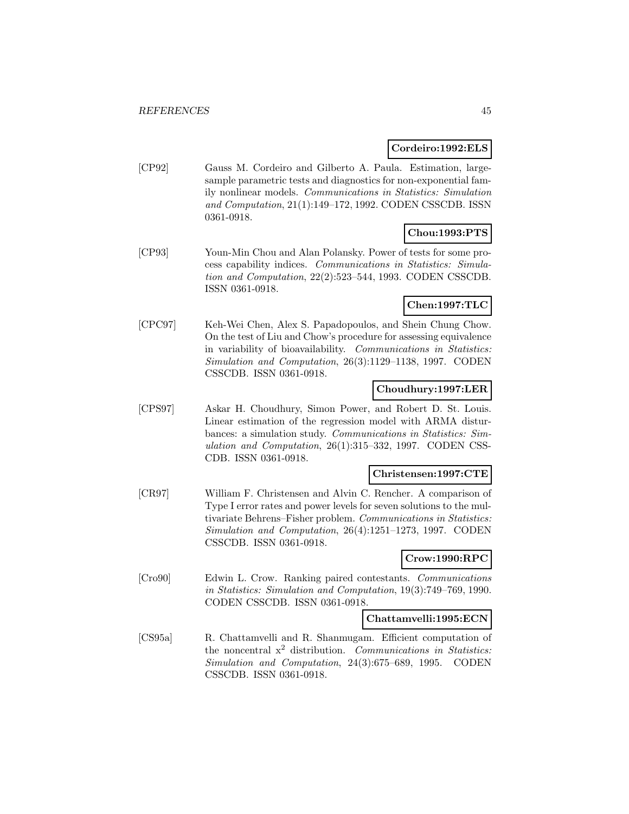### **Cordeiro:1992:ELS**

[CP92] Gauss M. Cordeiro and Gilberto A. Paula. Estimation, largesample parametric tests and diagnostics for non-exponential family nonlinear models. Communications in Statistics: Simulation and Computation, 21(1):149–172, 1992. CODEN CSSCDB. ISSN 0361-0918.

## **Chou:1993:PTS**

[CP93] Youn-Min Chou and Alan Polansky. Power of tests for some process capability indices. Communications in Statistics: Simulation and Computation, 22(2):523–544, 1993. CODEN CSSCDB. ISSN 0361-0918.

# **Chen:1997:TLC**

[CPC97] Keh-Wei Chen, Alex S. Papadopoulos, and Shein Chung Chow. On the test of Liu and Chow's procedure for assessing equivalence in variability of bioavailability. Communications in Statistics: Simulation and Computation, 26(3):1129–1138, 1997. CODEN CSSCDB. ISSN 0361-0918.

### **Choudhury:1997:LER**

[CPS97] Askar H. Choudhury, Simon Power, and Robert D. St. Louis. Linear estimation of the regression model with ARMA disturbances: a simulation study. Communications in Statistics: Simulation and Computation, 26(1):315–332, 1997. CODEN CSS-CDB. ISSN 0361-0918.

## **Christensen:1997:CTE**

[CR97] William F. Christensen and Alvin C. Rencher. A comparison of Type I error rates and power levels for seven solutions to the multivariate Behrens–Fisher problem. Communications in Statistics: Simulation and Computation, 26(4):1251–1273, 1997. CODEN CSSCDB. ISSN 0361-0918.

## **Crow:1990:RPC**

[Cro90] Edwin L. Crow. Ranking paired contestants. Communications in Statistics: Simulation and Computation, 19(3):749–769, 1990. CODEN CSSCDB. ISSN 0361-0918.

### **Chattamvelli:1995:ECN**

[CS95a] R. Chattamvelli and R. Shanmugam. Efficient computation of the noncentral  $x^2$  distribution. Communications in Statistics: Simulation and Computation, 24(3):675–689, 1995. CODEN CSSCDB. ISSN 0361-0918.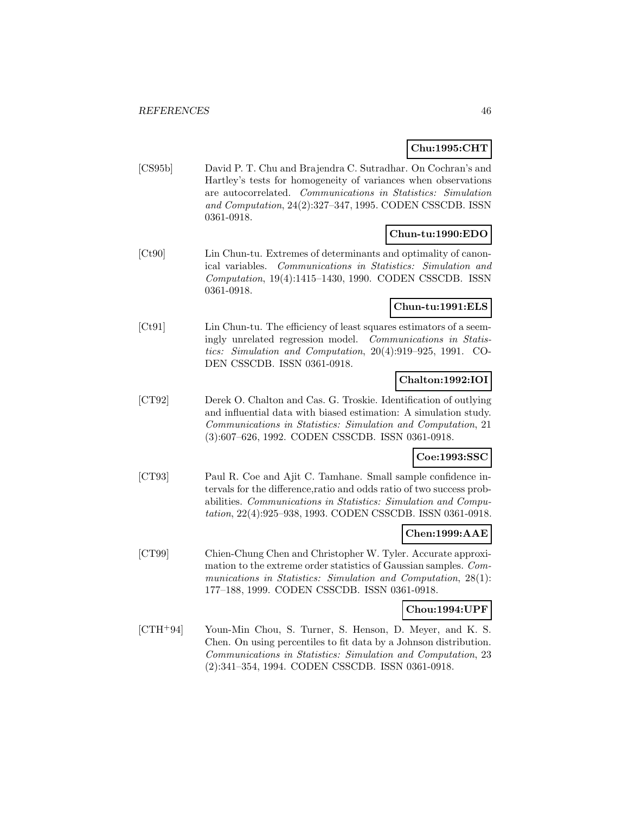# **Chu:1995:CHT**

[CS95b] David P. T. Chu and Brajendra C. Sutradhar. On Cochran's and Hartley's tests for homogeneity of variances when observations are autocorrelated. Communications in Statistics: Simulation and Computation, 24(2):327–347, 1995. CODEN CSSCDB. ISSN 0361-0918.

## **Chun-tu:1990:EDO**

[Ct90] Lin Chun-tu. Extremes of determinants and optimality of canonical variables. Communications in Statistics: Simulation and Computation, 19(4):1415–1430, 1990. CODEN CSSCDB. ISSN 0361-0918.

## **Chun-tu:1991:ELS**

[Ct91] Lin Chun-tu. The efficiency of least squares estimators of a seemingly unrelated regression model. Communications in Statistics: Simulation and Computation, 20(4):919–925, 1991. CO-DEN CSSCDB. ISSN 0361-0918.

## **Chalton:1992:IOI**

[CT92] Derek O. Chalton and Cas. G. Troskie. Identification of outlying and influential data with biased estimation: A simulation study. Communications in Statistics: Simulation and Computation, 21 (3):607–626, 1992. CODEN CSSCDB. ISSN 0361-0918.

# **Coe:1993:SSC**

[CT93] Paul R. Coe and Ajit C. Tamhane. Small sample confidence intervals for the difference,ratio and odds ratio of two success probabilities. Communications in Statistics: Simulation and Computation, 22(4):925–938, 1993. CODEN CSSCDB. ISSN 0361-0918.

## **Chen:1999:AAE**

[CT99] Chien-Chung Chen and Christopher W. Tyler. Accurate approximation to the extreme order statistics of Gaussian samples. Communications in Statistics: Simulation and Computation, 28(1): 177–188, 1999. CODEN CSSCDB. ISSN 0361-0918.

## **Chou:1994:UPF**

[CTH<sup>+</sup>94] Youn-Min Chou, S. Turner, S. Henson, D. Meyer, and K. S. Chen. On using percentiles to fit data by a Johnson distribution. Communications in Statistics: Simulation and Computation, 23 (2):341–354, 1994. CODEN CSSCDB. ISSN 0361-0918.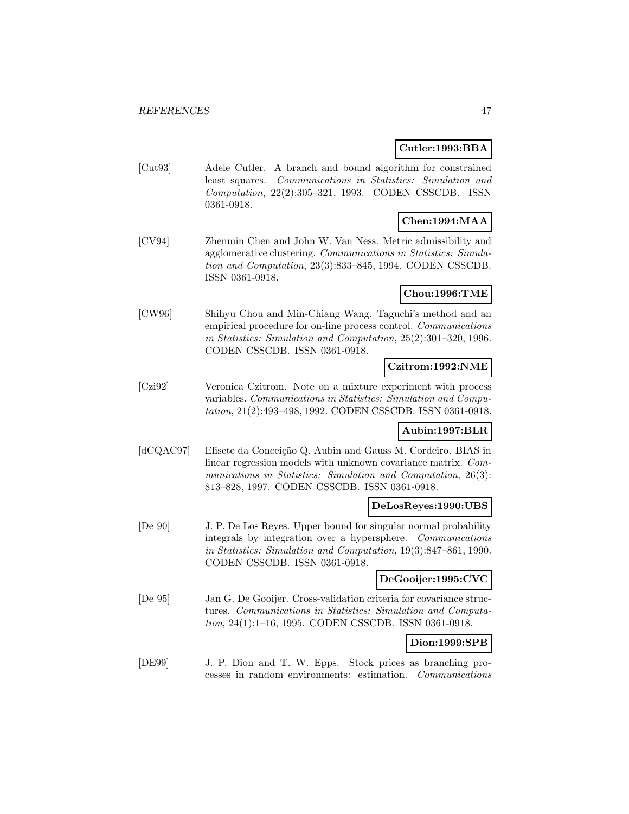### **Cutler:1993:BBA**

[Cut93] Adele Cutler. A branch and bound algorithm for constrained least squares. Communications in Statistics: Simulation and Computation, 22(2):305–321, 1993. CODEN CSSCDB. ISSN 0361-0918.

# **Chen:1994:MAA**

[CV94] Zhenmin Chen and John W. Van Ness. Metric admissibility and agglomerative clustering. Communications in Statistics: Simulation and Computation, 23(3):833–845, 1994. CODEN CSSCDB. ISSN 0361-0918.

# **Chou:1996:TME**

[CW96] Shihyu Chou and Min-Chiang Wang. Taguchi's method and an empirical procedure for on-line process control. Communications in Statistics: Simulation and Computation, 25(2):301–320, 1996. CODEN CSSCDB. ISSN 0361-0918.

### **Czitrom:1992:NME**

[Czi92] Veronica Czitrom. Note on a mixture experiment with process variables. Communications in Statistics: Simulation and Computation, 21(2):493–498, 1992. CODEN CSSCDB. ISSN 0361-0918.

## **Aubin:1997:BLR**

[dCQAC97] Elisete da Conceição Q. Aubin and Gauss M. Cordeiro. BIAS in linear regression models with unknown covariance matrix. Communications in Statistics: Simulation and Computation, 26(3): 813–828, 1997. CODEN CSSCDB. ISSN 0361-0918.

## **DeLosReyes:1990:UBS**

[De 90] J. P. De Los Reyes. Upper bound for singular normal probability integrals by integration over a hypersphere. Communications in Statistics: Simulation and Computation, 19(3):847–861, 1990. CODEN CSSCDB. ISSN 0361-0918.

## **DeGooijer:1995:CVC**

[De 95] Jan G. De Gooijer. Cross-validation criteria for covariance structures. Communications in Statistics: Simulation and Computation, 24(1):1–16, 1995. CODEN CSSCDB. ISSN 0361-0918.

# **Dion:1999:SPB**

[DE99] J. P. Dion and T. W. Epps. Stock prices as branching processes in random environments: estimation. Communications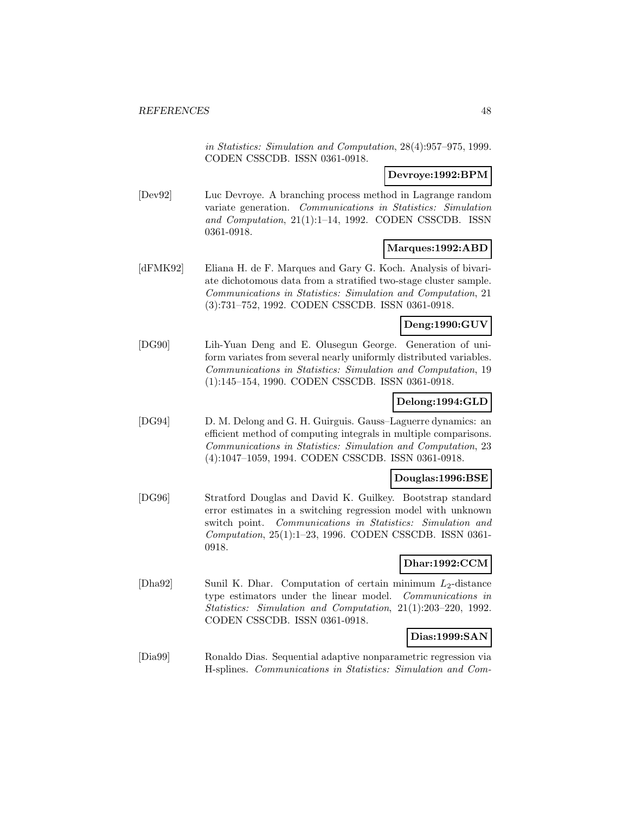in Statistics: Simulation and Computation, 28(4):957–975, 1999. CODEN CSSCDB. ISSN 0361-0918.

### **Devroye:1992:BPM**

[Dev92] Luc Devroye. A branching process method in Lagrange random variate generation. Communications in Statistics: Simulation and Computation, 21(1):1–14, 1992. CODEN CSSCDB. ISSN 0361-0918.

## **Marques:1992:ABD**

[dFMK92] Eliana H. de F. Marques and Gary G. Koch. Analysis of bivariate dichotomous data from a stratified two-stage cluster sample. Communications in Statistics: Simulation and Computation, 21 (3):731–752, 1992. CODEN CSSCDB. ISSN 0361-0918.

## **Deng:1990:GUV**

[DG90] Lih-Yuan Deng and E. Olusegun George. Generation of uniform variates from several nearly uniformly distributed variables. Communications in Statistics: Simulation and Computation, 19 (1):145–154, 1990. CODEN CSSCDB. ISSN 0361-0918.

### **Delong:1994:GLD**

[DG94] D. M. Delong and G. H. Guirguis. Gauss–Laguerre dynamics: an efficient method of computing integrals in multiple comparisons. Communications in Statistics: Simulation and Computation, 23 (4):1047–1059, 1994. CODEN CSSCDB. ISSN 0361-0918.

### **Douglas:1996:BSE**

[DG96] Stratford Douglas and David K. Guilkey. Bootstrap standard error estimates in a switching regression model with unknown switch point. Communications in Statistics: Simulation and Computation, 25(1):1–23, 1996. CODEN CSSCDB. ISSN 0361- 0918.

## **Dhar:1992:CCM**

[Dha92] Sunil K. Dhar. Computation of certain minimum  $L_2$ -distance type estimators under the linear model. Communications in Statistics: Simulation and Computation, 21(1):203–220, 1992. CODEN CSSCDB. ISSN 0361-0918.

# **Dias:1999:SAN**

[Dia99] Ronaldo Dias. Sequential adaptive nonparametric regression via H-splines. Communications in Statistics: Simulation and Com-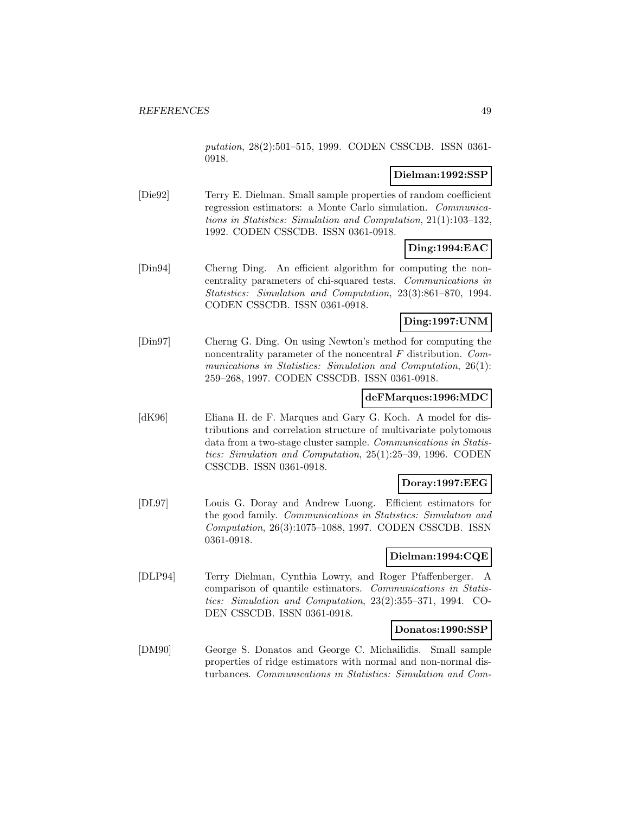putation, 28(2):501–515, 1999. CODEN CSSCDB. ISSN 0361- 0918.

### **Dielman:1992:SSP**

[Die92] Terry E. Dielman. Small sample properties of random coefficient regression estimators: a Monte Carlo simulation. Communications in Statistics: Simulation and Computation, 21(1):103–132, 1992. CODEN CSSCDB. ISSN 0361-0918.

### **Ding:1994:EAC**

[Din94] Cherng Ding. An efficient algorithm for computing the noncentrality parameters of chi-squared tests. Communications in Statistics: Simulation and Computation, 23(3):861–870, 1994. CODEN CSSCDB. ISSN 0361-0918.

# **Ding:1997:UNM**

[Din97] Cherng G. Ding. On using Newton's method for computing the noncentrality parameter of the noncentral  $F$  distribution. Communications in Statistics: Simulation and Computation, 26(1): 259–268, 1997. CODEN CSSCDB. ISSN 0361-0918.

### **deFMarques:1996:MDC**

[dK96] Eliana H. de F. Marques and Gary G. Koch. A model for distributions and correlation structure of multivariate polytomous data from a two-stage cluster sample. Communications in Statistics: Simulation and Computation, 25(1):25–39, 1996. CODEN CSSCDB. ISSN 0361-0918.

## **Doray:1997:EEG**

[DL97] Louis G. Doray and Andrew Luong. Efficient estimators for the good family. Communications in Statistics: Simulation and Computation, 26(3):1075–1088, 1997. CODEN CSSCDB. ISSN 0361-0918.

### **Dielman:1994:CQE**

[DLP94] Terry Dielman, Cynthia Lowry, and Roger Pfaffenberger. A comparison of quantile estimators. Communications in Statistics: Simulation and Computation, 23(2):355–371, 1994. CO-DEN CSSCDB. ISSN 0361-0918.

### **Donatos:1990:SSP**

[DM90] George S. Donatos and George C. Michailidis. Small sample properties of ridge estimators with normal and non-normal disturbances. Communications in Statistics: Simulation and Com-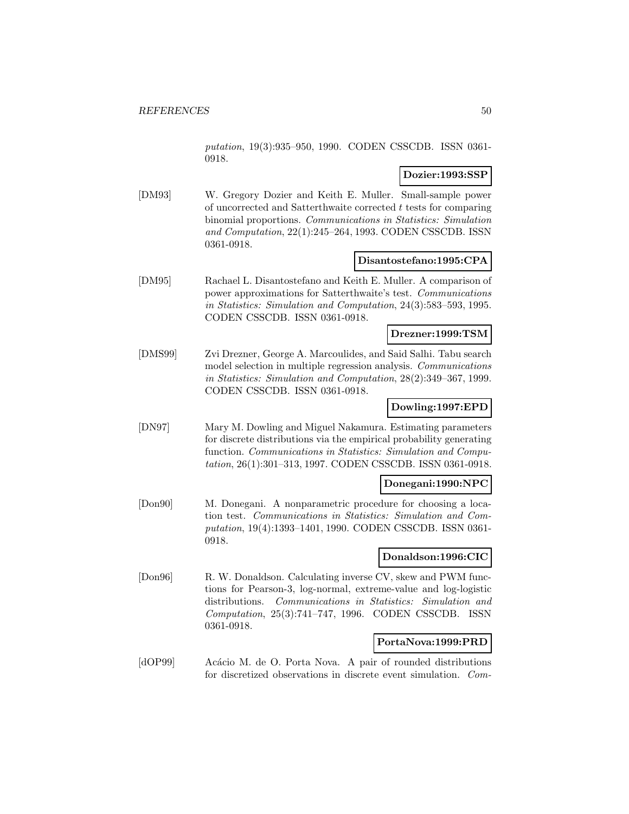putation, 19(3):935–950, 1990. CODEN CSSCDB. ISSN 0361- 0918.

### **Dozier:1993:SSP**

[DM93] W. Gregory Dozier and Keith E. Muller. Small-sample power of uncorrected and Satterthwaite corrected t tests for comparing binomial proportions. Communications in Statistics: Simulation and Computation, 22(1):245–264, 1993. CODEN CSSCDB. ISSN 0361-0918.

### **Disantostefano:1995:CPA**

[DM95] Rachael L. Disantostefano and Keith E. Muller. A comparison of power approximations for Satterthwaite's test. Communications in Statistics: Simulation and Computation, 24(3):583–593, 1995. CODEN CSSCDB. ISSN 0361-0918.

### **Drezner:1999:TSM**

[DMS99] Zvi Drezner, George A. Marcoulides, and Said Salhi. Tabu search model selection in multiple regression analysis. Communications in Statistics: Simulation and Computation, 28(2):349–367, 1999. CODEN CSSCDB. ISSN 0361-0918.

# **Dowling:1997:EPD**

[DN97] Mary M. Dowling and Miguel Nakamura. Estimating parameters for discrete distributions via the empirical probability generating function. Communications in Statistics: Simulation and Computation, 26(1):301–313, 1997. CODEN CSSCDB. ISSN 0361-0918.

## **Donegani:1990:NPC**

[Don90] M. Donegani. A nonparametric procedure for choosing a location test. Communications in Statistics: Simulation and Computation, 19(4):1393–1401, 1990. CODEN CSSCDB. ISSN 0361- 0918.

### **Donaldson:1996:CIC**

[Don96] R. W. Donaldson. Calculating inverse CV, skew and PWM functions for Pearson-3, log-normal, extreme-value and log-logistic distributions. Communications in Statistics: Simulation and Computation, 25(3):741–747, 1996. CODEN CSSCDB. ISSN 0361-0918.

### **PortaNova:1999:PRD**

[dOP99] Acácio M. de O. Porta Nova. A pair of rounded distributions for discretized observations in discrete event simulation. Com-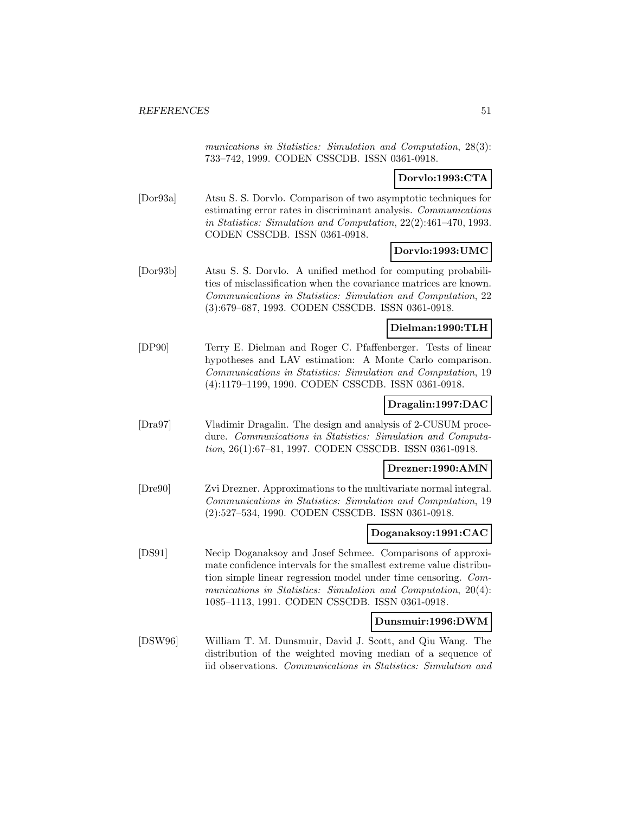munications in Statistics: Simulation and Computation, 28(3): 733–742, 1999. CODEN CSSCDB. ISSN 0361-0918.

### **Dorvlo:1993:CTA**

[Dor93a] Atsu S. S. Dorvlo. Comparison of two asymptotic techniques for estimating error rates in discriminant analysis. Communications in Statistics: Simulation and Computation, 22(2):461–470, 1993. CODEN CSSCDB. ISSN 0361-0918.

### **Dorvlo:1993:UMC**

[Dor93b] Atsu S. S. Dorvlo. A unified method for computing probabilities of misclassification when the covariance matrices are known. Communications in Statistics: Simulation and Computation, 22 (3):679–687, 1993. CODEN CSSCDB. ISSN 0361-0918.

### **Dielman:1990:TLH**

[DP90] Terry E. Dielman and Roger C. Pfaffenberger. Tests of linear hypotheses and LAV estimation: A Monte Carlo comparison. Communications in Statistics: Simulation and Computation, 19 (4):1179–1199, 1990. CODEN CSSCDB. ISSN 0361-0918.

### **Dragalin:1997:DAC**

[Dra97] Vladimir Dragalin. The design and analysis of 2-CUSUM procedure. Communications in Statistics: Simulation and Computation, 26(1):67–81, 1997. CODEN CSSCDB. ISSN 0361-0918.

#### **Drezner:1990:AMN**

[Dre90] Zvi Drezner. Approximations to the multivariate normal integral. Communications in Statistics: Simulation and Computation, 19 (2):527–534, 1990. CODEN CSSCDB. ISSN 0361-0918.

### **Doganaksoy:1991:CAC**

[DS91] Necip Doganaksoy and Josef Schmee. Comparisons of approximate confidence intervals for the smallest extreme value distribution simple linear regression model under time censoring. Communications in Statistics: Simulation and Computation, 20(4): 1085–1113, 1991. CODEN CSSCDB. ISSN 0361-0918.

### **Dunsmuir:1996:DWM**

[DSW96] William T. M. Dunsmuir, David J. Scott, and Qiu Wang. The distribution of the weighted moving median of a sequence of iid observations. Communications in Statistics: Simulation and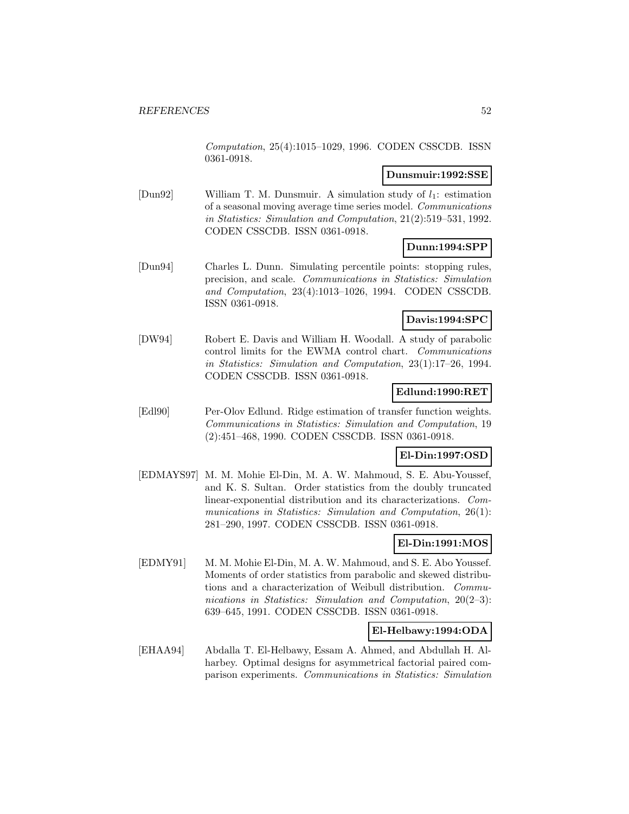Computation, 25(4):1015–1029, 1996. CODEN CSSCDB. ISSN 0361-0918.

### **Dunsmuir:1992:SSE**

[Dun92] William T. M. Dunsmuir. A simulation study of  $l_1$ : estimation of a seasonal moving average time series model. Communications in Statistics: Simulation and Computation, 21(2):519–531, 1992. CODEN CSSCDB. ISSN 0361-0918.

## **Dunn:1994:SPP**

[Dun94] Charles L. Dunn. Simulating percentile points: stopping rules, precision, and scale. Communications in Statistics: Simulation and Computation, 23(4):1013–1026, 1994. CODEN CSSCDB. ISSN 0361-0918.

### **Davis:1994:SPC**

[DW94] Robert E. Davis and William H. Woodall. A study of parabolic control limits for the EWMA control chart. Communications in Statistics: Simulation and Computation, 23(1):17–26, 1994. CODEN CSSCDB. ISSN 0361-0918.

### **Edlund:1990:RET**

[Edl90] Per-Olov Edlund. Ridge estimation of transfer function weights. Communications in Statistics: Simulation and Computation, 19 (2):451–468, 1990. CODEN CSSCDB. ISSN 0361-0918.

### **El-Din:1997:OSD**

[EDMAYS97] M. M. Mohie El-Din, M. A. W. Mahmoud, S. E. Abu-Youssef, and K. S. Sultan. Order statistics from the doubly truncated linear-exponential distribution and its characterizations. Communications in Statistics: Simulation and Computation, 26(1): 281–290, 1997. CODEN CSSCDB. ISSN 0361-0918.

# **El-Din:1991:MOS**

[EDMY91] M. M. Mohie El-Din, M. A. W. Mahmoud, and S. E. Abo Youssef. Moments of order statistics from parabolic and skewed distributions and a characterization of Weibull distribution. Communications in Statistics: Simulation and Computation, 20(2-3): 639–645, 1991. CODEN CSSCDB. ISSN 0361-0918.

### **El-Helbawy:1994:ODA**

[EHAA94] Abdalla T. El-Helbawy, Essam A. Ahmed, and Abdullah H. Alharbey. Optimal designs for asymmetrical factorial paired comparison experiments. Communications in Statistics: Simulation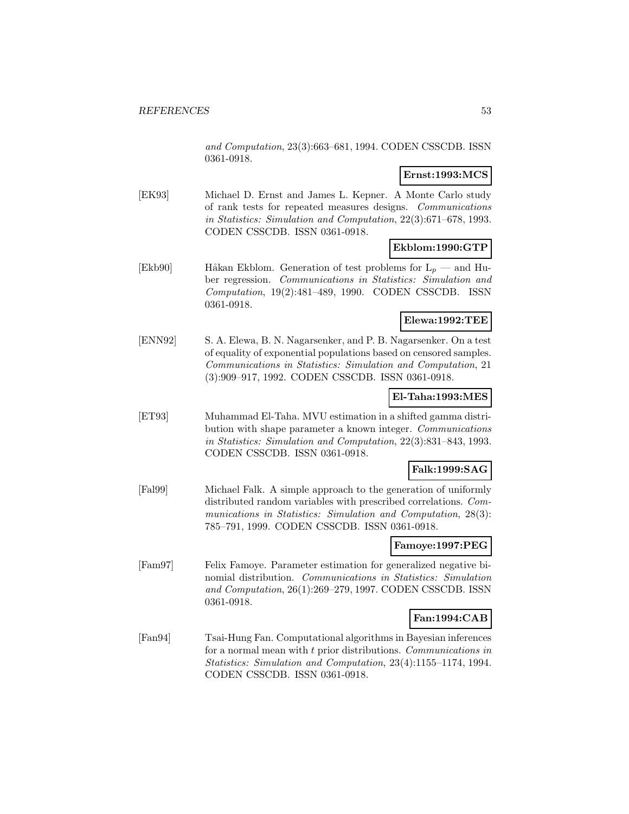and Computation, 23(3):663–681, 1994. CODEN CSSCDB. ISSN 0361-0918.

## **Ernst:1993:MCS**

[EK93] Michael D. Ernst and James L. Kepner. A Monte Carlo study of rank tests for repeated measures designs. Communications in Statistics: Simulation and Computation, 22(3):671–678, 1993. CODEN CSSCDB. ISSN 0361-0918.

## **Ekblom:1990:GTP**

[Ekb90] Håkan Ekblom. Generation of test problems for  $L_p$  — and Huber regression. Communications in Statistics: Simulation and Computation, 19(2):481–489, 1990. CODEN CSSCDB. ISSN 0361-0918.

## **Elewa:1992:TEE**

[ENN92] S. A. Elewa, B. N. Nagarsenker, and P. B. Nagarsenker. On a test of equality of exponential populations based on censored samples. Communications in Statistics: Simulation and Computation, 21 (3):909–917, 1992. CODEN CSSCDB. ISSN 0361-0918.

### **El-Taha:1993:MES**

[ET93] Muhammad El-Taha. MVU estimation in a shifted gamma distribution with shape parameter a known integer. Communications in Statistics: Simulation and Computation, 22(3):831–843, 1993. CODEN CSSCDB. ISSN 0361-0918.

### **Falk:1999:SAG**

[Fal99] Michael Falk. A simple approach to the generation of uniformly distributed random variables with prescribed correlations. Communications in Statistics: Simulation and Computation, 28(3): 785–791, 1999. CODEN CSSCDB. ISSN 0361-0918.

## **Famoye:1997:PEG**

[Fam97] Felix Famoye. Parameter estimation for generalized negative binomial distribution. Communications in Statistics: Simulation and Computation, 26(1):269–279, 1997. CODEN CSSCDB. ISSN 0361-0918.

## **Fan:1994:CAB**

[Fan94] Tsai-Hung Fan. Computational algorithms in Bayesian inferences for a normal mean with t prior distributions. Communications in Statistics: Simulation and Computation, 23(4):1155–1174, 1994. CODEN CSSCDB. ISSN 0361-0918.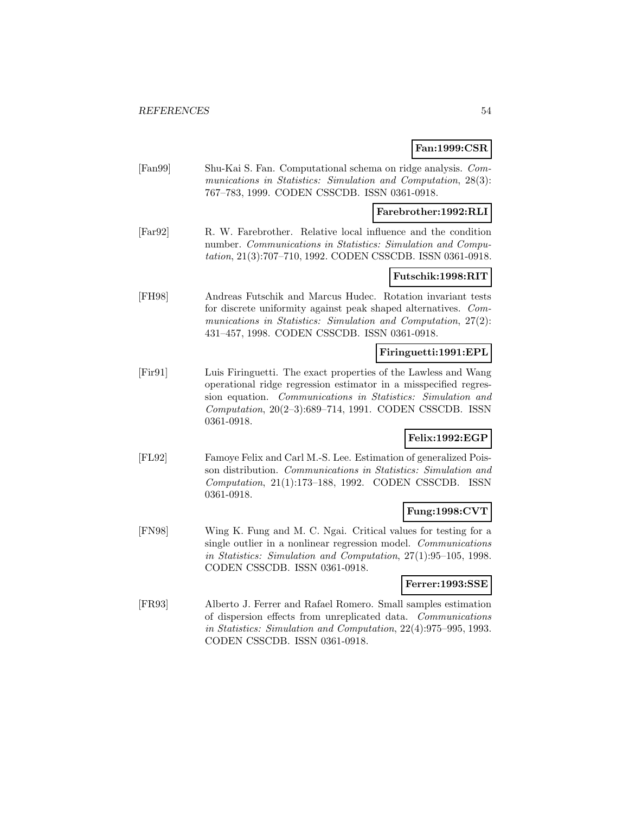## **Fan:1999:CSR**

[Fan99] Shu-Kai S. Fan. Computational schema on ridge analysis. Communications in Statistics: Simulation and Computation, 28(3): 767–783, 1999. CODEN CSSCDB. ISSN 0361-0918.

### **Farebrother:1992:RLI**

[Far92] R. W. Farebrother. Relative local influence and the condition number. Communications in Statistics: Simulation and Computation, 21(3):707–710, 1992. CODEN CSSCDB. ISSN 0361-0918.

### **Futschik:1998:RIT**

[FH98] Andreas Futschik and Marcus Hudec. Rotation invariant tests for discrete uniformity against peak shaped alternatives. Communications in Statistics: Simulation and Computation, 27(2): 431–457, 1998. CODEN CSSCDB. ISSN 0361-0918.

### **Firinguetti:1991:EPL**

[Fir91] Luis Firinguetti. The exact properties of the Lawless and Wang operational ridge regression estimator in a misspecified regression equation. Communications in Statistics: Simulation and Computation, 20(2–3):689–714, 1991. CODEN CSSCDB. ISSN 0361-0918.

## **Felix:1992:EGP**

[FL92] Famoye Felix and Carl M.-S. Lee. Estimation of generalized Poisson distribution. Communications in Statistics: Simulation and Computation, 21(1):173–188, 1992. CODEN CSSCDB. ISSN 0361-0918.

### **Fung:1998:CVT**

[FN98] Wing K. Fung and M. C. Ngai. Critical values for testing for a single outlier in a nonlinear regression model. Communications in Statistics: Simulation and Computation, 27(1):95–105, 1998. CODEN CSSCDB. ISSN 0361-0918.

#### **Ferrer:1993:SSE**

[FR93] Alberto J. Ferrer and Rafael Romero. Small samples estimation of dispersion effects from unreplicated data. Communications in Statistics: Simulation and Computation, 22(4):975–995, 1993. CODEN CSSCDB. ISSN 0361-0918.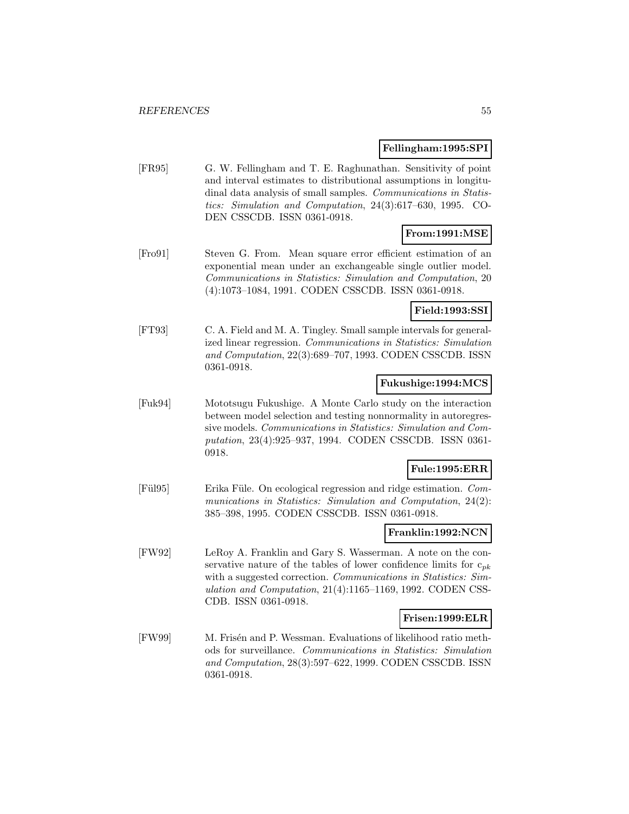#### **Fellingham:1995:SPI**

[FR95] G. W. Fellingham and T. E. Raghunathan. Sensitivity of point and interval estimates to distributional assumptions in longitudinal data analysis of small samples. Communications in Statistics: Simulation and Computation, 24(3):617–630, 1995. CO-DEN CSSCDB. ISSN 0361-0918.

## **From:1991:MSE**

[Fro91] Steven G. From. Mean square error efficient estimation of an exponential mean under an exchangeable single outlier model. Communications in Statistics: Simulation and Computation, 20 (4):1073–1084, 1991. CODEN CSSCDB. ISSN 0361-0918.

## **Field:1993:SSI**

[FT93] C. A. Field and M. A. Tingley. Small sample intervals for generalized linear regression. Communications in Statistics: Simulation and Computation, 22(3):689–707, 1993. CODEN CSSCDB. ISSN 0361-0918.

#### **Fukushige:1994:MCS**

[Fuk94] Mototsugu Fukushige. A Monte Carlo study on the interaction between model selection and testing nonnormality in autoregressive models. Communications in Statistics: Simulation and Computation, 23(4):925–937, 1994. CODEN CSSCDB. ISSN 0361- 0918.

### **Fule:1995:ERR**

[Fül95] Erika Füle. On ecological regression and ridge estimation. Communications in Statistics: Simulation and Computation, 24(2): 385–398, 1995. CODEN CSSCDB. ISSN 0361-0918.

#### **Franklin:1992:NCN**

[FW92] LeRoy A. Franklin and Gary S. Wasserman. A note on the conservative nature of the tables of lower confidence limits for  $c_{pk}$ with a suggested correction. Communications in Statistics: Simulation and Computation, 21(4):1165–1169, 1992. CODEN CSS-CDB. ISSN 0361-0918.

### **Frisen:1999:ELR**

[FW99] M. Frisén and P. Wessman. Evaluations of likelihood ratio methods for surveillance. Communications in Statistics: Simulation and Computation, 28(3):597–622, 1999. CODEN CSSCDB. ISSN 0361-0918.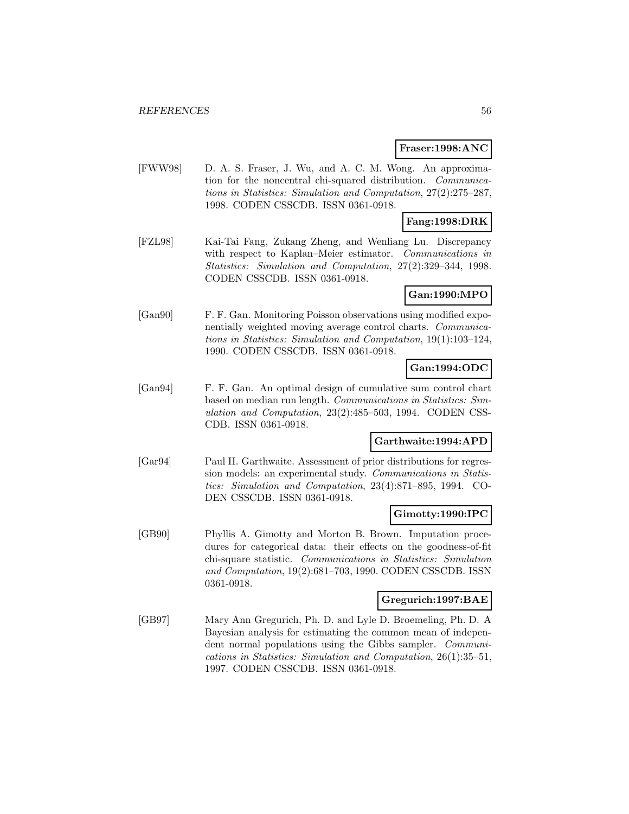#### **Fraser:1998:ANC**

[FWW98] D. A. S. Fraser, J. Wu, and A. C. M. Wong. An approximation for the noncentral chi-squared distribution. Communications in Statistics: Simulation and Computation, 27(2):275–287, 1998. CODEN CSSCDB. ISSN 0361-0918.

## **Fang:1998:DRK**

[FZL98] Kai-Tai Fang, Zukang Zheng, and Wenliang Lu. Discrepancy with respect to Kaplan–Meier estimator. Communications in Statistics: Simulation and Computation, 27(2):329–344, 1998. CODEN CSSCDB. ISSN 0361-0918.

### **Gan:1990:MPO**

[Gan90] F. F. Gan. Monitoring Poisson observations using modified exponentially weighted moving average control charts. Communications in Statistics: Simulation and Computation, 19(1):103–124, 1990. CODEN CSSCDB. ISSN 0361-0918.

## **Gan:1994:ODC**

[Gan94] F. F. Gan. An optimal design of cumulative sum control chart based on median run length. Communications in Statistics: Simulation and Computation, 23(2):485–503, 1994. CODEN CSS-CDB. ISSN 0361-0918.

## **Garthwaite:1994:APD**

[Gar94] Paul H. Garthwaite. Assessment of prior distributions for regression models: an experimental study. Communications in Statistics: Simulation and Computation, 23(4):871–895, 1994. CO-DEN CSSCDB. ISSN 0361-0918.

### **Gimotty:1990:IPC**

[GB90] Phyllis A. Gimotty and Morton B. Brown. Imputation procedures for categorical data: their effects on the goodness-of-fit chi-square statistic. Communications in Statistics: Simulation and Computation, 19(2):681–703, 1990. CODEN CSSCDB. ISSN 0361-0918.

#### **Gregurich:1997:BAE**

[GB97] Mary Ann Gregurich, Ph. D. and Lyle D. Broemeling, Ph. D. A Bayesian analysis for estimating the common mean of independent normal populations using the Gibbs sampler. Communications in Statistics: Simulation and Computation, 26(1):35–51, 1997. CODEN CSSCDB. ISSN 0361-0918.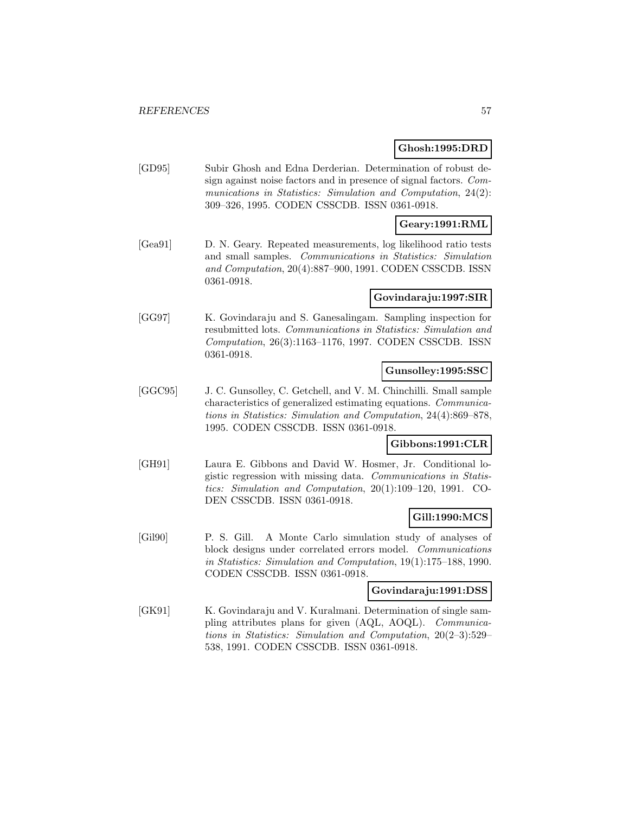### **Ghosh:1995:DRD**

[GD95] Subir Ghosh and Edna Derderian. Determination of robust design against noise factors and in presence of signal factors. Communications in Statistics: Simulation and Computation, 24(2): 309–326, 1995. CODEN CSSCDB. ISSN 0361-0918.

## **Geary:1991:RML**

[Gea91] D. N. Geary. Repeated measurements, log likelihood ratio tests and small samples. Communications in Statistics: Simulation and Computation, 20(4):887–900, 1991. CODEN CSSCDB. ISSN 0361-0918.

### **Govindaraju:1997:SIR**

[GG97] K. Govindaraju and S. Ganesalingam. Sampling inspection for resubmitted lots. Communications in Statistics: Simulation and Computation, 26(3):1163–1176, 1997. CODEN CSSCDB. ISSN 0361-0918.

### **Gunsolley:1995:SSC**

[GGC95] J. C. Gunsolley, C. Getchell, and V. M. Chinchilli. Small sample characteristics of generalized estimating equations. Communications in Statistics: Simulation and Computation, 24(4):869–878, 1995. CODEN CSSCDB. ISSN 0361-0918.

### **Gibbons:1991:CLR**

[GH91] Laura E. Gibbons and David W. Hosmer, Jr. Conditional logistic regression with missing data. Communications in Statistics: Simulation and Computation, 20(1):109–120, 1991. CO-DEN CSSCDB. ISSN 0361-0918.

### **Gill:1990:MCS**

[Gil90] P. S. Gill. A Monte Carlo simulation study of analyses of block designs under correlated errors model. Communications in Statistics: Simulation and Computation, 19(1):175–188, 1990. CODEN CSSCDB. ISSN 0361-0918.

#### **Govindaraju:1991:DSS**

[GK91] K. Govindaraju and V. Kuralmani. Determination of single sampling attributes plans for given (AQL, AOQL). Communications in Statistics: Simulation and Computation, 20(2–3):529– 538, 1991. CODEN CSSCDB. ISSN 0361-0918.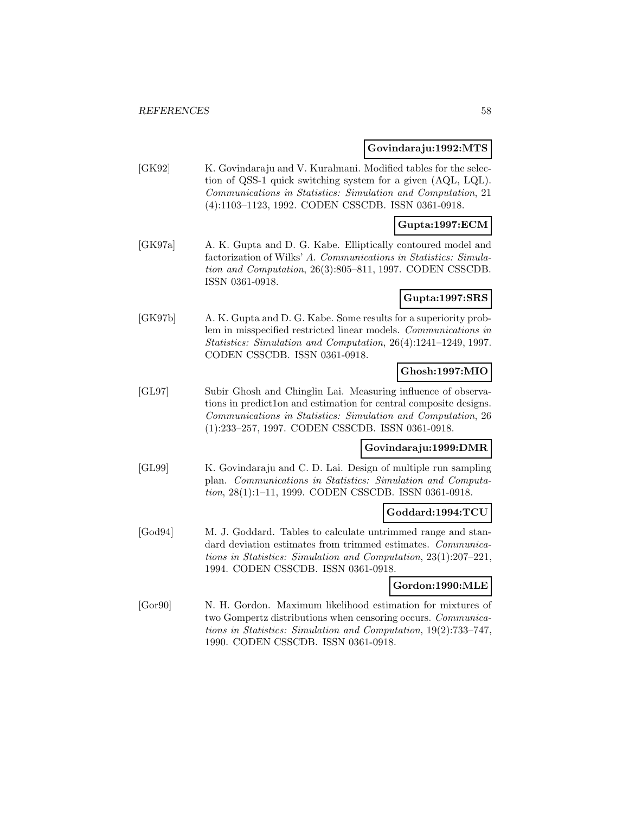#### **Govindaraju:1992:MTS**

[GK92] K. Govindaraju and V. Kuralmani. Modified tables for the selection of QSS-1 quick switching system for a given (AQL, LQL). Communications in Statistics: Simulation and Computation, 21 (4):1103–1123, 1992. CODEN CSSCDB. ISSN 0361-0918.

### **Gupta:1997:ECM**

[GK97a] A. K. Gupta and D. G. Kabe. Elliptically contoured model and factorization of Wilks' A. Communications in Statistics: Simulation and Computation, 26(3):805–811, 1997. CODEN CSSCDB. ISSN 0361-0918.

### **Gupta:1997:SRS**

[GK97b] A. K. Gupta and D. G. Kabe. Some results for a superiority problem in misspecified restricted linear models. Communications in Statistics: Simulation and Computation, 26(4):1241–1249, 1997. CODEN CSSCDB. ISSN 0361-0918.

## **Ghosh:1997:MIO**

[GL97] Subir Ghosh and Chinglin Lai. Measuring influence of observations in predict1on and estimation for central composite designs. Communications in Statistics: Simulation and Computation, 26 (1):233–257, 1997. CODEN CSSCDB. ISSN 0361-0918.

## **Govindaraju:1999:DMR**

[GL99] K. Govindaraju and C. D. Lai. Design of multiple run sampling plan. Communications in Statistics: Simulation and Computation, 28(1):1–11, 1999. CODEN CSSCDB. ISSN 0361-0918.

## **Goddard:1994:TCU**

[God94] M. J. Goddard. Tables to calculate untrimmed range and standard deviation estimates from trimmed estimates. Communications in Statistics: Simulation and Computation, 23(1):207–221, 1994. CODEN CSSCDB. ISSN 0361-0918.

### **Gordon:1990:MLE**

[Gor90] N. H. Gordon. Maximum likelihood estimation for mixtures of two Gompertz distributions when censoring occurs. Communications in Statistics: Simulation and Computation, 19(2):733–747, 1990. CODEN CSSCDB. ISSN 0361-0918.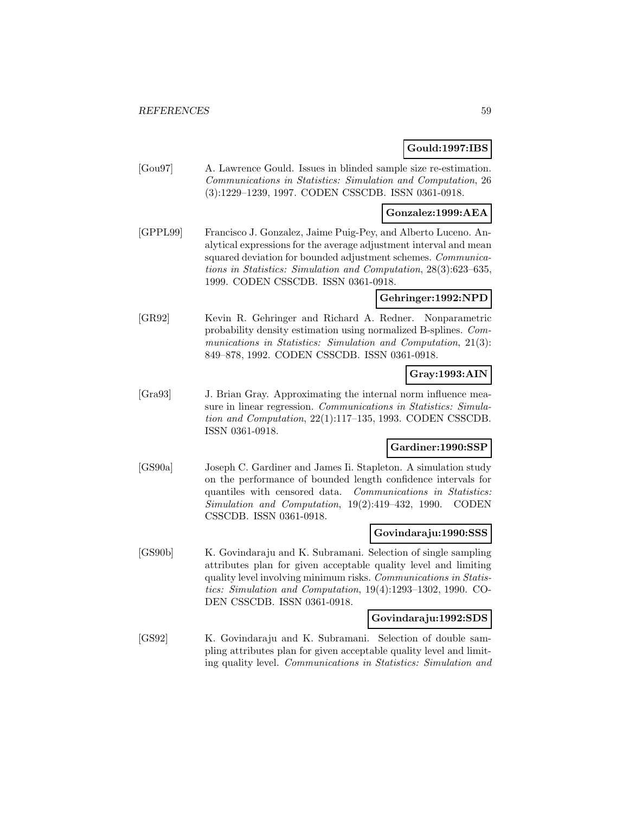### **Gould:1997:IBS**

[Gou97] A. Lawrence Gould. Issues in blinded sample size re-estimation. Communications in Statistics: Simulation and Computation, 26 (3):1229–1239, 1997. CODEN CSSCDB. ISSN 0361-0918.

## **Gonzalez:1999:AEA**

[GPPL99] Francisco J. Gonzalez, Jaime Puig-Pey, and Alberto Luceno. Analytical expressions for the average adjustment interval and mean squared deviation for bounded adjustment schemes. *Communica*tions in Statistics: Simulation and Computation, 28(3):623–635, 1999. CODEN CSSCDB. ISSN 0361-0918.

### **Gehringer:1992:NPD**

[GR92] Kevin R. Gehringer and Richard A. Redner. Nonparametric probability density estimation using normalized B-splines. Communications in Statistics: Simulation and Computation, 21(3): 849–878, 1992. CODEN CSSCDB. ISSN 0361-0918.

### **Gray:1993:AIN**

[Gra93] J. Brian Gray. Approximating the internal norm influence measure in linear regression. Communications in Statistics: Simulation and Computation, 22(1):117–135, 1993. CODEN CSSCDB. ISSN 0361-0918.

### **Gardiner:1990:SSP**

[GS90a] Joseph C. Gardiner and James Ii. Stapleton. A simulation study on the performance of bounded length confidence intervals for quantiles with censored data. Communications in Statistics: Simulation and Computation, 19(2):419–432, 1990. CODEN CSSCDB. ISSN 0361-0918.

#### **Govindaraju:1990:SSS**

[GS90b] K. Govindaraju and K. Subramani. Selection of single sampling attributes plan for given acceptable quality level and limiting quality level involving minimum risks. Communications in Statistics: Simulation and Computation, 19(4):1293–1302, 1990. CO-DEN CSSCDB. ISSN 0361-0918.

### **Govindaraju:1992:SDS**

[GS92] K. Govindaraju and K. Subramani. Selection of double sampling attributes plan for given acceptable quality level and limiting quality level. Communications in Statistics: Simulation and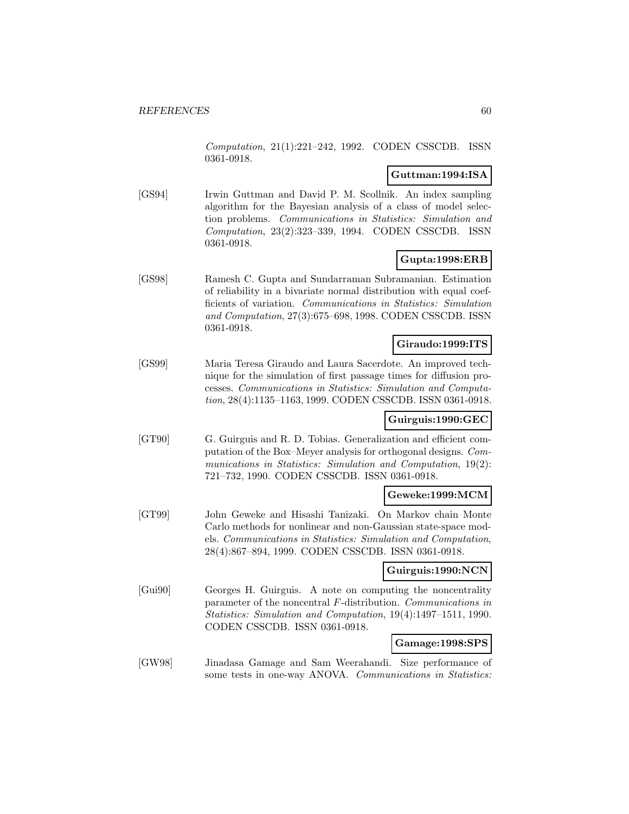Computation, 21(1):221–242, 1992. CODEN CSSCDB. ISSN 0361-0918.

## **Guttman:1994:ISA**

[GS94] Irwin Guttman and David P. M. Scollnik. An index sampling algorithm for the Bayesian analysis of a class of model selection problems. Communications in Statistics: Simulation and Computation, 23(2):323–339, 1994. CODEN CSSCDB. ISSN 0361-0918.

## **Gupta:1998:ERB**

[GS98] Ramesh C. Gupta and Sundarraman Subramanian. Estimation of reliability in a bivariate normal distribution with equal coefficients of variation. Communications in Statistics: Simulation and Computation, 27(3):675–698, 1998. CODEN CSSCDB. ISSN 0361-0918.

## **Giraudo:1999:ITS**

[GS99] Maria Teresa Giraudo and Laura Sacerdote. An improved technique for the simulation of first passage times for diffusion processes. Communications in Statistics: Simulation and Computation, 28(4):1135–1163, 1999. CODEN CSSCDB. ISSN 0361-0918.

### **Guirguis:1990:GEC**

[GT90] G. Guirguis and R. D. Tobias. Generalization and efficient computation of the Box–Meyer analysis for orthogonal designs. Communications in Statistics: Simulation and Computation, 19(2): 721–732, 1990. CODEN CSSCDB. ISSN 0361-0918.

## **Geweke:1999:MCM**

[GT99] John Geweke and Hisashi Tanizaki. On Markov chain Monte Carlo methods for nonlinear and non-Gaussian state-space models. Communications in Statistics: Simulation and Computation, 28(4):867–894, 1999. CODEN CSSCDB. ISSN 0361-0918.

## **Guirguis:1990:NCN**

[Gui90] Georges H. Guirguis. A note on computing the noncentrality parameter of the noncentral F-distribution. Communications in Statistics: Simulation and Computation, 19(4):1497–1511, 1990. CODEN CSSCDB. ISSN 0361-0918.

### **Gamage:1998:SPS**

[GW98] Jinadasa Gamage and Sam Weerahandi. Size performance of some tests in one-way ANOVA. Communications in Statistics: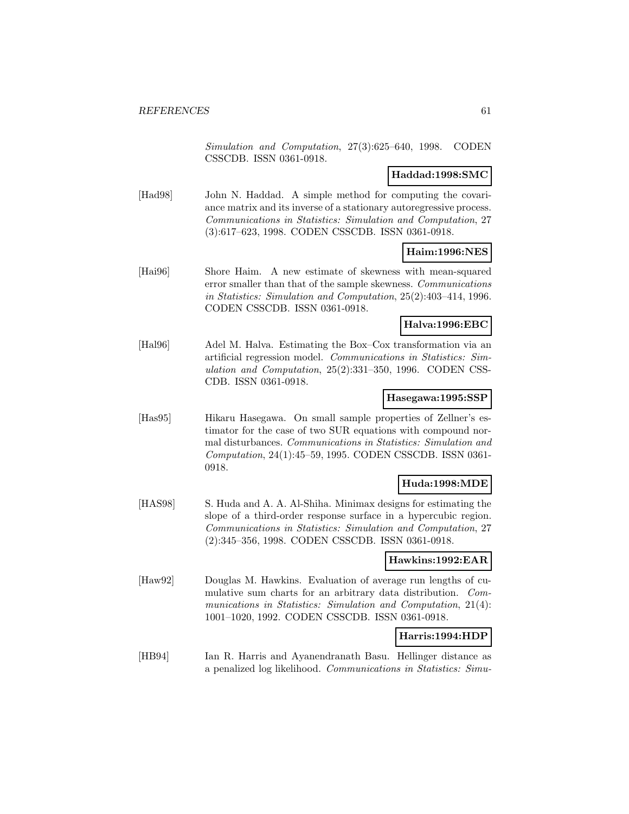Simulation and Computation, 27(3):625–640, 1998. CODEN CSSCDB. ISSN 0361-0918.

### **Haddad:1998:SMC**

[Had98] John N. Haddad. A simple method for computing the covariance matrix and its inverse of a stationary autoregressive process. Communications in Statistics: Simulation and Computation, 27 (3):617–623, 1998. CODEN CSSCDB. ISSN 0361-0918.

### **Haim:1996:NES**

[Hai96] Shore Haim. A new estimate of skewness with mean-squared error smaller than that of the sample skewness. Communications in Statistics: Simulation and Computation, 25(2):403–414, 1996. CODEN CSSCDB. ISSN 0361-0918.

### **Halva:1996:EBC**

[Hal96] Adel M. Halva. Estimating the Box–Cox transformation via an artificial regression model. Communications in Statistics: Simulation and Computation, 25(2):331–350, 1996. CODEN CSS-CDB. ISSN 0361-0918.

#### **Hasegawa:1995:SSP**

[Has95] Hikaru Hasegawa. On small sample properties of Zellner's estimator for the case of two SUR equations with compound normal disturbances. Communications in Statistics: Simulation and Computation, 24(1):45–59, 1995. CODEN CSSCDB. ISSN 0361- 0918.

## **Huda:1998:MDE**

[HAS98] S. Huda and A. A. Al-Shiha. Minimax designs for estimating the slope of a third-order response surface in a hypercubic region. Communications in Statistics: Simulation and Computation, 27 (2):345–356, 1998. CODEN CSSCDB. ISSN 0361-0918.

### **Hawkins:1992:EAR**

[Haw92] Douglas M. Hawkins. Evaluation of average run lengths of cumulative sum charts for an arbitrary data distribution. Communications in Statistics: Simulation and Computation, 21(4): 1001–1020, 1992. CODEN CSSCDB. ISSN 0361-0918.

### **Harris:1994:HDP**

[HB94] Ian R. Harris and Ayanendranath Basu. Hellinger distance as a penalized log likelihood. Communications in Statistics: Simu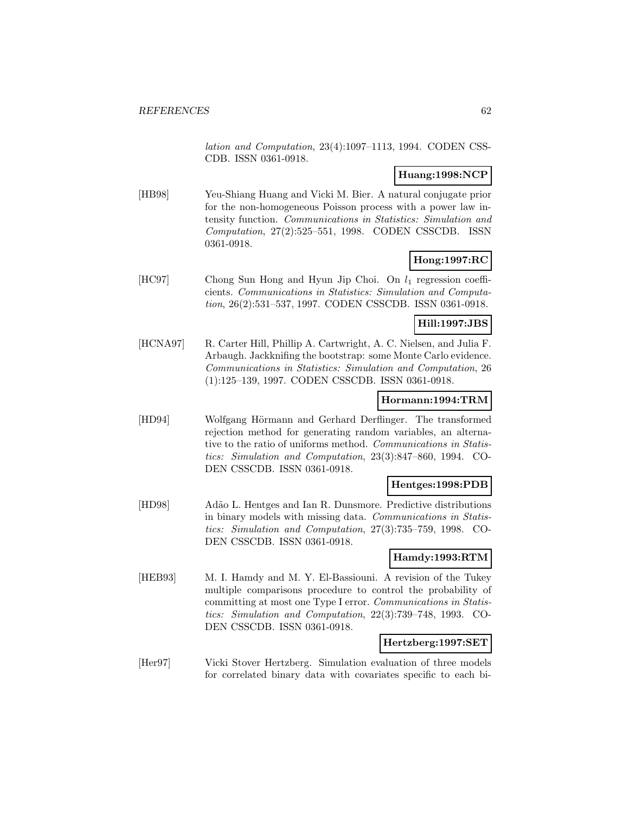lation and Computation, 23(4):1097–1113, 1994. CODEN CSS-CDB. ISSN 0361-0918.

# **Huang:1998:NCP**

[HB98] Yeu-Shiang Huang and Vicki M. Bier. A natural conjugate prior for the non-homogeneous Poisson process with a power law intensity function. Communications in Statistics: Simulation and Computation, 27(2):525–551, 1998. CODEN CSSCDB. ISSN 0361-0918.

## **Hong:1997:RC**

[HC97] Chong Sun Hong and Hyun Jip Choi. On  $l_1$  regression coefficients. Communications in Statistics: Simulation and Computation, 26(2):531–537, 1997. CODEN CSSCDB. ISSN 0361-0918.

## **Hill:1997:JBS**

[HCNA97] R. Carter Hill, Phillip A. Cartwright, A. C. Nielsen, and Julia F. Arbaugh. Jackknifing the bootstrap: some Monte Carlo evidence. Communications in Statistics: Simulation and Computation, 26 (1):125–139, 1997. CODEN CSSCDB. ISSN 0361-0918.

#### **Hormann:1994:TRM**

[HD94] Wolfgang Hörmann and Gerhard Derflinger. The transformed rejection method for generating random variables, an alternative to the ratio of uniforms method. Communications in Statistics: Simulation and Computation, 23(3):847–860, 1994. CO-DEN CSSCDB. ISSN 0361-0918.

### **Hentges:1998:PDB**

[HD98] Adão L. Hentges and Ian R. Dunsmore. Predictive distributions in binary models with missing data. Communications in Statistics: Simulation and Computation, 27(3):735–759, 1998. CO-DEN CSSCDB. ISSN 0361-0918.

### **Hamdy:1993:RTM**

[HEB93] M. I. Hamdy and M. Y. El-Bassiouni. A revision of the Tukey multiple comparisons procedure to control the probability of committing at most one Type I error. Communications in Statistics: Simulation and Computation, 22(3):739–748, 1993. CO-DEN CSSCDB. ISSN 0361-0918.

### **Hertzberg:1997:SET**

[Her97] Vicki Stover Hertzberg. Simulation evaluation of three models for correlated binary data with covariates specific to each bi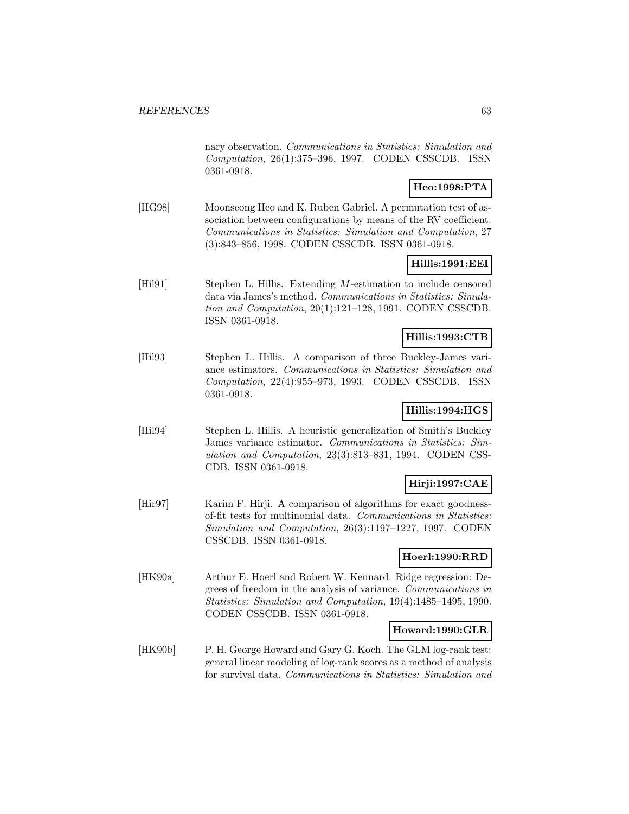nary observation. Communications in Statistics: Simulation and Computation, 26(1):375–396, 1997. CODEN CSSCDB. ISSN 0361-0918.

# **Heo:1998:PTA**

[HG98] Moonseong Heo and K. Ruben Gabriel. A permutation test of association between configurations by means of the RV coefficient. Communications in Statistics: Simulation and Computation, 27 (3):843–856, 1998. CODEN CSSCDB. ISSN 0361-0918.

## **Hillis:1991:EEI**

[Hil91] Stephen L. Hillis. Extending M-estimation to include censored data via James's method. Communications in Statistics: Simulation and Computation, 20(1):121–128, 1991. CODEN CSSCDB. ISSN 0361-0918.

## **Hillis:1993:CTB**

[Hil93] Stephen L. Hillis. A comparison of three Buckley-James variance estimators. Communications in Statistics: Simulation and Computation, 22(4):955–973, 1993. CODEN CSSCDB. ISSN 0361-0918.

## **Hillis:1994:HGS**

[Hil94] Stephen L. Hillis. A heuristic generalization of Smith's Buckley James variance estimator. Communications in Statistics: Simulation and Computation, 23(3):813–831, 1994. CODEN CSS-CDB. ISSN 0361-0918.

## **Hirji:1997:CAE**

[Hir97] Karim F. Hirji. A comparison of algorithms for exact goodnessof-fit tests for multinomial data. Communications in Statistics: Simulation and Computation, 26(3):1197–1227, 1997. CODEN CSSCDB. ISSN 0361-0918.

## **Hoerl:1990:RRD**

[HK90a] Arthur E. Hoerl and Robert W. Kennard. Ridge regression: Degrees of freedom in the analysis of variance. Communications in Statistics: Simulation and Computation, 19(4):1485–1495, 1990. CODEN CSSCDB. ISSN 0361-0918.

### **Howard:1990:GLR**

[HK90b] P. H. George Howard and Gary G. Koch. The GLM log-rank test: general linear modeling of log-rank scores as a method of analysis for survival data. Communications in Statistics: Simulation and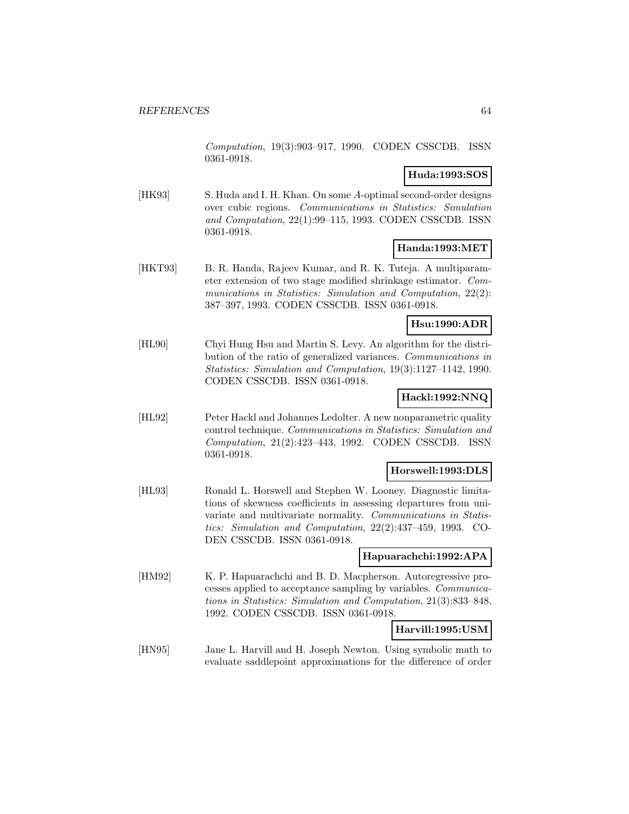Computation, 19(3):903–917, 1990. CODEN CSSCDB. ISSN 0361-0918.

### **Huda:1993:SOS**

[HK93] S. Huda and I. H. Khan. On some A-optimal second-order designs over cubic regions. Communications in Statistics: Simulation and Computation, 22(1):99–115, 1993. CODEN CSSCDB. ISSN 0361-0918.

### **Handa:1993:MET**

[HKT93] B. R. Handa, Rajeev Kumar, and R. K. Tuteja. A multiparameter extension of two stage modified shrinkage estimator. Communications in Statistics: Simulation and Computation, 22(2): 387–397, 1993. CODEN CSSCDB. ISSN 0361-0918.

### **Hsu:1990:ADR**

[HL90] Chyi Hung Hsu and Martin S. Levy. An algorithm for the distribution of the ratio of generalized variances. Communications in Statistics: Simulation and Computation, 19(3):1127–1142, 1990. CODEN CSSCDB. ISSN 0361-0918.

# **Hackl:1992:NNQ**

[HL92] Peter Hackl and Johannes Ledolter. A new nonparametric quality control technique. Communications in Statistics: Simulation and Computation, 21(2):423–443, 1992. CODEN CSSCDB. ISSN 0361-0918.

### **Horswell:1993:DLS**

[HL93] Ronald L. Horswell and Stephen W. Looney. Diagnostic limitations of skewness coefficients in assessing departures from univariate and multivariate normality. Communications in Statistics: Simulation and Computation, 22(2):437–459, 1993. CO-DEN CSSCDB. ISSN 0361-0918.

### **Hapuarachchi:1992:APA**

[HM92] K. P. Hapuarachchi and B. D. Macpherson. Autoregressive processes applied to acceptance sampling by variables. Communications in Statistics: Simulation and Computation, 21(3):833–848, 1992. CODEN CSSCDB. ISSN 0361-0918.

## **Harvill:1995:USM**

[HN95] Jane L. Harvill and H. Joseph Newton. Using symbolic math to evaluate saddlepoint approximations for the difference of order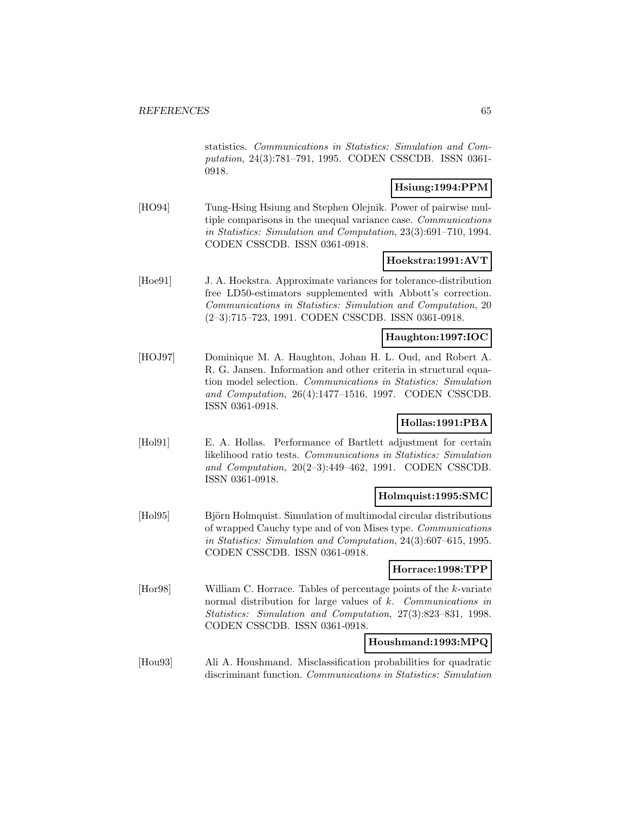statistics. Communications in Statistics: Simulation and Computation, 24(3):781–791, 1995. CODEN CSSCDB. ISSN 0361- 0918.

## **Hsiung:1994:PPM**

[HO94] Tung-Hsing Hsiung and Stephen Olejnik. Power of pairwise multiple comparisons in the unequal variance case. Communications in Statistics: Simulation and Computation, 23(3):691–710, 1994. CODEN CSSCDB. ISSN 0361-0918.

## **Hoekstra:1991:AVT**

[Hoe91] J. A. Hoekstra. Approximate variances for tolerance-distribution free LD50-estimators supplemented with Abbott's correction. Communications in Statistics: Simulation and Computation, 20 (2–3):715–723, 1991. CODEN CSSCDB. ISSN 0361-0918.

### **Haughton:1997:IOC**

[HOJ97] Dominique M. A. Haughton, Johan H. L. Oud, and Robert A. R. G. Jansen. Information and other criteria in structural equation model selection. Communications in Statistics: Simulation and Computation, 26(4):1477–1516, 1997. CODEN CSSCDB. ISSN 0361-0918.

## **Hollas:1991:PBA**

[Hol91] E. A. Hollas. Performance of Bartlett adjustment for certain likelihood ratio tests. Communications in Statistics: Simulation and Computation, 20(2–3):449–462, 1991. CODEN CSSCDB. ISSN 0361-0918.

### **Holmquist:1995:SMC**

[Hol95] Björn Holmquist. Simulation of multimodal circular distributions of wrapped Cauchy type and of von Mises type. Communications in Statistics: Simulation and Computation, 24(3):607–615, 1995. CODEN CSSCDB. ISSN 0361-0918.

#### **Horrace:1998:TPP**

[Hor98] William C. Horrace. Tables of percentage points of the k-variate normal distribution for large values of k. Communications in Statistics: Simulation and Computation, 27(3):823–831, 1998. CODEN CSSCDB. ISSN 0361-0918.

### **Houshmand:1993:MPQ**

[Hou93] Ali A. Houshmand. Misclassification probabilities for quadratic discriminant function. Communications in Statistics: Simulation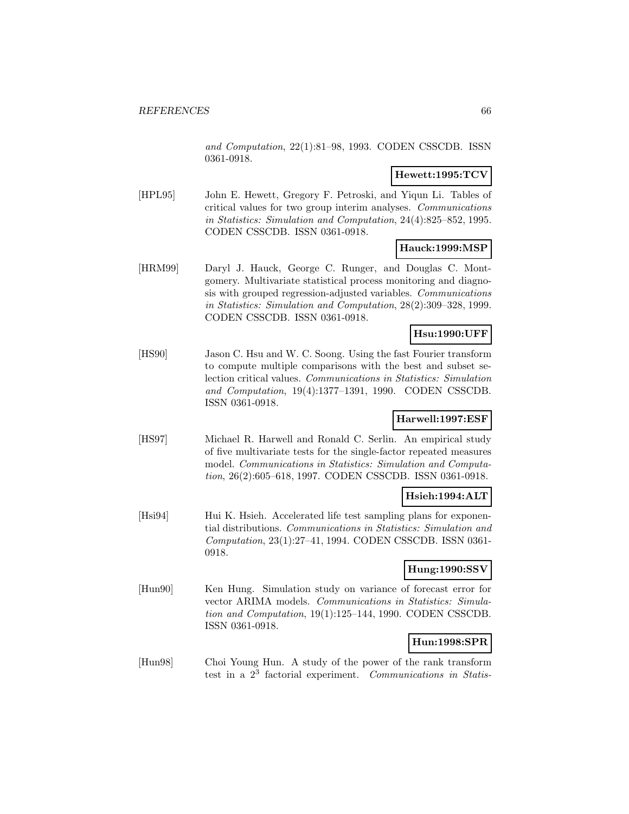and Computation, 22(1):81–98, 1993. CODEN CSSCDB. ISSN 0361-0918.

### **Hewett:1995:TCV**

[HPL95] John E. Hewett, Gregory F. Petroski, and Yiqun Li. Tables of critical values for two group interim analyses. Communications in Statistics: Simulation and Computation, 24(4):825–852, 1995. CODEN CSSCDB. ISSN 0361-0918.

### **Hauck:1999:MSP**

[HRM99] Daryl J. Hauck, George C. Runger, and Douglas C. Montgomery. Multivariate statistical process monitoring and diagnosis with grouped regression-adjusted variables. Communications in Statistics: Simulation and Computation, 28(2):309–328, 1999. CODEN CSSCDB. ISSN 0361-0918.

# **Hsu:1990:UFF**

[HS90] Jason C. Hsu and W. C. Soong. Using the fast Fourier transform to compute multiple comparisons with the best and subset selection critical values. Communications in Statistics: Simulation and Computation, 19(4):1377–1391, 1990. CODEN CSSCDB. ISSN 0361-0918.

### **Harwell:1997:ESF**

[HS97] Michael R. Harwell and Ronald C. Serlin. An empirical study of five multivariate tests for the single-factor repeated measures model. Communications in Statistics: Simulation and Computation, 26(2):605–618, 1997. CODEN CSSCDB. ISSN 0361-0918.

## **Hsieh:1994:ALT**

[Hsi94] Hui K. Hsieh. Accelerated life test sampling plans for exponential distributions. Communications in Statistics: Simulation and Computation, 23(1):27–41, 1994. CODEN CSSCDB. ISSN 0361- 0918.

## **Hung:1990:SSV**

[Hun90] Ken Hung. Simulation study on variance of forecast error for vector ARIMA models. Communications in Statistics: Simulation and Computation, 19(1):125–144, 1990. CODEN CSSCDB. ISSN 0361-0918.

## **Hun:1998:SPR**

[Hun98] Choi Young Hun. A study of the power of the rank transform test in a  $2<sup>3</sup>$  factorial experiment. Communications in Statis-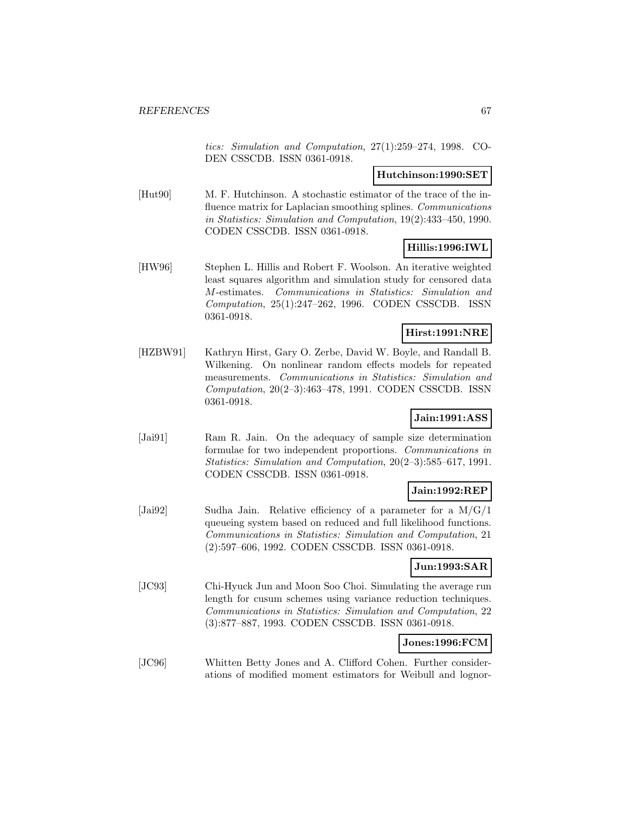tics: Simulation and Computation, 27(1):259–274, 1998. CO-DEN CSSCDB. ISSN 0361-0918.

### **Hutchinson:1990:SET**

[Hut90] M. F. Hutchinson. A stochastic estimator of the trace of the influence matrix for Laplacian smoothing splines. Communications in Statistics: Simulation and Computation, 19(2):433–450, 1990. CODEN CSSCDB. ISSN 0361-0918.

## **Hillis:1996:IWL**

[HW96] Stephen L. Hillis and Robert F. Woolson. An iterative weighted least squares algorithm and simulation study for censored data M-estimates. Communications in Statistics: Simulation and Computation, 25(1):247–262, 1996. CODEN CSSCDB. ISSN 0361-0918.

## **Hirst:1991:NRE**

[HZBW91] Kathryn Hirst, Gary O. Zerbe, David W. Boyle, and Randall B. Wilkening. On nonlinear random effects models for repeated measurements. Communications in Statistics: Simulation and Computation, 20(2–3):463–478, 1991. CODEN CSSCDB. ISSN 0361-0918.

## **Jain:1991:ASS**

[Jai91] Ram R. Jain. On the adequacy of sample size determination formulae for two independent proportions. Communications in Statistics: Simulation and Computation, 20(2–3):585–617, 1991. CODEN CSSCDB. ISSN 0361-0918.

# **Jain:1992:REP**

[Jai92] Sudha Jain. Relative efficiency of a parameter for a M/G/1 queueing system based on reduced and full likelihood functions. Communications in Statistics: Simulation and Computation, 21 (2):597–606, 1992. CODEN CSSCDB. ISSN 0361-0918.

## **Jun:1993:SAR**

[JC93] Chi-Hyuck Jun and Moon Soo Choi. Simulating the average run length for cusum schemes using variance reduction techniques. Communications in Statistics: Simulation and Computation, 22 (3):877–887, 1993. CODEN CSSCDB. ISSN 0361-0918.

### **Jones:1996:FCM**

[JC96] Whitten Betty Jones and A. Clifford Cohen. Further considerations of modified moment estimators for Weibull and lognor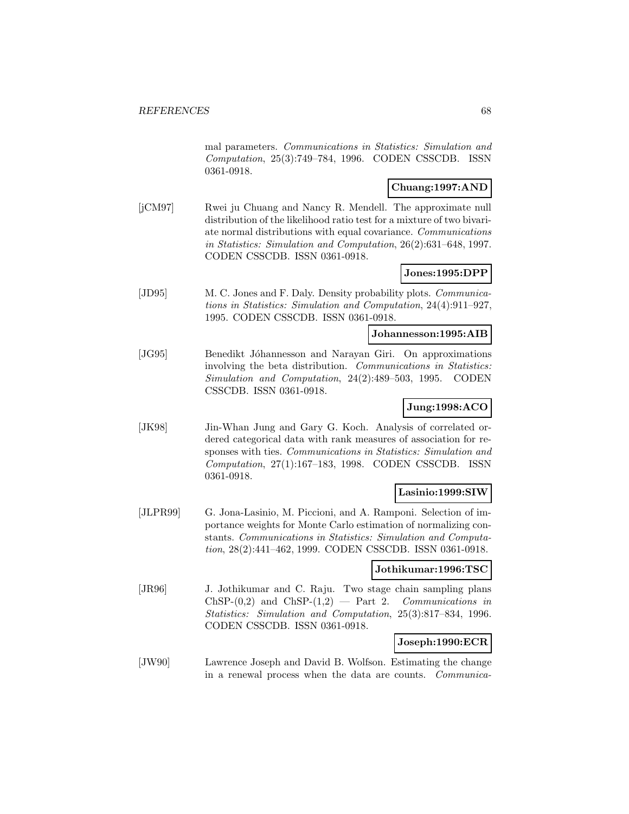mal parameters. Communications in Statistics: Simulation and Computation, 25(3):749–784, 1996. CODEN CSSCDB. ISSN 0361-0918.

## **Chuang:1997:AND**

[jCM97] Rwei ju Chuang and Nancy R. Mendell. The approximate null distribution of the likelihood ratio test for a mixture of two bivariate normal distributions with equal covariance. Communications in Statistics: Simulation and Computation, 26(2):631–648, 1997. CODEN CSSCDB. ISSN 0361-0918.

## **Jones:1995:DPP**

[JD95] M. C. Jones and F. Daly. Density probability plots. Communications in Statistics: Simulation and Computation, 24(4):911–927, 1995. CODEN CSSCDB. ISSN 0361-0918.

#### **Johannesson:1995:AIB**

[JG95] Benedikt Jóhannesson and Narayan Giri. On approximations involving the beta distribution. Communications in Statistics: Simulation and Computation, 24(2):489–503, 1995. CODEN CSSCDB. ISSN 0361-0918.

# **Jung:1998:ACO**

[JK98] Jin-Whan Jung and Gary G. Koch. Analysis of correlated ordered categorical data with rank measures of association for responses with ties. Communications in Statistics: Simulation and Computation, 27(1):167–183, 1998. CODEN CSSCDB. ISSN 0361-0918.

## **Lasinio:1999:SIW**

[JLPR99] G. Jona-Lasinio, M. Piccioni, and A. Ramponi. Selection of importance weights for Monte Carlo estimation of normalizing constants. Communications in Statistics: Simulation and Computation, 28(2):441–462, 1999. CODEN CSSCDB. ISSN 0361-0918.

### **Jothikumar:1996:TSC**

[JR96] J. Jothikumar and C. Raju. Two stage chain sampling plans ChSP- $(0,2)$  and ChSP- $(1,2)$  — Part 2. Communications in Statistics: Simulation and Computation, 25(3):817–834, 1996. CODEN CSSCDB. ISSN 0361-0918.

## **Joseph:1990:ECR**

[JW90] Lawrence Joseph and David B. Wolfson. Estimating the change in a renewal process when the data are counts. Communica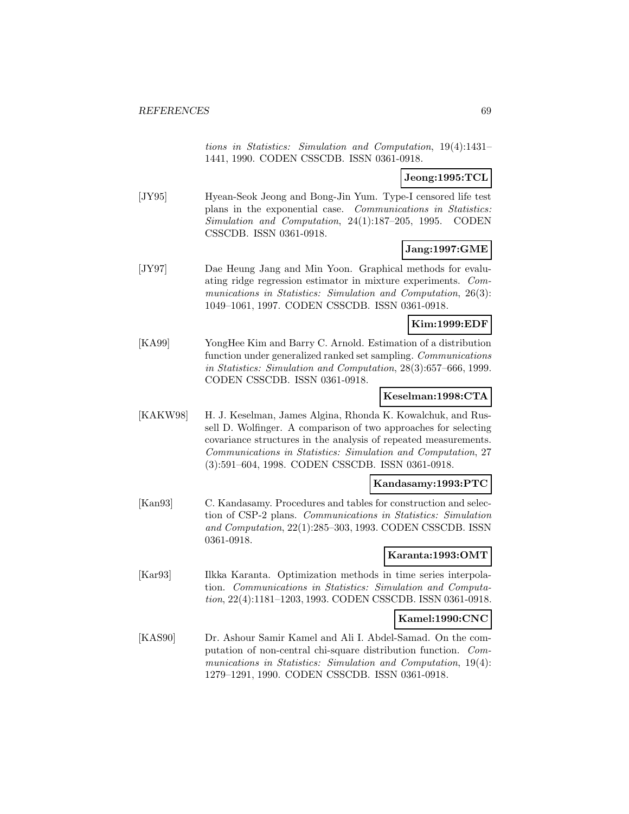tions in Statistics: Simulation and Computation, 19(4):1431– 1441, 1990. CODEN CSSCDB. ISSN 0361-0918.

# **Jeong:1995:TCL**

[JY95] Hyean-Seok Jeong and Bong-Jin Yum. Type-I censored life test plans in the exponential case. Communications in Statistics: Simulation and Computation, 24(1):187–205, 1995. CODEN CSSCDB. ISSN 0361-0918.

## **Jang:1997:GME**

[JY97] Dae Heung Jang and Min Yoon. Graphical methods for evaluating ridge regression estimator in mixture experiments. Communications in Statistics: Simulation and Computation, 26(3): 1049–1061, 1997. CODEN CSSCDB. ISSN 0361-0918.

### **Kim:1999:EDF**

[KA99] YongHee Kim and Barry C. Arnold. Estimation of a distribution function under generalized ranked set sampling. Communications in Statistics: Simulation and Computation, 28(3):657–666, 1999. CODEN CSSCDB. ISSN 0361-0918.

### **Keselman:1998:CTA**

[KAKW98] H. J. Keselman, James Algina, Rhonda K. Kowalchuk, and Russell D. Wolfinger. A comparison of two approaches for selecting covariance structures in the analysis of repeated measurements. Communications in Statistics: Simulation and Computation, 27 (3):591–604, 1998. CODEN CSSCDB. ISSN 0361-0918.

## **Kandasamy:1993:PTC**

[Kan93] C. Kandasamy. Procedures and tables for construction and selection of CSP-2 plans. Communications in Statistics: Simulation and Computation, 22(1):285–303, 1993. CODEN CSSCDB. ISSN 0361-0918.

### **Karanta:1993:OMT**

[Kar93] Ilkka Karanta. Optimization methods in time series interpolation. Communications in Statistics: Simulation and Computation, 22(4):1181–1203, 1993. CODEN CSSCDB. ISSN 0361-0918.

## **Kamel:1990:CNC**

[KAS90] Dr. Ashour Samir Kamel and Ali I. Abdel-Samad. On the computation of non-central chi-square distribution function. Communications in Statistics: Simulation and Computation, 19(4): 1279–1291, 1990. CODEN CSSCDB. ISSN 0361-0918.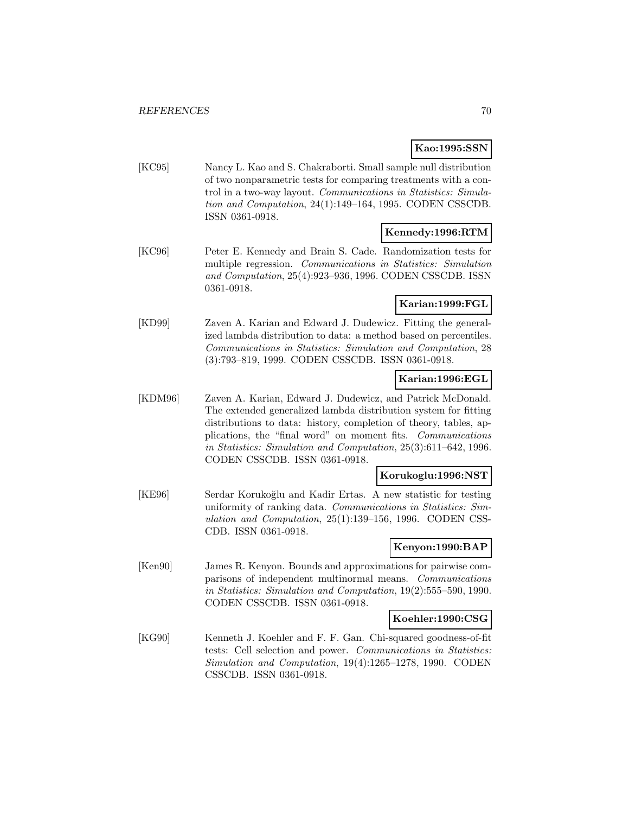## **Kao:1995:SSN**

[KC95] Nancy L. Kao and S. Chakraborti. Small sample null distribution of two nonparametric tests for comparing treatments with a control in a two-way layout. Communications in Statistics: Simulation and Computation, 24(1):149–164, 1995. CODEN CSSCDB. ISSN 0361-0918.

## **Kennedy:1996:RTM**

[KC96] Peter E. Kennedy and Brain S. Cade. Randomization tests for multiple regression. Communications in Statistics: Simulation and Computation, 25(4):923–936, 1996. CODEN CSSCDB. ISSN 0361-0918.

## **Karian:1999:FGL**

[KD99] Zaven A. Karian and Edward J. Dudewicz. Fitting the generalized lambda distribution to data: a method based on percentiles. Communications in Statistics: Simulation and Computation, 28 (3):793–819, 1999. CODEN CSSCDB. ISSN 0361-0918.

## **Karian:1996:EGL**

[KDM96] Zaven A. Karian, Edward J. Dudewicz, and Patrick McDonald. The extended generalized lambda distribution system for fitting distributions to data: history, completion of theory, tables, applications, the "final word" on moment fits. Communications in Statistics: Simulation and Computation, 25(3):611–642, 1996. CODEN CSSCDB. ISSN 0361-0918.

## **Korukoglu:1996:NST**

[KE96] Serdar Korukoğlu and Kadir Ertas. A new statistic for testing uniformity of ranking data. Communications in Statistics: Simulation and Computation, 25(1):139–156, 1996. CODEN CSS-CDB. ISSN 0361-0918.

## **Kenyon:1990:BAP**

[Ken90] James R. Kenyon. Bounds and approximations for pairwise comparisons of independent multinormal means. Communications in Statistics: Simulation and Computation, 19(2):555–590, 1990. CODEN CSSCDB. ISSN 0361-0918.

### **Koehler:1990:CSG**

[KG90] Kenneth J. Koehler and F. F. Gan. Chi-squared goodness-of-fit tests: Cell selection and power. Communications in Statistics: Simulation and Computation, 19(4):1265–1278, 1990. CODEN CSSCDB. ISSN 0361-0918.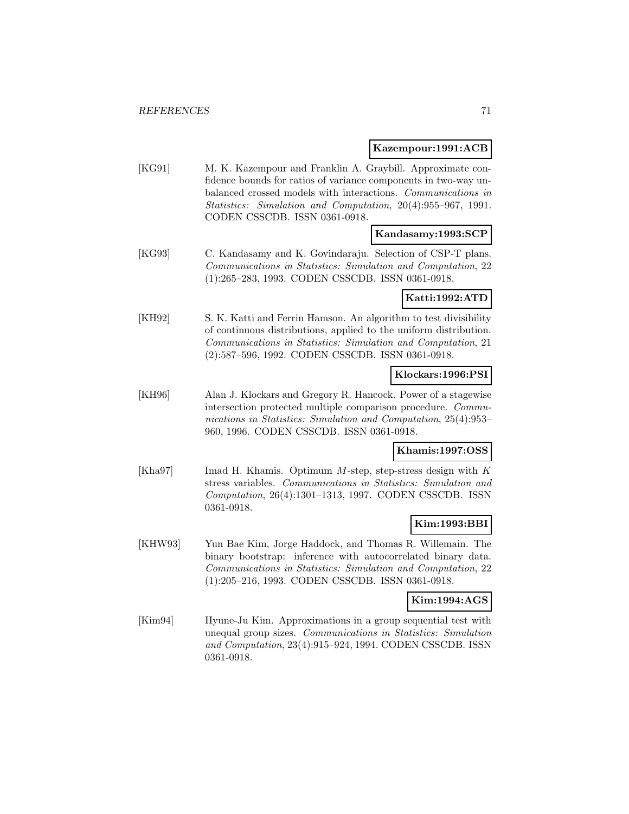#### **Kazempour:1991:ACB**

[KG91] M. K. Kazempour and Franklin A. Graybill. Approximate confidence bounds for ratios of variance components in two-way unbalanced crossed models with interactions. Communications in Statistics: Simulation and Computation, 20(4):955–967, 1991. CODEN CSSCDB. ISSN 0361-0918.

### **Kandasamy:1993:SCP**

[KG93] C. Kandasamy and K. Govindaraju. Selection of CSP-T plans. Communications in Statistics: Simulation and Computation, 22 (1):265–283, 1993. CODEN CSSCDB. ISSN 0361-0918.

### **Katti:1992:ATD**

[KH92] S. K. Katti and Ferrin Hamson. An algorithm to test divisibility of continuous distributions, applied to the uniform distribution. Communications in Statistics: Simulation and Computation, 21 (2):587–596, 1992. CODEN CSSCDB. ISSN 0361-0918.

### **Klockars:1996:PSI**

[KH96] Alan J. Klockars and Gregory R. Hancock. Power of a stagewise intersection protected multiple comparison procedure. Communications in Statistics: Simulation and Computation, 25(4):953– 960, 1996. CODEN CSSCDB. ISSN 0361-0918.

## **Khamis:1997:OSS**

[Kha97] Imad H. Khamis. Optimum M-step, step-stress design with K stress variables. Communications in Statistics: Simulation and Computation, 26(4):1301–1313, 1997. CODEN CSSCDB. ISSN 0361-0918.

# **Kim:1993:BBI**

[KHW93] Yun Bae Kim, Jorge Haddock, and Thomas R. Willemain. The binary bootstrap: inference with autocorrelated binary data. Communications in Statistics: Simulation and Computation, 22 (1):205–216, 1993. CODEN CSSCDB. ISSN 0361-0918.

#### **Kim:1994:AGS**

[Kim94] Hyune-Ju Kim. Approximations in a group sequential test with unequal group sizes. Communications in Statistics: Simulation and Computation, 23(4):915–924, 1994. CODEN CSSCDB. ISSN 0361-0918.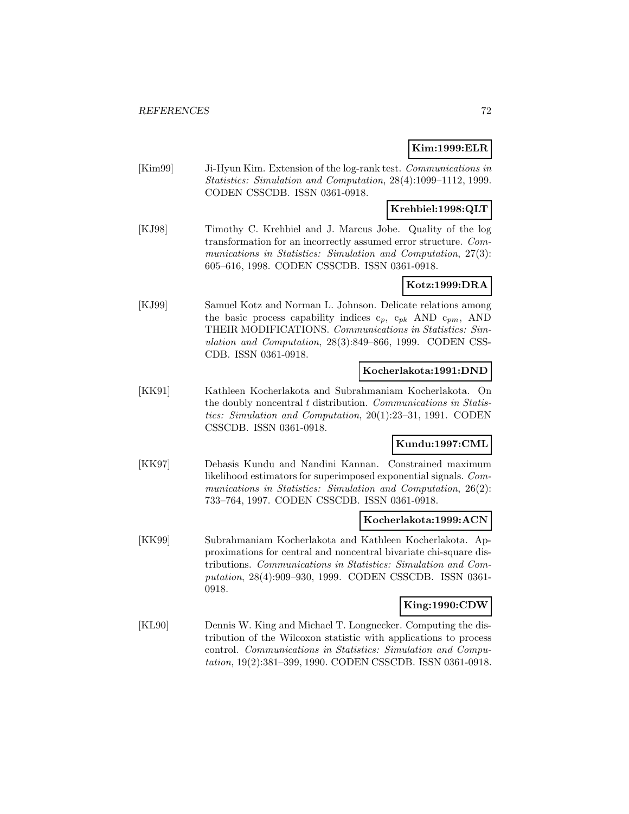## **Kim:1999:ELR**

[Kim99] Ji-Hyun Kim. Extension of the log-rank test. Communications in Statistics: Simulation and Computation, 28(4):1099–1112, 1999. CODEN CSSCDB. ISSN 0361-0918.

## **Krehbiel:1998:QLT**

[KJ98] Timothy C. Krehbiel and J. Marcus Jobe. Quality of the log transformation for an incorrectly assumed error structure. Communications in Statistics: Simulation and Computation, 27(3): 605–616, 1998. CODEN CSSCDB. ISSN 0361-0918.

## **Kotz:1999:DRA**

[KJ99] Samuel Kotz and Norman L. Johnson. Delicate relations among the basic process capability indices  $c_p$ ,  $c_{pk}$  AND  $c_{pm}$ , AND THEIR MODIFICATIONS. Communications in Statistics: Simulation and Computation, 28(3):849–866, 1999. CODEN CSS-CDB. ISSN 0361-0918.

### **Kocherlakota:1991:DND**

[KK91] Kathleen Kocherlakota and Subrahmaniam Kocherlakota. On the doubly noncentral t distribution. Communications in Statistics: Simulation and Computation, 20(1):23–31, 1991. CODEN CSSCDB. ISSN 0361-0918.

## **Kundu:1997:CML**

[KK97] Debasis Kundu and Nandini Kannan. Constrained maximum likelihood estimators for superimposed exponential signals. Communications in Statistics: Simulation and Computation, 26(2): 733–764, 1997. CODEN CSSCDB. ISSN 0361-0918.

### **Kocherlakota:1999:ACN**

[KK99] Subrahmaniam Kocherlakota and Kathleen Kocherlakota. Approximations for central and noncentral bivariate chi-square distributions. Communications in Statistics: Simulation and Computation, 28(4):909–930, 1999. CODEN CSSCDB. ISSN 0361- 0918.

## **King:1990:CDW**

[KL90] Dennis W. King and Michael T. Longnecker. Computing the distribution of the Wilcoxon statistic with applications to process control. Communications in Statistics: Simulation and Computation, 19(2):381–399, 1990. CODEN CSSCDB. ISSN 0361-0918.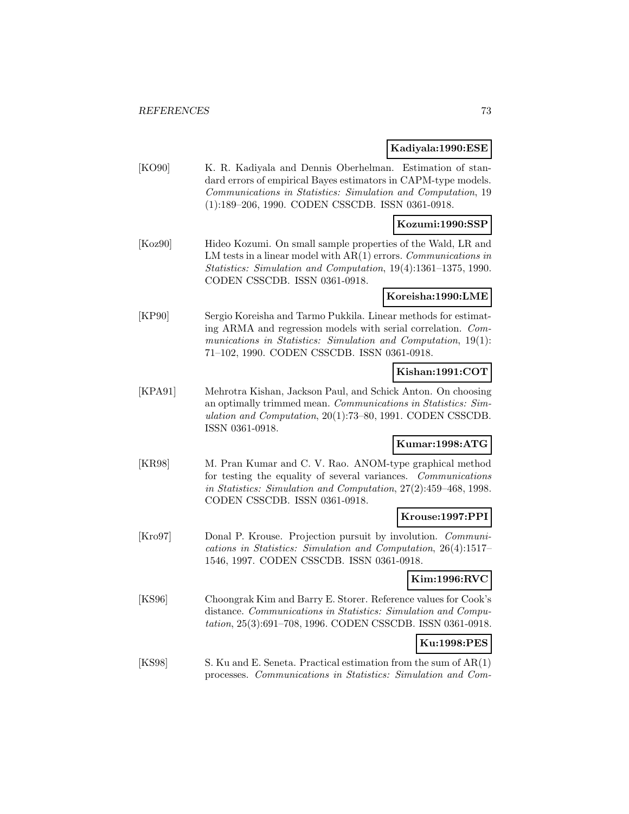#### **Kadiyala:1990:ESE**

[KO90] K. R. Kadiyala and Dennis Oberhelman. Estimation of standard errors of empirical Bayes estimators in CAPM-type models. Communications in Statistics: Simulation and Computation, 19 (1):189–206, 1990. CODEN CSSCDB. ISSN 0361-0918.

### **Kozumi:1990:SSP**

[Koz90] Hideo Kozumi. On small sample properties of the Wald, LR and LM tests in a linear model with  $AR(1)$  errors. Communications in Statistics: Simulation and Computation, 19(4):1361–1375, 1990. CODEN CSSCDB. ISSN 0361-0918.

#### **Koreisha:1990:LME**

[KP90] Sergio Koreisha and Tarmo Pukkila. Linear methods for estimating ARMA and regression models with serial correlation. Communications in Statistics: Simulation and Computation, 19(1): 71–102, 1990. CODEN CSSCDB. ISSN 0361-0918.

## **Kishan:1991:COT**

[KPA91] Mehrotra Kishan, Jackson Paul, and Schick Anton. On choosing an optimally trimmed mean. Communications in Statistics: Simulation and Computation, 20(1):73–80, 1991. CODEN CSSCDB. ISSN 0361-0918.

## **Kumar:1998:ATG**

[KR98] M. Pran Kumar and C. V. Rao. ANOM-type graphical method for testing the equality of several variances. Communications in Statistics: Simulation and Computation, 27(2):459–468, 1998. CODEN CSSCDB. ISSN 0361-0918.

#### **Krouse:1997:PPI**

[Kro97] Donal P. Krouse. Projection pursuit by involution. *Communi*cations in Statistics: Simulation and Computation, 26(4):1517– 1546, 1997. CODEN CSSCDB. ISSN 0361-0918.

## **Kim:1996:RVC**

[KS96] Choongrak Kim and Barry E. Storer. Reference values for Cook's distance. Communications in Statistics: Simulation and Computation, 25(3):691–708, 1996. CODEN CSSCDB. ISSN 0361-0918.

## **Ku:1998:PES**

[KS98] S. Ku and E. Seneta. Practical estimation from the sum of AR(1) processes. Communications in Statistics: Simulation and Com-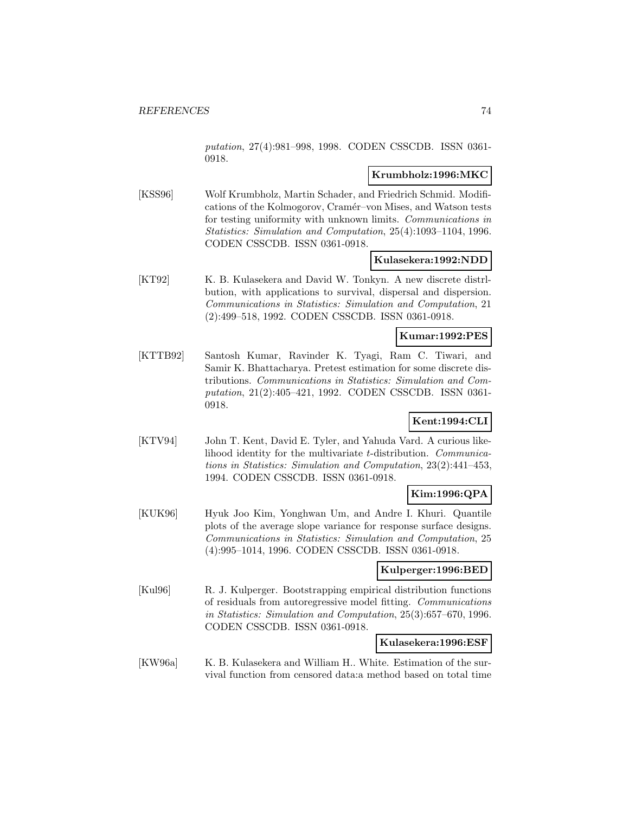putation, 27(4):981–998, 1998. CODEN CSSCDB. ISSN 0361- 0918.

## **Krumbholz:1996:MKC**

[KSS96] Wolf Krumbholz, Martin Schader, and Friedrich Schmid. Modifications of the Kolmogorov, Cramér–von Mises, and Watson tests for testing uniformity with unknown limits. Communications in Statistics: Simulation and Computation, 25(4):1093–1104, 1996. CODEN CSSCDB. ISSN 0361-0918.

#### **Kulasekera:1992:NDD**

[KT92] K. B. Kulasekera and David W. Tonkyn. A new discrete distrlbution, with applications to survival, dispersal and dispersion. Communications in Statistics: Simulation and Computation, 21 (2):499–518, 1992. CODEN CSSCDB. ISSN 0361-0918.

### **Kumar:1992:PES**

[KTTB92] Santosh Kumar, Ravinder K. Tyagi, Ram C. Tiwari, and Samir K. Bhattacharya. Pretest estimation for some discrete distributions. Communications in Statistics: Simulation and Computation, 21(2):405–421, 1992. CODEN CSSCDB. ISSN 0361- 0918.

## **Kent:1994:CLI**

[KTV94] John T. Kent, David E. Tyler, and Yahuda Vard. A curious likelihood identity for the multivariate t-distribution. Communications in Statistics: Simulation and Computation, 23(2):441–453, 1994. CODEN CSSCDB. ISSN 0361-0918.

## **Kim:1996:QPA**

[KUK96] Hyuk Joo Kim, Yonghwan Um, and Andre I. Khuri. Quantile plots of the average slope variance for response surface designs. Communications in Statistics: Simulation and Computation, 25 (4):995–1014, 1996. CODEN CSSCDB. ISSN 0361-0918.

#### **Kulperger:1996:BED**

[Kul96] R. J. Kulperger. Bootstrapping empirical distribution functions of residuals from autoregressive model fitting. Communications in Statistics: Simulation and Computation, 25(3):657–670, 1996. CODEN CSSCDB. ISSN 0361-0918.

#### **Kulasekera:1996:ESF**

[KW96a] K. B. Kulasekera and William H., White. Estimation of the survival function from censored data:a method based on total time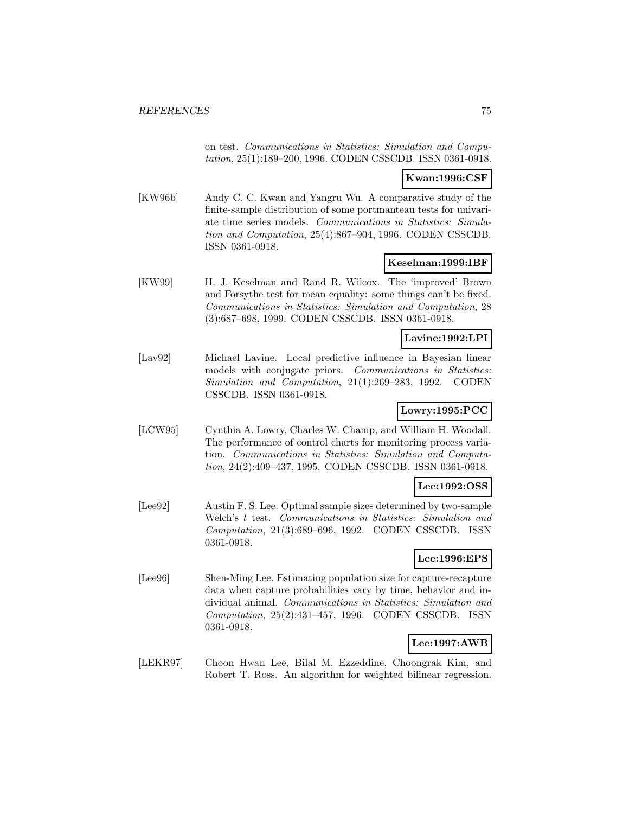on test. Communications in Statistics: Simulation and Computation, 25(1):189–200, 1996. CODEN CSSCDB. ISSN 0361-0918.

## **Kwan:1996:CSF**

[KW96b] Andy C. C. Kwan and Yangru Wu. A comparative study of the finite-sample distribution of some portmanteau tests for univariate time series models. Communications in Statistics: Simulation and Computation, 25(4):867–904, 1996. CODEN CSSCDB. ISSN 0361-0918.

### **Keselman:1999:IBF**

[KW99] H. J. Keselman and Rand R. Wilcox. The 'improved' Brown and Forsythe test for mean equality: some things can't be fixed. Communications in Statistics: Simulation and Computation, 28 (3):687–698, 1999. CODEN CSSCDB. ISSN 0361-0918.

## **Lavine:1992:LPI**

[Lav92] Michael Lavine. Local predictive influence in Bayesian linear models with conjugate priors. Communications in Statistics: Simulation and Computation, 21(1):269–283, 1992. CODEN CSSCDB. ISSN 0361-0918.

## **Lowry:1995:PCC**

[LCW95] Cynthia A. Lowry, Charles W. Champ, and William H. Woodall. The performance of control charts for monitoring process variation. Communications in Statistics: Simulation and Computation, 24(2):409–437, 1995. CODEN CSSCDB. ISSN 0361-0918.

#### **Lee:1992:OSS**

[Lee92] Austin F. S. Lee. Optimal sample sizes determined by two-sample Welch's t test. Communications in Statistics: Simulation and Computation, 21(3):689–696, 1992. CODEN CSSCDB. ISSN 0361-0918.

## **Lee:1996:EPS**

[Lee96] Shen-Ming Lee. Estimating population size for capture-recapture data when capture probabilities vary by time, behavior and individual animal. Communications in Statistics: Simulation and Computation, 25(2):431–457, 1996. CODEN CSSCDB. ISSN 0361-0918.

## **Lee:1997:AWB**

[LEKR97] Choon Hwan Lee, Bilal M. Ezzeddine, Choongrak Kim, and Robert T. Ross. An algorithm for weighted bilinear regression.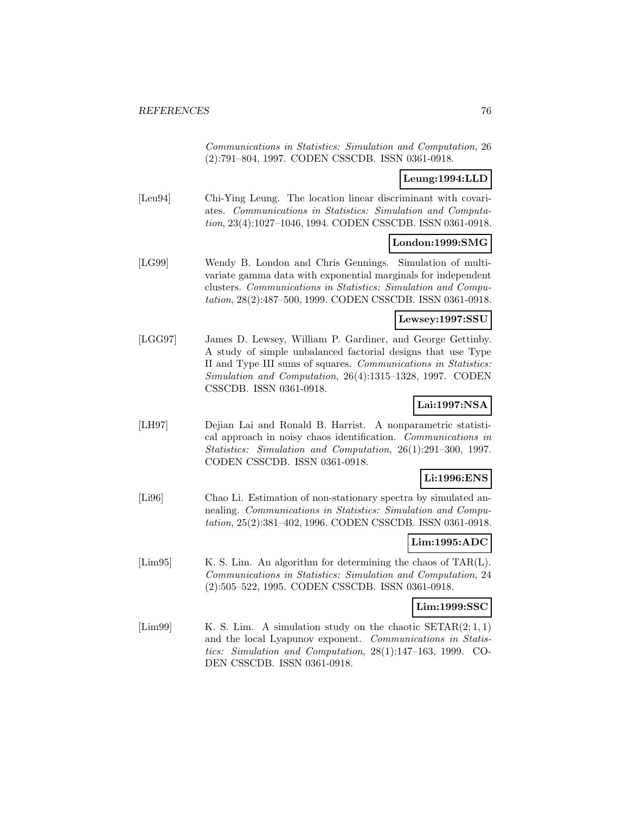Communications in Statistics: Simulation and Computation, 26 (2):791–804, 1997. CODEN CSSCDB. ISSN 0361-0918.

## **Leung:1994:LLD**

[Leu94] Chi-Ying Leung. The location linear discriminant with covariates. Communications in Statistics: Simulation and Computation, 23(4):1027–1046, 1994. CODEN CSSCDB. ISSN 0361-0918.

## **London:1999:SMG**

[LG99] Wendy B. London and Chris Gennings. Simulation of multivariate gamma data with exponential marginals for independent clusters. Communications in Statistics: Simulation and Computation, 28(2):487–500, 1999. CODEN CSSCDB. ISSN 0361-0918.

## **Lewsey:1997:SSU**

[LGG97] James D. Lewsey, William P. Gardiner, and George Gettinby. A study of simple unbalanced factorial designs that use Type II and Type III sums of squares. Communications in Statistics: Simulation and Computation, 26(4):1315–1328, 1997. CODEN CSSCDB. ISSN 0361-0918.

# **Lai:1997:NSA**

[LH97] Dejian Lai and Ronald B. Harrist. A nonparametric statistical approach in noisy chaos identification. Communications in Statistics: Simulation and Computation, 26(1):291–300, 1997. CODEN CSSCDB. ISSN 0361-0918.

## **Li:1996:ENS**

[Li96] Chao Li. Estimation of non-stationary spectra by simulated annealing. Communications in Statistics: Simulation and Computation, 25(2):381–402, 1996. CODEN CSSCDB. ISSN 0361-0918.

# **Lim:1995:ADC**

[Lim95] K. S. Lim. An algorithm for determining the chaos of TAR(L). Communications in Statistics: Simulation and Computation, 24 (2):505–522, 1995. CODEN CSSCDB. ISSN 0361-0918.

## **Lim:1999:SSC**

[Lim99] K. S. Lim. A simulation study on the chaotic  $SETAR(2;1,1)$ and the local Lyapunov exponent. Communications in Statistics: Simulation and Computation, 28(1):147–163, 1999. CO-DEN CSSCDB. ISSN 0361-0918.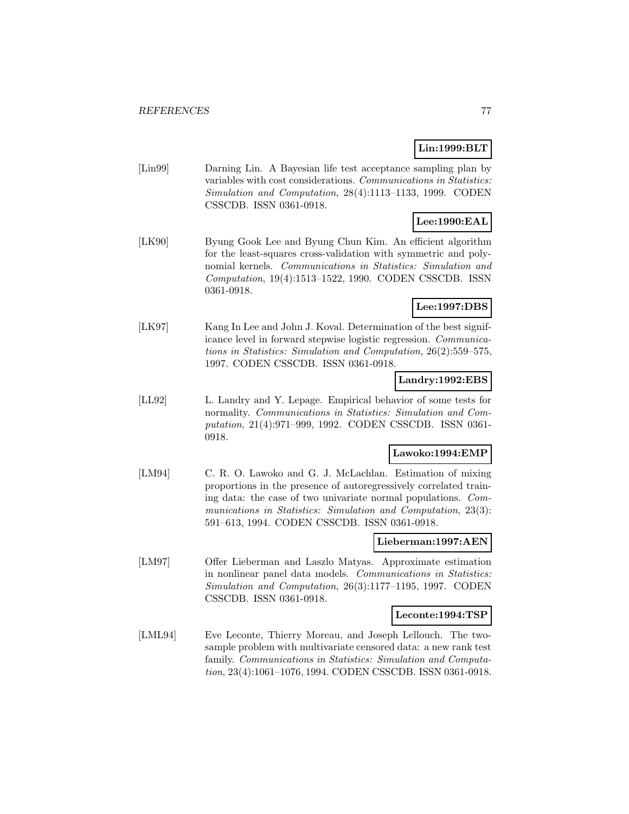## **Lin:1999:BLT**

[Lin99] Darning Lin. A Bayesian life test acceptance sampling plan by variables with cost considerations. Communications in Statistics: Simulation and Computation, 28(4):1113–1133, 1999. CODEN CSSCDB. ISSN 0361-0918.

# **Lee:1990:EAL**

[LK90] Byung Gook Lee and Byung Chun Kim. An efficient algorithm for the least-squares cross-validation with symmetric and polynomial kernels. Communications in Statistics: Simulation and Computation, 19(4):1513–1522, 1990. CODEN CSSCDB. ISSN 0361-0918.

# **Lee:1997:DBS**

[LK97] Kang In Lee and John J. Koval. Determination of the best significance level in forward stepwise logistic regression. Communications in Statistics: Simulation and Computation, 26(2):559–575, 1997. CODEN CSSCDB. ISSN 0361-0918.

## **Landry:1992:EBS**

[LL92] L. Landry and Y. Lepage. Empirical behavior of some tests for normality. Communications in Statistics: Simulation and Computation, 21(4):971–999, 1992. CODEN CSSCDB. ISSN 0361- 0918.

## **Lawoko:1994:EMP**

[LM94] C. R. O. Lawoko and G. J. McLachlan. Estimation of mixing proportions in the presence of autoregressively correlated training data: the case of two univariate normal populations. Communications in Statistics: Simulation and Computation, 23(3): 591–613, 1994. CODEN CSSCDB. ISSN 0361-0918.

## **Lieberman:1997:AEN**

[LM97] Offer Lieberman and Laszlo Matyas. Approximate estimation in nonlinear panel data models. Communications in Statistics: Simulation and Computation, 26(3):1177–1195, 1997. CODEN CSSCDB. ISSN 0361-0918.

#### **Leconte:1994:TSP**

[LML94] Eve Leconte, Thierry Moreau, and Joseph Lellouch. The twosample problem with multivariate censored data: a new rank test family. Communications in Statistics: Simulation and Computation, 23(4):1061–1076, 1994. CODEN CSSCDB. ISSN 0361-0918.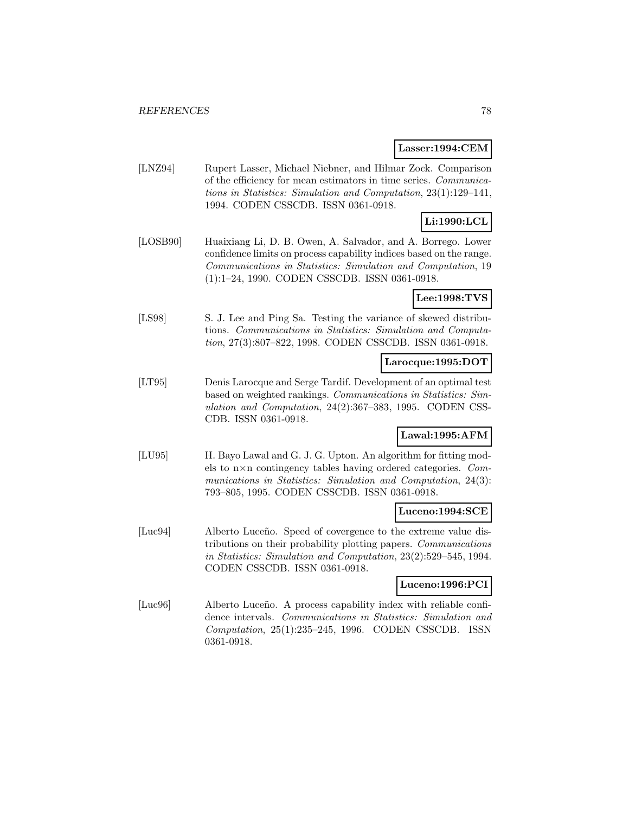#### **Lasser:1994:CEM**

[LNZ94] Rupert Lasser, Michael Niebner, and Hilmar Zock. Comparison of the efficiency for mean estimators in time series. Communications in Statistics: Simulation and Computation, 23(1):129–141, 1994. CODEN CSSCDB. ISSN 0361-0918.

# **Li:1990:LCL**

[LOSB90] Huaixiang Li, D. B. Owen, A. Salvador, and A. Borrego. Lower confidence limits on process capability indices based on the range. Communications in Statistics: Simulation and Computation, 19 (1):1–24, 1990. CODEN CSSCDB. ISSN 0361-0918.

## **Lee:1998:TVS**

[LS98] S. J. Lee and Ping Sa. Testing the variance of skewed distributions. Communications in Statistics: Simulation and Computation, 27(3):807–822, 1998. CODEN CSSCDB. ISSN 0361-0918.

### **Larocque:1995:DOT**

[LT95] Denis Larocque and Serge Tardif. Development of an optimal test based on weighted rankings. Communications in Statistics: Simulation and Computation, 24(2):367–383, 1995. CODEN CSS-CDB. ISSN 0361-0918.

## **Lawal:1995:AFM**

[LU95] H. Bayo Lawal and G. J. G. Upton. An algorithm for fitting models to n×n contingency tables having ordered categories. Communications in Statistics: Simulation and Computation, 24(3): 793–805, 1995. CODEN CSSCDB. ISSN 0361-0918.

### **Luceno:1994:SCE**

[Luc94] Alberto Luceño. Speed of covergence to the extreme value distributions on their probability plotting papers. Communications in Statistics: Simulation and Computation, 23(2):529–545, 1994. CODEN CSSCDB. ISSN 0361-0918.

#### **Luceno:1996:PCI**

[Luc96] Alberto Luceño. A process capability index with reliable confidence intervals. Communications in Statistics: Simulation and Computation, 25(1):235–245, 1996. CODEN CSSCDB. ISSN 0361-0918.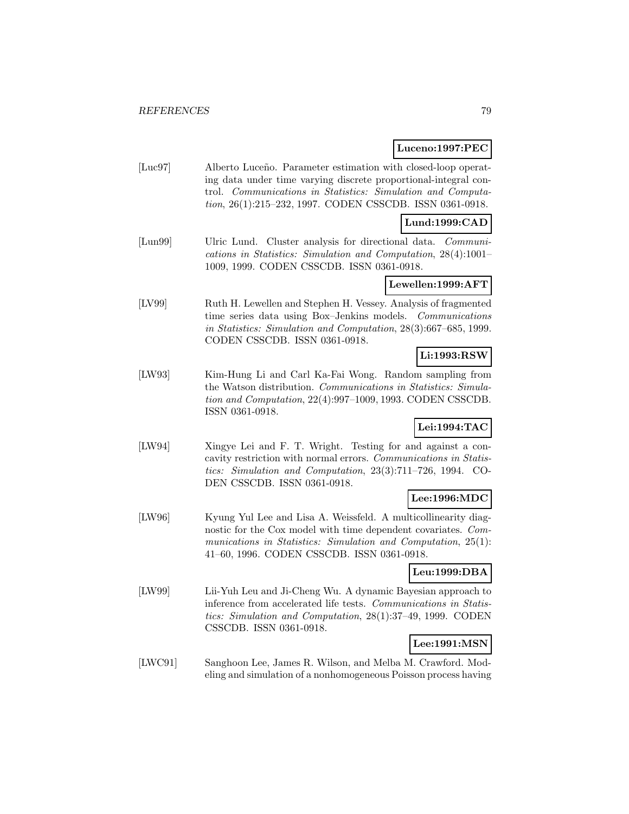### **Luceno:1997:PEC**

[Luc97] Alberto Luceño. Parameter estimation with closed-loop operating data under time varying discrete proportional-integral control. Communications in Statistics: Simulation and Computation, 26(1):215–232, 1997. CODEN CSSCDB. ISSN 0361-0918.

## **Lund:1999:CAD**

[Lun99] Ulric Lund. Cluster analysis for directional data. Communications in Statistics: Simulation and Computation, 28(4):1001– 1009, 1999. CODEN CSSCDB. ISSN 0361-0918.

#### **Lewellen:1999:AFT**

[LV99] Ruth H. Lewellen and Stephen H. Vessey. Analysis of fragmented time series data using Box–Jenkins models. Communications in Statistics: Simulation and Computation, 28(3):667–685, 1999. CODEN CSSCDB. ISSN 0361-0918.

# **Li:1993:RSW**

[LW93] Kim-Hung Li and Carl Ka-Fai Wong. Random sampling from the Watson distribution. Communications in Statistics: Simulation and Computation, 22(4):997–1009, 1993. CODEN CSSCDB. ISSN 0361-0918.

## **Lei:1994:TAC**

[LW94] Xingye Lei and F. T. Wright. Testing for and against a concavity restriction with normal errors. Communications in Statistics: Simulation and Computation, 23(3):711–726, 1994. CO-DEN CSSCDB. ISSN 0361-0918.

## **Lee:1996:MDC**

[LW96] Kyung Yul Lee and Lisa A. Weissfeld. A multicollinearity diagnostic for the Cox model with time dependent covariates. Communications in Statistics: Simulation and Computation, 25(1): 41–60, 1996. CODEN CSSCDB. ISSN 0361-0918.

## **Leu:1999:DBA**

[LW99] Lii-Yuh Leu and Ji-Cheng Wu. A dynamic Bayesian approach to inference from accelerated life tests. Communications in Statistics: Simulation and Computation, 28(1):37–49, 1999. CODEN CSSCDB. ISSN 0361-0918.

## **Lee:1991:MSN**

[LWC91] Sanghoon Lee, James R. Wilson, and Melba M. Crawford. Modeling and simulation of a nonhomogeneous Poisson process having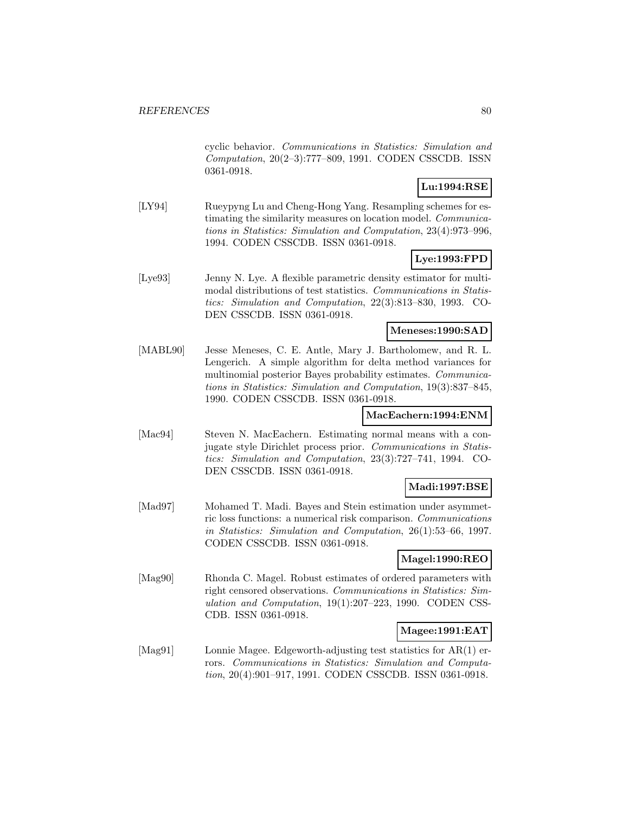cyclic behavior. Communications in Statistics: Simulation and Computation, 20(2–3):777–809, 1991. CODEN CSSCDB. ISSN 0361-0918.

## **Lu:1994:RSE**

[LY94] Rueypyng Lu and Cheng-Hong Yang. Resampling schemes for estimating the similarity measures on location model. Communications in Statistics: Simulation and Computation, 23(4):973–996, 1994. CODEN CSSCDB. ISSN 0361-0918.

### **Lye:1993:FPD**

[Lye93] Jenny N. Lye. A flexible parametric density estimator for multimodal distributions of test statistics. Communications in Statistics: Simulation and Computation, 22(3):813–830, 1993. CO-DEN CSSCDB. ISSN 0361-0918.

#### **Meneses:1990:SAD**

[MABL90] Jesse Meneses, C. E. Antle, Mary J. Bartholomew, and R. L. Lengerich. A simple algorithm for delta method variances for multinomial posterior Bayes probability estimates. Communications in Statistics: Simulation and Computation, 19(3):837–845, 1990. CODEN CSSCDB. ISSN 0361-0918.

## **MacEachern:1994:ENM**

[Mac94] Steven N. MacEachern. Estimating normal means with a conjugate style Dirichlet process prior. Communications in Statistics: Simulation and Computation, 23(3):727–741, 1994. CO-DEN CSSCDB. ISSN 0361-0918.

#### **Madi:1997:BSE**

[Mad97] Mohamed T. Madi. Bayes and Stein estimation under asymmetric loss functions: a numerical risk comparison. Communications in Statistics: Simulation and Computation, 26(1):53–66, 1997. CODEN CSSCDB. ISSN 0361-0918.

## **Magel:1990:REO**

[Mag90] Rhonda C. Magel. Robust estimates of ordered parameters with right censored observations. Communications in Statistics: Simulation and Computation, 19(1):207–223, 1990. CODEN CSS-CDB. ISSN 0361-0918.

## **Magee:1991:EAT**

[Mag91] Lonnie Magee. Edgeworth-adjusting test statistics for AR(1) errors. Communications in Statistics: Simulation and Computation, 20(4):901–917, 1991. CODEN CSSCDB. ISSN 0361-0918.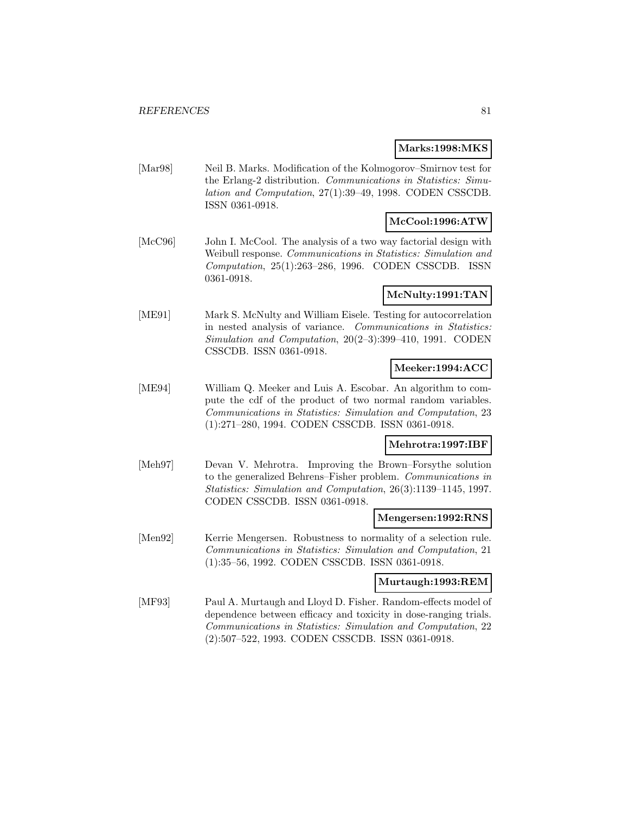#### **Marks:1998:MKS**

[Mar98] Neil B. Marks. Modification of the Kolmogorov–Smirnov test for the Erlang-2 distribution. Communications in Statistics: Simulation and Computation, 27(1):39–49, 1998. CODEN CSSCDB. ISSN 0361-0918.

## **McCool:1996:ATW**

[McC96] John I. McCool. The analysis of a two way factorial design with Weibull response. Communications in Statistics: Simulation and Computation, 25(1):263–286, 1996. CODEN CSSCDB. ISSN 0361-0918.

## **McNulty:1991:TAN**

[ME91] Mark S. McNulty and William Eisele. Testing for autocorrelation in nested analysis of variance. Communications in Statistics: Simulation and Computation, 20(2–3):399–410, 1991. CODEN CSSCDB. ISSN 0361-0918.

### **Meeker:1994:ACC**

[ME94] William Q. Meeker and Luis A. Escobar. An algorithm to compute the cdf of the product of two normal random variables. Communications in Statistics: Simulation and Computation, 23 (1):271–280, 1994. CODEN CSSCDB. ISSN 0361-0918.

## **Mehrotra:1997:IBF**

[Meh97] Devan V. Mehrotra. Improving the Brown–Forsythe solution to the generalized Behrens–Fisher problem. Communications in Statistics: Simulation and Computation, 26(3):1139–1145, 1997. CODEN CSSCDB. ISSN 0361-0918.

#### **Mengersen:1992:RNS**

[Men92] Kerrie Mengersen. Robustness to normality of a selection rule. Communications in Statistics: Simulation and Computation, 21 (1):35–56, 1992. CODEN CSSCDB. ISSN 0361-0918.

## **Murtaugh:1993:REM**

[MF93] Paul A. Murtaugh and Lloyd D. Fisher. Random-effects model of dependence between efficacy and toxicity in dose-ranging trials. Communications in Statistics: Simulation and Computation, 22 (2):507–522, 1993. CODEN CSSCDB. ISSN 0361-0918.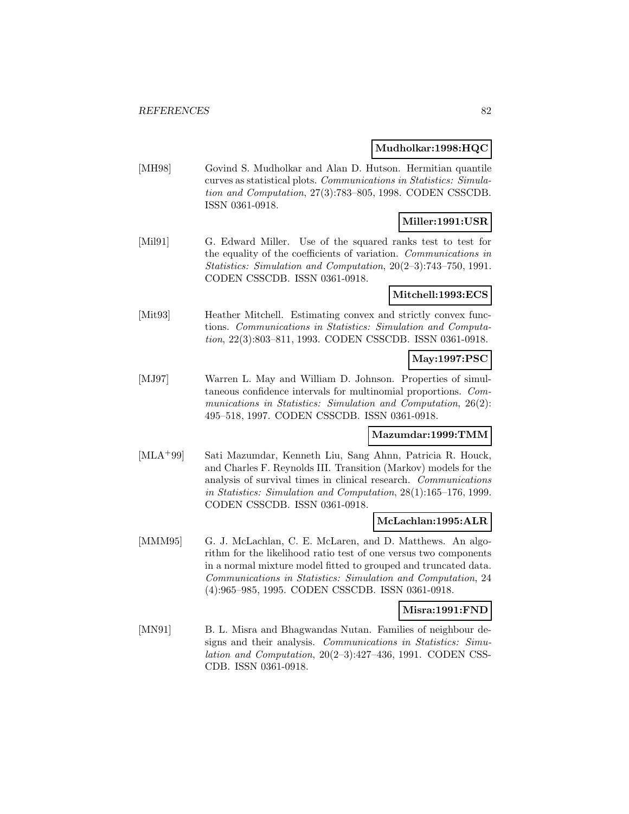#### **Mudholkar:1998:HQC**

[MH98] Govind S. Mudholkar and Alan D. Hutson. Hermitian quantile curves as statistical plots. Communications in Statistics: Simulation and Computation, 27(3):783–805, 1998. CODEN CSSCDB. ISSN 0361-0918.

# **Miller:1991:USR**

[Mil91] G. Edward Miller. Use of the squared ranks test to test for the equality of the coefficients of variation. Communications in Statistics: Simulation and Computation, 20(2–3):743–750, 1991. CODEN CSSCDB. ISSN 0361-0918.

### **Mitchell:1993:ECS**

[Mit93] Heather Mitchell. Estimating convex and strictly convex functions. Communications in Statistics: Simulation and Computation, 22(3):803–811, 1993. CODEN CSSCDB. ISSN 0361-0918.

## **May:1997:PSC**

[MJ97] Warren L. May and William D. Johnson. Properties of simultaneous confidence intervals for multinomial proportions. Communications in Statistics: Simulation and Computation, 26(2): 495–518, 1997. CODEN CSSCDB. ISSN 0361-0918.

#### **Mazumdar:1999:TMM**

[MLA<sup>+</sup>99] Sati Mazumdar, Kenneth Liu, Sang Ahnn, Patricia R. Houck, and Charles F. Reynolds III. Transition (Markov) models for the analysis of survival times in clinical research. Communications in Statistics: Simulation and Computation, 28(1):165–176, 1999. CODEN CSSCDB. ISSN 0361-0918.

#### **McLachlan:1995:ALR**

[MMM95] G. J. McLachlan, C. E. McLaren, and D. Matthews. An algorithm for the likelihood ratio test of one versus two components in a normal mixture model fitted to grouped and truncated data. Communications in Statistics: Simulation and Computation, 24 (4):965–985, 1995. CODEN CSSCDB. ISSN 0361-0918.

#### **Misra:1991:FND**

[MN91] B. L. Misra and Bhagwandas Nutan. Families of neighbour designs and their analysis. Communications in Statistics: Simulation and Computation, 20(2–3):427–436, 1991. CODEN CSS-CDB. ISSN 0361-0918.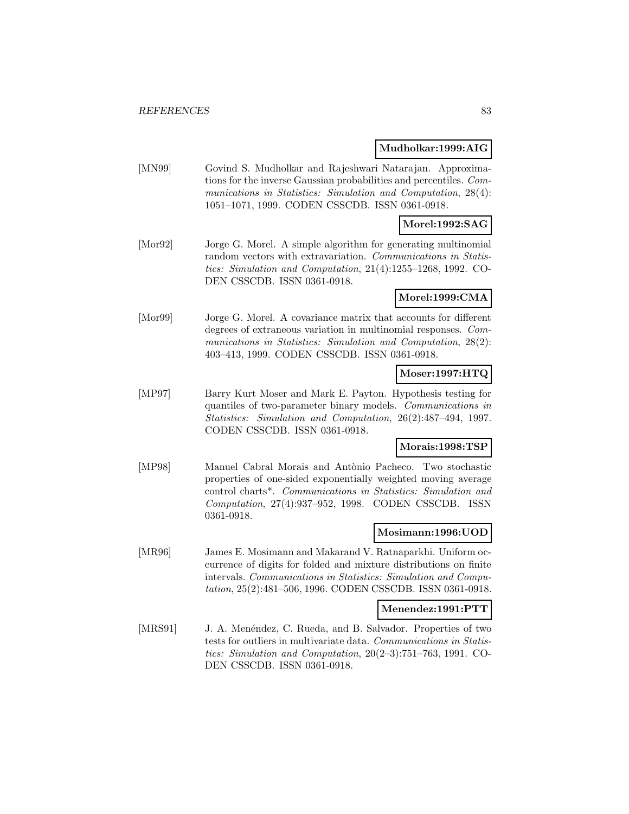#### **Mudholkar:1999:AIG**

[MN99] Govind S. Mudholkar and Rajeshwari Natarajan. Approximations for the inverse Gaussian probabilities and percentiles. Communications in Statistics: Simulation and Computation, 28(4): 1051–1071, 1999. CODEN CSSCDB. ISSN 0361-0918.

### **Morel:1992:SAG**

[Mor92] Jorge G. Morel. A simple algorithm for generating multinomial random vectors with extravariation. Communications in Statistics: Simulation and Computation, 21(4):1255–1268, 1992. CO-DEN CSSCDB. ISSN 0361-0918.

**Morel:1999:CMA**

[Mor99] Jorge G. Morel. A covariance matrix that accounts for different degrees of extraneous variation in multinomial responses. Communications in Statistics: Simulation and Computation, 28(2): 403–413, 1999. CODEN CSSCDB. ISSN 0361-0918.

## **Moser:1997:HTQ**

[MP97] Barry Kurt Moser and Mark E. Payton. Hypothesis testing for quantiles of two-parameter binary models. Communications in Statistics: Simulation and Computation, 26(2):487–494, 1997. CODEN CSSCDB. ISSN 0361-0918.

#### **Morais:1998:TSP**

[MP98] Manuel Cabral Morais and Antònio Pacheco. Two stochastic properties of one-sided exponentially weighted moving average control charts\*. Communications in Statistics: Simulation and Computation, 27(4):937–952, 1998. CODEN CSSCDB. ISSN 0361-0918.

#### **Mosimann:1996:UOD**

[MR96] James E. Mosimann and Makarand V. Ratnaparkhi. Uniform occurrence of digits for folded and mixture distributions on finite intervals. Communications in Statistics: Simulation and Computation, 25(2):481–506, 1996. CODEN CSSCDB. ISSN 0361-0918.

#### **Menendez:1991:PTT**

[MRS91] J. A. Menéndez, C. Rueda, and B. Salvador. Properties of two tests for outliers in multivariate data. Communications in Statistics: Simulation and Computation, 20(2–3):751–763, 1991. CO-DEN CSSCDB. ISSN 0361-0918.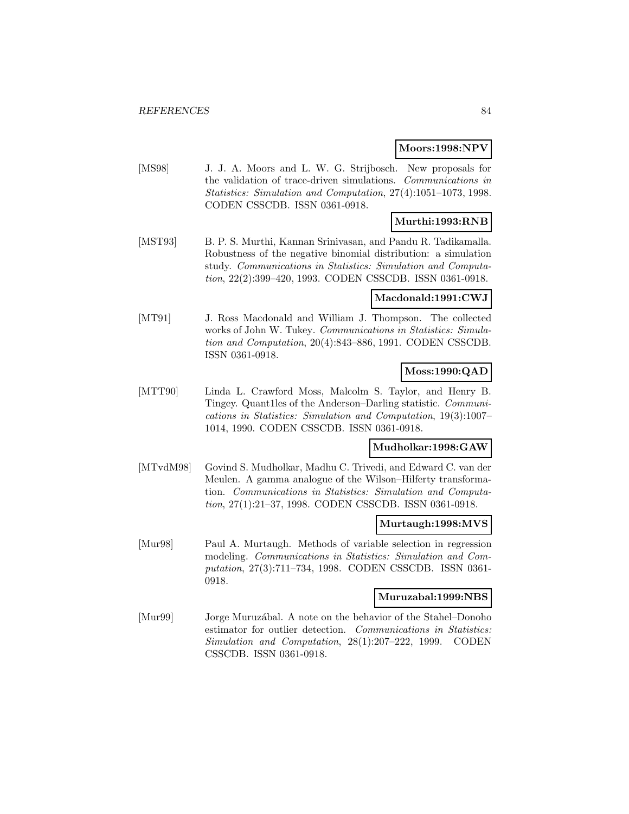#### **Moors:1998:NPV**

[MS98] J. J. A. Moors and L. W. G. Strijbosch. New proposals for the validation of trace-driven simulations. Communications in Statistics: Simulation and Computation, 27(4):1051–1073, 1998. CODEN CSSCDB. ISSN 0361-0918.

## **Murthi:1993:RNB**

[MST93] B. P. S. Murthi, Kannan Srinivasan, and Pandu R. Tadikamalla. Robustness of the negative binomial distribution: a simulation study. Communications in Statistics: Simulation and Computation, 22(2):399–420, 1993. CODEN CSSCDB. ISSN 0361-0918.

#### **Macdonald:1991:CWJ**

[MT91] J. Ross Macdonald and William J. Thompson. The collected works of John W. Tukey. Communications in Statistics: Simulation and Computation, 20(4):843–886, 1991. CODEN CSSCDB. ISSN 0361-0918.

## **Moss:1990:QAD**

[MTT90] Linda L. Crawford Moss, Malcolm S. Taylor, and Henry B. Tingey. Quant1les of the Anderson–Darling statistic. Communications in Statistics: Simulation and Computation, 19(3):1007– 1014, 1990. CODEN CSSCDB. ISSN 0361-0918.

#### **Mudholkar:1998:GAW**

[MTvdM98] Govind S. Mudholkar, Madhu C. Trivedi, and Edward C. van der Meulen. A gamma analogue of the Wilson–Hilferty transformation. Communications in Statistics: Simulation and Computation, 27(1):21–37, 1998. CODEN CSSCDB. ISSN 0361-0918.

#### **Murtaugh:1998:MVS**

[Mur98] Paul A. Murtaugh. Methods of variable selection in regression modeling. Communications in Statistics: Simulation and Computation, 27(3):711–734, 1998. CODEN CSSCDB. ISSN 0361- 0918.

#### **Muruzabal:1999:NBS**

[Mur99] Jorge Muruzábal. A note on the behavior of the Stahel–Donoho estimator for outlier detection. Communications in Statistics: Simulation and Computation, 28(1):207–222, 1999. CODEN CSSCDB. ISSN 0361-0918.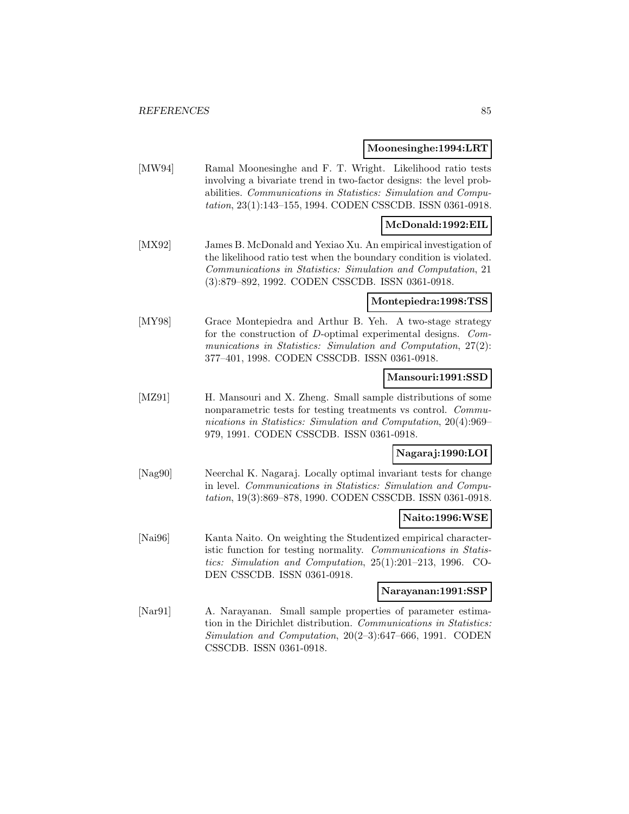#### **Moonesinghe:1994:LRT**

[MW94] Ramal Moonesinghe and F. T. Wright. Likelihood ratio tests involving a bivariate trend in two-factor designs: the level probabilities. Communications in Statistics: Simulation and Computation, 23(1):143–155, 1994. CODEN CSSCDB. ISSN 0361-0918.

#### **McDonald:1992:EIL**

[MX92] James B. McDonald and Yexiao Xu. An empirical investigation of the likelihood ratio test when the boundary condition is violated. Communications in Statistics: Simulation and Computation, 21 (3):879–892, 1992. CODEN CSSCDB. ISSN 0361-0918.

#### **Montepiedra:1998:TSS**

[MY98] Grace Montepiedra and Arthur B. Yeh. A two-stage strategy for the construction of D-optimal experimental designs. Communications in Statistics: Simulation and Computation, 27(2): 377–401, 1998. CODEN CSSCDB. ISSN 0361-0918.

### **Mansouri:1991:SSD**

[MZ91] H. Mansouri and X. Zheng. Small sample distributions of some nonparametric tests for testing treatments vs control. Communications in Statistics: Simulation and Computation, 20(4):969– 979, 1991. CODEN CSSCDB. ISSN 0361-0918.

## **Nagaraj:1990:LOI**

[Nag90] Neerchal K. Nagaraj. Locally optimal invariant tests for change in level. Communications in Statistics: Simulation and Computation, 19(3):869–878, 1990. CODEN CSSCDB. ISSN 0361-0918.

## **Naito:1996:WSE**

[Nai96] Kanta Naito. On weighting the Studentized empirical characteristic function for testing normality. Communications in Statistics: Simulation and Computation, 25(1):201–213, 1996. CO-DEN CSSCDB. ISSN 0361-0918.

#### **Narayanan:1991:SSP**

[Nar91] A. Narayanan. Small sample properties of parameter estimation in the Dirichlet distribution. Communications in Statistics: Simulation and Computation, 20(2–3):647–666, 1991. CODEN CSSCDB. ISSN 0361-0918.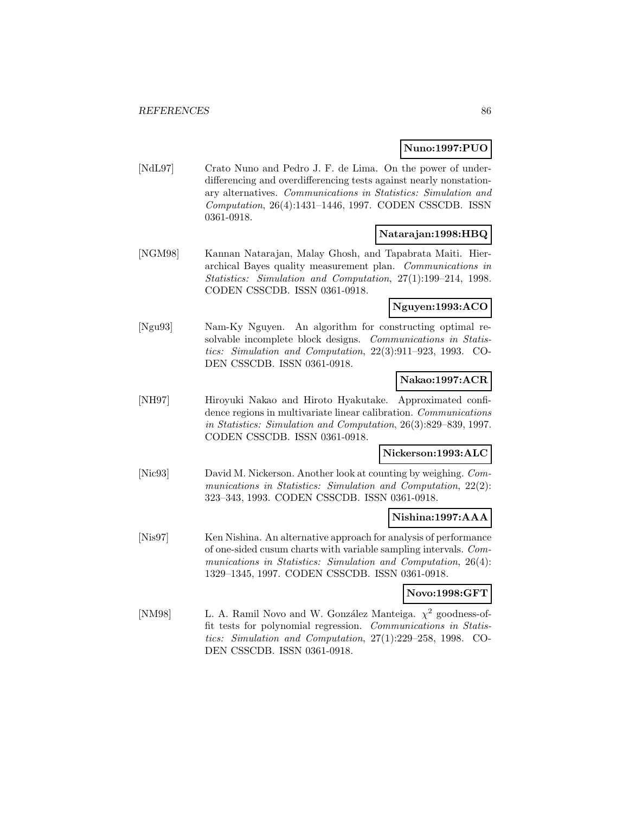## **Nuno:1997:PUO**

[NdL97] Crato Nuno and Pedro J. F. de Lima. On the power of underdifferencing and overdifferencing tests against nearly nonstationary alternatives. Communications in Statistics: Simulation and Computation, 26(4):1431–1446, 1997. CODEN CSSCDB. ISSN 0361-0918.

### **Natarajan:1998:HBQ**

[NGM98] Kannan Natarajan, Malay Ghosh, and Tapabrata Maiti. Hierarchical Bayes quality measurement plan. Communications in Statistics: Simulation and Computation, 27(1):199–214, 1998. CODEN CSSCDB. ISSN 0361-0918.

## **Nguyen:1993:ACO**

[Ngu93] Nam-Ky Nguyen. An algorithm for constructing optimal resolvable incomplete block designs. Communications in Statistics: Simulation and Computation, 22(3):911–923, 1993. CO-DEN CSSCDB. ISSN 0361-0918.

## **Nakao:1997:ACR**

[NH97] Hiroyuki Nakao and Hiroto Hyakutake. Approximated confidence regions in multivariate linear calibration. Communications in Statistics: Simulation and Computation, 26(3):829–839, 1997. CODEN CSSCDB. ISSN 0361-0918.

#### **Nickerson:1993:ALC**

[Nic93] David M. Nickerson. Another look at counting by weighing. Communications in Statistics: Simulation and Computation, 22(2): 323–343, 1993. CODEN CSSCDB. ISSN 0361-0918.

#### **Nishina:1997:AAA**

[Nis97] Ken Nishina. An alternative approach for analysis of performance of one-sided cusum charts with variable sampling intervals. Communications in Statistics: Simulation and Computation, 26(4): 1329–1345, 1997. CODEN CSSCDB. ISSN 0361-0918.

## **Novo:1998:GFT**

[NM98] L. A. Ramil Novo and W. González Manteiga.  $\chi^2$  goodness-offit tests for polynomial regression. Communications in Statistics: Simulation and Computation, 27(1):229–258, 1998. CO-DEN CSSCDB. ISSN 0361-0918.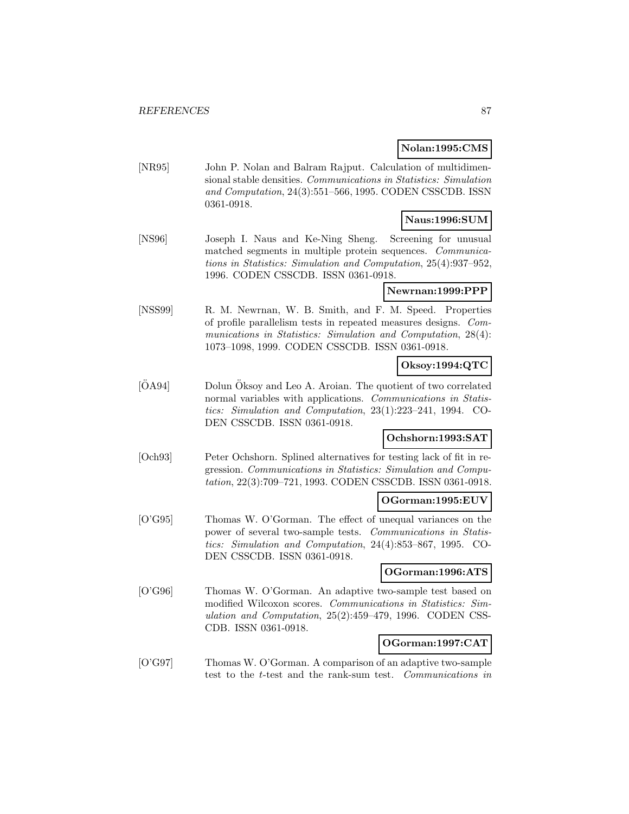#### **Nolan:1995:CMS**

[NR95] John P. Nolan and Balram Rajput. Calculation of multidimensional stable densities. Communications in Statistics: Simulation and Computation, 24(3):551–566, 1995. CODEN CSSCDB. ISSN 0361-0918.

## **Naus:1996:SUM**

[NS96] Joseph I. Naus and Ke-Ning Sheng. Screening for unusual matched segments in multiple protein sequences. Communications in Statistics: Simulation and Computation, 25(4):937–952, 1996. CODEN CSSCDB. ISSN 0361-0918.

## **Newrnan:1999:PPP**

[NSS99] R. M. Newrnan, W. B. Smith, and F. M. Speed. Properties of profile parallelism tests in repeated measures designs. Communications in Statistics: Simulation and Computation, 28(4): 1073–1098, 1999. CODEN CSSCDB. ISSN 0361-0918.

## **Oksoy:1994:QTC**

 $[OA94]$  Dolun  $O$ ksoy and Leo A. Aroian. The quotient of two correlated normal variables with applications. Communications in Statistics: Simulation and Computation, 23(1):223–241, 1994. CO-DEN CSSCDB. ISSN 0361-0918.

#### **Ochshorn:1993:SAT**

[Och93] Peter Ochshorn. Splined alternatives for testing lack of fit in regression. Communications in Statistics: Simulation and Computation, 22(3):709–721, 1993. CODEN CSSCDB. ISSN 0361-0918.

#### **OGorman:1995:EUV**

[O'G95] Thomas W. O'Gorman. The effect of unequal variances on the power of several two-sample tests. Communications in Statistics: Simulation and Computation, 24(4):853–867, 1995. CO-DEN CSSCDB. ISSN 0361-0918.

#### **OGorman:1996:ATS**

[O'G96] Thomas W. O'Gorman. An adaptive two-sample test based on modified Wilcoxon scores. Communications in Statistics: Simulation and Computation, 25(2):459–479, 1996. CODEN CSS-CDB. ISSN 0361-0918.

## **OGorman:1997:CAT**

[O'G97] Thomas W. O'Gorman. A comparison of an adaptive two-sample test to the t-test and the rank-sum test. Communications in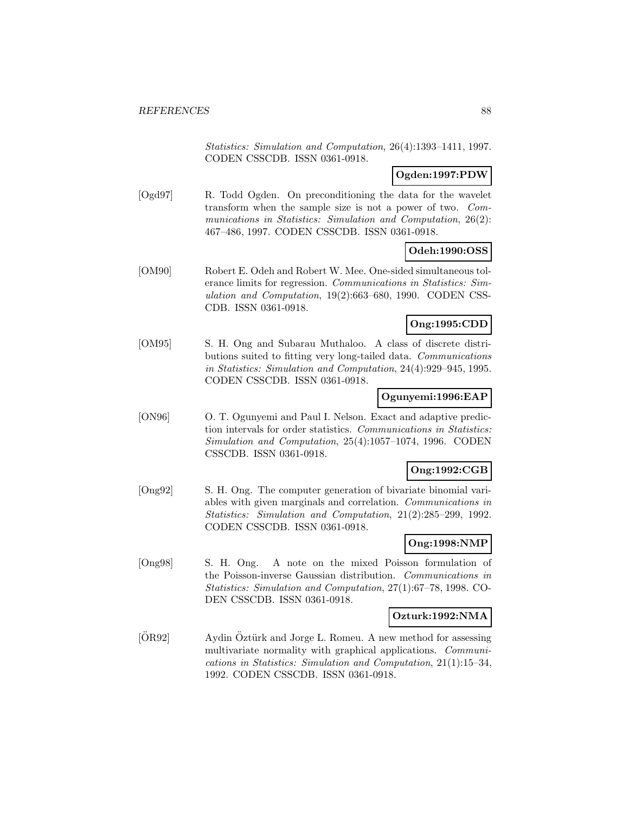Statistics: Simulation and Computation, 26(4):1393–1411, 1997. CODEN CSSCDB. ISSN 0361-0918.

## **Ogden:1997:PDW**

[Ogd97] R. Todd Ogden. On preconditioning the data for the wavelet transform when the sample size is not a power of two. Communications in Statistics: Simulation and Computation, 26(2): 467–486, 1997. CODEN CSSCDB. ISSN 0361-0918.

## **Odeh:1990:OSS**

[OM90] Robert E. Odeh and Robert W. Mee. One-sided simultaneous tolerance limits for regression. Communications in Statistics: Simulation and Computation, 19(2):663–680, 1990. CODEN CSS-CDB. ISSN 0361-0918.

### **Ong:1995:CDD**

[OM95] S. H. Ong and Subarau Muthaloo. A class of discrete distributions suited to fitting very long-tailed data. Communications in Statistics: Simulation and Computation, 24(4):929–945, 1995. CODEN CSSCDB. ISSN 0361-0918.

### **Ogunyemi:1996:EAP**

[ON96] O. T. Ogunyemi and Paul I. Nelson. Exact and adaptive prediction intervals for order statistics. Communications in Statistics: Simulation and Computation, 25(4):1057–1074, 1996. CODEN CSSCDB. ISSN 0361-0918.

### **Ong:1992:CGB**

[Ong92] S. H. Ong. The computer generation of bivariate binomial variables with given marginals and correlation. Communications in Statistics: Simulation and Computation, 21(2):285–299, 1992. CODEN CSSCDB. ISSN 0361-0918.

## **Ong:1998:NMP**

[Ong98] S. H. Ong. A note on the mixed Poisson formulation of the Poisson-inverse Gaussian distribution. Communications in Statistics: Simulation and Computation, 27(1):67–78, 1998. CO-DEN CSSCDB. ISSN 0361-0918.

#### **Ozturk:1992:NMA**

 $[OR92]$  Aydin Öztürk and Jorge L. Romeu. A new method for assessing multivariate normality with graphical applications. Communications in Statistics: Simulation and Computation, 21(1):15–34, 1992. CODEN CSSCDB. ISSN 0361-0918.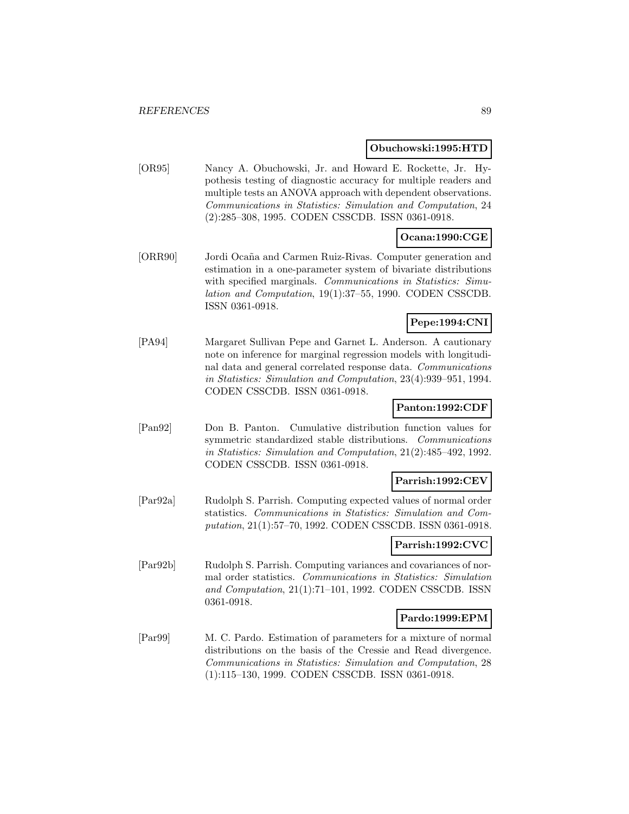#### **Obuchowski:1995:HTD**

[OR95] Nancy A. Obuchowski, Jr. and Howard E. Rockette, Jr. Hypothesis testing of diagnostic accuracy for multiple readers and multiple tests an ANOVA approach with dependent observations. Communications in Statistics: Simulation and Computation, 24 (2):285–308, 1995. CODEN CSSCDB. ISSN 0361-0918.

## **Ocana:1990:CGE**

[ORR90] Jordi Oca˜na and Carmen Ruiz-Rivas. Computer generation and estimation in a one-parameter system of bivariate distributions with specified marginals. Communications in Statistics: Simulation and Computation, 19(1):37–55, 1990. CODEN CSSCDB. ISSN 0361-0918.

## **Pepe:1994:CNI**

[PA94] Margaret Sullivan Pepe and Garnet L. Anderson. A cautionary note on inference for marginal regression models with longitudinal data and general correlated response data. Communications in Statistics: Simulation and Computation, 23(4):939–951, 1994. CODEN CSSCDB. ISSN 0361-0918.

## **Panton:1992:CDF**

[Pan92] Don B. Panton. Cumulative distribution function values for symmetric standardized stable distributions. Communications in Statistics: Simulation and Computation, 21(2):485–492, 1992. CODEN CSSCDB. ISSN 0361-0918.

#### **Parrish:1992:CEV**

[Par92a] Rudolph S. Parrish. Computing expected values of normal order statistics. Communications in Statistics: Simulation and Computation, 21(1):57–70, 1992. CODEN CSSCDB. ISSN 0361-0918.

## **Parrish:1992:CVC**

[Par92b] Rudolph S. Parrish. Computing variances and covariances of normal order statistics. Communications in Statistics: Simulation and Computation, 21(1):71–101, 1992. CODEN CSSCDB. ISSN 0361-0918.

#### **Pardo:1999:EPM**

[Par99] M. C. Pardo. Estimation of parameters for a mixture of normal distributions on the basis of the Cressie and Read divergence. Communications in Statistics: Simulation and Computation, 28 (1):115–130, 1999. CODEN CSSCDB. ISSN 0361-0918.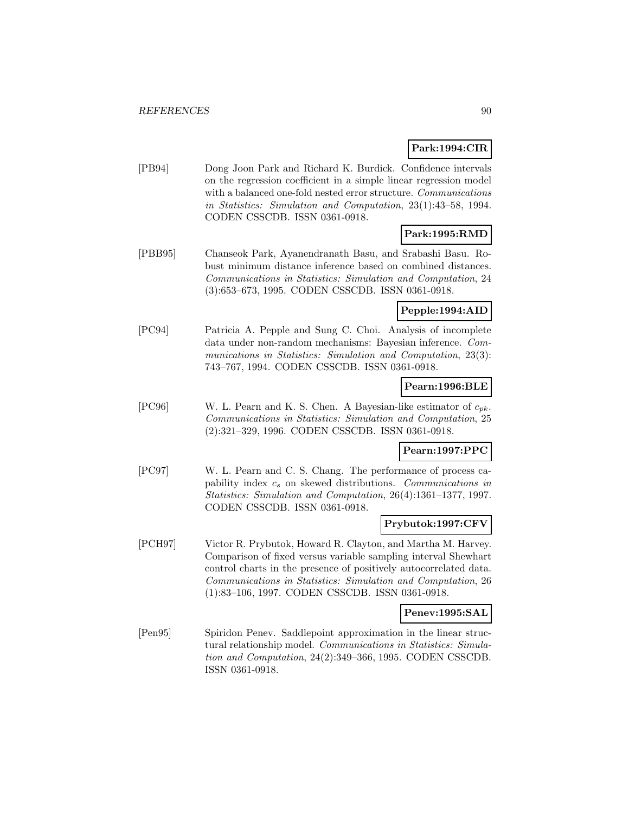## **Park:1994:CIR**

[PB94] Dong Joon Park and Richard K. Burdick. Confidence intervals on the regression coefficient in a simple linear regression model with a balanced one-fold nested error structure. Communications in Statistics: Simulation and Computation, 23(1):43–58, 1994. CODEN CSSCDB. ISSN 0361-0918.

## **Park:1995:RMD**

[PBB95] Chanseok Park, Ayanendranath Basu, and Srabashi Basu. Robust minimum distance inference based on combined distances. Communications in Statistics: Simulation and Computation, 24 (3):653–673, 1995. CODEN CSSCDB. ISSN 0361-0918.

## **Pepple:1994:AID**

[PC94] Patricia A. Pepple and Sung C. Choi. Analysis of incomplete data under non-random mechanisms: Bayesian inference. Communications in Statistics: Simulation and Computation, 23(3): 743–767, 1994. CODEN CSSCDB. ISSN 0361-0918.

## **Pearn:1996:BLE**

[PC96] W. L. Pearn and K. S. Chen. A Bayesian-like estimator of  $c_{pk}$ . Communications in Statistics: Simulation and Computation, 25 (2):321–329, 1996. CODEN CSSCDB. ISSN 0361-0918.

## **Pearn:1997:PPC**

[PC97] W. L. Pearn and C. S. Chang. The performance of process capability index  $c_s$  on skewed distributions. Communications in Statistics: Simulation and Computation, 26(4):1361–1377, 1997. CODEN CSSCDB. ISSN 0361-0918.

## **Prybutok:1997:CFV**

[PCH97] Victor R. Prybutok, Howard R. Clayton, and Martha M. Harvey. Comparison of fixed versus variable sampling interval Shewhart control charts in the presence of positively autocorrelated data. Communications in Statistics: Simulation and Computation, 26 (1):83–106, 1997. CODEN CSSCDB. ISSN 0361-0918.

#### **Penev:1995:SAL**

[Pen95] Spiridon Penev. Saddlepoint approximation in the linear structural relationship model. Communications in Statistics: Simulation and Computation, 24(2):349–366, 1995. CODEN CSSCDB. ISSN 0361-0918.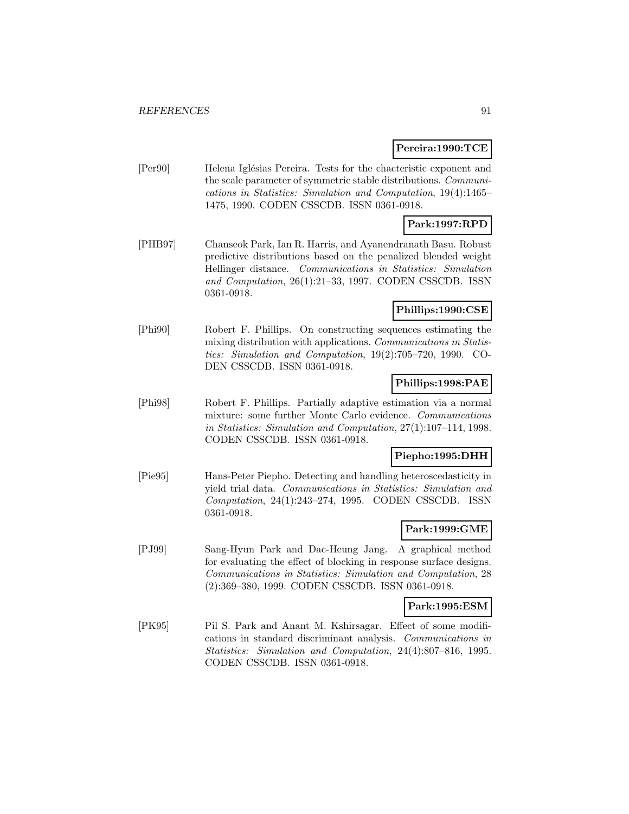### **Pereira:1990:TCE**

[Per90] Helena Iglésias Pereira. Tests for the chacteristic exponent and the scale parameter of symmetric stable distributions. Communications in Statistics: Simulation and Computation, 19(4):1465– 1475, 1990. CODEN CSSCDB. ISSN 0361-0918.

### **Park:1997:RPD**

[PHB97] Chanseok Park, Ian R. Harris, and Ayanendranath Basu. Robust predictive distributions based on the penalized blended weight Hellinger distance. Communications in Statistics: Simulation and Computation, 26(1):21–33, 1997. CODEN CSSCDB. ISSN 0361-0918.

## **Phillips:1990:CSE**

[Phi90] Robert F. Phillips. On constructing sequences estimating the mixing distribution with applications. Communications in Statistics: Simulation and Computation, 19(2):705–720, 1990. CO-DEN CSSCDB. ISSN 0361-0918.

### **Phillips:1998:PAE**

[Phi98] Robert F. Phillips. Partially adaptive estimation via a normal mixture: some further Monte Carlo evidence. Communications in Statistics: Simulation and Computation, 27(1):107–114, 1998. CODEN CSSCDB. ISSN 0361-0918.

#### **Piepho:1995:DHH**

[Pie95] Hans-Peter Piepho. Detecting and handling heteroscedasticity in yield trial data. Communications in Statistics: Simulation and Computation, 24(1):243–274, 1995. CODEN CSSCDB. ISSN 0361-0918.

## **Park:1999:GME**

[PJ99] Sang-Hyun Park and Dac-Heung Jang. A graphical method for evaluating the effect of blocking in response surface designs. Communications in Statistics: Simulation and Computation, 28 (2):369–380, 1999. CODEN CSSCDB. ISSN 0361-0918.

#### **Park:1995:ESM**

[PK95] Pil S. Park and Anant M. Kshirsagar. Effect of some modifications in standard discriminant analysis. Communications in Statistics: Simulation and Computation, 24(4):807–816, 1995. CODEN CSSCDB. ISSN 0361-0918.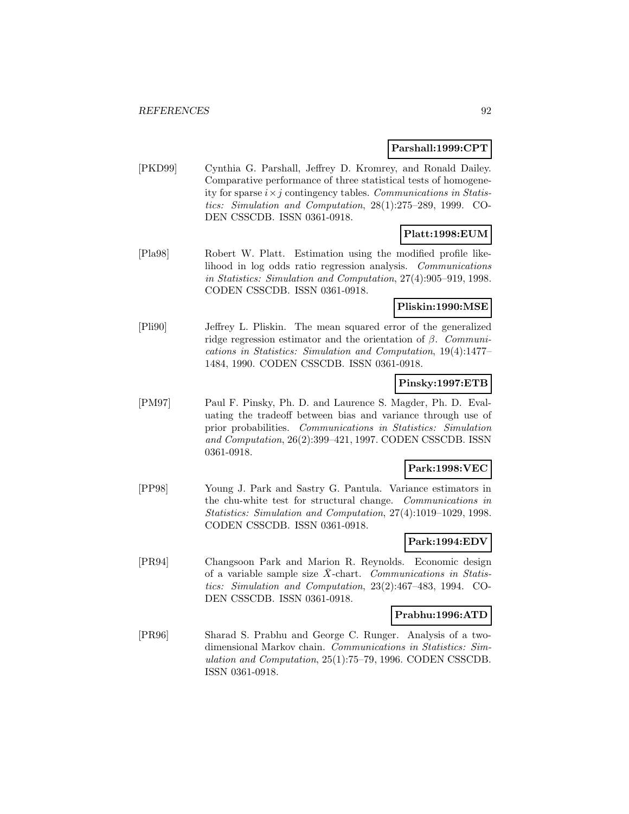#### **Parshall:1999:CPT**

[PKD99] Cynthia G. Parshall, Jeffrey D. Kromrey, and Ronald Dailey. Comparative performance of three statistical tests of homogeneity for sparse  $i \times j$  contingency tables. Communications in Statistics: Simulation and Computation, 28(1):275–289, 1999. CO-DEN CSSCDB. ISSN 0361-0918.

## **Platt:1998:EUM**

[Pla98] Robert W. Platt. Estimation using the modified profile likelihood in log odds ratio regression analysis. Communications in Statistics: Simulation and Computation, 27(4):905–919, 1998. CODEN CSSCDB. ISSN 0361-0918.

## **Pliskin:1990:MSE**

[Pli90] Jeffrey L. Pliskin. The mean squared error of the generalized ridge regression estimator and the orientation of  $\beta$ . Communications in Statistics: Simulation and Computation, 19(4):1477– 1484, 1990. CODEN CSSCDB. ISSN 0361-0918.

## **Pinsky:1997:ETB**

[PM97] Paul F. Pinsky, Ph. D. and Laurence S. Magder, Ph. D. Evaluating the tradeoff between bias and variance through use of prior probabilities. Communications in Statistics: Simulation and Computation, 26(2):399–421, 1997. CODEN CSSCDB. ISSN 0361-0918.

### **Park:1998:VEC**

[PP98] Young J. Park and Sastry G. Pantula. Variance estimators in the chu-white test for structural change. Communications in Statistics: Simulation and Computation, 27(4):1019–1029, 1998. CODEN CSSCDB. ISSN 0361-0918.

## **Park:1994:EDV**

[PR94] Changsoon Park and Marion R. Reynolds. Economic design of a variable sample size  $X$ -chart. Communications in Statistics: Simulation and Computation, 23(2):467–483, 1994. CO-DEN CSSCDB. ISSN 0361-0918.

#### **Prabhu:1996:ATD**

[PR96] Sharad S. Prabhu and George C. Runger. Analysis of a twodimensional Markov chain. Communications in Statistics: Simulation and Computation, 25(1):75–79, 1996. CODEN CSSCDB. ISSN 0361-0918.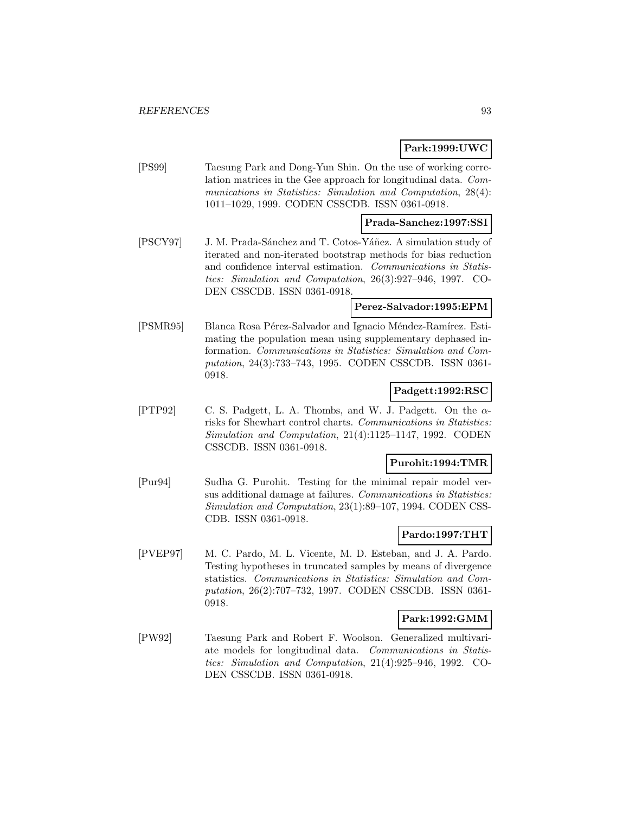## **Park:1999:UWC**

[PS99] Taesung Park and Dong-Yun Shin. On the use of working correlation matrices in the Gee approach for longitudinal data. Communications in Statistics: Simulation and Computation, 28(4): 1011–1029, 1999. CODEN CSSCDB. ISSN 0361-0918.

## **Prada-Sanchez:1997:SSI**

[PSCY97] J. M. Prada-Sánchez and T. Cotos-Yáñez. A simulation study of iterated and non-iterated bootstrap methods for bias reduction and confidence interval estimation. Communications in Statistics: Simulation and Computation, 26(3):927–946, 1997. CO-DEN CSSCDB. ISSN 0361-0918.

## **Perez-Salvador:1995:EPM**

[PSMR95] Blanca Rosa Pérez-Salvador and Ignacio Méndez-Ramírez. Estimating the population mean using supplementary dephased information. Communications in Statistics: Simulation and Computation, 24(3):733–743, 1995. CODEN CSSCDB. ISSN 0361- 0918.

## **Padgett:1992:RSC**

[PTP92] C. S. Padgett, L. A. Thombs, and W. J. Padgett. On the  $\alpha$ risks for Shewhart control charts. Communications in Statistics: Simulation and Computation, 21(4):1125–1147, 1992. CODEN CSSCDB. ISSN 0361-0918.

### **Purohit:1994:TMR**

[Pur94] Sudha G. Purohit. Testing for the minimal repair model versus additional damage at failures. Communications in Statistics: Simulation and Computation, 23(1):89–107, 1994. CODEN CSS-CDB. ISSN 0361-0918.

#### **Pardo:1997:THT**

[PVEP97] M. C. Pardo, M. L. Vicente, M. D. Esteban, and J. A. Pardo. Testing hypotheses in truncated samples by means of divergence statistics. Communications in Statistics: Simulation and Computation, 26(2):707–732, 1997. CODEN CSSCDB. ISSN 0361- 0918.

## **Park:1992:GMM**

[PW92] Taesung Park and Robert F. Woolson. Generalized multivariate models for longitudinal data. Communications in Statistics: Simulation and Computation, 21(4):925–946, 1992. CO-DEN CSSCDB. ISSN 0361-0918.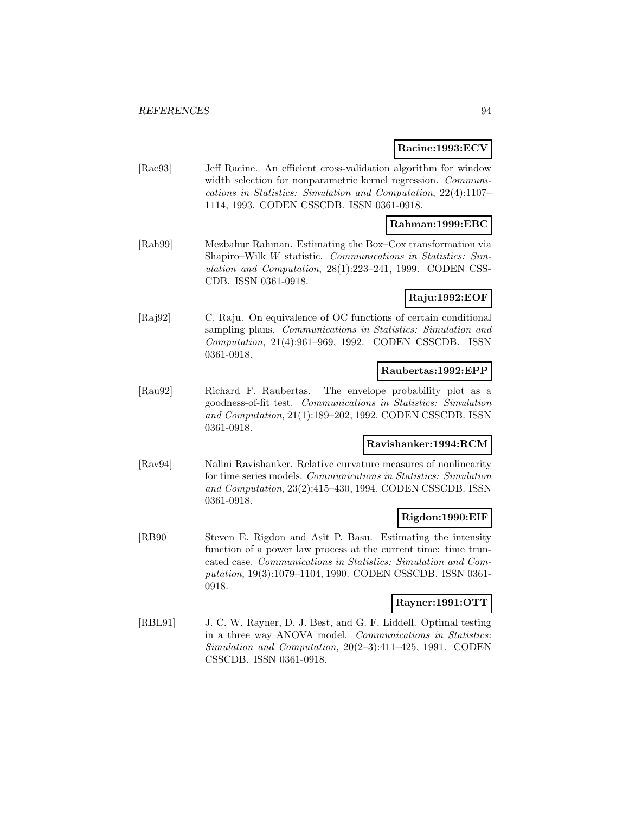### **Racine:1993:ECV**

[Rac93] Jeff Racine. An efficient cross-validation algorithm for window width selection for nonparametric kernel regression. Communications in Statistics: Simulation and Computation, 22(4):1107– 1114, 1993. CODEN CSSCDB. ISSN 0361-0918.

## **Rahman:1999:EBC**

[Rah99] Mezbahur Rahman. Estimating the Box–Cox transformation via Shapiro–Wilk W statistic. Communications in Statistics: Simulation and Computation, 28(1):223–241, 1999. CODEN CSS-CDB. ISSN 0361-0918.

### **Raju:1992:EOF**

[Raj92] C. Raju. On equivalence of OC functions of certain conditional sampling plans. Communications in Statistics: Simulation and Computation, 21(4):961–969, 1992. CODEN CSSCDB. ISSN 0361-0918.

#### **Raubertas:1992:EPP**

[Rau92] Richard F. Raubertas. The envelope probability plot as a goodness-of-fit test. Communications in Statistics: Simulation and Computation, 21(1):189–202, 1992. CODEN CSSCDB. ISSN 0361-0918.

## **Ravishanker:1994:RCM**

[Rav94] Nalini Ravishanker. Relative curvature measures of nonlinearity for time series models. Communications in Statistics: Simulation and Computation, 23(2):415–430, 1994. CODEN CSSCDB. ISSN 0361-0918.

#### **Rigdon:1990:EIF**

[RB90] Steven E. Rigdon and Asit P. Basu. Estimating the intensity function of a power law process at the current time: time truncated case. Communications in Statistics: Simulation and Computation, 19(3):1079–1104, 1990. CODEN CSSCDB. ISSN 0361- 0918.

#### **Rayner:1991:OTT**

[RBL91] J. C. W. Rayner, D. J. Best, and G. F. Liddell. Optimal testing in a three way ANOVA model. Communications in Statistics: Simulation and Computation, 20(2–3):411–425, 1991. CODEN CSSCDB. ISSN 0361-0918.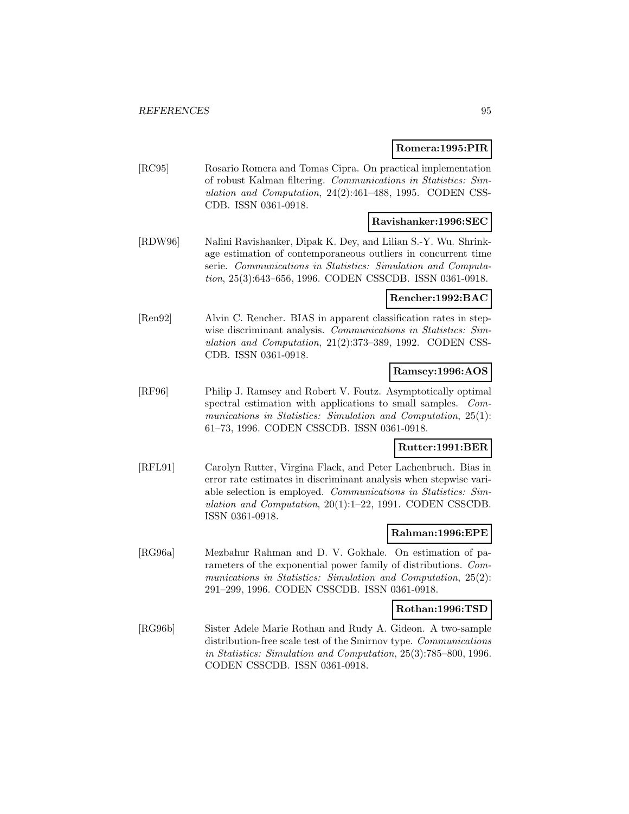#### **Romera:1995:PIR**

[RC95] Rosario Romera and Tomas Cipra. On practical implementation of robust Kalman filtering. Communications in Statistics: Simulation and Computation, 24(2):461–488, 1995. CODEN CSS-CDB. ISSN 0361-0918.

## **Ravishanker:1996:SEC**

[RDW96] Nalini Ravishanker, Dipak K. Dey, and Lilian S.-Y. Wu. Shrinkage estimation of contemporaneous outliers in concurrent time serie. Communications in Statistics: Simulation and Computation, 25(3):643–656, 1996. CODEN CSSCDB. ISSN 0361-0918.

### **Rencher:1992:BAC**

[Ren92] Alvin C. Rencher. BIAS in apparent classification rates in stepwise discriminant analysis. Communications in Statistics: Simulation and Computation, 21(2):373–389, 1992. CODEN CSS-CDB. ISSN 0361-0918.

### **Ramsey:1996:AOS**

[RF96] Philip J. Ramsey and Robert V. Foutz. Asymptotically optimal spectral estimation with applications to small samples. Communications in Statistics: Simulation and Computation, 25(1): 61–73, 1996. CODEN CSSCDB. ISSN 0361-0918.

## **Rutter:1991:BER**

[RFL91] Carolyn Rutter, Virgina Flack, and Peter Lachenbruch. Bias in error rate estimates in discriminant analysis when stepwise variable selection is employed. Communications in Statistics: Simulation and Computation, 20(1):1–22, 1991. CODEN CSSCDB. ISSN 0361-0918.

#### **Rahman:1996:EPE**

[RG96a] Mezbahur Rahman and D. V. Gokhale. On estimation of parameters of the exponential power family of distributions. Communications in Statistics: Simulation and Computation, 25(2): 291–299, 1996. CODEN CSSCDB. ISSN 0361-0918.

#### **Rothan:1996:TSD**

[RG96b] Sister Adele Marie Rothan and Rudy A. Gideon. A two-sample distribution-free scale test of the Smirnov type. Communications in Statistics: Simulation and Computation, 25(3):785–800, 1996. CODEN CSSCDB. ISSN 0361-0918.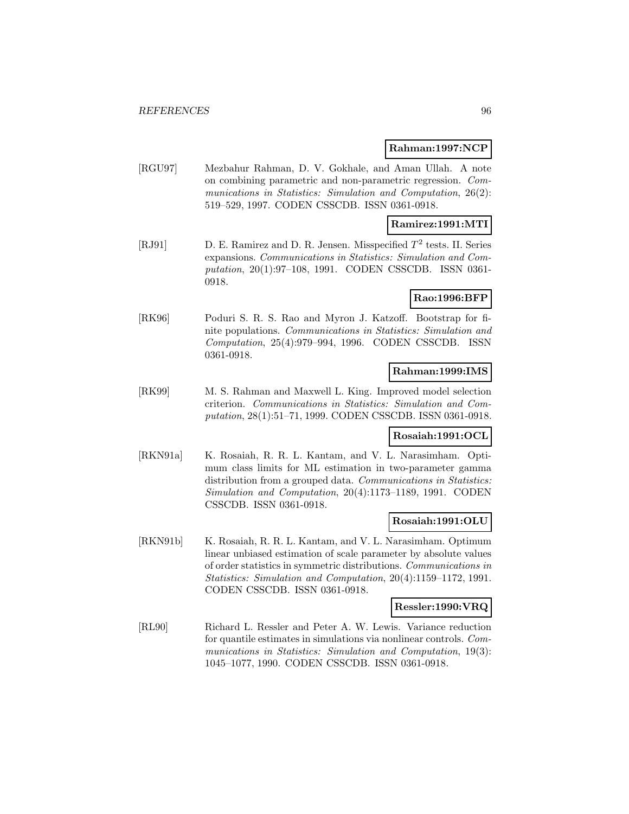#### **Rahman:1997:NCP**

[RGU97] Mezbahur Rahman, D. V. Gokhale, and Aman Ullah. A note on combining parametric and non-parametric regression. Communications in Statistics: Simulation and Computation, 26(2): 519–529, 1997. CODEN CSSCDB. ISSN 0361-0918.

#### **Ramirez:1991:MTI**

[RJ91] D. E. Ramirez and D. R. Jensen. Misspecified  $T^2$  tests. II. Series expansions. Communications in Statistics: Simulation and Computation, 20(1):97–108, 1991. CODEN CSSCDB. ISSN 0361- 0918.

## **Rao:1996:BFP**

[RK96] Poduri S. R. S. Rao and Myron J. Katzoff. Bootstrap for finite populations. Communications in Statistics: Simulation and Computation, 25(4):979–994, 1996. CODEN CSSCDB. ISSN 0361-0918.

#### **Rahman:1999:IMS**

[RK99] M. S. Rahman and Maxwell L. King. Improved model selection criterion. Communications in Statistics: Simulation and Computation, 28(1):51–71, 1999. CODEN CSSCDB. ISSN 0361-0918.

## **Rosaiah:1991:OCL**

[RKN91a] K. Rosaiah, R. R. L. Kantam, and V. L. Narasimham. Optimum class limits for ML estimation in two-parameter gamma distribution from a grouped data. Communications in Statistics: Simulation and Computation, 20(4):1173–1189, 1991. CODEN CSSCDB. ISSN 0361-0918.

#### **Rosaiah:1991:OLU**

[RKN91b] K. Rosaiah, R. R. L. Kantam, and V. L. Narasimham. Optimum linear unbiased estimation of scale parameter by absolute values of order statistics in symmetric distributions. Communications in Statistics: Simulation and Computation, 20(4):1159–1172, 1991. CODEN CSSCDB. ISSN 0361-0918.

#### **Ressler:1990:VRQ**

[RL90] Richard L. Ressler and Peter A. W. Lewis. Variance reduction for quantile estimates in simulations via nonlinear controls. Communications in Statistics: Simulation and Computation, 19(3): 1045–1077, 1990. CODEN CSSCDB. ISSN 0361-0918.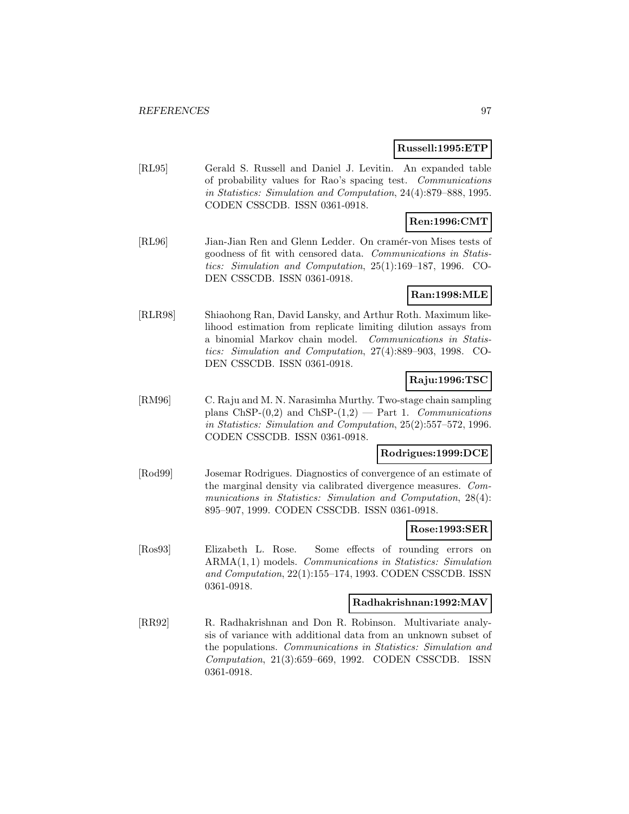#### **Russell:1995:ETP**

[RL95] Gerald S. Russell and Daniel J. Levitin. An expanded table of probability values for Rao's spacing test. Communications in Statistics: Simulation and Computation, 24(4):879–888, 1995. CODEN CSSCDB. ISSN 0361-0918.

# **Ren:1996:CMT**

[RL96] Jian-Jian Ren and Glenn Ledder. On cramér-von Mises tests of goodness of fit with censored data. Communications in Statistics: Simulation and Computation, 25(1):169–187, 1996. CO-DEN CSSCDB. ISSN 0361-0918.

### **Ran:1998:MLE**

[RLR98] Shiaohong Ran, David Lansky, and Arthur Roth. Maximum likelihood estimation from replicate limiting dilution assays from a binomial Markov chain model. Communications in Statistics: Simulation and Computation, 27(4):889–903, 1998. CO-DEN CSSCDB. ISSN 0361-0918.

## **Raju:1996:TSC**

[RM96] C. Raju and M. N. Narasimha Murthy. Two-stage chain sampling plans ChSP- $(0,2)$  and ChSP- $(1,2)$  — Part 1. Communications in Statistics: Simulation and Computation, 25(2):557–572, 1996. CODEN CSSCDB. ISSN 0361-0918.

#### **Rodrigues:1999:DCE**

[Rod99] Josemar Rodrigues. Diagnostics of convergence of an estimate of the marginal density via calibrated divergence measures. Communications in Statistics: Simulation and Computation, 28(4): 895–907, 1999. CODEN CSSCDB. ISSN 0361-0918.

#### **Rose:1993:SER**

[Ros93] Elizabeth L. Rose. Some effects of rounding errors on ARMA(1, 1) models. Communications in Statistics: Simulation and Computation, 22(1):155–174, 1993. CODEN CSSCDB. ISSN 0361-0918.

#### **Radhakrishnan:1992:MAV**

[RR92] R. Radhakrishnan and Don R. Robinson. Multivariate analysis of variance with additional data from an unknown subset of the populations. Communications in Statistics: Simulation and Computation, 21(3):659–669, 1992. CODEN CSSCDB. ISSN 0361-0918.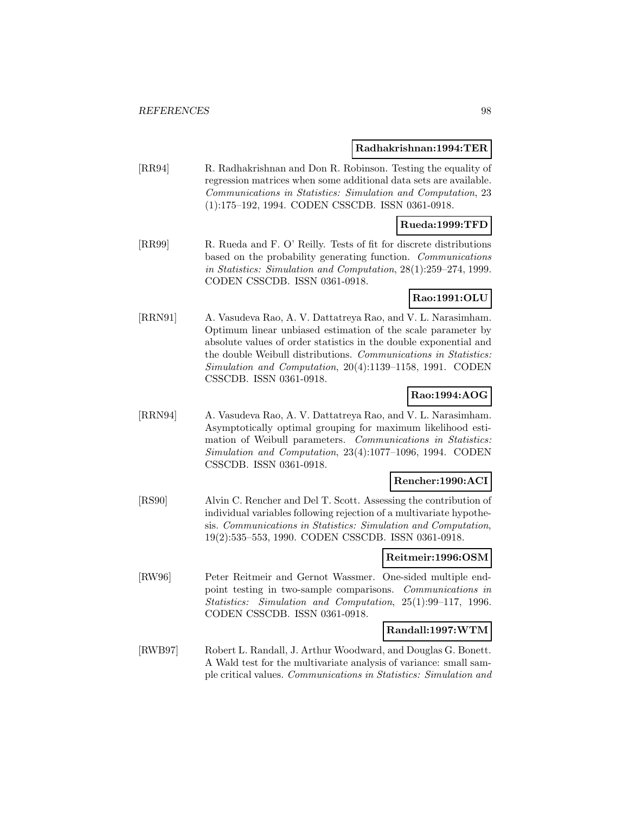#### **Radhakrishnan:1994:TER**

[RR94] R. Radhakrishnan and Don R. Robinson. Testing the equality of regression matrices when some additional data sets are available. Communications in Statistics: Simulation and Computation, 23 (1):175–192, 1994. CODEN CSSCDB. ISSN 0361-0918.

### **Rueda:1999:TFD**

[RR99] R. Rueda and F. O' Reilly. Tests of fit for discrete distributions based on the probability generating function. Communications in Statistics: Simulation and Computation, 28(1):259–274, 1999. CODEN CSSCDB. ISSN 0361-0918.

## **Rao:1991:OLU**

[RRN91] A. Vasudeva Rao, A. V. Dattatreya Rao, and V. L. Narasimham. Optimum linear unbiased estimation of the scale parameter by absolute values of order statistics in the double exponential and the double Weibull distributions. Communications in Statistics: Simulation and Computation, 20(4):1139–1158, 1991. CODEN CSSCDB. ISSN 0361-0918.

### **Rao:1994:AOG**

[RRN94] A. Vasudeva Rao, A. V. Dattatreya Rao, and V. L. Narasimham. Asymptotically optimal grouping for maximum likelihood estimation of Weibull parameters. Communications in Statistics: Simulation and Computation, 23(4):1077–1096, 1994. CODEN CSSCDB. ISSN 0361-0918.

#### **Rencher:1990:ACI**

[RS90] Alvin C. Rencher and Del T. Scott. Assessing the contribution of individual variables following rejection of a multivariate hypothesis. Communications in Statistics: Simulation and Computation, 19(2):535–553, 1990. CODEN CSSCDB. ISSN 0361-0918.

#### **Reitmeir:1996:OSM**

[RW96] Peter Reitmeir and Gernot Wassmer. One-sided multiple endpoint testing in two-sample comparisons. Communications in Statistics: Simulation and Computation, 25(1):99–117, 1996. CODEN CSSCDB. ISSN 0361-0918.

#### **Randall:1997:WTM**

[RWB97] Robert L. Randall, J. Arthur Woodward, and Douglas G. Bonett. A Wald test for the multivariate analysis of variance: small sample critical values. Communications in Statistics: Simulation and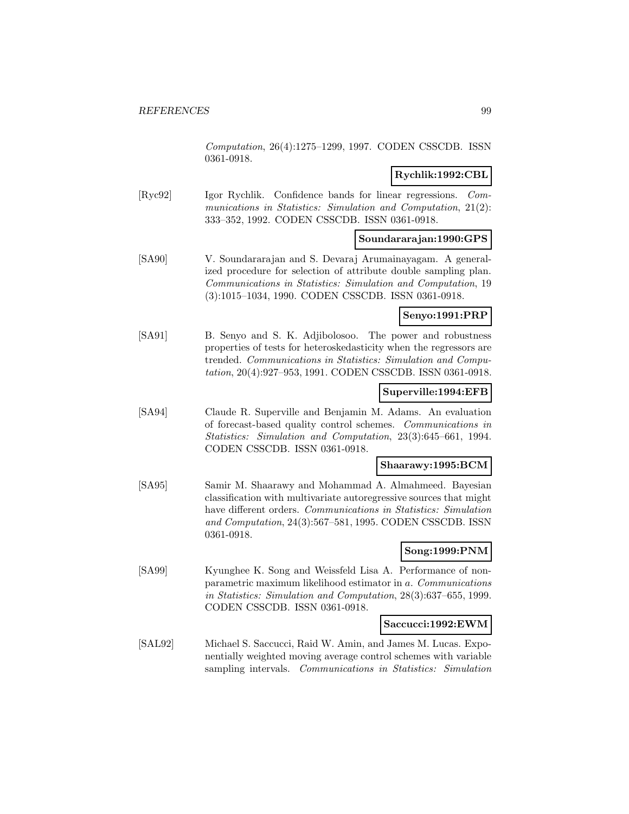Computation, 26(4):1275–1299, 1997. CODEN CSSCDB. ISSN 0361-0918.

## **Rychlik:1992:CBL**

[Ryc92] Igor Rychlik. Confidence bands for linear regressions. Communications in Statistics: Simulation and Computation, 21(2): 333–352, 1992. CODEN CSSCDB. ISSN 0361-0918.

## **Soundararajan:1990:GPS**

[SA90] V. Soundararajan and S. Devaraj Arumainayagam. A generalized procedure for selection of attribute double sampling plan. Communications in Statistics: Simulation and Computation, 19 (3):1015–1034, 1990. CODEN CSSCDB. ISSN 0361-0918.

## **Senyo:1991:PRP**

[SA91] B. Senyo and S. K. Adjibolosoo. The power and robustness properties of tests for heteroskedasticity when the regressors are trended. Communications in Statistics: Simulation and Computation, 20(4):927–953, 1991. CODEN CSSCDB. ISSN 0361-0918.

#### **Superville:1994:EFB**

[SA94] Claude R. Superville and Benjamin M. Adams. An evaluation of forecast-based quality control schemes. Communications in Statistics: Simulation and Computation, 23(3):645–661, 1994. CODEN CSSCDB. ISSN 0361-0918.

#### **Shaarawy:1995:BCM**

[SA95] Samir M. Shaarawy and Mohammad A. Almahmeed. Bayesian classification with multivariate autoregressive sources that might have different orders. Communications in Statistics: Simulation and Computation, 24(3):567–581, 1995. CODEN CSSCDB. ISSN 0361-0918.

## **Song:1999:PNM**

[SA99] Kyunghee K. Song and Weissfeld Lisa A. Performance of nonparametric maximum likelihood estimator in a. Communications in Statistics: Simulation and Computation, 28(3):637–655, 1999. CODEN CSSCDB. ISSN 0361-0918.

#### **Saccucci:1992:EWM**

[SAL92] Michael S. Saccucci, Raid W. Amin, and James M. Lucas. Exponentially weighted moving average control schemes with variable sampling intervals. Communications in Statistics: Simulation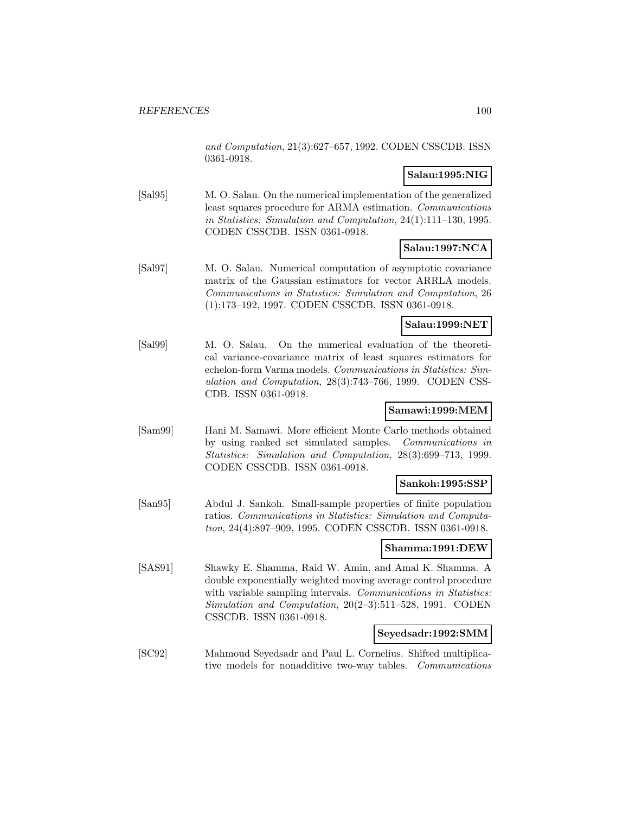and Computation, 21(3):627–657, 1992. CODEN CSSCDB. ISSN 0361-0918.

## **Salau:1995:NIG**

[Sal95] M. O. Salau. On the numerical implementation of the generalized least squares procedure for ARMA estimation. Communications in Statistics: Simulation and Computation, 24(1):111–130, 1995. CODEN CSSCDB. ISSN 0361-0918.

## **Salau:1997:NCA**

[Sal97] M. O. Salau. Numerical computation of asymptotic covariance matrix of the Gaussian estimators for vector ARRLA models. Communications in Statistics: Simulation and Computation, 26 (1):173–192, 1997. CODEN CSSCDB. ISSN 0361-0918.

### **Salau:1999:NET**

[Sal99] M. O. Salau. On the numerical evaluation of the theoretical variance-covariance matrix of least squares estimators for echelon-form Varma models. Communications in Statistics: Simulation and Computation, 28(3):743–766, 1999. CODEN CSS-CDB. ISSN 0361-0918.

## **Samawi:1999:MEM**

[Sam99] Hani M. Samawi. More efficient Monte Carlo methods obtained by using ranked set simulated samples. Communications in Statistics: Simulation and Computation, 28(3):699–713, 1999. CODEN CSSCDB. ISSN 0361-0918.

## **Sankoh:1995:SSP**

[San95] Abdul J. Sankoh. Small-sample properties of finite population ratios. Communications in Statistics: Simulation and Computation, 24(4):897–909, 1995. CODEN CSSCDB. ISSN 0361-0918.

## **Shamma:1991:DEW**

[SAS91] Shawky E. Shamma, Raid W. Amin, and Amal K. Shamma. A double exponentially weighted moving average control procedure with variable sampling intervals. Communications in Statistics: Simulation and Computation, 20(2–3):511–528, 1991. CODEN CSSCDB. ISSN 0361-0918.

#### **Seyedsadr:1992:SMM**

[SC92] Mahmoud Seyedsadr and Paul L. Cornelius. Shifted multiplicative models for nonadditive two-way tables. Communications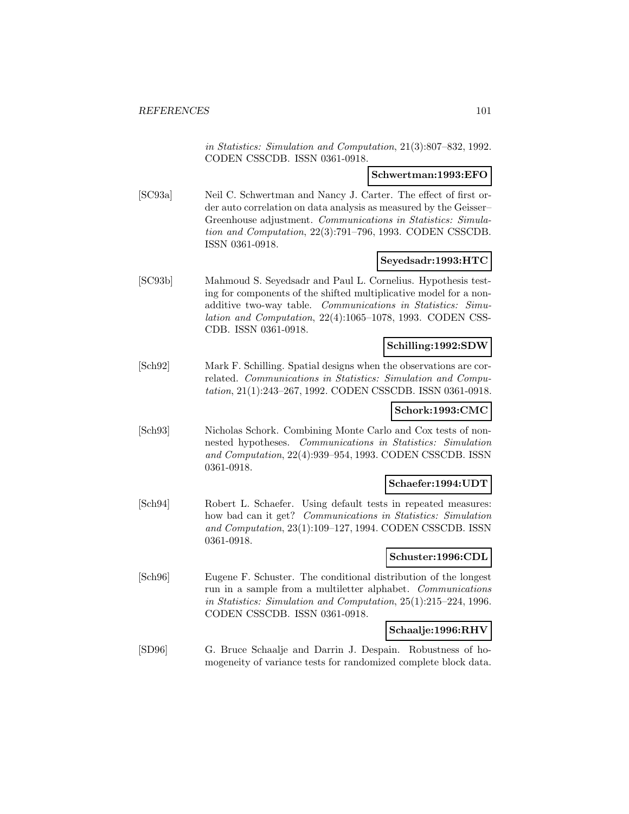in Statistics: Simulation and Computation, 21(3):807–832, 1992. CODEN CSSCDB. ISSN 0361-0918.

#### **Schwertman:1993:EFO**

[SC93a] Neil C. Schwertman and Nancy J. Carter. The effect of first order auto correlation on data analysis as measured by the Geisser– Greenhouse adjustment. Communications in Statistics: Simulation and Computation, 22(3):791–796, 1993. CODEN CSSCDB. ISSN 0361-0918.

#### **Seyedsadr:1993:HTC**

[SC93b] Mahmoud S. Seyedsadr and Paul L. Cornelius. Hypothesis testing for components of the shifted multiplicative model for a nonadditive two-way table. Communications in Statistics: Simulation and Computation, 22(4):1065–1078, 1993. CODEN CSS-CDB. ISSN 0361-0918.

#### **Schilling:1992:SDW**

[Sch92] Mark F. Schilling. Spatial designs when the observations are correlated. Communications in Statistics: Simulation and Computation, 21(1):243–267, 1992. CODEN CSSCDB. ISSN 0361-0918.

#### **Schork:1993:CMC**

[Sch93] Nicholas Schork. Combining Monte Carlo and Cox tests of nonnested hypotheses. Communications in Statistics: Simulation and Computation, 22(4):939–954, 1993. CODEN CSSCDB. ISSN 0361-0918.

#### **Schaefer:1994:UDT**

[Sch94] Robert L. Schaefer. Using default tests in repeated measures: how bad can it get? Communications in Statistics: Simulation and Computation, 23(1):109–127, 1994. CODEN CSSCDB. ISSN 0361-0918.

#### **Schuster:1996:CDL**

[Sch96] Eugene F. Schuster. The conditional distribution of the longest run in a sample from a multiletter alphabet. Communications in Statistics: Simulation and Computation, 25(1):215–224, 1996. CODEN CSSCDB. ISSN 0361-0918.

#### **Schaalje:1996:RHV**

[SD96] G. Bruce Schaalje and Darrin J. Despain. Robustness of homogeneity of variance tests for randomized complete block data.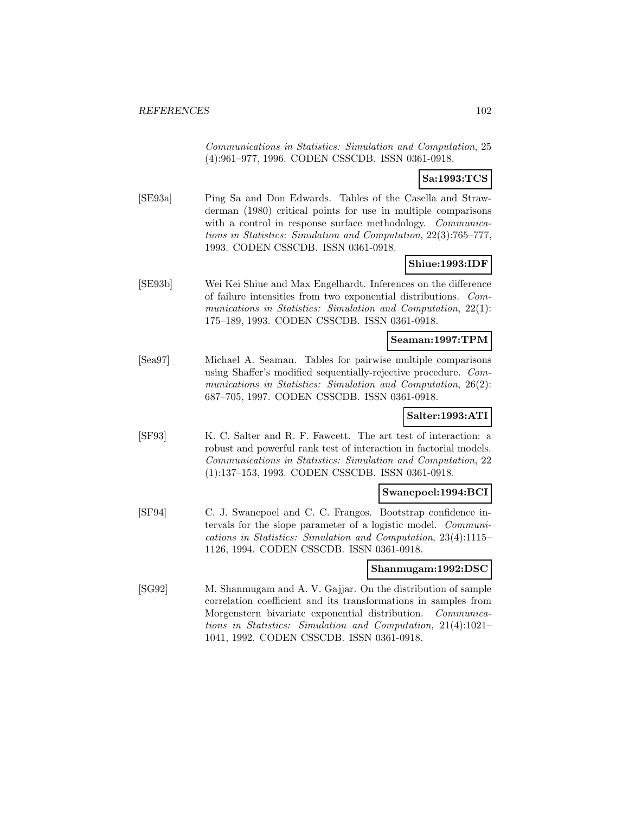Communications in Statistics: Simulation and Computation, 25 (4):961–977, 1996. CODEN CSSCDB. ISSN 0361-0918.

## **Sa:1993:TCS**

[SE93a] Ping Sa and Don Edwards. Tables of the Casella and Strawderman (1980) critical points for use in multiple comparisons with a control in response surface methodology. *Communica*tions in Statistics: Simulation and Computation, 22(3):765–777, 1993. CODEN CSSCDB. ISSN 0361-0918.

## **Shiue:1993:IDF**

[SE93b] Wei Kei Shiue and Max Engelhardt. Inferences on the difference of failure intensities from two exponential distributions. Communications in Statistics: Simulation and Computation, 22(1): 175–189, 1993. CODEN CSSCDB. ISSN 0361-0918.

### **Seaman:1997:TPM**

[Sea97] Michael A. Seaman. Tables for pairwise multiple comparisons using Shaffer's modified sequentially-rejective procedure. Communications in Statistics: Simulation and Computation, 26(2): 687–705, 1997. CODEN CSSCDB. ISSN 0361-0918.

## **Salter:1993:ATI**

[SF93] K. C. Salter and R. F. Fawcett. The art test of interaction: a robust and powerful rank test of interaction in factorial models. Communications in Statistics: Simulation and Computation, 22 (1):137–153, 1993. CODEN CSSCDB. ISSN 0361-0918.

#### **Swanepoel:1994:BCI**

[SF94] C. J. Swanepoel and C. C. Frangos. Bootstrap confidence intervals for the slope parameter of a logistic model. Communications in Statistics: Simulation and Computation, 23(4):1115– 1126, 1994. CODEN CSSCDB. ISSN 0361-0918.

#### **Shanmugam:1992:DSC**

[SG92] M. Shanmugam and A. V. Gajjar. On the distribution of sample correlation coefficient and its transformations in samples from Morgenstern bivariate exponential distribution. Communications in Statistics: Simulation and Computation, 21(4):1021– 1041, 1992. CODEN CSSCDB. ISSN 0361-0918.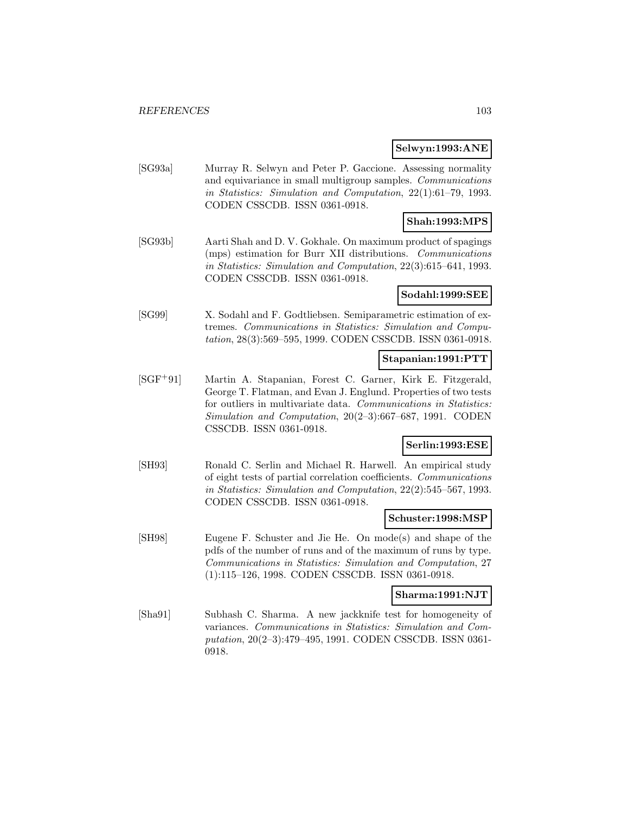#### **Selwyn:1993:ANE**

[SG93a] Murray R. Selwyn and Peter P. Gaccione. Assessing normality and equivariance in small multigroup samples. Communications in Statistics: Simulation and Computation, 22(1):61–79, 1993. CODEN CSSCDB. ISSN 0361-0918.

## **Shah:1993:MPS**

[SG93b] Aarti Shah and D. V. Gokhale. On maximum product of spagings (mps) estimation for Burr XII distributions. Communications in Statistics: Simulation and Computation, 22(3):615–641, 1993. CODEN CSSCDB. ISSN 0361-0918.

### **Sodahl:1999:SEE**

[SG99] X. Sodahl and F. Godtliebsen. Semiparametric estimation of extremes. Communications in Statistics: Simulation and Computation, 28(3):569–595, 1999. CODEN CSSCDB. ISSN 0361-0918.

## **Stapanian:1991:PTT**

[SGF<sup>+</sup>91] Martin A. Stapanian, Forest C. Garner, Kirk E. Fitzgerald, George T. Flatman, and Evan J. Englund. Properties of two tests for outliers in multivariate data. Communications in Statistics: Simulation and Computation, 20(2–3):667–687, 1991. CODEN CSSCDB. ISSN 0361-0918.

## **Serlin:1993:ESE**

[SH93] Ronald C. Serlin and Michael R. Harwell. An empirical study of eight tests of partial correlation coefficients. Communications in Statistics: Simulation and Computation, 22(2):545–567, 1993. CODEN CSSCDB. ISSN 0361-0918.

### **Schuster:1998:MSP**

[SH98] Eugene F. Schuster and Jie He. On mode(s) and shape of the pdfs of the number of runs and of the maximum of runs by type. Communications in Statistics: Simulation and Computation, 27 (1):115–126, 1998. CODEN CSSCDB. ISSN 0361-0918.

#### **Sharma:1991:NJT**

[Sha91] Subhash C. Sharma. A new jackknife test for homogeneity of variances. Communications in Statistics: Simulation and Computation, 20(2–3):479–495, 1991. CODEN CSSCDB. ISSN 0361- 0918.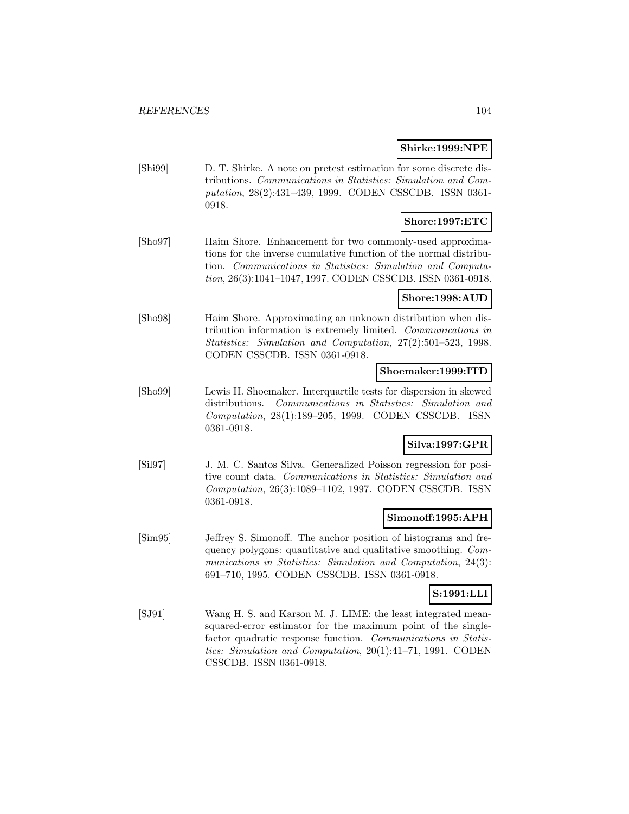#### **Shirke:1999:NPE**

[Shi99] D. T. Shirke. A note on pretest estimation for some discrete distributions. Communications in Statistics: Simulation and Computation, 28(2):431–439, 1999. CODEN CSSCDB. ISSN 0361- 0918.

# **Shore:1997:ETC**

[Sho97] Haim Shore. Enhancement for two commonly-used approximations for the inverse cumulative function of the normal distribution. Communications in Statistics: Simulation and Computation, 26(3):1041–1047, 1997. CODEN CSSCDB. ISSN 0361-0918.

## **Shore:1998:AUD**

[Sho98] Haim Shore. Approximating an unknown distribution when distribution information is extremely limited. Communications in Statistics: Simulation and Computation, 27(2):501–523, 1998. CODEN CSSCDB. ISSN 0361-0918.

#### **Shoemaker:1999:ITD**

[Sho99] Lewis H. Shoemaker. Interquartile tests for dispersion in skewed distributions. Communications in Statistics: Simulation and Computation, 28(1):189–205, 1999. CODEN CSSCDB. ISSN 0361-0918.

## **Silva:1997:GPR**

[Sil97] J. M. C. Santos Silva. Generalized Poisson regression for positive count data. Communications in Statistics: Simulation and Computation, 26(3):1089–1102, 1997. CODEN CSSCDB. ISSN 0361-0918.

## **Simonoff:1995:APH**

[Sim95] Jeffrey S. Simonoff. The anchor position of histograms and frequency polygons: quantitative and qualitative smoothing. Communications in Statistics: Simulation and Computation, 24(3): 691–710, 1995. CODEN CSSCDB. ISSN 0361-0918.

## **S:1991:LLI**

[SJ91] Wang H. S. and Karson M. J. LIME: the least integrated meansquared-error estimator for the maximum point of the singlefactor quadratic response function. Communications in Statistics: Simulation and Computation, 20(1):41–71, 1991. CODEN CSSCDB. ISSN 0361-0918.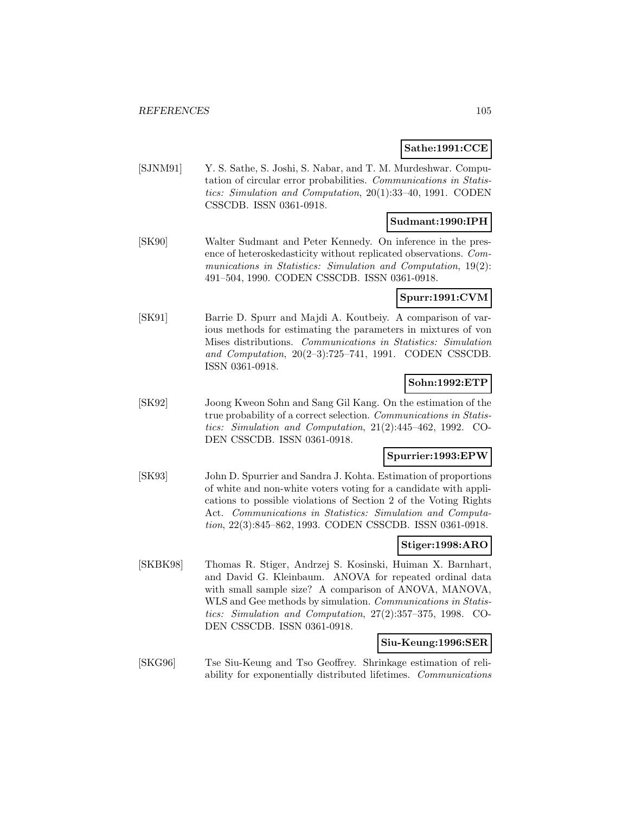## **Sathe:1991:CCE**

[SJNM91] Y. S. Sathe, S. Joshi, S. Nabar, and T. M. Murdeshwar. Computation of circular error probabilities. Communications in Statistics: Simulation and Computation, 20(1):33–40, 1991. CODEN CSSCDB. ISSN 0361-0918.

### **Sudmant:1990:IPH**

[SK90] Walter Sudmant and Peter Kennedy. On inference in the presence of heteroskedasticity without replicated observations. Communications in Statistics: Simulation and Computation, 19(2): 491–504, 1990. CODEN CSSCDB. ISSN 0361-0918.

### **Spurr:1991:CVM**

[SK91] Barrie D. Spurr and Majdi A. Koutbeiy. A comparison of various methods for estimating the parameters in mixtures of von Mises distributions. Communications in Statistics: Simulation and Computation, 20(2–3):725–741, 1991. CODEN CSSCDB. ISSN 0361-0918.

### **Sohn:1992:ETP**

[SK92] Joong Kweon Sohn and Sang Gil Kang. On the estimation of the true probability of a correct selection. Communications in Statistics: Simulation and Computation, 21(2):445–462, 1992. CO-DEN CSSCDB. ISSN 0361-0918.

## **Spurrier:1993:EPW**

[SK93] John D. Spurrier and Sandra J. Kohta. Estimation of proportions of white and non-white voters voting for a candidate with applications to possible violations of Section 2 of the Voting Rights Act. Communications in Statistics: Simulation and Computation, 22(3):845–862, 1993. CODEN CSSCDB. ISSN 0361-0918.

## **Stiger:1998:ARO**

[SKBK98] Thomas R. Stiger, Andrzej S. Kosinski, Huiman X. Barnhart, and David G. Kleinbaum. ANOVA for repeated ordinal data with small sample size? A comparison of ANOVA, MANOVA, WLS and Gee methods by simulation. *Communications in Statis*tics: Simulation and Computation, 27(2):357–375, 1998. CO-DEN CSSCDB. ISSN 0361-0918.

#### **Siu-Keung:1996:SER**

[SKG96] Tse Siu-Keung and Tso Geoffrey. Shrinkage estimation of reliability for exponentially distributed lifetimes. Communications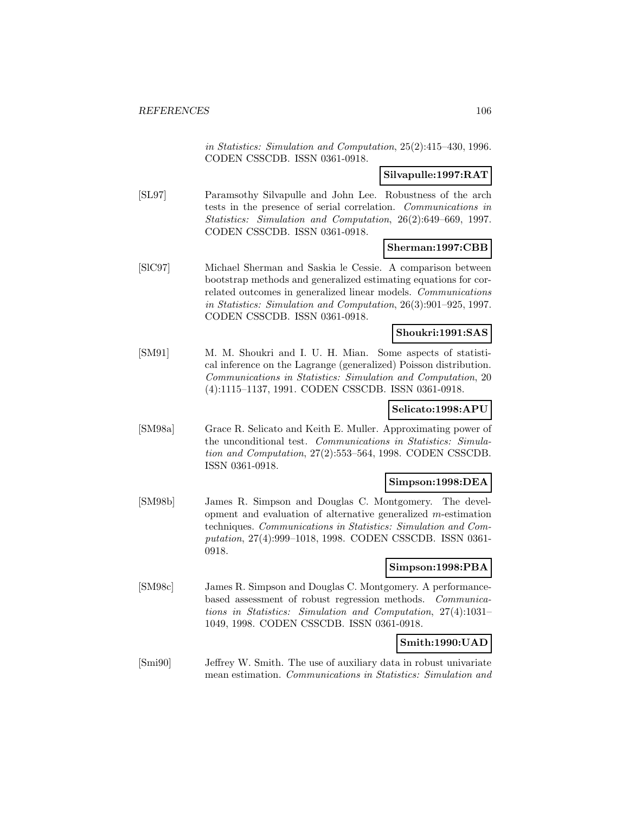in Statistics: Simulation and Computation, 25(2):415–430, 1996. CODEN CSSCDB. ISSN 0361-0918.

## **Silvapulle:1997:RAT**

[SL97] Paramsothy Silvapulle and John Lee. Robustness of the arch tests in the presence of serial correlation. Communications in Statistics: Simulation and Computation, 26(2):649–669, 1997. CODEN CSSCDB. ISSN 0361-0918.

### **Sherman:1997:CBB**

[SlC97] Michael Sherman and Saskia le Cessie. A comparison between bootstrap methods and generalized estimating equations for correlated outcomes in generalized linear models. Communications in Statistics: Simulation and Computation, 26(3):901–925, 1997. CODEN CSSCDB. ISSN 0361-0918.

### **Shoukri:1991:SAS**

[SM91] M. M. Shoukri and I. U. H. Mian. Some aspects of statistical inference on the Lagrange (generalized) Poisson distribution. Communications in Statistics: Simulation and Computation, 20 (4):1115–1137, 1991. CODEN CSSCDB. ISSN 0361-0918.

## **Selicato:1998:APU**

[SM98a] Grace R. Selicato and Keith E. Muller. Approximating power of the unconditional test. Communications in Statistics: Simulation and Computation, 27(2):553–564, 1998. CODEN CSSCDB. ISSN 0361-0918.

## **Simpson:1998:DEA**

[SM98b] James R. Simpson and Douglas C. Montgomery. The development and evaluation of alternative generalized m-estimation techniques. Communications in Statistics: Simulation and Computation, 27(4):999–1018, 1998. CODEN CSSCDB. ISSN 0361- 0918.

#### **Simpson:1998:PBA**

[SM98c] James R. Simpson and Douglas C. Montgomery. A performancebased assessment of robust regression methods. Communications in Statistics: Simulation and Computation, 27(4):1031– 1049, 1998. CODEN CSSCDB. ISSN 0361-0918.

#### **Smith:1990:UAD**

[Smi90] Jeffrey W. Smith. The use of auxiliary data in robust univariate mean estimation. Communications in Statistics: Simulation and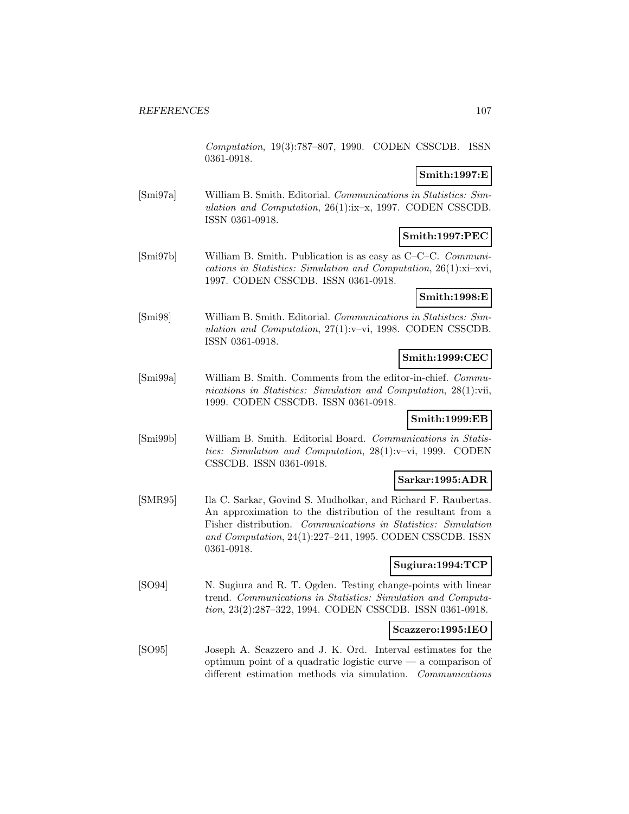Computation, 19(3):787–807, 1990. CODEN CSSCDB. ISSN 0361-0918.

### **Smith:1997:E**

[Smi97a] William B. Smith. Editorial. Communications in Statistics: Simulation and Computation, 26(1):ix–x, 1997. CODEN CSSCDB. ISSN 0361-0918.

# **Smith:1997:PEC**

[Smi97b] William B. Smith. Publication is as easy as C–C–C. Communications in Statistics: Simulation and Computation, 26(1):xi–xvi, 1997. CODEN CSSCDB. ISSN 0361-0918.

## **Smith:1998:E**

[Smi98] William B. Smith. Editorial. Communications in Statistics: Simulation and Computation, 27(1):v–vi, 1998. CODEN CSSCDB. ISSN 0361-0918.

## **Smith:1999:CEC**

[Smi99a] William B. Smith. Comments from the editor-in-chief. Communications in Statistics: Simulation and Computation, 28(1):vii, 1999. CODEN CSSCDB. ISSN 0361-0918.

## **Smith:1999:EB**

[Smi99b] William B. Smith. Editorial Board. Communications in Statistics: Simulation and Computation, 28(1):v–vi, 1999. CODEN CSSCDB. ISSN 0361-0918.

## **Sarkar:1995:ADR**

[SMR95] Ila C. Sarkar, Govind S. Mudholkar, and Richard F. Raubertas. An approximation to the distribution of the resultant from a Fisher distribution. Communications in Statistics: Simulation and Computation, 24(1):227–241, 1995. CODEN CSSCDB. ISSN 0361-0918.

## **Sugiura:1994:TCP**

[SO94] N. Sugiura and R. T. Ogden. Testing change-points with linear trend. Communications in Statistics: Simulation and Computation, 23(2):287–322, 1994. CODEN CSSCDB. ISSN 0361-0918.

## **Scazzero:1995:IEO**

[SO95] Joseph A. Scazzero and J. K. Ord. Interval estimates for the optimum point of a quadratic logistic curve — a comparison of different estimation methods via simulation. Communications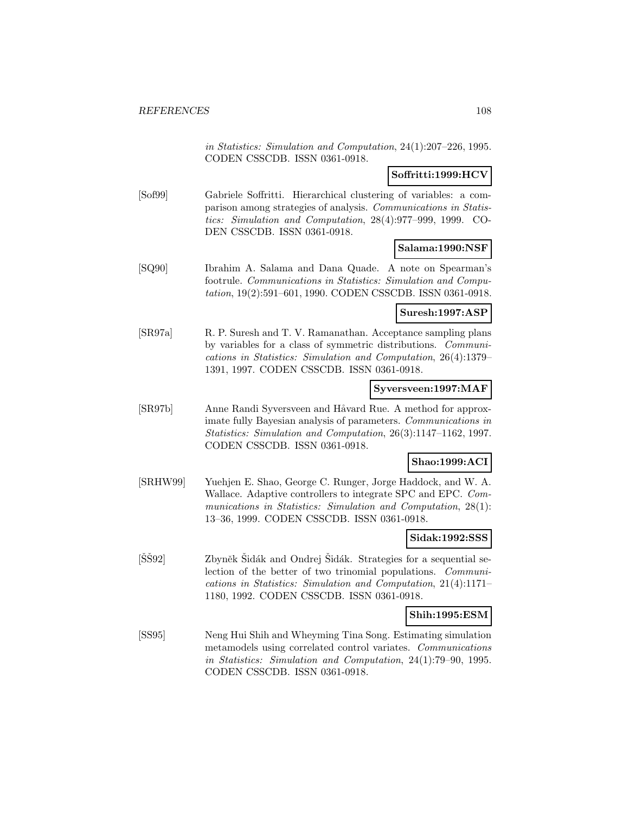in Statistics: Simulation and Computation, 24(1):207–226, 1995. CODEN CSSCDB. ISSN 0361-0918.

## **Soffritti:1999:HCV**

[Sof99] Gabriele Soffritti. Hierarchical clustering of variables: a comparison among strategies of analysis. Communications in Statistics: Simulation and Computation, 28(4):977–999, 1999. CO-DEN CSSCDB. ISSN 0361-0918.

## **Salama:1990:NSF**

[SQ90] Ibrahim A. Salama and Dana Quade. A note on Spearman's footrule. Communications in Statistics: Simulation and Computation, 19(2):591–601, 1990. CODEN CSSCDB. ISSN 0361-0918.

## **Suresh:1997:ASP**

[SR97a] R. P. Suresh and T. V. Ramanathan. Acceptance sampling plans by variables for a class of symmetric distributions. Communications in Statistics: Simulation and Computation, 26(4):1379– 1391, 1997. CODEN CSSCDB. ISSN 0361-0918.

### **Syversveen:1997:MAF**

[SR97b] Anne Randi Syversveen and Håvard Rue. A method for approximate fully Bayesian analysis of parameters. Communications in Statistics: Simulation and Computation, 26(3):1147–1162, 1997. CODEN CSSCDB. ISSN 0361-0918.

#### **Shao:1999:ACI**

[SRHW99] Yuehjen E. Shao, George C. Runger, Jorge Haddock, and W. A. Wallace. Adaptive controllers to integrate SPC and EPC. Communications in Statistics: Simulation and Computation, 28(1): 13–36, 1999. CODEN CSSCDB. ISSN 0361-0918.

## **Sidak:1992:SSS**

[SŠ92] Zbyněk Šidák and Ondrej Šidák. Strategies for a sequential selection of the better of two trinomial populations. Communications in Statistics: Simulation and Computation, 21(4):1171– 1180, 1992. CODEN CSSCDB. ISSN 0361-0918.

## **Shih:1995:ESM**

[SS95] Neng Hui Shih and Wheyming Tina Song. Estimating simulation metamodels using correlated control variates. Communications in Statistics: Simulation and Computation, 24(1):79–90, 1995. CODEN CSSCDB. ISSN 0361-0918.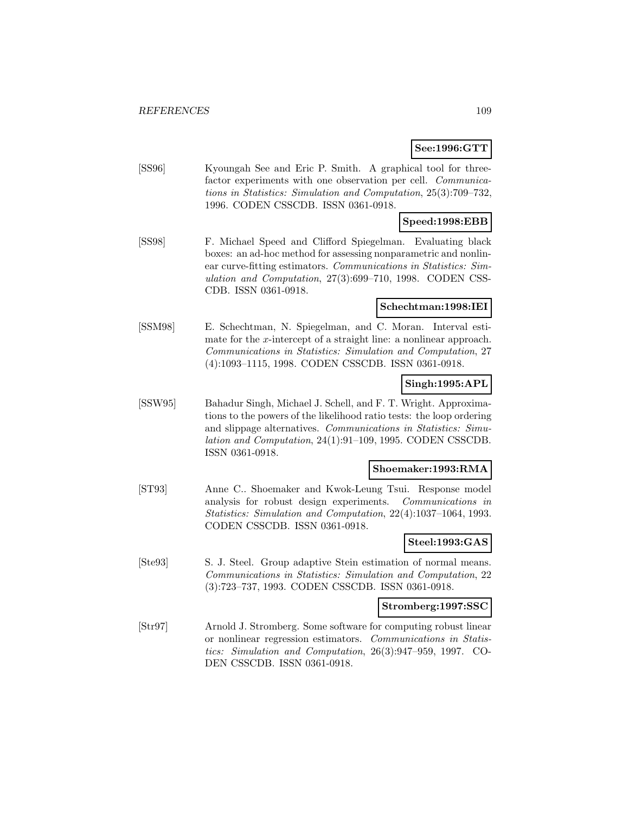### **See:1996:GTT**

[SS96] Kyoungah See and Eric P. Smith. A graphical tool for threefactor experiments with one observation per cell. *Communica*tions in Statistics: Simulation and Computation, 25(3):709–732, 1996. CODEN CSSCDB. ISSN 0361-0918.

# **Speed:1998:EBB**

[SS98] F. Michael Speed and Clifford Spiegelman. Evaluating black boxes: an ad-hoc method for assessing nonparametric and nonlinear curve-fitting estimators. Communications in Statistics: Simulation and Computation, 27(3):699–710, 1998. CODEN CSS-CDB. ISSN 0361-0918.

# **Schechtman:1998:IEI**

[SSM98] E. Schechtman, N. Spiegelman, and C. Moran. Interval estimate for the x-intercept of a straight line: a nonlinear approach. Communications in Statistics: Simulation and Computation, 27 (4):1093–1115, 1998. CODEN CSSCDB. ISSN 0361-0918.

### **Singh:1995:APL**

[SSW95] Bahadur Singh, Michael J. Schell, and F. T. Wright. Approximations to the powers of the likelihood ratio tests: the loop ordering and slippage alternatives. Communications in Statistics: Simulation and Computation, 24(1):91–109, 1995. CODEN CSSCDB. ISSN 0361-0918.

#### **Shoemaker:1993:RMA**

[ST93] Anne C.. Shoemaker and Kwok-Leung Tsui. Response model analysis for robust design experiments. Communications in Statistics: Simulation and Computation, 22(4):1037–1064, 1993. CODEN CSSCDB. ISSN 0361-0918.

### **Steel:1993:GAS**

[Ste93] S. J. Steel. Group adaptive Stein estimation of normal means. Communications in Statistics: Simulation and Computation, 22 (3):723–737, 1993. CODEN CSSCDB. ISSN 0361-0918.

#### **Stromberg:1997:SSC**

[Str97] Arnold J. Stromberg. Some software for computing robust linear or nonlinear regression estimators. Communications in Statistics: Simulation and Computation, 26(3):947–959, 1997. CO-DEN CSSCDB. ISSN 0361-0918.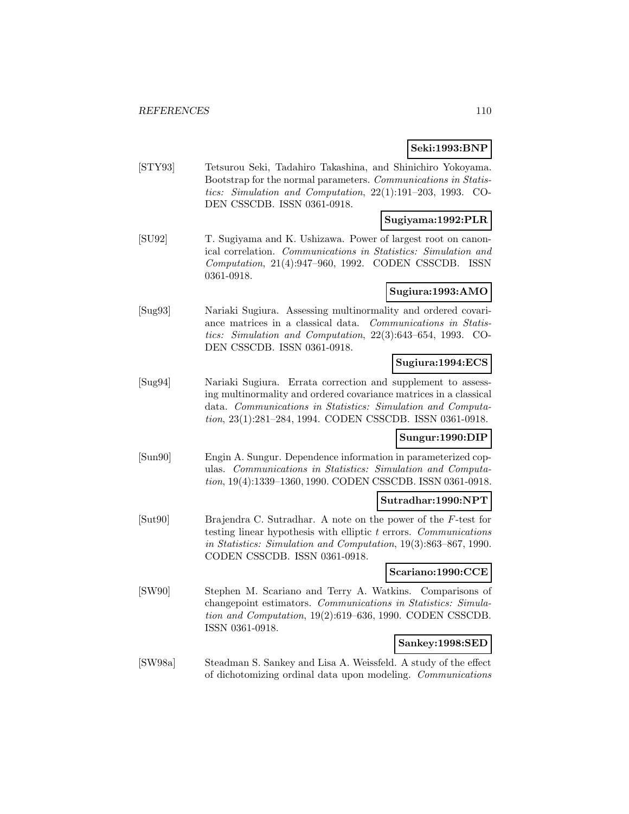# **Seki:1993:BNP**

[STY93] Tetsurou Seki, Tadahiro Takashina, and Shinichiro Yokoyama. Bootstrap for the normal parameters. Communications in Statistics: Simulation and Computation, 22(1):191–203, 1993. CO-DEN CSSCDB. ISSN 0361-0918.

# **Sugiyama:1992:PLR**

[SU92] T. Sugiyama and K. Ushizawa. Power of largest root on canonical correlation. Communications in Statistics: Simulation and Computation, 21(4):947–960, 1992. CODEN CSSCDB. ISSN 0361-0918.

# **Sugiura:1993:AMO**

[Sug93] Nariaki Sugiura. Assessing multinormality and ordered covariance matrices in a classical data. Communications in Statistics: Simulation and Computation, 22(3):643–654, 1993. CO-DEN CSSCDB. ISSN 0361-0918.

### **Sugiura:1994:ECS**

[Sug94] Nariaki Sugiura. Errata correction and supplement to assessing multinormality and ordered covariance matrices in a classical data. Communications in Statistics: Simulation and Computation, 23(1):281–284, 1994. CODEN CSSCDB. ISSN 0361-0918.

# **Sungur:1990:DIP**

[Sun90] Engin A. Sungur. Dependence information in parameterized copulas. Communications in Statistics: Simulation and Computation, 19(4):1339–1360, 1990. CODEN CSSCDB. ISSN 0361-0918.

#### **Sutradhar:1990:NPT**

[Sut90] Brajendra C. Sutradhar. A note on the power of the F-test for testing linear hypothesis with elliptic  $t$  errors. Communications in Statistics: Simulation and Computation, 19(3):863–867, 1990. CODEN CSSCDB. ISSN 0361-0918.

#### **Scariano:1990:CCE**

[SW90] Stephen M. Scariano and Terry A. Watkins. Comparisons of changepoint estimators. Communications in Statistics: Simulation and Computation, 19(2):619–636, 1990. CODEN CSSCDB. ISSN 0361-0918.

# **Sankey:1998:SED**

[SW98a] Steadman S. Sankey and Lisa A. Weissfeld. A study of the effect of dichotomizing ordinal data upon modeling. Communications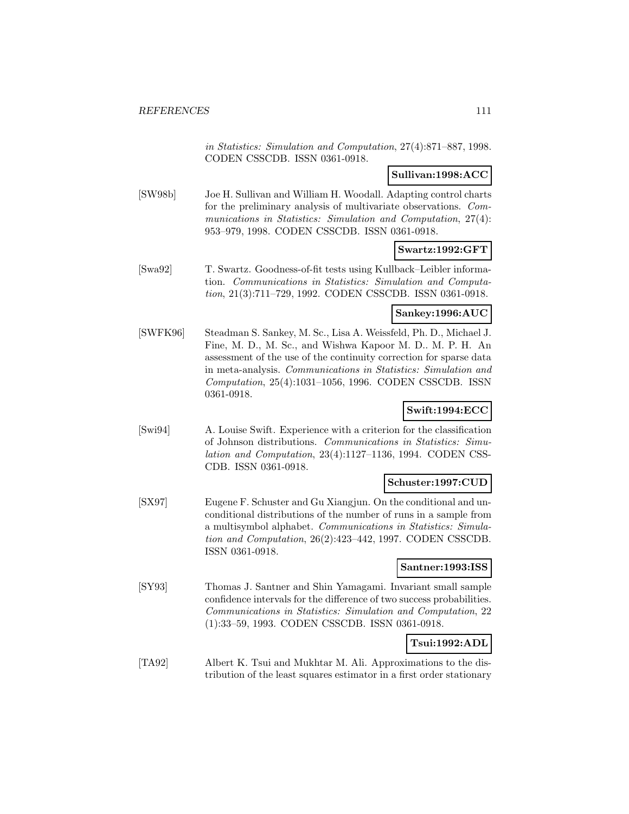in Statistics: Simulation and Computation, 27(4):871–887, 1998. CODEN CSSCDB. ISSN 0361-0918.

# **Sullivan:1998:ACC**

[SW98b] Joe H. Sullivan and William H. Woodall. Adapting control charts for the preliminary analysis of multivariate observations. Communications in Statistics: Simulation and Computation, 27(4): 953–979, 1998. CODEN CSSCDB. ISSN 0361-0918.

# **Swartz:1992:GFT**

[Swa92] T. Swartz. Goodness-of-fit tests using Kullback–Leibler information. Communications in Statistics: Simulation and Computation, 21(3):711–729, 1992. CODEN CSSCDB. ISSN 0361-0918.

### **Sankey:1996:AUC**

[SWFK96] Steadman S. Sankey, M. Sc., Lisa A. Weissfeld, Ph. D., Michael J. Fine, M. D., M. Sc., and Wishwa Kapoor M. D.. M. P. H. An assessment of the use of the continuity correction for sparse data in meta-analysis. Communications in Statistics: Simulation and Computation, 25(4):1031–1056, 1996. CODEN CSSCDB. ISSN 0361-0918.

# **Swift:1994:ECC**

[Swi94] A. Louise Swift. Experience with a criterion for the classification of Johnson distributions. Communications in Statistics: Simulation and Computation, 23(4):1127–1136, 1994. CODEN CSS-CDB. ISSN 0361-0918.

#### **Schuster:1997:CUD**

[SX97] Eugene F. Schuster and Gu Xiangjun. On the conditional and unconditional distributions of the number of runs in a sample from a multisymbol alphabet. Communications in Statistics: Simulation and Computation, 26(2):423–442, 1997. CODEN CSSCDB. ISSN 0361-0918.

#### **Santner:1993:ISS**

[SY93] Thomas J. Santner and Shin Yamagami. Invariant small sample confidence intervals for the difference of two success probabilities. Communications in Statistics: Simulation and Computation, 22 (1):33–59, 1993. CODEN CSSCDB. ISSN 0361-0918.

# **Tsui:1992:ADL**

[TA92] Albert K. Tsui and Mukhtar M. Ali. Approximations to the distribution of the least squares estimator in a first order stationary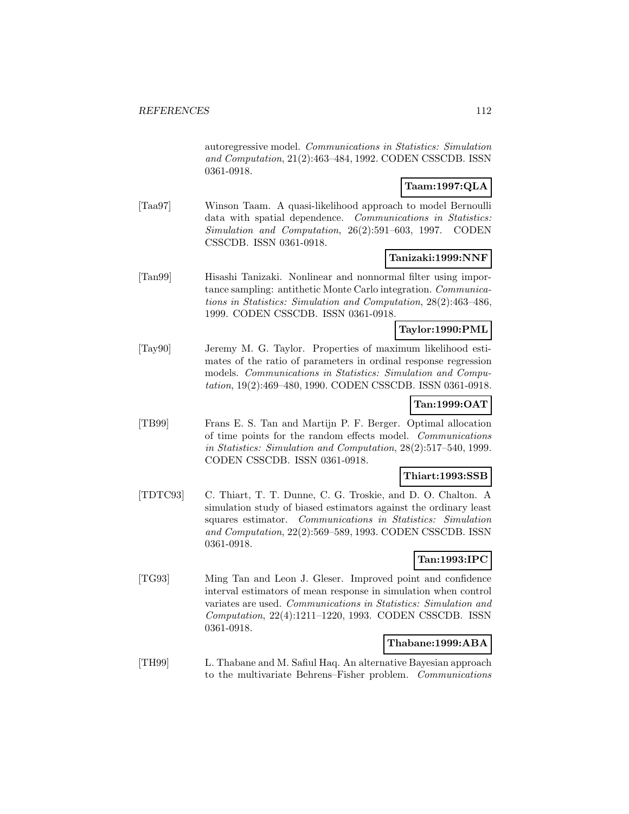autoregressive model. Communications in Statistics: Simulation and Computation, 21(2):463–484, 1992. CODEN CSSCDB. ISSN 0361-0918.

# **Taam:1997:QLA**

[Taa97] Winson Taam. A quasi-likelihood approach to model Bernoulli data with spatial dependence. Communications in Statistics: Simulation and Computation, 26(2):591–603, 1997. CODEN CSSCDB. ISSN 0361-0918.

# **Tanizaki:1999:NNF**

[Tan99] Hisashi Tanizaki. Nonlinear and nonnormal filter using importance sampling: antithetic Monte Carlo integration. Communications in Statistics: Simulation and Computation, 28(2):463–486, 1999. CODEN CSSCDB. ISSN 0361-0918.

#### **Taylor:1990:PML**

[Tay90] Jeremy M. G. Taylor. Properties of maximum likelihood estimates of the ratio of parameters in ordinal response regression models. Communications in Statistics: Simulation and Computation, 19(2):469–480, 1990. CODEN CSSCDB. ISSN 0361-0918.

# **Tan:1999:OAT**

[TB99] Frans E. S. Tan and Martijn P. F. Berger. Optimal allocation of time points for the random effects model. Communications in Statistics: Simulation and Computation, 28(2):517–540, 1999. CODEN CSSCDB. ISSN 0361-0918.

### **Thiart:1993:SSB**

[TDTC93] C. Thiart, T. T. Dunne, C. G. Troskie, and D. O. Chalton. A simulation study of biased estimators against the ordinary least squares estimator. Communications in Statistics: Simulation and Computation, 22(2):569–589, 1993. CODEN CSSCDB. ISSN 0361-0918.

# **Tan:1993:IPC**

[TG93] Ming Tan and Leon J. Gleser. Improved point and confidence interval estimators of mean response in simulation when control variates are used. Communications in Statistics: Simulation and Computation, 22(4):1211–1220, 1993. CODEN CSSCDB. ISSN 0361-0918.

# **Thabane:1999:ABA**

[TH99] L. Thabane and M. Safiul Haq. An alternative Bayesian approach to the multivariate Behrens–Fisher problem. Communications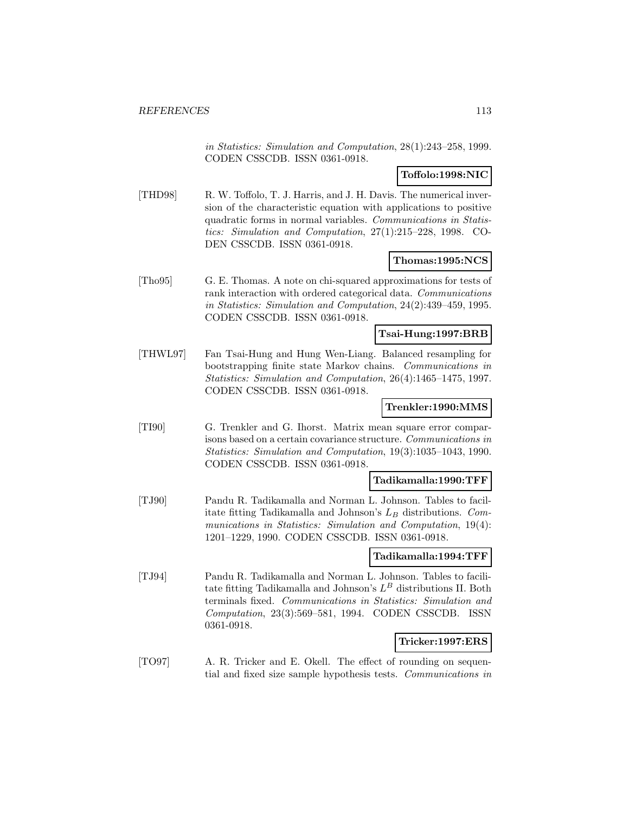in Statistics: Simulation and Computation, 28(1):243–258, 1999. CODEN CSSCDB. ISSN 0361-0918.

### **Toffolo:1998:NIC**

[THD98] R. W. Toffolo, T. J. Harris, and J. H. Davis. The numerical inversion of the characteristic equation with applications to positive quadratic forms in normal variables. Communications in Statistics: Simulation and Computation, 27(1):215–228, 1998. CO-DEN CSSCDB. ISSN 0361-0918.

### **Thomas:1995:NCS**

[Tho95] G. E. Thomas. A note on chi-squared approximations for tests of rank interaction with ordered categorical data. Communications in Statistics: Simulation and Computation, 24(2):439–459, 1995. CODEN CSSCDB. ISSN 0361-0918.

#### **Tsai-Hung:1997:BRB**

[THWL97] Fan Tsai-Hung and Hung Wen-Liang. Balanced resampling for bootstrapping finite state Markov chains. Communications in Statistics: Simulation and Computation, 26(4):1465–1475, 1997. CODEN CSSCDB. ISSN 0361-0918.

#### **Trenkler:1990:MMS**

[TI90] G. Trenkler and G. Ihorst. Matrix mean square error comparisons based on a certain covariance structure. Communications in Statistics: Simulation and Computation, 19(3):1035–1043, 1990. CODEN CSSCDB. ISSN 0361-0918.

#### **Tadikamalla:1990:TFF**

[TJ90] Pandu R. Tadikamalla and Norman L. Johnson. Tables to facilitate fitting Tadikamalla and Johnson's  $L_B$  distributions. Communications in Statistics: Simulation and Computation, 19(4): 1201–1229, 1990. CODEN CSSCDB. ISSN 0361-0918.

#### **Tadikamalla:1994:TFF**

[TJ94] Pandu R. Tadikamalla and Norman L. Johnson. Tables to facilitate fitting Tadikamalla and Johnson's  $L^B$  distributions II. Both terminals fixed. Communications in Statistics: Simulation and Computation, 23(3):569–581, 1994. CODEN CSSCDB. ISSN 0361-0918.

#### **Tricker:1997:ERS**

[TO97] A. R. Tricker and E. Okell. The effect of rounding on sequential and fixed size sample hypothesis tests. Communications in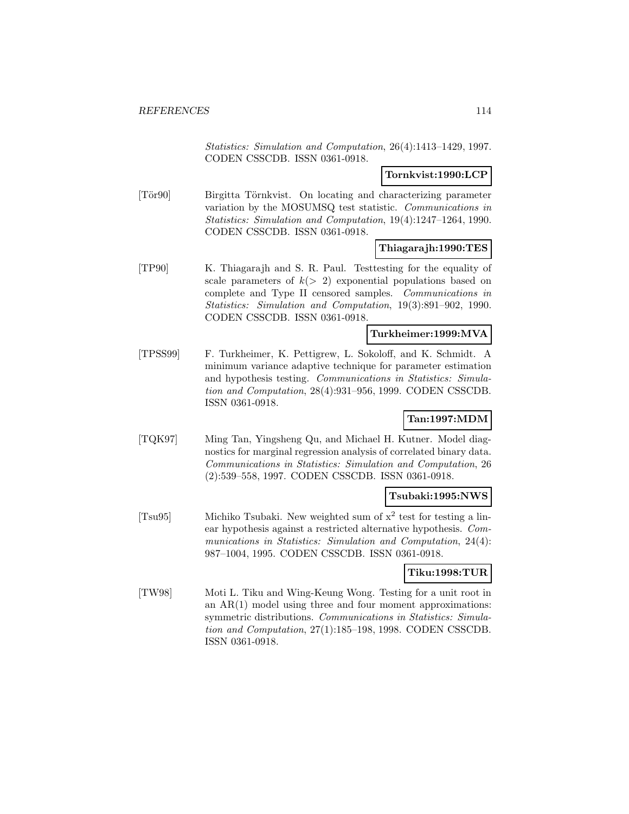Statistics: Simulation and Computation, 26(4):1413–1429, 1997. CODEN CSSCDB. ISSN 0361-0918.

### **Tornkvist:1990:LCP**

[Tör90] Birgitta Törnkvist. On locating and characterizing parameter variation by the MOSUMSQ test statistic. Communications in Statistics: Simulation and Computation, 19(4):1247–1264, 1990. CODEN CSSCDB. ISSN 0361-0918.

### **Thiagarajh:1990:TES**

[TP90] K. Thiagarajh and S. R. Paul. Testtesting for the equality of scale parameters of  $k(> 2)$  exponential populations based on complete and Type II censored samples. Communications in Statistics: Simulation and Computation, 19(3):891–902, 1990. CODEN CSSCDB. ISSN 0361-0918.

### **Turkheimer:1999:MVA**

[TPSS99] F. Turkheimer, K. Pettigrew, L. Sokoloff, and K. Schmidt. A minimum variance adaptive technique for parameter estimation and hypothesis testing. Communications in Statistics: Simulation and Computation, 28(4):931–956, 1999. CODEN CSSCDB. ISSN 0361-0918.

# **Tan:1997:MDM**

[TQK97] Ming Tan, Yingsheng Qu, and Michael H. Kutner. Model diagnostics for marginal regression analysis of correlated binary data. Communications in Statistics: Simulation and Computation, 26 (2):539–558, 1997. CODEN CSSCDB. ISSN 0361-0918.

#### **Tsubaki:1995:NWS**

[Tsu95] Michiko Tsubaki. New weighted sum of  $x^2$  test for testing a linear hypothesis against a restricted alternative hypothesis. Communications in Statistics: Simulation and Computation, 24(4): 987–1004, 1995. CODEN CSSCDB. ISSN 0361-0918.

#### **Tiku:1998:TUR**

[TW98] Moti L. Tiku and Wing-Keung Wong. Testing for a unit root in an AR(1) model using three and four moment approximations: symmetric distributions. Communications in Statistics: Simulation and Computation, 27(1):185–198, 1998. CODEN CSSCDB. ISSN 0361-0918.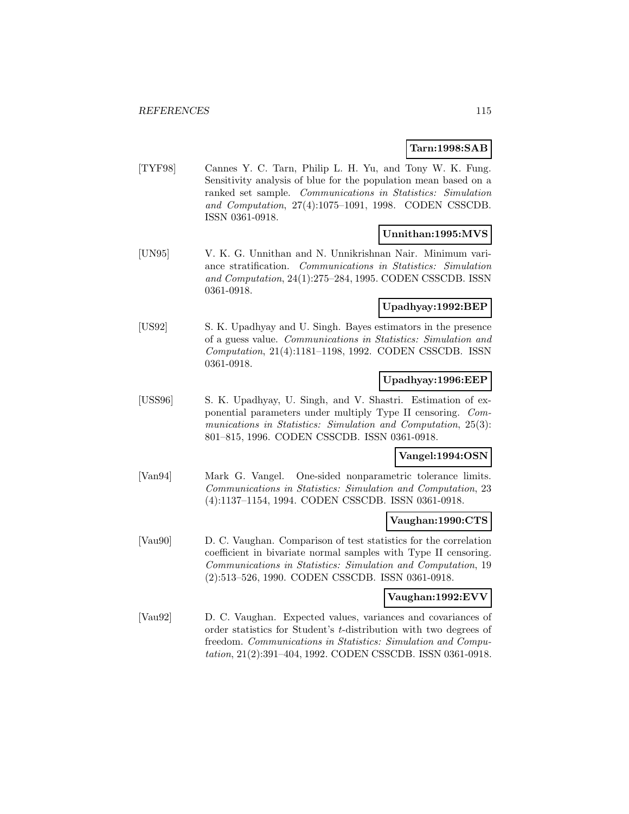### **Tarn:1998:SAB**

[TYF98] Cannes Y. C. Tarn, Philip L. H. Yu, and Tony W. K. Fung. Sensitivity analysis of blue for the population mean based on a ranked set sample. Communications in Statistics: Simulation and Computation, 27(4):1075–1091, 1998. CODEN CSSCDB. ISSN 0361-0918.

### **Unnithan:1995:MVS**

[UN95] V. K. G. Unnithan and N. Unnikrishnan Nair. Minimum variance stratification. Communications in Statistics: Simulation and Computation, 24(1):275–284, 1995. CODEN CSSCDB. ISSN 0361-0918.

# **Upadhyay:1992:BEP**

[US92] S. K. Upadhyay and U. Singh. Bayes estimators in the presence of a guess value. Communications in Statistics: Simulation and Computation, 21(4):1181–1198, 1992. CODEN CSSCDB. ISSN 0361-0918.

### **Upadhyay:1996:EEP**

[USS96] S. K. Upadhyay, U. Singh, and V. Shastri. Estimation of exponential parameters under multiply Type II censoring. Communications in Statistics: Simulation and Computation, 25(3): 801–815, 1996. CODEN CSSCDB. ISSN 0361-0918.

### **Vangel:1994:OSN**

[Van94] Mark G. Vangel. One-sided nonparametric tolerance limits. Communications in Statistics: Simulation and Computation, 23 (4):1137–1154, 1994. CODEN CSSCDB. ISSN 0361-0918.

#### **Vaughan:1990:CTS**

[Vau90] D. C. Vaughan. Comparison of test statistics for the correlation coefficient in bivariate normal samples with Type II censoring. Communications in Statistics: Simulation and Computation, 19 (2):513–526, 1990. CODEN CSSCDB. ISSN 0361-0918.

#### **Vaughan:1992:EVV**

[Vau92] D. C. Vaughan. Expected values, variances and covariances of order statistics for Student's t-distribution with two degrees of freedom. Communications in Statistics: Simulation and Computation, 21(2):391–404, 1992. CODEN CSSCDB. ISSN 0361-0918.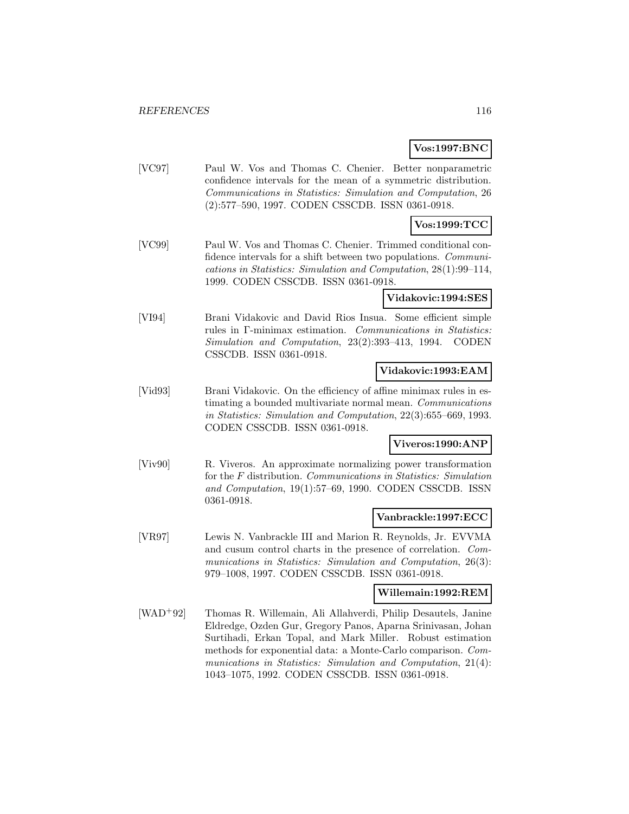# **Vos:1997:BNC**

[VC97] Paul W. Vos and Thomas C. Chenier. Better nonparametric confidence intervals for the mean of a symmetric distribution. Communications in Statistics: Simulation and Computation, 26 (2):577–590, 1997. CODEN CSSCDB. ISSN 0361-0918.

# **Vos:1999:TCC**

[VC99] Paul W. Vos and Thomas C. Chenier. Trimmed conditional confidence intervals for a shift between two populations. *Communi*cations in Statistics: Simulation and Computation, 28(1):99–114, 1999. CODEN CSSCDB. ISSN 0361-0918.

### **Vidakovic:1994:SES**

[VI94] Brani Vidakovic and David Rios Insua. Some efficient simple rules in Γ-minimax estimation. Communications in Statistics: Simulation and Computation, 23(2):393–413, 1994. CODEN CSSCDB. ISSN 0361-0918.

#### **Vidakovic:1993:EAM**

[Vid93] Brani Vidakovic. On the efficiency of affine minimax rules in estimating a bounded multivariate normal mean. Communications in Statistics: Simulation and Computation, 22(3):655–669, 1993. CODEN CSSCDB. ISSN 0361-0918.

# **Viveros:1990:ANP**

[Viv90] R. Viveros. An approximate normalizing power transformation for the F distribution. Communications in Statistics: Simulation and Computation, 19(1):57–69, 1990. CODEN CSSCDB. ISSN 0361-0918.

#### **Vanbrackle:1997:ECC**

[VR97] Lewis N. Vanbrackle III and Marion R. Reynolds, Jr. EVVMA and cusum control charts in the presence of correlation. Communications in Statistics: Simulation and Computation, 26(3): 979–1008, 1997. CODEN CSSCDB. ISSN 0361-0918.

# **Willemain:1992:REM**

[WAD<sup>+</sup>92] Thomas R. Willemain, Ali Allahverdi, Philip Desautels, Janine Eldredge, Ozden Gur, Gregory Panos, Aparna Srinivasan, Johan Surtihadi, Erkan Topal, and Mark Miller. Robust estimation methods for exponential data: a Monte-Carlo comparison. Communications in Statistics: Simulation and Computation, 21(4): 1043–1075, 1992. CODEN CSSCDB. ISSN 0361-0918.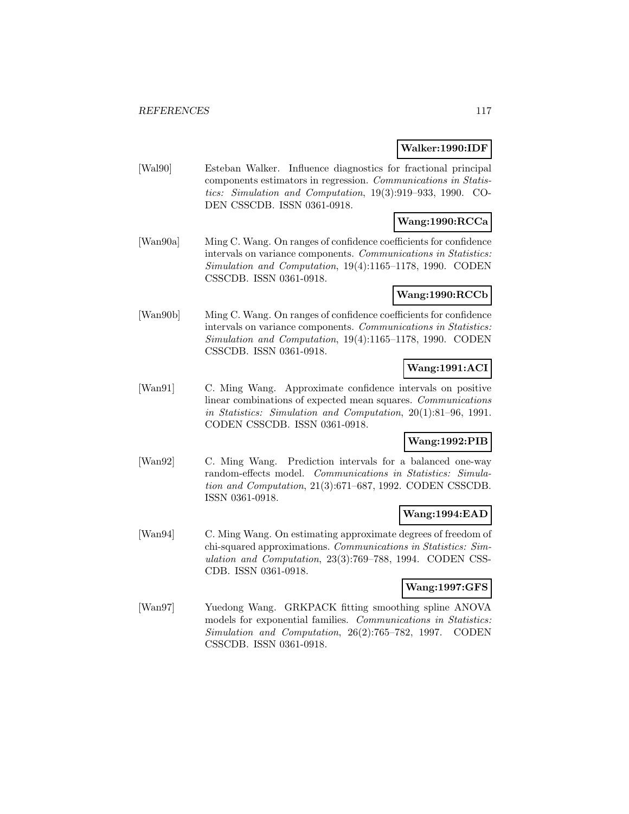# **Walker:1990:IDF**

[Wal90] Esteban Walker. Influence diagnostics for fractional principal components estimators in regression. Communications in Statistics: Simulation and Computation, 19(3):919–933, 1990. CO-DEN CSSCDB. ISSN 0361-0918.

# **Wang:1990:RCCa**

[Wan90a] Ming C. Wang. On ranges of confidence coefficients for confidence intervals on variance components. Communications in Statistics: Simulation and Computation, 19(4):1165–1178, 1990. CODEN CSSCDB. ISSN 0361-0918.

# **Wang:1990:RCCb**

[Wan90b] Ming C. Wang. On ranges of confidence coefficients for confidence intervals on variance components. Communications in Statistics: Simulation and Computation, 19(4):1165–1178, 1990. CODEN CSSCDB. ISSN 0361-0918.

# **Wang:1991:ACI**

[Wan91] C. Ming Wang. Approximate confidence intervals on positive linear combinations of expected mean squares. Communications in Statistics: Simulation and Computation, 20(1):81–96, 1991. CODEN CSSCDB. ISSN 0361-0918.

# **Wang:1992:PIB**

[Wan92] C. Ming Wang. Prediction intervals for a balanced one-way random-effects model. Communications in Statistics: Simulation and Computation, 21(3):671–687, 1992. CODEN CSSCDB. ISSN 0361-0918.

# **Wang:1994:EAD**

[Wan94] C. Ming Wang. On estimating approximate degrees of freedom of chi-squared approximations. Communications in Statistics: Simulation and Computation, 23(3):769–788, 1994. CODEN CSS-CDB. ISSN 0361-0918.

# **Wang:1997:GFS**

[Wan97] Yuedong Wang. GRKPACK fitting smoothing spline ANOVA models for exponential families. Communications in Statistics: Simulation and Computation, 26(2):765–782, 1997. CODEN CSSCDB. ISSN 0361-0918.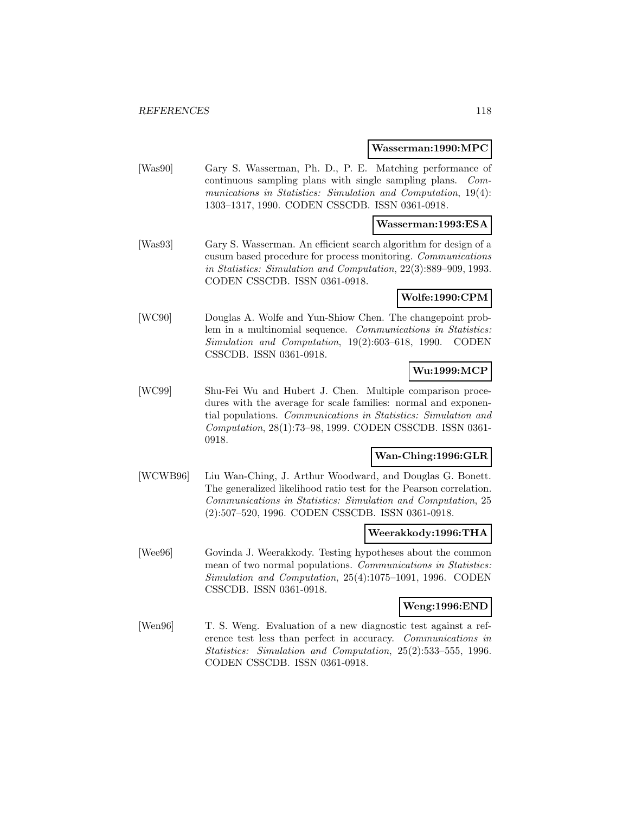#### **Wasserman:1990:MPC**

[Was90] Gary S. Wasserman, Ph. D., P. E. Matching performance of continuous sampling plans with single sampling plans. Communications in Statistics: Simulation and Computation, 19(4): 1303–1317, 1990. CODEN CSSCDB. ISSN 0361-0918.

#### **Wasserman:1993:ESA**

[Was93] Gary S. Wasserman. An efficient search algorithm for design of a cusum based procedure for process monitoring. Communications in Statistics: Simulation and Computation, 22(3):889–909, 1993. CODEN CSSCDB. ISSN 0361-0918.

### **Wolfe:1990:CPM**

[WC90] Douglas A. Wolfe and Yun-Shiow Chen. The changepoint problem in a multinomial sequence. Communications in Statistics: Simulation and Computation, 19(2):603–618, 1990. CODEN CSSCDB. ISSN 0361-0918.

### **Wu:1999:MCP**

[WC99] Shu-Fei Wu and Hubert J. Chen. Multiple comparison procedures with the average for scale families: normal and exponential populations. Communications in Statistics: Simulation and Computation, 28(1):73–98, 1999. CODEN CSSCDB. ISSN 0361- 0918.

#### **Wan-Ching:1996:GLR**

[WCWB96] Liu Wan-Ching, J. Arthur Woodward, and Douglas G. Bonett. The generalized likelihood ratio test for the Pearson correlation. Communications in Statistics: Simulation and Computation, 25 (2):507–520, 1996. CODEN CSSCDB. ISSN 0361-0918.

#### **Weerakkody:1996:THA**

[Wee96] Govinda J. Weerakkody. Testing hypotheses about the common mean of two normal populations. Communications in Statistics: Simulation and Computation, 25(4):1075–1091, 1996. CODEN CSSCDB. ISSN 0361-0918.

#### **Weng:1996:END**

[Wen96] T. S. Weng. Evaluation of a new diagnostic test against a reference test less than perfect in accuracy. Communications in Statistics: Simulation and Computation, 25(2):533–555, 1996. CODEN CSSCDB. ISSN 0361-0918.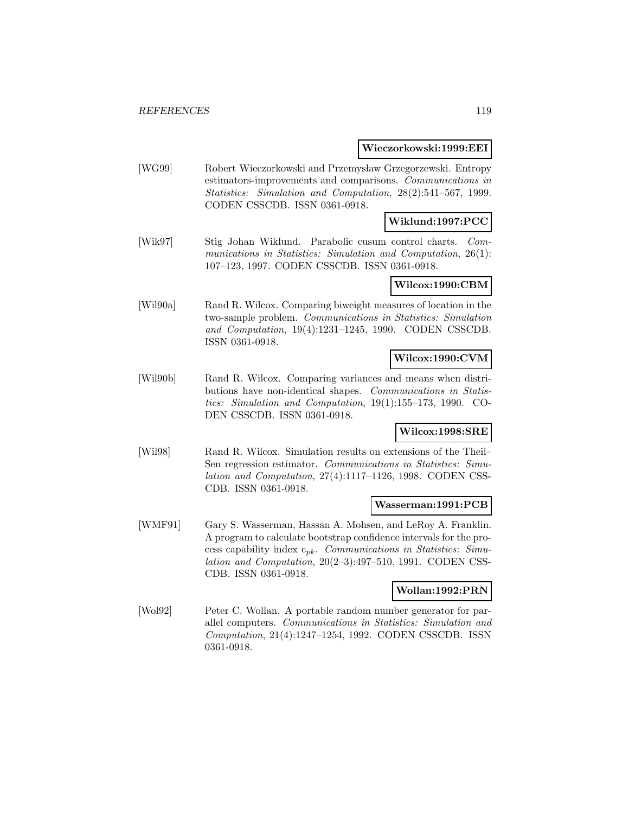#### **Wieczorkowski:1999:EEI**

[WG99] Robert Wieczorkowski and Przemysław Grzegorzewski. Entropy estimators-improvements and comparisons. Communications in Statistics: Simulation and Computation, 28(2):541–567, 1999. CODEN CSSCDB. ISSN 0361-0918.

# **Wiklund:1997:PCC**

[Wik97] Stig Johan Wiklund. Parabolic cusum control charts. Communications in Statistics: Simulation and Computation, 26(1): 107–123, 1997. CODEN CSSCDB. ISSN 0361-0918.

#### **Wilcox:1990:CBM**

[Wil90a] Rand R. Wilcox. Comparing biweight measures of location in the two-sample problem. Communications in Statistics: Simulation and Computation, 19(4):1231–1245, 1990. CODEN CSSCDB. ISSN 0361-0918.

#### **Wilcox:1990:CVM**

[Wil90b] Rand R. Wilcox. Comparing variances and means when distributions have non-identical shapes. Communications in Statistics: Simulation and Computation, 19(1):155–173, 1990. CO-DEN CSSCDB. ISSN 0361-0918.

### **Wilcox:1998:SRE**

[Wil98] Rand R. Wilcox. Simulation results on extensions of the Theil– Sen regression estimator. Communications in Statistics: Simulation and Computation, 27(4):1117–1126, 1998. CODEN CSS-CDB. ISSN 0361-0918.

#### **Wasserman:1991:PCB**

[WMF91] Gary S. Wasserman, Hassan A. Mohsen, and LeRoy A. Franklin. A program to calculate bootstrap confidence intervals for the process capability index  $c_{pk}$ . Communications in Statistics: Simulation and Computation, 20(2–3):497–510, 1991. CODEN CSS-CDB. ISSN 0361-0918.

#### **Wollan:1992:PRN**

[Wol92] Peter C. Wollan. A portable random number generator for parallel computers. Communications in Statistics: Simulation and Computation, 21(4):1247–1254, 1992. CODEN CSSCDB. ISSN 0361-0918.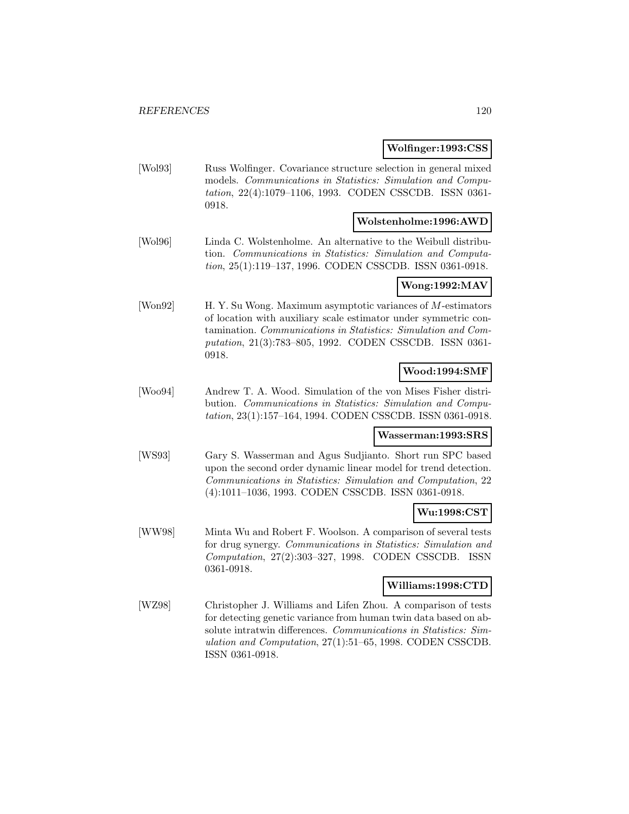#### **Wolfinger:1993:CSS**

[Wol93] Russ Wolfinger. Covariance structure selection in general mixed models. Communications in Statistics: Simulation and Computation, 22(4):1079–1106, 1993. CODEN CSSCDB. ISSN 0361- 0918.

# **Wolstenholme:1996:AWD**

[Wol96] Linda C. Wolstenholme. An alternative to the Weibull distribution. Communications in Statistics: Simulation and Computation, 25(1):119–137, 1996. CODEN CSSCDB. ISSN 0361-0918.

# **Wong:1992:MAV**

[Won92] H. Y. Su Wong. Maximum asymptotic variances of M-estimators of location with auxiliary scale estimator under symmetric contamination. Communications in Statistics: Simulation and Computation, 21(3):783–805, 1992. CODEN CSSCDB. ISSN 0361- 0918.

# **Wood:1994:SMF**

[Woo94] Andrew T. A. Wood. Simulation of the von Mises Fisher distribution. Communications in Statistics: Simulation and Computation, 23(1):157–164, 1994. CODEN CSSCDB. ISSN 0361-0918.

#### **Wasserman:1993:SRS**

[WS93] Gary S. Wasserman and Agus Sudjianto. Short run SPC based upon the second order dynamic linear model for trend detection. Communications in Statistics: Simulation and Computation, 22 (4):1011–1036, 1993. CODEN CSSCDB. ISSN 0361-0918.

# **Wu:1998:CST**

[WW98] Minta Wu and Robert F. Woolson. A comparison of several tests for drug synergy. Communications in Statistics: Simulation and Computation, 27(2):303–327, 1998. CODEN CSSCDB. ISSN 0361-0918.

#### **Williams:1998:CTD**

[WZ98] Christopher J. Williams and Lifen Zhou. A comparison of tests for detecting genetic variance from human twin data based on absolute intratwin differences. Communications in Statistics: Simulation and Computation, 27(1):51–65, 1998. CODEN CSSCDB. ISSN 0361-0918.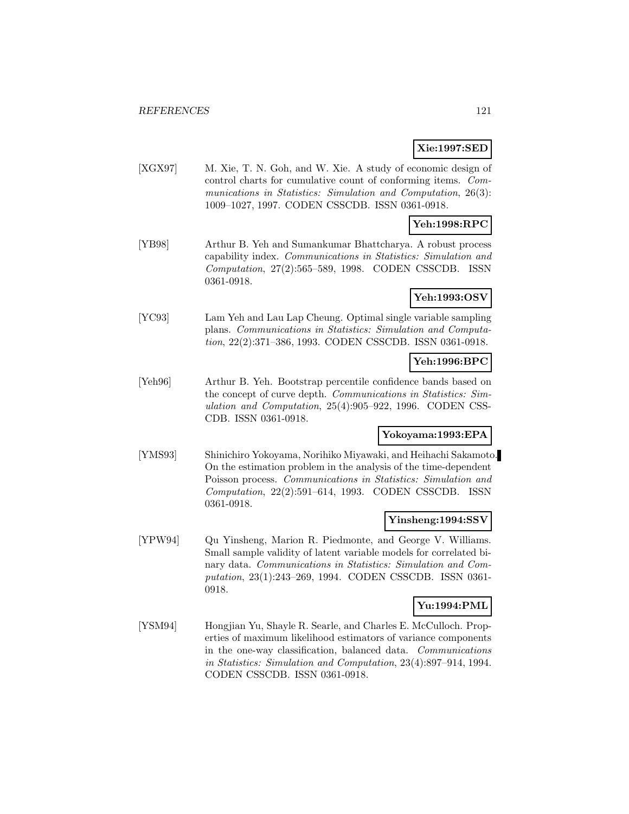# **Xie:1997:SED**

[XGX97] M. Xie, T. N. Goh, and W. Xie. A study of economic design of control charts for cumulative count of conforming items. Communications in Statistics: Simulation and Computation, 26(3): 1009–1027, 1997. CODEN CSSCDB. ISSN 0361-0918.

# **Yeh:1998:RPC**

[YB98] Arthur B. Yeh and Sumankumar Bhattcharya. A robust process capability index. Communications in Statistics: Simulation and Computation, 27(2):565–589, 1998. CODEN CSSCDB. ISSN 0361-0918.

# **Yeh:1993:OSV**

[YC93] Lam Yeh and Lau Lap Cheung. Optimal single variable sampling plans. Communications in Statistics: Simulation and Computation, 22(2):371–386, 1993. CODEN CSSCDB. ISSN 0361-0918.

### **Yeh:1996:BPC**

[Yeh96] Arthur B. Yeh. Bootstrap percentile confidence bands based on the concept of curve depth. Communications in Statistics: Simulation and Computation, 25(4):905–922, 1996. CODEN CSS-CDB. ISSN 0361-0918.

#### **Yokoyama:1993:EPA**

[YMS93] Shinichiro Yokoyama, Norihiko Miyawaki, and Heihachi Sakamoto. On the estimation problem in the analysis of the time-dependent Poisson process. Communications in Statistics: Simulation and Computation, 22(2):591–614, 1993. CODEN CSSCDB. ISSN 0361-0918.

#### **Yinsheng:1994:SSV**

[YPW94] Qu Yinsheng, Marion R. Piedmonte, and George V. Williams. Small sample validity of latent variable models for correlated binary data. Communications in Statistics: Simulation and Computation, 23(1):243–269, 1994. CODEN CSSCDB. ISSN 0361- 0918.

# **Yu:1994:PML**

[YSM94] Hongjian Yu, Shayle R. Searle, and Charles E. McCulloch. Properties of maximum likelihood estimators of variance components in the one-way classification, balanced data. Communications in Statistics: Simulation and Computation, 23(4):897–914, 1994. CODEN CSSCDB. ISSN 0361-0918.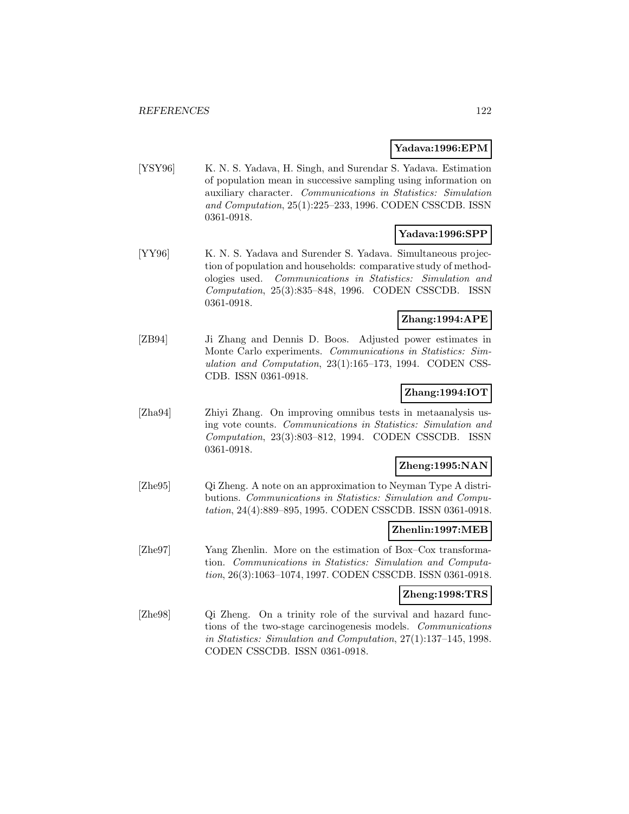#### **Yadava:1996:EPM**

[YSY96] K. N. S. Yadava, H. Singh, and Surendar S. Yadava. Estimation of population mean in successive sampling using information on auxiliary character. Communications in Statistics: Simulation and Computation, 25(1):225–233, 1996. CODEN CSSCDB. ISSN 0361-0918.

# **Yadava:1996:SPP**

[YY96] K. N. S. Yadava and Surender S. Yadava. Simultaneous projection of population and households: comparative study of methodologies used. Communications in Statistics: Simulation and Computation, 25(3):835–848, 1996. CODEN CSSCDB. ISSN 0361-0918.

#### **Zhang:1994:APE**

[ZB94] Ji Zhang and Dennis D. Boos. Adjusted power estimates in Monte Carlo experiments. Communications in Statistics: Simulation and Computation, 23(1):165–173, 1994. CODEN CSS-CDB. ISSN 0361-0918.

# **Zhang:1994:IOT**

[Zha94] Zhiyi Zhang. On improving omnibus tests in metaanalysis using vote counts. Communications in Statistics: Simulation and Computation, 23(3):803–812, 1994. CODEN CSSCDB. ISSN 0361-0918.

# **Zheng:1995:NAN**

[Zhe95] Qi Zheng. A note on an approximation to Neyman Type A distributions. Communications in Statistics: Simulation and Computation, 24(4):889–895, 1995. CODEN CSSCDB. ISSN 0361-0918.

#### **Zhenlin:1997:MEB**

[Zhe97] Yang Zhenlin. More on the estimation of Box–Cox transformation. Communications in Statistics: Simulation and Computation, 26(3):1063–1074, 1997. CODEN CSSCDB. ISSN 0361-0918.

# **Zheng:1998:TRS**

[Zhe98] Qi Zheng. On a trinity role of the survival and hazard functions of the two-stage carcinogenesis models. Communications in Statistics: Simulation and Computation, 27(1):137–145, 1998. CODEN CSSCDB. ISSN 0361-0918.